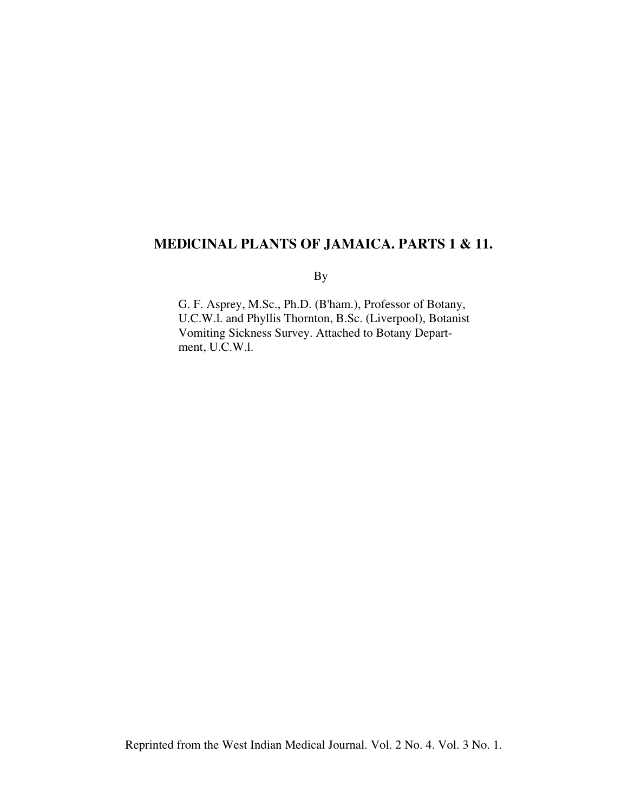# **MEDlCINAL PLANTS OF JAMAICA. PARTS 1 & 11.**

By

G. F. Asprey, M.Sc., Ph.D. (B'ham.), Professor of Botany, U.C.W.l. and Phyllis Thornton, B.Sc. (Liverpool), Botanist Vomiting Sickness Survey. Attached to Botany Department, U.C.W.l.

Reprinted from the West Indian Medical Journal. Vol. 2 No. 4. Vol. 3 No. 1.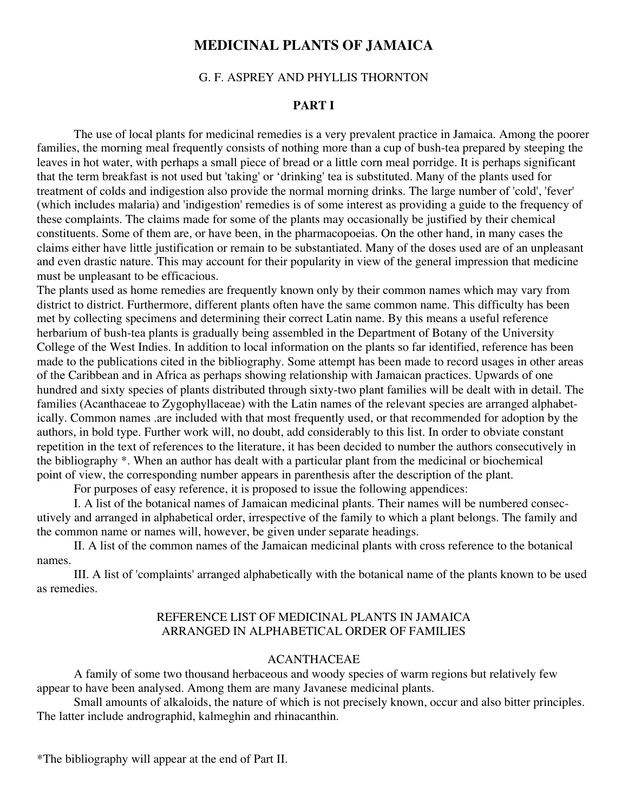## **MEDICINAL PLANTS OF JAMAICA**

#### G. F. ASPREY AND PHYLLIS THORNTON

#### **PART I**

The use of local plants for medicinal remedies is a very prevalent practice in Jamaica. Among the poorer families, the morning meal frequently consists of nothing more than a cup of bush-tea prepared by steeping the leaves in hot water, with perhaps a small piece of bread or a little corn meal porridge. It is perhaps significant that the term breakfast is not used but 'taking' or 'drinking' tea is substituted. Many of the plants used for treatment of colds and indigestion also provide the normal morning drinks. The large number of 'cold', 'fever' (which includes malaria) and 'indigestion' remedies is of some interest as providing a guide to the frequency of these complaints. The claims made for some of the plants may occasionally be justified by their chemical constituents. Some of them are, or have been, in the pharmacopoeias. On the other hand, in many cases the claims either have little justification or remain to be substantiated. Many of the doses used are of an unpleasant and even drastic nature. This may account for their popularity in view of the general impression that medicine must be unpleasant to be efficacious.

The plants used as home remedies are frequently known only by their common names which may vary from district to district. Furthermore, different plants often have the same common name. This difficulty has been met by collecting specimens and determining their correct Latin name. By this means a useful reference herbarium of bush-tea plants is gradually being assembled in the Department of Botany of the University College of the West Indies. In addition to local information on the plants so far identified, reference has been made to the publications cited in the bibliography. Some attempt has been made to record usages in other areas of the Caribbean and in Africa as perhaps showing relationship with Jamaican practices. Upwards of one hundred and sixty species of plants distributed through sixty-two plant families will be dealt with in detail. The families (Acanthaceae to Zygophyllaceae) with the Latin names of the relevant species are arranged alphabetically. Common names .are included with that most frequently used, or that recommended for adoption by the authors, in bold type. Further work will, no doubt, add considerably to this list. In order to obviate constant repetition in the text of references to the literature, it has been decided to number the authors consecutively in the bibliography \*. When an author has dealt with a particular plant from the medicinal or biochemical point of view, the corresponding number appears in parenthesis after the description of the plant.

For purposes of easy reference, it is proposed to issue the following appendices:

I. A list of the botanical names of Jamaican medicinal plants. Their names will be numbered consecutively and arranged in alphabetical order, irrespective of the family to which a plant belongs. The family and the common name or names will, however, be given under separate headings.

II. A list of the common names of the Jamaican medicinal plants with cross reference to the botanical names.

III. A list of 'complaints' arranged alphabetically with the botanical name of the plants known to be used as remedies.

#### REFERENCE LIST OF MEDICINAL PLANTS IN JAMAICA ARRANGED IN ALPHABETICAL ORDER OF FAMILIES

## ACANTHACEAE

A family of some two thousand herbaceous and woody species of warm regions but relatively few appear to have been analysed. Among them are many Javanese medicinal plants.

Small amounts of alkaloids, the nature of which is not precisely known, occur and also bitter principles. The latter include andrographid, kalmeghin and rhinacanthin.

\*The bibliography will appear at the end of Part II.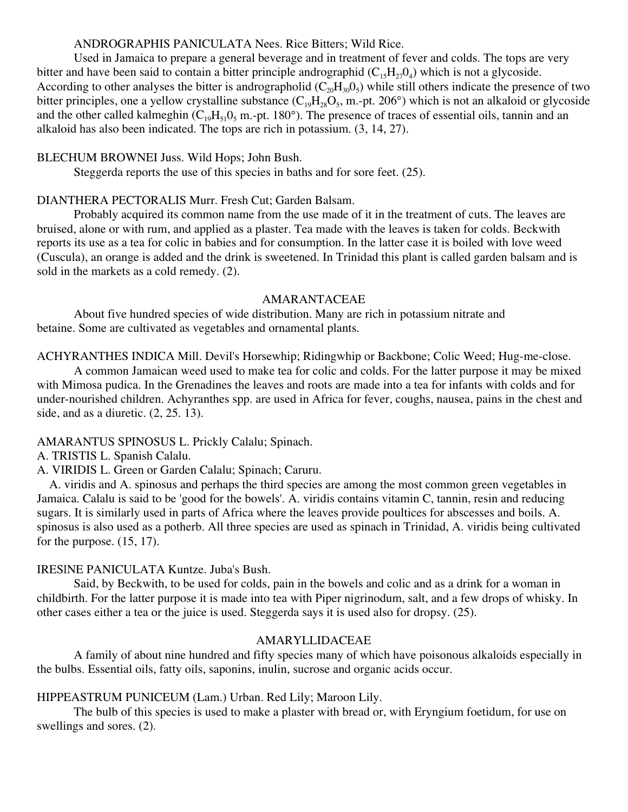## ANDROGRAPHIS PANICULATA Nees. Rice Bitters; Wild Rice.

Used in Jamaica to prepare a general beverage and in treatment of fever and colds. The tops are very bitter and have been said to contain a bitter principle andrographid  $(C_1, H_2, 0_4)$  which is not a glycoside. According to other analyses the bitter is andrographolid  $(C_{20}H_{30}O_5)$  while still others indicate the presence of two bitter principles, one a yellow crystalline substance  $(C_{19}H_{28}O_5, m.-pt. 206^\circ)$  which is not an alkaloid or glycoside and the other called kalmeghin  $(C_{19}H_{51}0_5 \text{ m.-pt. } 180^\circ)$ . The presence of traces of essential oils, tannin and an alkaloid has also been indicated. The tops are rich in potassium. (3, 14, 27).

## BLECHUM BROWNEI Juss. Wild Hops; John Bush.

Steggerda reports the use of this species in baths and for sore feet. (25).

## DIANTHERA PECTORALIS Murr. Fresh Cut; Garden Balsam.

Probably acquired its common name from the use made of it in the treatment of cuts. The leaves are bruised, alone or with rum, and applied as a plaster. Tea made with the leaves is taken for colds. Beckwith reports its use as a tea for colic in babies and for consumption. In the latter case it is boiled with love weed (Cuscula), an orange is added and the drink is sweetened. In Trinidad this plant is called garden balsam and is sold in the markets as a cold remedy. (2).

## AMARANTACEAE

About five hundred species of wide distribution. Many are rich in potassium nitrate and betaine. Some are cultivated as vegetables and ornamental plants.

ACHYRANTHES INDICA Mill. Devil's Horsewhip; Ridingwhip or Backbone; Colic Weed; Hug-me-close.

A common Jamaican weed used to make tea for colic and colds. For the latter purpose it may be mixed with Mimosa pudica. In the Grenadines the leaves and roots are made into a tea for infants with colds and for under-nourished children. Achyranthes spp. are used in Africa for fever, coughs, nausea, pains in the chest and side, and as a diuretic. (2, 25. 13).

AMARANTUS SPINOSUS L. Prickly Calalu; Spinach.

A. TRISTIS L. Spanish Calalu.

A. VIRIDIS L. Green or Garden Calalu; Spinach; Caruru.

A. viridis and A. spinosus and perhaps the third species are among the most common green vegetables in Jamaica. Calalu is said to be 'good for the bowels'. A. viridis contains vitamin C, tannin, resin and reducing sugars. It is similarly used in parts of Africa where the leaves provide poultices for abscesses and boils. A. spinosus is also used as a potherb. All three species are used as spinach in Trinidad, A. viridis being cultivated for the purpose. (15, 17).

## IRESlNE PANICULATA Kuntze. Juba's Bush.

Said, by Beckwith, to be used for colds, pain in the bowels and colic and as a drink for a woman in childbirth. For the latter purpose it is made into tea with Piper nigrinodum, salt, and a few drops of whisky. In other cases either a tea or the juice is used. Steggerda says it is used also for dropsy. (25).

## AMARYLLIDACEAE

A family of about nine hundred and fifty species many of which have poisonous alkaloids especially in the bulbs. Essential oils, fatty oils, saponins, inulin, sucrose and organic acids occur.

## HIPPEASTRUM PUNICEUM (Lam.) Urban. Red Lily; Maroon Lily.

The bulb of this species is used to make a plaster with bread or, with Eryngium foetidum, for use on swellings and sores. (2).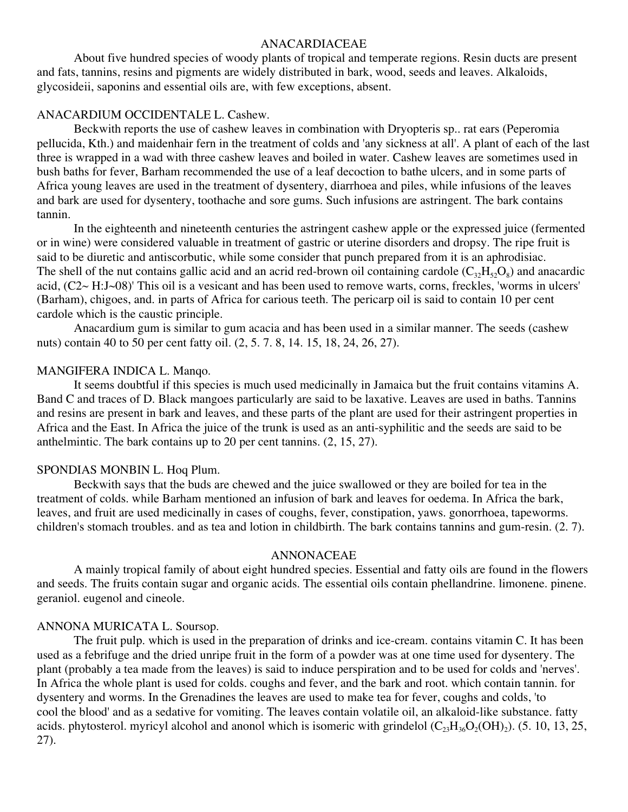#### ANACARDIACEAE

About five hundred species of woody plants of tropical and temperate regions. Resin ducts are present and fats, tannins, resins and pigments are widely distributed in bark, wood, seeds and leaves. Alkaloids, glycosideii, saponins and essential oils are, with few exceptions, absent.

#### ANACARDIUM OCCIDENTALE L. Cashew.

Beckwith reports the use of cashew leaves in combination with Dryopteris sp.. rat ears (Peperomia pellucida, Kth.) and maidenhair fern in the treatment of colds and 'any sickness at all'. A plant of each of the last three is wrapped in a wad with three cashew leaves and boiled in water. Cashew leaves are sometimes used in bush baths for fever, Barham recommended the use of a leaf decoction to bathe ulcers, and in some parts of Africa young leaves are used in the treatment of dysentery, diarrhoea and piles, while infusions of the leaves and bark are used for dysentery, toothache and sore gums. Such infusions are astringent. The bark contains tannin.

In the eighteenth and nineteenth centuries the astringent cashew apple or the expressed juice (fermented or in wine) were considered valuable in treatment of gastric or uterine disorders and dropsy. The ripe fruit is said to be diuretic and antiscorbutic, while some consider that punch prepared from it is an aphrodisiac. The shell of the nut contains gallic acid and an acrid red-brown oil containing cardole  $(C_{32}H_{52}O_8)$  and anacardic acid, (C2~ H:J~08)' This oil is a vesicant and has been used to remove warts, corns, freckles, 'worms in ulcers' (Barham), chigoes, and. in parts of Africa for carious teeth. The pericarp oil is said to contain 10 per cent cardole which is the caustic principle.

Anacardium gum is similar to gum acacia and has been used in a similar manner. The seeds (cashew nuts) contain 40 to 50 per cent fatty oil. (2, 5. 7. 8, 14. 15, 18, 24, 26, 27).

#### MANGIFERA INDICA L. Manqo.

It seems doubtful if this species is much used medicinally in Jamaica but the fruit contains vitamins A. Band C and traces of D. Black mangoes particularly are said to be laxative. Leaves are used in baths. Tannins and resins are present in bark and leaves, and these parts of the plant are used for their astringent properties in Africa and the East. In Africa the juice of the trunk is used as an anti-syphilitic and the seeds are said to be anthelmintic. The bark contains up to 20 per cent tannins. (2, 15, 27).

### SPONDIAS MONBIN L. Hoq Plum.

Beckwith says that the buds are chewed and the juice swallowed or they are boiled for tea in the treatment of colds. while Barham mentioned an infusion of bark and leaves for oedema. In Africa the bark, leaves, and fruit are used medicinally in cases of coughs, fever, constipation, yaws. gonorrhoea, tapeworms. children's stomach troubles. and as tea and lotion in childbirth. The bark contains tannins and gum-resin. (2. 7).

#### ANNONACEAE

A mainly tropical family of about eight hundred species. Essential and fatty oils are found in the flowers and seeds. The fruits contain sugar and organic acids. The essential oils contain phellandrine. limonene. pinene. geraniol. eugenol and cineole.

#### ANNONA MURICATA L. Soursop.

The fruit pulp. which is used in the preparation of drinks and ice-cream. contains vitamin C. It has been used as a febrifuge and the dried unripe fruit in the form of a powder was at one time used for dysentery. The plant (probably a tea made from the leaves) is said to induce perspiration and to be used for colds and 'nerves'. In Africa the whole plant is used for colds. coughs and fever, and the bark and root. which contain tannin. for dysentery and worms. In the Grenadines the leaves are used to make tea for fever, coughs and colds, 'to cool the blood' and as a sedative for vomiting. The leaves contain volatile oil, an alkaloid-like substance. fatty acids. phytosterol. myricyl alcohol and anonol which is isomeric with grindelol  $(C_{23}H_{36}O_2(OH)_2)$ . (5. 10, 13, 25, 27).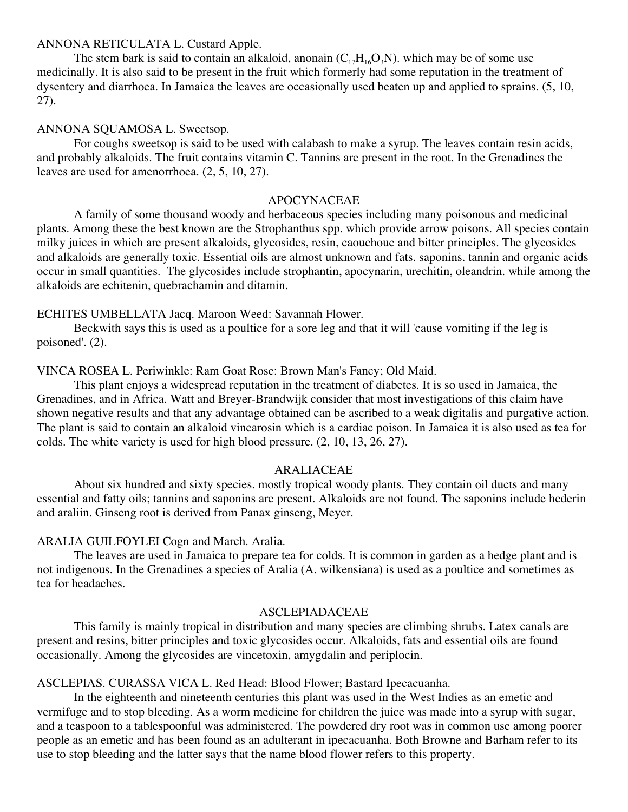#### ANNONA RETICULATA L. Custard Apple.

The stem bark is said to contain an alkaloid, anonain  $(C_{17}H_{16}O_3N)$ , which may be of some use medicinally. It is also said to be present in the fruit which formerly had some reputation in the treatment of dysentery and diarrhoea. In Jamaica the leaves are occasionally used beaten up and applied to sprains. (5, 10, 27).

### ANNONA SQUAMOSA L. Sweetsop.

For coughs sweetsop is said to be used with calabash to make a syrup. The leaves contain resin acids, and probably alkaloids. The fruit contains vitamin C. Tannins are present in the root. In the Grenadines the leaves are used for amenorrhoea. (2, 5, 10, 27).

#### APOCYNACEAE

A family of some thousand woody and herbaceous species including many poisonous and medicinal plants. Among these the best known are the Strophanthus spp. which provide arrow poisons. All species contain milky juices in which are present alkaloids, glycosides, resin, caouchouc and bitter principles. The glycosides and alkaloids are generally toxic. Essential oils are almost unknown and fats. saponins. tannin and organic acids occur in small quantities. The glycosides include strophantin, apocynarin, urechitin, oleandrin. while among the alkaloids are echitenin, quebrachamin and ditamin.

#### ECHITES UMBELLATA Jacq. Maroon Weed: Savannah Flower.

Beckwith says this is used as a poultice for a sore leg and that it will 'cause vomiting if the leg is poisoned'. (2).

#### VINCA ROSEA L. Periwinkle: Ram Goat Rose: Brown Man's Fancy; Old Maid.

This plant enjoys a widespread reputation in the treatment of diabetes. It is so used in Jamaica, the Grenadines, and in Africa. Watt and Breyer-Brandwijk consider that most investigations of this claim have shown negative results and that any advantage obtained can be ascribed to a weak digitalis and purgative action. The plant is said to contain an alkaloid vincarosin which is a cardiac poison. In Jamaica it is also used as tea for colds. The white variety is used for high blood pressure. (2, 10, 13, 26, 27).

#### ARALIACEAE

About six hundred and sixty species. mostly tropical woody plants. They contain oil ducts and many essential and fatty oils; tannins and saponins are present. Alkaloids are not found. The saponins include hederin and araliin. Ginseng root is derived from Panax ginseng, Meyer.

### ARALIA GUILFOYLEI Cogn and March. Aralia.

The leaves are used in Jamaica to prepare tea for colds. It is common in garden as a hedge plant and is not indigenous. In the Grenadines a species of Aralia (A. wilkensiana) is used as a poultice and sometimes as tea for headaches.

#### ASCLEPIADACEAE

This family is mainly tropical in distribution and many species are climbing shrubs. Latex canals are present and resins, bitter principles and toxic glycosides occur. Alkaloids, fats and essential oils are found occasionally. Among the glycosides are vincetoxin, amygdalin and periplocin.

## ASCLEPIAS. CURASSA VICA L. Red Head: Blood Flower; Bastard Ipecacuanha.

In the eighteenth and nineteenth centuries this plant was used in the West Indies as an emetic and vermifuge and to stop bleeding. As a worm medicine for children the juice was made into a syrup with sugar, and a teaspoon to a tablespoonful was administered. The powdered dry root was in common use among poorer people as an emetic and has been found as an adulterant in ipecacuanha. Both Browne and Barham refer to its use to stop bleeding and the latter says that the name blood flower refers to this property.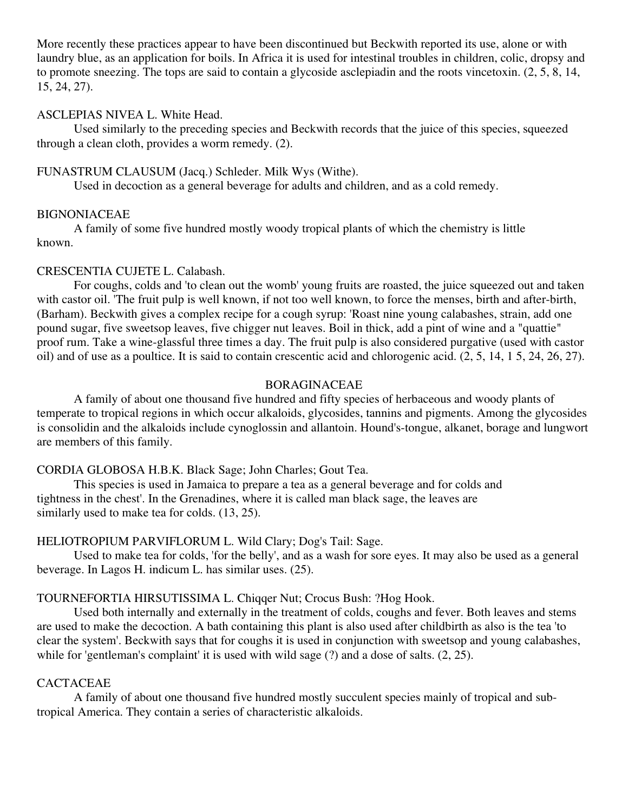More recently these practices appear to have been discontinued but Beckwith reported its use, alone or with laundry blue, as an application for boils. In Africa it is used for intestinal troubles in children, colic, dropsy and to promote sneezing. The tops are said to contain a glycoside asclepiadin and the roots vincetoxin. (2, 5, 8, 14, 15, 24, 27).

## ASCLEPIAS NIVEA L. White Head.

Used similarly to the preceding species and Beckwith records that the juice of this species, squeezed through a clean cloth, provides a worm remedy. (2).

## FUNASTRUM CLAUSUM (Jacq.) Schleder. Milk Wys (Withe).

Used in decoction as a general beverage for adults and children, and as a cold remedy.

## BIGNONIACEAE

A family of some five hundred mostly woody tropical plants of which the chemistry is little known.

## CRESCENTIA CUJETE L. Calabash.

For coughs, colds and 'to clean out the womb' young fruits are roasted, the juice squeezed out and taken with castor oil. 'The fruit pulp is well known, if not too well known, to force the menses, birth and after-birth, (Barham). Beckwith gives a complex recipe for a cough syrup: 'Roast nine young calabashes, strain, add one pound sugar, five sweetsop leaves, five chigger nut leaves. Boil in thick, add a pint of wine and a "quattie" proof rum. Take a wine-glassful three times a day. The fruit pulp is also considered purgative (used with castor oil) and of use as a poultice. It is said to contain crescentic acid and chlorogenic acid. (2, 5, 14, 1 5, 24, 26, 27).

## BORAGINACEAE

A family of about one thousand five hundred and fifty species of herbaceous and woody plants of temperate to tropical regions in which occur alkaloids, glycosides, tannins and pigments. Among the glycosides is consolidin and the alkaloids include cynoglossin and allantoin. Hound's-tongue, alkanet, borage and lungwort are members of this family.

## CORDIA GLOBOSA H.B.K. Black Sage; John Charles; Gout Tea.

This species is used in Jamaica to prepare a tea as a general beverage and for colds and tightness in the chest'. In the Grenadines, where it is called man black sage, the leaves are similarly used to make tea for colds. (13, 25).

## HELIOTROPIUM PARVIFLORUM L. Wild Clary; Dog's Tail: Sage.

Used to make tea for colds, 'for the belly', and as a wash for sore eyes. It may also be used as a general beverage. In Lagos H. indicum L. has similar uses. (25).

## TOURNEFORTIA HIRSUTISSIMA L. Chiqqer Nut; Crocus Bush: ?Hog Hook.

Used both internally and externally in the treatment of colds, coughs and fever. Both leaves and stems are used to make the decoction. A bath containing this plant is also used after childbirth as also is the tea 'to clear the system'. Beckwith says that for coughs it is used in conjunction with sweetsop and young calabashes, while for 'gentleman's complaint' it is used with wild sage (?) and a dose of salts. (2, 25).

## CACTACEAE

A family of about one thousand five hundred mostly succulent species mainly of tropical and subtropical America. They contain a series of characteristic alkaloids.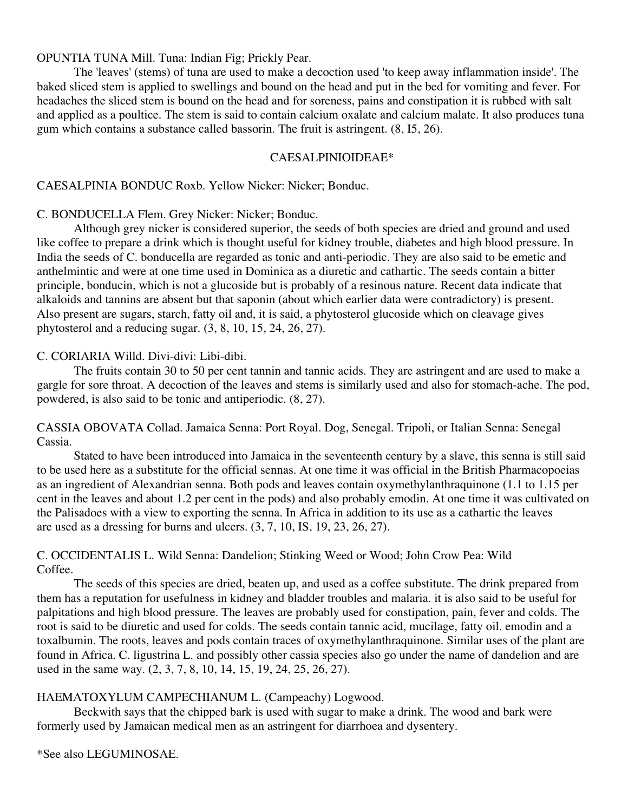OPUNTIA TUNA Mill. Tuna: Indian Fig; Prickly Pear.

The 'leaves' (stems) of tuna are used to make a decoction used 'to keep away inflammation inside'. The baked sliced stem is applied to swellings and bound on the head and put in the bed for vomiting and fever. For headaches the sliced stem is bound on the head and for soreness, pains and constipation it is rubbed with salt and applied as a poultice. The stem is said to contain calcium oxalate and calcium malate. It also produces tuna gum which contains a substance called bassorin. The fruit is astringent. (8, I5, 26).

#### CAESALPINIOIDEAE\*

## CAESALPINIA BONDUC Roxb. Yellow Nicker: Nicker; Bonduc.

## C. BONDUCELLA Flem. Grey Nicker: Nicker; Bonduc.

Although grey nicker is considered superior, the seeds of both species are dried and ground and used like coffee to prepare a drink which is thought useful for kidney trouble, diabetes and high blood pressure. In India the seeds of C. bonducella are regarded as tonic and anti-periodic. They are also said to be emetic and anthelmintic and were at one time used in Dominica as a diuretic and cathartic. The seeds contain a bitter principle, bonducin, which is not a glucoside but is probably of a resinous nature. Recent data indicate that alkaloids and tannins are absent but that saponin (about which earlier data were contradictory) is present. Also present are sugars, starch, fatty oil and, it is said, a phytosterol glucoside which on cleavage gives phytosterol and a reducing sugar. (3, 8, 10, 15, 24, 26, 27).

## C. CORIARIA Willd. Divi-divi: Libi-dibi.

The fruits contain 30 to 50 per cent tannin and tannic acids. They are astringent and are used to make a gargle for sore throat. A decoction of the leaves and stems is similarly used and also for stomach-ache. The pod, powdered, is also said to be tonic and antiperiodic. (8, 27).

CASSIA OBOVATA Collad. Jamaica Senna: Port Royal. Dog, Senegal. Tripoli, or Italian Senna: Senegal Cassia.

Stated to have been introduced into Jamaica in the seventeenth century by a slave, this senna is still said to be used here as a substitute for the official sennas. At one time it was official in the British Pharmacopoeias as an ingredient of Alexandrian senna. Both pods and leaves contain oxymethylanthraquinone (1.1 to 1.15 per cent in the leaves and about 1.2 per cent in the pods) and also probably emodin. At one time it was cultivated on the Palisadoes with a view to exporting the senna. In Africa in addition to its use as a cathartic the leaves are used as a dressing for burns and ulcers. (3, 7, 10, IS, 19, 23, 26, 27).

## C. OCCIDENTALIS L. Wild Senna: Dandelion; Stinking Weed or Wood; John Crow Pea: Wild Coffee.

The seeds of this species are dried, beaten up, and used as a coffee substitute. The drink prepared from them has a reputation for usefulness in kidney and bladder troubles and malaria. it is also said to be useful for palpitations and high blood pressure. The leaves are probably used for constipation, pain, fever and colds. The root is said to be diuretic and used for colds. The seeds contain tannic acid, mucilage, fatty oil. emodin and a toxalbumin. The roots, leaves and pods contain traces of oxymethylanthraquinone. Similar uses of the plant are found in Africa. C. ligustrina L. and possibly other cassia species also go under the name of dandelion and are used in the same way. (2, 3, 7, 8, 10, 14, 15, 19, 24, 25, 26, 27).

## HAEMATOXYLUM CAMPECHIANUM L. (Campeachy) Logwood.

Beckwith says that the chipped bark is used with sugar to make a drink. The wood and bark were formerly used by Jamaican medical men as an astringent for diarrhoea and dysentery.

\*See also LEGUMINOSAE.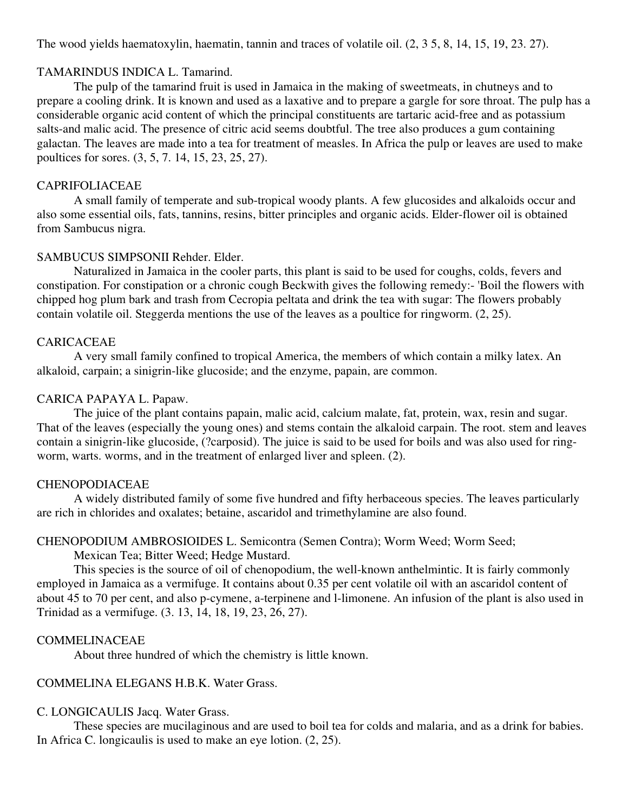The wood yields haematoxylin, haematin, tannin and traces of volatile oil. (2, 3 5, 8, 14, 15, 19, 23. 27).

## TAMARINDUS INDICA L. Tamarind.

The pulp of the tamarind fruit is used in Jamaica in the making of sweetmeats, in chutneys and to prepare a cooling drink. It is known and used as a laxative and to prepare a gargle for sore throat. The pulp has a considerable organic acid content of which the principal constituents are tartaric acid-free and as potassium salts-and malic acid. The presence of citric acid seems doubtful. The tree also produces a gum containing galactan. The leaves are made into a tea for treatment of measles. In Africa the pulp or leaves are used to make poultices for sores. (3, 5, 7. 14, 15, 23, 25, 27).

## CAPRIFOLIACEAE

A small family of temperate and sub-tropical woody plants. A few glucosides and alkaloids occur and also some essential oils, fats, tannins, resins, bitter principles and organic acids. Elder-flower oil is obtained from Sambucus nigra.

## SAMBUCUS SIMPSONII Rehder. Elder.

Naturalized in Jamaica in the cooler parts, this plant is said to be used for coughs, colds, fevers and constipation. For constipation or a chronic cough Beckwith gives the following remedy:- 'Boil the flowers with chipped hog plum bark and trash from Cecropia peltata and drink the tea with sugar: The flowers probably contain volatile oil. Steggerda mentions the use of the leaves as a poultice for ringworm. (2, 25).

## CARICACEAE

A very small family confined to tropical America, the members of which contain a milky latex. An alkaloid, carpain; a sinigrin-like glucoside; and the enzyme, papain, are common.

## CARICA PAPAYA L. Papaw.

The juice of the plant contains papain, malic acid, calcium malate, fat, protein, wax, resin and sugar. That of the leaves (especially the young ones) and stems contain the alkaloid carpain. The root. stem and leaves contain a sinigrin-like glucoside, (?carposid). The juice is said to be used for boils and was also used for ringworm, warts. worms, and in the treatment of enlarged liver and spleen. (2).

## CHENOPODIACEAE

A widely distributed family of some five hundred and fifty herbaceous species. The leaves particularly are rich in chlorides and oxalates; betaine, ascaridol and trimethylamine are also found.

## CHENOPODIUM AMBROSIOIDES L. Semicontra (Semen Contra); Worm Weed; Worm Seed;

Mexican Tea; Bitter Weed; Hedge Mustard.

This species is the source of oil of chenopodium, the well-known anthelmintic. It is fairly commonly employed in Jamaica as a vermifuge. It contains about 0.35 per cent volatile oil with an ascaridol content of about 45 to 70 per cent, and also p-cymene, a-terpinene and l-limonene. An infusion of the plant is also used in Trinidad as a vermifuge. (3. 13, 14, 18, 19, 23, 26, 27).

## COMMELINACEAE

About three hundred of which the chemistry is little known.

## COMMELINA ELEGANS H.B.K. Water Grass.

## C. LONGICAULIS Jacq. Water Grass.

These species are mucilaginous and are used to boil tea for colds and malaria, and as a drink for babies. In Africa C. longicaulis is used to make an eye lotion. (2, 25).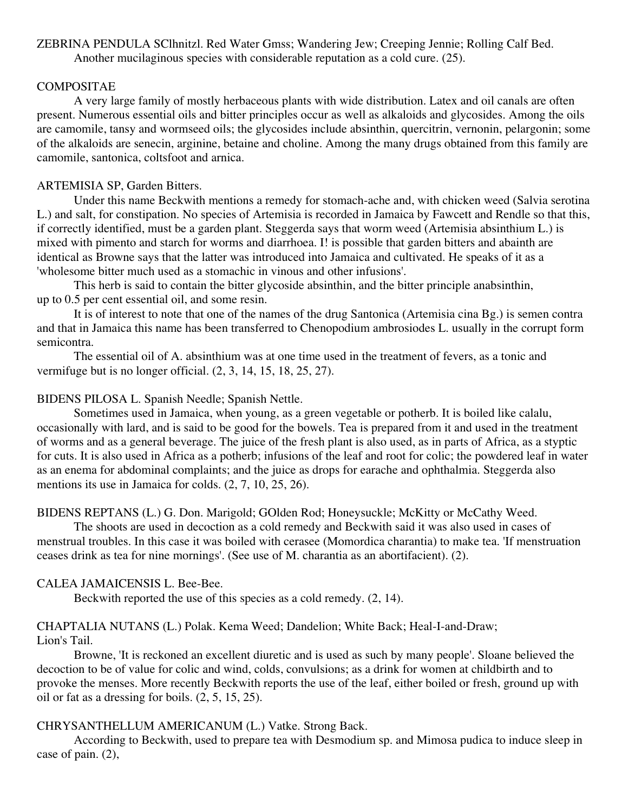ZEBRINA PENDULA SClhnitzl. Red Water Gmss; Wandering Jew; Creeping Jennie; Rolling Calf Bed. Another mucilaginous species with considerable reputation as a cold cure. (25).

## COMPOSITAE

A very large family of mostly herbaceous plants with wide distribution. Latex and oil canals are often present. Numerous essential oils and bitter principles occur as well as alkaloids and glycosides. Among the oils are camomile, tansy and wormseed oils; the glycosides include absinthin, quercitrin, vernonin, pelargonin; some of the alkaloids are senecin, arginine, betaine and choline. Among the many drugs obtained from this family are camomile, santonica, coltsfoot and arnica.

## ARTEMISIA SP, Garden Bitters.

Under this name Beckwith mentions a remedy for stomach-ache and, with chicken weed (Salvia serotina L.) and salt, for constipation. No species of Artemisia is recorded in Jamaica by Fawcett and Rendle so that this, if correctly identified, must be a garden plant. Steggerda says that worm weed (Artemisia absinthium L.) is mixed with pimento and starch for worms and diarrhoea. I! is possible that garden bitters and abainth are identical as Browne says that the latter was introduced into Jamaica and cultivated. He speaks of it as a 'wholesome bitter much used as a stomachic in vinous and other infusions'.

This herb is said to contain the bitter glycoside absinthin, and the bitter principle anabsinthin, up to 0.5 per cent essential oil, and some resin.

It is of interest to note that one of the names of the drug Santonica (Artemisia cina Bg.) is semen contra and that in Jamaica this name has been transferred to Chenopodium ambrosiodes L. usually in the corrupt form semicontra.

The essential oil of A. absinthium was at one time used in the treatment of fevers, as a tonic and vermifuge but is no longer official. (2, 3, 14, 15, 18, 25, 27).

## BIDENS PILOSA L. Spanish Needle; Spanish Nettle.

Sometimes used in Jamaica, when young, as a green vegetable or potherb. It is boiled like calalu, occasionally with lard, and is said to be good for the bowels. Tea is prepared from it and used in the treatment of worms and as a general beverage. The juice of the fresh plant is also used, as in parts of Africa, as a styptic for cuts. It is also used in Africa as a potherb; infusions of the leaf and root for colic; the powdered leaf in water as an enema for abdominal complaints; and the juice as drops for earache and ophthalmia. Steggerda also mentions its use in Jamaica for colds. (2, 7, 10, 25, 26).

## BIDENS REPTANS (L.) G. Don. Marigold; GOlden Rod; Honeysuckle; McKitty or McCathy Weed.

The shoots are used in decoction as a cold remedy and Beckwith said it was also used in cases of menstrual troubles. In this case it was boiled with cerasee (Momordica charantia) to make tea. 'If menstruation ceases drink as tea for nine mornings'. (See use of M. charantia as an abortifacient). (2).

## CALEA JAMAICENSIS L. Bee-Bee.

Beckwith reported the use of this species as a cold remedy. (2, 14).

#### CHAPTALIA NUTANS (L.) Polak. Kema Weed; Dandelion; White Back; Heal-I-and-Draw; Lion's Tail.

Browne, 'It is reckoned an excellent diuretic and is used as such by many people'. Sloane believed the decoction to be of value for colic and wind, colds, convulsions; as a drink for women at childbirth and to provoke the menses. More recently Beckwith reports the use of the leaf, either boiled or fresh, ground up with oil or fat as a dressing for boils. (2, 5, 15, 25).

## CHRYSANTHELLUM AMERICANUM (L.) Vatke. Strong Back.

According to Beckwith, used to prepare tea with Desmodium sp. and Mimosa pudica to induce sleep in case of pain. (2),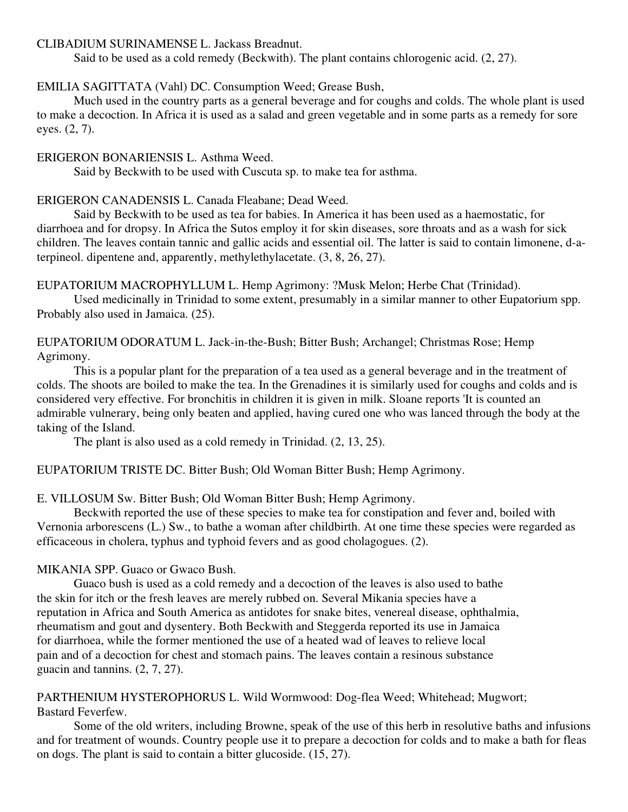## CLIBADIUM SURINAMENSE L. Jackass Breadnut.

Said to be used as a cold remedy (Beckwith). The plant contains chlorogenic acid. (2, 27).

### EMILIA SAGITTATA (Vahl) DC. Consumption Weed; Grease Bush,

Much used in the country parts as a general beverage and for coughs and colds. The whole plant is used to make a decoction. In Africa it is used as a salad and green vegetable and in some parts as a remedy for sore eyes. (2, 7).

#### ERIGERON BONARIENSIS L. Asthma Weed.

Said by Beckwith to be used with Cuscuta sp. to make tea for asthma.

### ERIGERON CANADENSIS L. Canada Fleabane; Dead Weed.

Said by Beckwith to be used as tea for babies. In America it has been used as a haemostatic, for diarrhoea and for dropsy. In Africa the Sutos employ it for skin diseases, sore throats and as a wash for sick children. The leaves contain tannic and gallic acids and essential oil. The latter is said to contain limonene, d-aterpineol. dipentene and, apparently, methylethylacetate. (3, 8, 26, 27).

#### EUPATORIUM MACROPHYLLUM L. Hemp Agrimony: ?Musk Melon; Herbe Chat (Trinidad).

Used medicinally in Trinidad to some extent, presumably in a similar manner to other Eupatorium spp. Probably also used in Jamaica. (25).

EUPATORIUM ODORATUM L. Jack-in-the-Bush; Bitter Bush; Archangel; Christmas Rose; Hemp Agrimony.

This is a popular plant for the preparation of a tea used as a general beverage and in the treatment of colds. The shoots are boiled to make the tea. In the Grenadines it is similarly used for coughs and colds and is considered very effective. For bronchitis in children it is given in milk. Sloane reports 'It is counted an admirable vulnerary, being only beaten and applied, having cured one who was lanced through the body at the taking of the Island.

The plant is also used as a cold remedy in Trinidad. (2, 13, 25).

## EUPATORIUM TRISTE DC. Bitter Bush; Old Woman Bitter Bush; Hemp Agrimony.

## E. VILLOSUM Sw. Bitter Bush; Old Woman Bitter Bush; Hemp Agrimony.

Beckwith reported the use of these species to make tea for constipation and fever and, boiled with Vernonia arborescens (L.) Sw., to bathe a woman after childbirth. At one time these species were regarded as efficaceous in cholera, typhus and typhoid fevers and as good cholagogues. (2).

## MIKANIA SPP. Guaco or Gwaco Bush.

Guaco bush is used as a cold remedy and a decoction of the leaves is also used to bathe the skin for itch or the fresh leaves are merely rubbed on. Several Mikania species have a reputation in Africa and South America as antidotes for snake bites, venereal disease, ophthalmia, rheumatism and gout and dysentery. Both Beckwith and Steggerda reported its use in Jamaica for diarrhoea, while the former mentioned the use of a heated wad of leaves to relieve local pain and of a decoction for chest and stomach pains. The leaves contain a resinous substance guacin and tannins. (2, 7, 27).

PARTHENIUM HYSTEROPHORUS L. Wild Wormwood: Dog-flea Weed; Whitehead; Mugwort; Bastard Feverfew.

Some of the old writers, including Browne, speak of the use of this herb in resolutive baths and infusions and for treatment of wounds. Country people use it to prepare a decoction for colds and to make a bath for fleas on dogs. The plant is said to contain a bitter glucoside. (15, 27).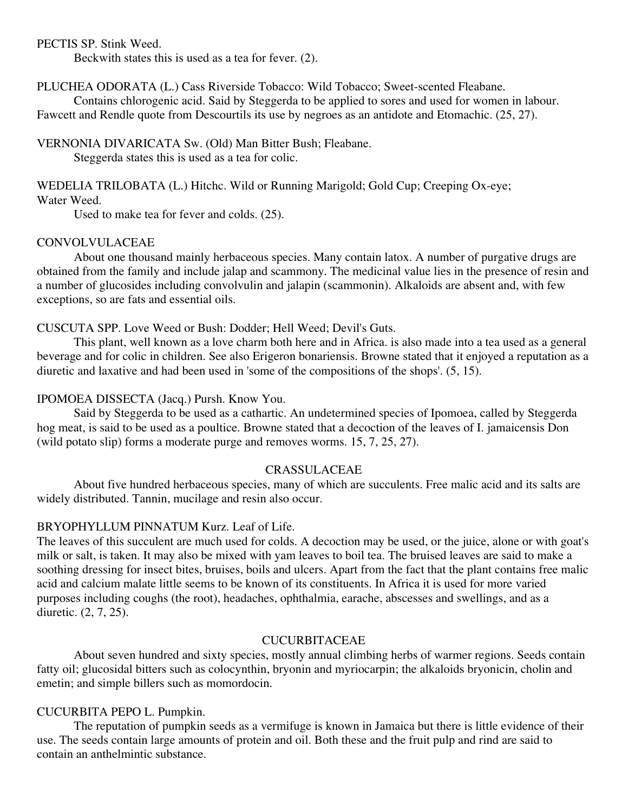PECTIS SP. Stink Weed.

Beckwith states this is used as a tea for fever. (2).

PLUCHEA ODORATA (L.) Cass Riverside Tobacco: Wild Tobacco; Sweet-scented Fleabane.

Contains chlorogenic acid. Said by Steggerda to be applied to sores and used for women in labour. Fawcett and Rendle quote from Descourtils its use by negroes as an antidote and Etomachic. (25, 27).

VERNONIA DIVARICATA Sw. (Old) Man Bitter Bush; Fleabane.

Steggerda states this is used as a tea for colic.

# WEDELIA TRILOBATA (L.) Hitchc. Wild or Running Marigold; Gold Cup; Creeping Ox-eye;

## Water Weed.

Used to make tea for fever and colds. (25).

## CONVOLVULACEAE

About one thousand mainly herbaceous species. Many contain latox. A number of purgative drugs are obtained from the family and include jalap and scammony. The medicinal value lies in the presence of resin and a number of glucosides including convolvulin and jalapin (scammonin). Alkaloids are absent and, with few exceptions, so are fats and essential oils.

## CUSCUTA SPP. Love Weed or Bush: Dodder; Hell Weed; Devil's Guts.

This plant, well known as a love charm both here and in Africa. is also made into a tea used as a general beverage and for colic in children. See also Erigeron bonariensis. Browne stated that it enjoyed a reputation as a diuretic and laxative and had been used in 'some of the compositions of the shops'. (5, 15).

## IPOMOEA DISSECTA (Jacq.) Pursh. Know You.

Said by Steggerda to be used as a cathartic. An undetermined species of Ipomoea, called by Steggerda hog meat, is said to be used as a poultice. Browne stated that a decoction of the leaves of I. jamaicensis Don (wild potato slip) forms a moderate purge and removes worms. 15, 7, 25, 27).

## CRASSULACEAE

About five hundred herbaceous species, many of which are succulents. Free malic acid and its salts are widely distributed. Tannin, mucilage and resin also occur.

## BRYOPHYLLUM PINNATUM Kurz. Leaf of Life.

The leaves of this succulent are much used for colds. A decoction may be used, or the juice, alone or with goat's milk or salt, is taken. It may also be mixed with yam leaves to boil tea. The bruised leaves are said to make a soothing dressing for insect bites, bruises, boils and ulcers. Apart from the fact that the plant contains free malic acid and calcium malate little seems to be known of its constituents. In Africa it is used for more varied purposes including coughs (the root), headaches, ophthalmia, earache, abscesses and swellings, and as a diuretic. (2, 7, 25).

## CUCURBITACEAE

About seven hundred and sixty species, mostly annual climbing herbs of warmer regions. Seeds contain fatty oil; glucosidal bitters such as colocynthin, bryonin and myriocarpin; the alkaloids bryonicin, cholin and emetin; and simple billers such as momordocin.

## CUCURBITA PEPO L. Pumpkin.

The reputation of pumpkin seeds as a vermifuge is known in Jamaica but there is little evidence of their use. The seeds contain large amounts of protein and oil. Both these and the fruit pulp and rind are said to contain an anthelmintic substance.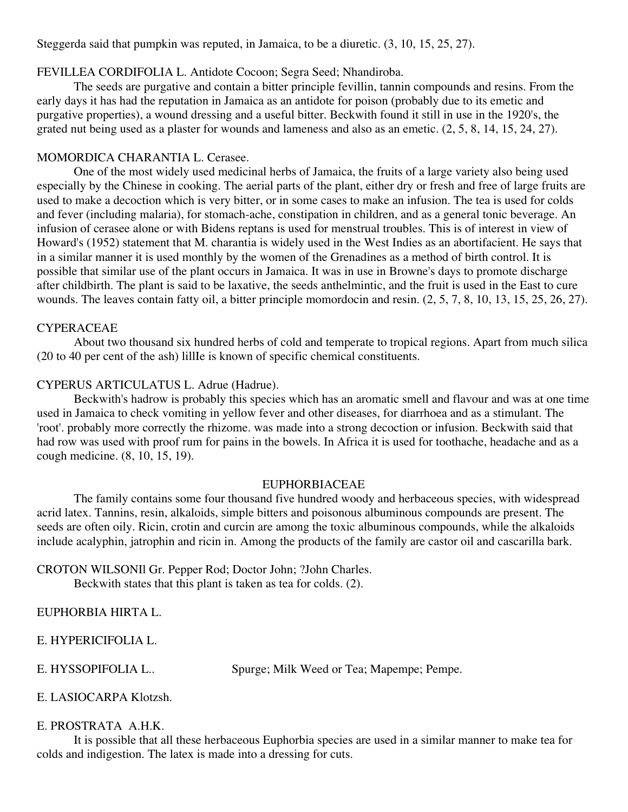Steggerda said that pumpkin was reputed, in Jamaica, to be a diuretic. (3, 10, 15, 25, 27).

### FEVILLEA CORDIFOLIA L. Antidote Cocoon; Segra Seed; Nhandiroba.

The seeds are purgative and contain a bitter principle fevillin, tannin compounds and resins. From the early days it has had the reputation in Jamaica as an antidote for poison (probably due to its emetic and purgative properties), a wound dressing and a useful bitter. Beckwith found it still in use in the 1920's, the grated nut being used as a plaster for wounds and lameness and also as an emetic. (2, 5, 8, 14, 15, 24, 27).

### MOMORDICA CHARANTIA L. Cerasee.

One of the most widely used medicinal herbs of Jamaica, the fruits of a large variety also being used especially by the Chinese in cooking. The aerial parts of the plant, either dry or fresh and free of large fruits are used to make a decoction which is very bitter, or in some cases to make an infusion. The tea is used for colds and fever (including malaria), for stomach-ache, constipation in children, and as a general tonic beverage. An infusion of cerasee alone or with Bidens reptans is used for menstrual troubles. This is of interest in view of Howard's (1952) statement that M. charantia is widely used in the West Indies as an abortifacient. He says that in a similar manner it is used monthly by the women of the Grenadines as a method of birth control. It is possible that similar use of the plant occurs in Jamaica. It was in use in Browne's days to promote discharge after childbirth. The plant is said to be laxative, the seeds anthelmintic, and the fruit is used in the East to cure wounds. The leaves contain fatty oil, a bitter principle momordocin and resin. (2, 5, 7, 8, 10, 13, 15, 25, 26, 27).

#### CYPERACEAE

About two thousand six hundred herbs of cold and temperate to tropical regions. Apart from much silica (20 to 40 per cent of the ash) lillIe is known of specific chemical constituents.

## CYPERUS ARTICULATUS L. Adrue (Hadrue).

Beckwith's hadrow is probably this species which has an aromatic smell and flavour and was at one time used in Jamaica to check vomiting in yellow fever and other diseases, for diarrhoea and as a stimulant. The 'root'. probably more correctly the rhizome. was made into a strong decoction or infusion. Beckwith said that had row was used with proof rum for pains in the bowels. In Africa it is used for toothache, headache and as a cough medicine. (8, 10, 15, 19).

#### EUPHORBIACEAE

The family contains some four thousand five hundred woody and herbaceous species, with widespread acrid latex. Tannins, resin, alkaloids, simple bitters and poisonous albuminous compounds are present. The seeds are often oily. Ricin, crotin and curcin are among the toxic albuminous compounds, while the alkaloids include acalyphin, jatrophin and ricin in. Among the products of the family are castor oil and cascarilla bark.

CROTON WILSONIl Gr. Pepper Rod; Doctor John; ?John Charles. Beckwith states that this plant is taken as tea for colds. (2).

EUPHORBIA HIRTA L.

E. HYPERICIFOLIA L.

E. HYSSOPIFOLIA L.. Spurge; Milk Weed or Tea; Mapempe; Pempe.

E. LASIOCARPA Klotzsh.

## E. PROSTRATA A.H.K.

It is possible that all these herbaceous Euphorbia species are used in a similar manner to make tea for colds and indigestion. The latex is made into a dressing for cuts.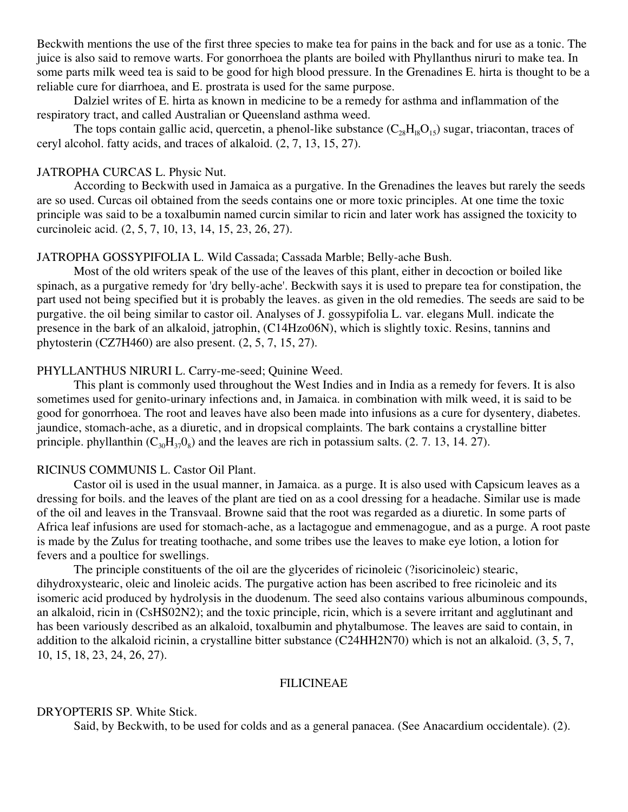Beckwith mentions the use of the first three species to make tea for pains in the back and for use as a tonic. The juice is also said to remove warts. For gonorrhoea the plants are boiled with Phyllanthus niruri to make tea. In some parts milk weed tea is said to be good for high blood pressure. In the Grenadines E. hirta is thought to be a reliable cure for diarrhoea, and E. prostrata is used for the same purpose.

Dalziel writes of E. hirta as known in medicine to be a remedy for asthma and inflammation of the respiratory tract, and called Australian or Queensland asthma weed.

The tops contain gallic acid, quercetin, a phenol-like substance  $(C_{28}H_{18}O_{15})$  sugar, triacontan, traces of ceryl alcohol. fatty acids, and traces of alkaloid. (2, 7, 13, 15, 27).

## JATROPHA CURCAS L. Physic Nut.

According to Beckwith used in Jamaica as a purgative. In the Grenadines the leaves but rarely the seeds are so used. Curcas oil obtained from the seeds contains one or more toxic principles. At one time the toxic principle was said to be a toxalbumin named curcin similar to ricin and later work has assigned the toxicity to curcinoleic acid. (2, 5, 7, 10, 13, 14, 15, 23, 26, 27).

## JATROPHA GOSSYPIFOLIA L. Wild Cassada; Cassada Marble; Belly-ache Bush.

Most of the old writers speak of the use of the leaves of this plant, either in decoction or boiled like spinach, as a purgative remedy for 'dry belly-ache'. Beckwith says it is used to prepare tea for constipation, the part used not being specified but it is probably the leaves. as given in the old remedies. The seeds are said to be purgative. the oil being similar to castor oil. Analyses of J. gossypifolia L. var. elegans Mull. indicate the presence in the bark of an alkaloid, jatrophin, (C14Hzo06N), which is slightly toxic. Resins, tannins and phytosterin (CZ7H460) are also present. (2, 5, 7, 15, 27).

#### PHYLLANTHUS NIRURI L. Carry-me-seed; Quinine Weed.

This plant is commonly used throughout the West Indies and in India as a remedy for fevers. It is also sometimes used for genito-urinary infections and, in Jamaica. in combination with milk weed, it is said to be good for gonorrhoea. The root and leaves have also been made into infusions as a cure for dysentery, diabetes. jaundice, stomach-ache, as a diuretic, and in dropsical complaints. The bark contains a crystalline bitter principle. phyllanthin  $(C_{30}H_{37}O_8)$  and the leaves are rich in potassium salts. (2. 7. 13, 14. 27).

### RICINUS COMMUNIS L. Castor Oil Plant.

Castor oil is used in the usual manner, in Jamaica. as a purge. It is also used with Capsicum leaves as a dressing for boils. and the leaves of the plant are tied on as a cool dressing for a headache. Similar use is made of the oil and leaves in the Transvaal. Browne said that the root was regarded as a diuretic. In some parts of Africa leaf infusions are used for stomach-ache, as a lactagogue and emmenagogue, and as a purge. A root paste is made by the Zulus for treating toothache, and some tribes use the leaves to make eye lotion, a lotion for fevers and a poultice for swellings.

The principle constituents of the oil are the glycerides of ricinoleic (?isoricinoleic) stearic, dihydroxystearic, oleic and linoleic acids. The purgative action has been ascribed to free ricinoleic and its isomeric acid produced by hydrolysis in the duodenum. The seed also contains various albuminous compounds, an alkaloid, ricin in (CsHS02N2); and the toxic principle, ricin, which is a severe irritant and agglutinant and has been variously described as an alkaloid, toxalbumin and phytalbumose. The leaves are said to contain, in addition to the alkaloid ricinin, a crystalline bitter substance (C24HH2N70) which is not an alkaloid. (3, 5, 7, 10, 15, 18, 23, 24, 26, 27).

## FILICINEAE

#### DRYOPTERIS SP. White Stick.

Said, by Beckwith, to be used for colds and as a general panacea. (See Anacardium occidentale). (2).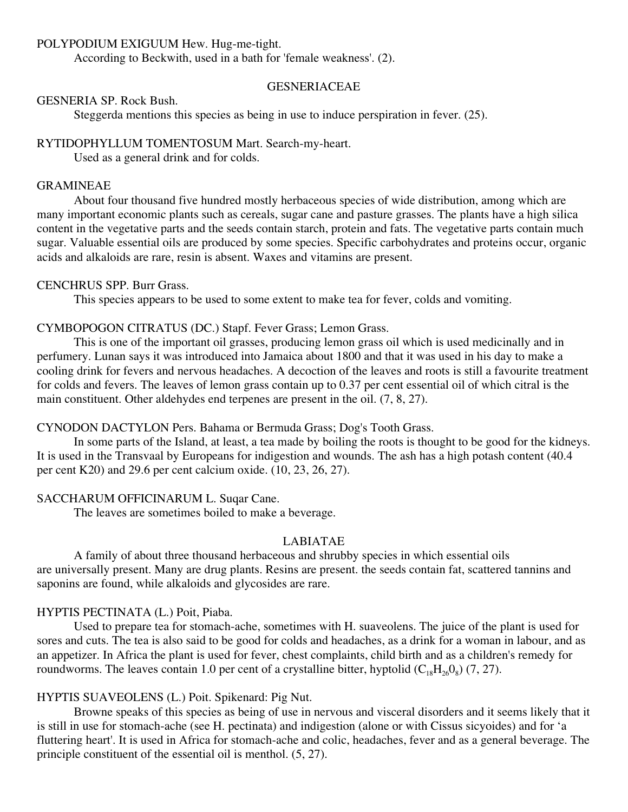#### POLYPODIUM EXIGUUM Hew. Hug-me-tight.

According to Beckwith, used in a bath for 'female weakness'. (2).

#### GESNERIACEAE

#### GESNERIA SP. Rock Bush.

Steggerda mentions this species as being in use to induce perspiration in fever. (25).

#### RYTIDOPHYLLUM TOMENTOSUM Mart. Search-my-heart.

Used as a general drink and for colds.

## GRAMINEAE

About four thousand five hundred mostly herbaceous species of wide distribution, among which are many important economic plants such as cereals, sugar cane and pasture grasses. The plants have a high silica content in the vegetative parts and the seeds contain starch, protein and fats. The vegetative parts contain much sugar. Valuable essential oils are produced by some species. Specific carbohydrates and proteins occur, organic acids and alkaloids are rare, resin is absent. Waxes and vitamins are present.

#### CENCHRUS SPP. Burr Grass.

This species appears to be used to some extent to make tea for fever, colds and vomiting.

#### CYMBOPOGON CITRATUS (DC.) Stapf. Fever Grass; Lemon Grass.

This is one of the important oil grasses, producing lemon grass oil which is used medicinally and in perfumery. Lunan says it was introduced into Jamaica about 1800 and that it was used in his day to make a cooling drink for fevers and nervous headaches. A decoction of the leaves and roots is still a favourite treatment for colds and fevers. The leaves of lemon grass contain up to 0.37 per cent essential oil of which citral is the main constituent. Other aldehydes end terpenes are present in the oil. (7, 8, 27).

#### CYNODON DACTYLON Pers. Bahama or Bermuda Grass; Dog's Tooth Grass.

In some parts of the Island, at least, a tea made by boiling the roots is thought to be good for the kidneys. It is used in the Transvaal by Europeans for indigestion and wounds. The ash has a high potash content (40.4 per cent K20) and 29.6 per cent calcium oxide. (10, 23, 26, 27).

#### SACCHARUM OFFICINARUM L. Suqar Cane.

The leaves are sometimes boiled to make a beverage.

#### LABIATAE

A family of about three thousand herbaceous and shrubby species in which essential oils are universally present. Many are drug plants. Resins are present. the seeds contain fat, scattered tannins and saponins are found, while alkaloids and glycosides are rare.

#### HYPTIS PECTINATA (L.) Poit, Piaba.

Used to prepare tea for stomach-ache, sometimes with H. suaveolens. The juice of the plant is used for sores and cuts. The tea is also said to be good for colds and headaches, as a drink for a woman in labour, and as an appetizer. In Africa the plant is used for fever, chest complaints, child birth and as a children's remedy for roundworms. The leaves contain 1.0 per cent of a crystalline bitter, hyptolid  $(C_{18}H_{26}O_8)$  (7, 27).

### HYPTIS SUAVEOLENS (L.) Poit. Spikenard: Pig Nut.

Browne speaks of this species as being of use in nervous and visceral disorders and it seems likely that it is still in use for stomach-ache (see H. pectinata) and indigestion (alone or with Cissus sicyoides) and for 'a fluttering heart'. It is used in Africa for stomach-ache and colic, headaches, fever and as a general beverage. The principle constituent of the essential oil is menthol. (5, 27).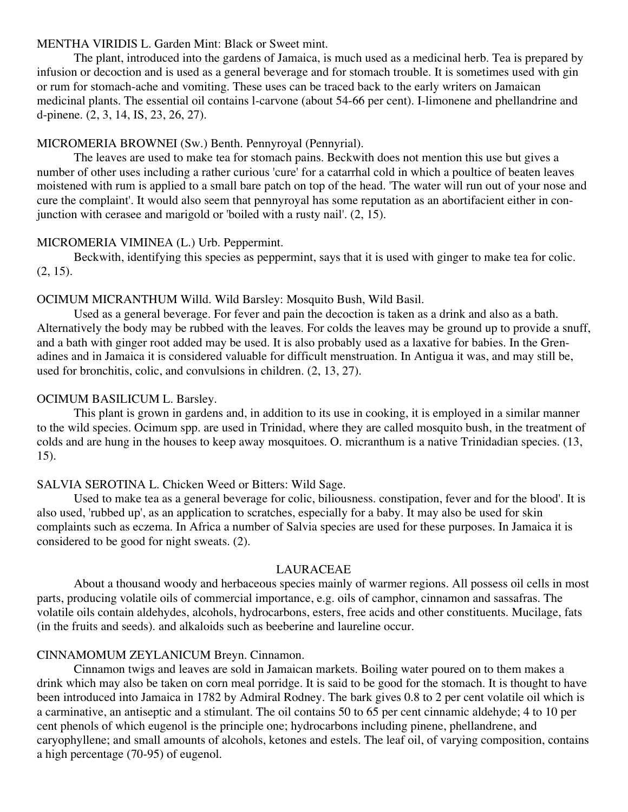#### MENTHA VIRIDIS L. Garden Mint: Black or Sweet mint.

The plant, introduced into the gardens of Jamaica, is much used as a medicinal herb. Tea is prepared by infusion or decoction and is used as a general beverage and for stomach trouble. It is sometimes used with gin or rum for stomach-ache and vomiting. These uses can be traced back to the early writers on Jamaican medicinal plants. The essential oil contains l-carvone (about 54-66 per cent). I-limonene and phellandrine and d-pinene. (2, 3, 14, IS, 23, 26, 27).

## MICROMERIA BROWNEI (Sw.) Benth. Pennyroyal (Pennyrial).

The leaves are used to make tea for stomach pains. Beckwith does not mention this use but gives a number of other uses including a rather curious 'cure' for a catarrhal cold in which a poultice of beaten leaves moistened with rum is applied to a small bare patch on top of the head. 'The water will run out of your nose and cure the complaint'. It would also seem that pennyroyal has some reputation as an abortifacient either in conjunction with cerasee and marigold or 'boiled with a rusty nail'. (2, 15).

#### MICROMERIA VIMINEA (L.) Urb. Peppermint.

Beckwith, identifying this species as peppermint, says that it is used with ginger to make tea for colic. (2, 15).

#### OCIMUM MICRANTHUM Willd. Wild Barsley: Mosquito Bush, Wild Basil.

Used as a general beverage. For fever and pain the decoction is taken as a drink and also as a bath. Alternatively the body may be rubbed with the leaves. For colds the leaves may be ground up to provide a snuff, and a bath with ginger root added may be used. It is also probably used as a laxative for babies. In the Grenadines and in Jamaica it is considered valuable for difficult menstruation. In Antigua it was, and may still be, used for bronchitis, colic, and convulsions in children. (2, 13, 27).

#### OCIMUM BASILICUM L. Barsley.

This plant is grown in gardens and, in addition to its use in cooking, it is employed in a similar manner to the wild species. Ocimum spp. are used in Trinidad, where they are called mosquito bush, in the treatment of colds and are hung in the houses to keep away mosquitoes. O. micranthum is a native Trinidadian species. (13, 15).

## SALVIA SEROTINA L. Chicken Weed or Bitters: Wild Sage.

Used to make tea as a general beverage for colic, biliousness. constipation, fever and for the blood'. It is also used, 'rubbed up', as an application to scratches, especially for a baby. It may also be used for skin complaints such as eczema. In Africa a number of Salvia species are used for these purposes. In Jamaica it is considered to be good for night sweats. (2).

#### LAURACEAE

About a thousand woody and herbaceous species mainly of warmer regions. All possess oil cells in most parts, producing volatile oils of commercial importance, e.g. oils of camphor, cinnamon and sassafras. The volatile oils contain aldehydes, alcohols, hydrocarbons, esters, free acids and other constituents. Mucilage, fats (in the fruits and seeds). and alkaloids such as beeberine and laureline occur.

#### CINNAMOMUM ZEYLANICUM Breyn. Cinnamon.

Cinnamon twigs and leaves are sold in Jamaican markets. Boiling water poured on to them makes a drink which may also be taken on corn meal porridge. It is said to be good for the stomach. It is thought to have been introduced into Jamaica in 1782 by Admiral Rodney. The bark gives 0.8 to 2 per cent volatile oil which is a carminative, an antiseptic and a stimulant. The oil contains 50 to 65 per cent cinnamic aldehyde; 4 to 10 per cent phenols of which eugenol is the principle one; hydrocarbons including pinene, phellandrene, and caryophyllene; and small amounts of alcohols, ketones and estels. The leaf oil, of varying composition, contains a high percentage (70-95) of eugenol.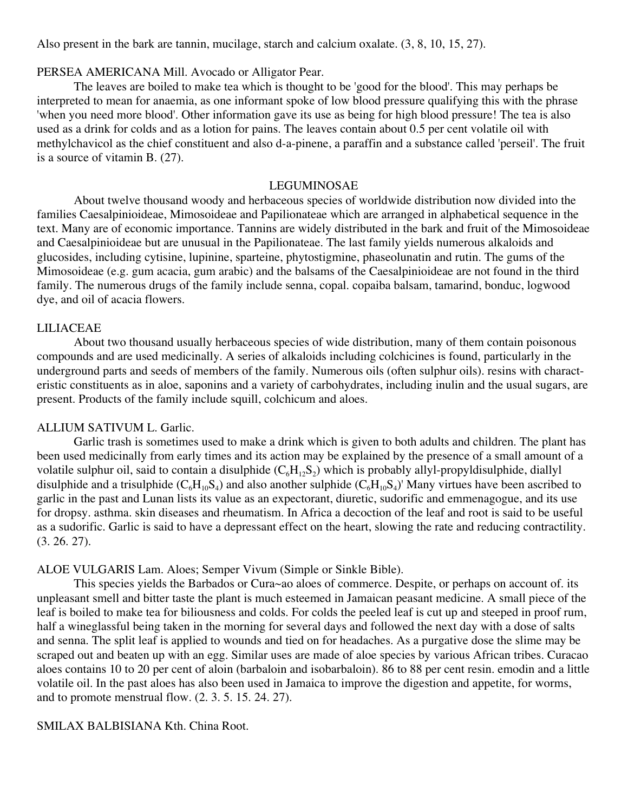Also present in the bark are tannin, mucilage, starch and calcium oxalate. (3, 8, 10, 15, 27).

#### PERSEA AMERICANA Mill. Avocado or Alligator Pear.

The leaves are boiled to make tea which is thought to be 'good for the blood'. This may perhaps be interpreted to mean for anaemia, as one informant spoke of low blood pressure qualifying this with the phrase 'when you need more blood'. Other information gave its use as being for high blood pressure! The tea is also used as a drink for colds and as a lotion for pains. The leaves contain about 0.5 per cent volatile oil with methylchavicol as the chief constituent and also d-a-pinene, a paraffin and a substance called 'perseil'. The fruit is a source of vitamin B. (27).

### LEGUMINOSAE

About twelve thousand woody and herbaceous species of worldwide distribution now divided into the families Caesalpinioideae, Mimosoideae and Papilionateae which are arranged in alphabetical sequence in the text. Many are of economic importance. Tannins are widely distributed in the bark and fruit of the Mimosoideae and Caesalpinioideae but are unusual in the Papilionateae. The last family yields numerous alkaloids and glucosides, including cytisine, lupinine, sparteine, phytostigmine, phaseolunatin and rutin. The gums of the Mimosoideae (e.g. gum acacia, gum arabic) and the balsams of the Caesalpinioideae are not found in the third family. The numerous drugs of the family include senna, copal. copaiba balsam, tamarind, bonduc, logwood dye, and oil of acacia flowers.

#### LILIACEAE

About two thousand usually herbaceous species of wide distribution, many of them contain poisonous compounds and are used medicinally. A series of alkaloids including colchicines is found, particularly in the underground parts and seeds of members of the family. Numerous oils (often sulphur oils). resins with characteristic constituents as in aloe, saponins and a variety of carbohydrates, including inulin and the usual sugars, are present. Products of the family include squill, colchicum and aloes.

#### ALLIUM SATIVUM L. Garlic.

Garlic trash is sometimes used to make a drink which is given to both adults and children. The plant has been used medicinally from early times and its action may be explained by the presence of a small amount of a volatile sulphur oil, said to contain a disulphide  $(C_6H_1,S_2)$  which is probably allyl-propyldisulphide, diallyl disulphide and a trisulphide  $(C_6H_{10}S_4)$  and also another sulphide  $(C_6H_{10}S_4)'$  Many virtues have been ascribed to garlic in the past and Lunan lists its value as an expectorant, diuretic, sudorific and emmenagogue, and its use for dropsy. asthma. skin diseases and rheumatism. In Africa a decoction of the leaf and root is said to be useful as a sudorific. Garlic is said to have a depressant effect on the heart, slowing the rate and reducing contractility. (3. 26. 27).

### ALOE VULGARIS Lam. Aloes; Semper Vivum (Simple or Sinkle Bible).

This species yields the Barbados or Cura~ao aloes of commerce. Despite, or perhaps on account of. its unpleasant smell and bitter taste the plant is much esteemed in Jamaican peasant medicine. A small piece of the leaf is boiled to make tea for biliousness and colds. For colds the peeled leaf is cut up and steeped in proof rum, half a wineglassful being taken in the morning for several days and followed the next day with a dose of salts and senna. The split leaf is applied to wounds and tied on for headaches. As a purgative dose the slime may be scraped out and beaten up with an egg. Similar uses are made of aloe species by various African tribes. Curacao aloes contains 10 to 20 per cent of aloin (barbaloin and isobarbaloin). 86 to 88 per cent resin. emodin and a little volatile oil. In the past aloes has also been used in Jamaica to improve the digestion and appetite, for worms, and to promote menstrual flow. (2. 3. 5. 15. 24. 27).

## SMILAX BALBISIANA Kth. China Root.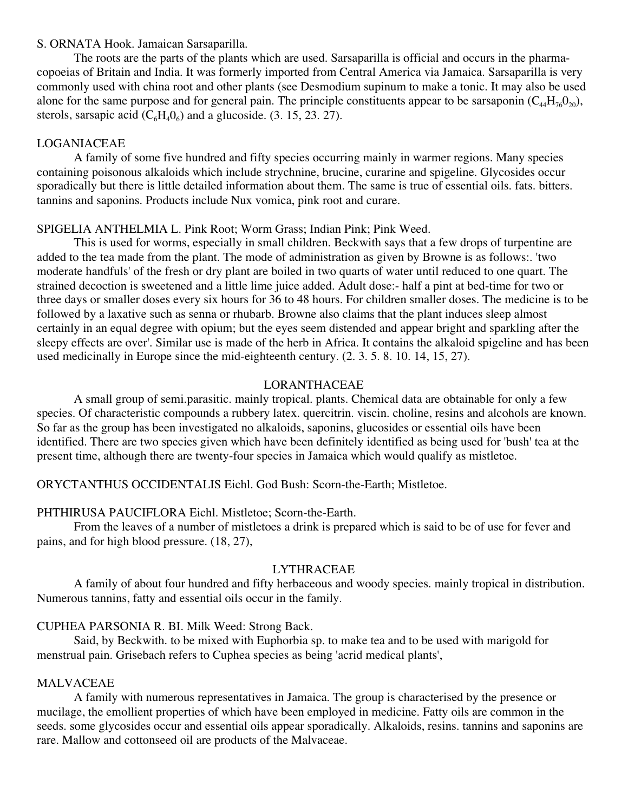#### S. ORNATA Hook. Jamaican Sarsaparilla.

The roots are the parts of the plants which are used. Sarsaparilla is official and occurs in the pharmacopoeias of Britain and India. It was formerly imported from Central America via Jamaica. Sarsaparilla is very commonly used with china root and other plants (see Desmodium supinum to make a tonic. It may also be used alone for the same purpose and for general pain. The principle constituents appear to be sarsaponin  $(C_{44}H_{76}O_{20})$ , sterols, sarsapic acid  $(C_6H_40_6)$  and a glucoside. (3. 15, 23, 27).

## LOGANIACEAE

A family of some five hundred and fifty species occurring mainly in warmer regions. Many species containing poisonous alkaloids which include strychnine, brucine, curarine and spigeline. Glycosides occur sporadically but there is little detailed information about them. The same is true of essential oils. fats. bitters. tannins and saponins. Products include Nux vomica, pink root and curare.

## SPIGELIA ANTHELMIA L. Pink Root; Worm Grass; Indian Pink; Pink Weed.

This is used for worms, especially in small children. Beckwith says that a few drops of turpentine are added to the tea made from the plant. The mode of administration as given by Browne is as follows:. 'two moderate handfuls' of the fresh or dry plant are boiled in two quarts of water until reduced to one quart. The strained decoction is sweetened and a little lime juice added. Adult dose:- half a pint at bed-time for two or three days or smaller doses every six hours for 36 to 48 hours. For children smaller doses. The medicine is to be followed by a laxative such as senna or rhubarb. Browne also claims that the plant induces sleep almost certainly in an equal degree with opium; but the eyes seem distended and appear bright and sparkling after the sleepy effects are over'. Similar use is made of the herb in Africa. It contains the alkaloid spigeline and has been used medicinally in Europe since the mid-eighteenth century. (2. 3. 5. 8. 10. 14, 15, 27).

## LORANTHACEAE

A small group of semi.parasitic. mainly tropical. plants. Chemical data are obtainable for only a few species. Of characteristic compounds a rubbery latex. quercitrin. viscin. choline, resins and alcohols are known. So far as the group has been investigated no alkaloids, saponins, glucosides or essential oils have been identified. There are two species given which have been definitely identified as being used for 'bush' tea at the present time, although there are twenty-four species in Jamaica which would qualify as mistletoe.

## ORYCTANTHUS OCCIDENTALIS Eichl. God Bush: Scorn-the-Earth; Mistletoe.

## PHTHIRUSA PAUCIFLORA Eichl. Mistletoe; Scorn-the-Earth.

From the leaves of a number of mistletoes a drink is prepared which is said to be of use for fever and pains, and for high blood pressure. (18, 27),

## LYTHRACEAE

A family of about four hundred and fifty herbaceous and woody species. mainly tropical in distribution. Numerous tannins, fatty and essential oils occur in the family.

## CUPHEA PARSONIA R. BI. Milk Weed: Strong Back.

Said, by Beckwith. to be mixed with Euphorbia sp. to make tea and to be used with marigold for menstrual pain. Grisebach refers to Cuphea species as being 'acrid medical plants',

## MALVACEAE

A family with numerous representatives in Jamaica. The group is characterised by the presence or mucilage, the emollient properties of which have been employed in medicine. Fatty oils are common in the seeds. some glycosides occur and essential oils appear sporadically. Alkaloids, resins. tannins and saponins are rare. Mallow and cottonseed oil are products of the Malvaceae.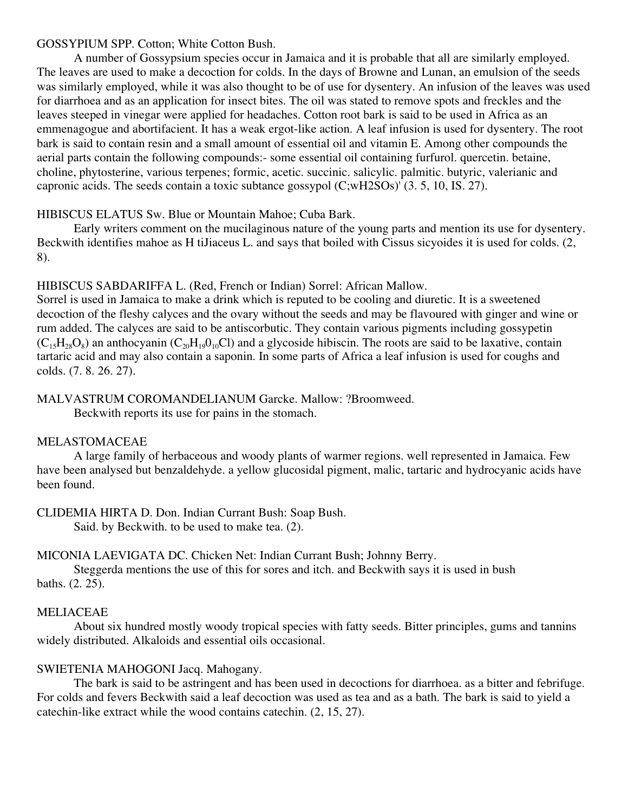## GOSSYPIUM SPP. Cotton; White Cotton Bush.

A number of Gossypsium species occur in Jamaica and it is probable that all are similarly employed. The leaves are used to make a decoction for colds. In the days of Browne and Lunan, an emulsion of the seeds was similarly employed, while it was also thought to be of use for dysentery. An infusion of the leaves was used for diarrhoea and as an application for insect bites. The oil was stated to remove spots and freckles and the leaves steeped in vinegar were applied for headaches. Cotton root bark is said to be used in Africa as an emmenagogue and abortifacient. It has a weak ergot-like action. A leaf infusion is used for dysentery. The root bark is said to contain resin and a small amount of essential oil and vitamin E. Among other compounds the aerial parts contain the following compounds:- some essential oil containing furfurol. quercetin. betaine, choline, phytosterine, various terpenes; formic, acetic. succinic. salicylic. palmitic. butyric, valerianic and capronic acids. The seeds contain a toxic subtance gossypol (C;wH2SOs)' (3. 5, 10, IS. 27).

## HIBISCUS ELATUS Sw. Blue or Mountain Mahoe; Cuba Bark.

Early writers comment on the mucilaginous nature of the young parts and mention its use for dysentery. Beckwith identifies mahoe as H tiJiaceus L. and says that boiled with Cissus sicyoides it is used for colds. (2, 8).

## HIBISCUS SABDARIFFA L. (Red, French or Indian) Sorrel: African Mallow.

Sorrel is used in Jamaica to make a drink which is reputed to be cooling and diuretic. It is a sweetened decoction of the fleshy calyces and the ovary without the seeds and may be flavoured with ginger and wine or rum added. The calyces are said to be antiscorbutic. They contain various pigments including gossypetin  $(C_{15}H_{28}O_8)$  an anthocyanin  $(C_{20}H_{19}O_{10}Cl)$  and a glycoside hibiscin. The roots are said to be laxative, contain tartaric acid and may also contain a saponin. In some parts of Africa a leaf infusion is used for coughs and colds. (7. 8. 26. 27).

## MALVASTRUM COROMANDELIANUM Garcke. Mallow: ?Broomweed.

Beckwith reports its use for pains in the stomach.

## MELASTOMACEAE

A large family of herbaceous and woody plants of warmer regions. well represented in Jamaica. Few have been analysed but benzaldehyde. a yellow glucosidal pigment, malic, tartaric and hydrocyanic acids have been found.

CLIDEMIA HIRTA D. Don. Indian Currant Bush: Soap Bush.

Said. by Beckwith. to be used to make tea. (2).

## MICONIA LAEVIGATA DC. Chicken Net: Indian Currant Bush; Johnny Berry.

Steggerda mentions the use of this for sores and itch. and Beckwith says it is used in bush baths. (2. 25).

## MELIACEAE

About six hundred mostly woody tropical species with fatty seeds. Bitter principles, gums and tannins widely distributed. Alkaloids and essential oils occasional.

## SWIETENIA MAHOGONI Jacq. Mahogany.

The bark is said to be astringent and has been used in decoctions for diarrhoea. as a bitter and febrifuge. For colds and fevers Beckwith said a leaf decoction was used as tea and as a bath. The bark is said to yield a catechin-like extract while the wood contains catechin. (2, 15, 27).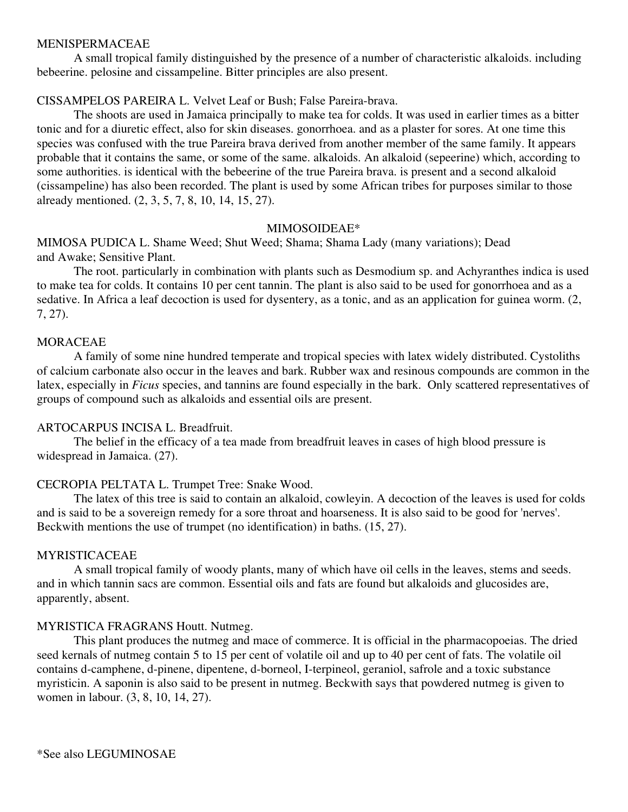#### MENISPERMACEAE

A small tropical family distinguished by the presence of a number of characteristic alkaloids. including bebeerine. pelosine and cissampeline. Bitter principles are also present.

## CISSAMPELOS PAREIRA L. Velvet Leaf or Bush; False Pareira-brava.

The shoots are used in Jamaica principally to make tea for colds. It was used in earlier times as a bitter tonic and for a diuretic effect, also for skin diseases. gonorrhoea. and as a plaster for sores. At one time this species was confused with the true Pareira brava derived from another member of the same family. It appears probable that it contains the same, or some of the same. alkaloids. An alkaloid (sepeerine) which, according to some authorities. is identical with the bebeerine of the true Pareira brava. is present and a second alkaloid (cissampeline) has also been recorded. The plant is used by some African tribes for purposes similar to those already mentioned. (2, 3, 5, 7, 8, 10, 14, 15, 27).

## MIMOSOIDEAE\*

MIMOSA PUDICA L. Shame Weed; Shut Weed; Shama; Shama Lady (many variations); Dead and Awake; Sensitive Plant.

The root. particularly in combination with plants such as Desmodium sp. and Achyranthes indica is used to make tea for colds. It contains 10 per cent tannin. The plant is also said to be used for gonorrhoea and as a sedative. In Africa a leaf decoction is used for dysentery, as a tonic, and as an application for guinea worm. (2, 7, 27).

## MORACEAE

A family of some nine hundred temperate and tropical species with latex widely distributed. Cystoliths of calcium carbonate also occur in the leaves and bark. Rubber wax and resinous compounds are common in the latex, especially in *Ficus* species, and tannins are found especially in the bark. Only scattered representatives of groups of compound such as alkaloids and essential oils are present.

## ARTOCARPUS INCISA L. Breadfruit.

The belief in the efficacy of a tea made from breadfruit leaves in cases of high blood pressure is widespread in Jamaica. (27).

## CECROPIA PELTATA L. Trumpet Tree: Snake Wood.

The latex of this tree is said to contain an alkaloid, cowleyin. A decoction of the leaves is used for colds and is said to be a sovereign remedy for a sore throat and hoarseness. It is also said to be good for 'nerves'. Beckwith mentions the use of trumpet (no identification) in baths. (15, 27).

## MYRISTICACEAE

A small tropical family of woody plants, many of which have oil cells in the leaves, stems and seeds. and in which tannin sacs are common. Essential oils and fats are found but alkaloids and glucosides are, apparently, absent.

## MYRISTICA FRAGRANS Houtt. Nutmeg.

This plant produces the nutmeg and mace of commerce. It is official in the pharmacopoeias. The dried seed kernals of nutmeg contain 5 to 15 per cent of volatile oil and up to 40 per cent of fats. The volatile oil contains d-camphene, d-pinene, dipentene, d-borneol, I-terpineol, geraniol, safrole and a toxic substance myristicin. A saponin is also said to be present in nutmeg. Beckwith says that powdered nutmeg is given to women in labour. (3, 8, 10, 14, 27).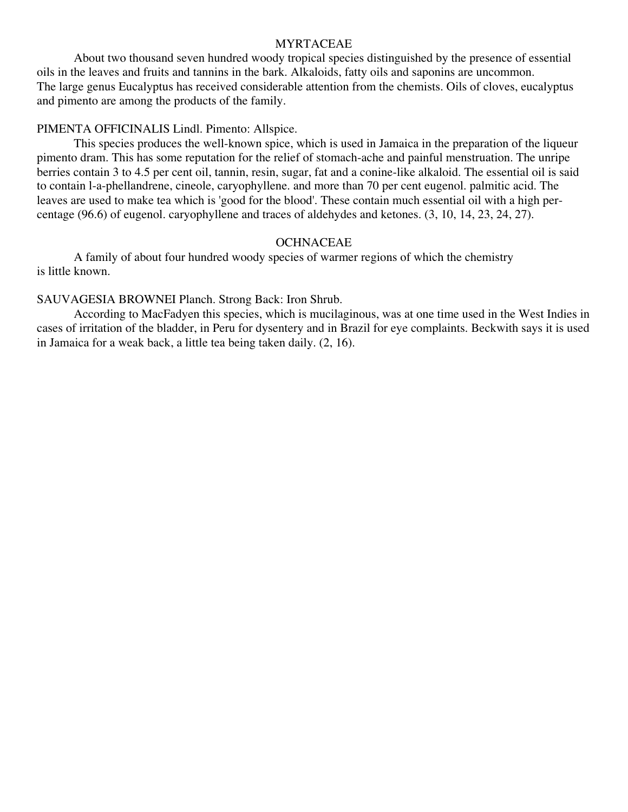#### MYRTACEAE

About two thousand seven hundred woody tropical species distinguished by the presence of essential oils in the leaves and fruits and tannins in the bark. Alkaloids, fatty oils and saponins are uncommon. The large genus Eucalyptus has received considerable attention from the chemists. Oils of cloves, eucalyptus and pimento are among the products of the family.

#### PIMENTA OFFICINALIS Lindl. Pimento: Allspice.

This species produces the well-known spice, which is used in Jamaica in the preparation of the liqueur pimento dram. This has some reputation for the relief of stomach-ache and painful menstruation. The unripe berries contain 3 to 4.5 per cent oil, tannin, resin, sugar, fat and a conine-like alkaloid. The essential oil is said to contain l-a-phellandrene, cineole, caryophyllene. and more than 70 per cent eugenol. palmitic acid. The leaves are used to make tea which is 'good for the blood'. These contain much essential oil with a high percentage (96.6) of eugenol. caryophyllene and traces of aldehydes and ketones. (3, 10, 14, 23, 24, 27).

### **OCHNACEAE**

A family of about four hundred woody species of warmer regions of which the chemistry is little known.

## SAUVAGESIA BROWNEI Planch. Strong Back: Iron Shrub.

According to MacFadyen this species, which is mucilaginous, was at one time used in the West Indies in cases of irritation of the bladder, in Peru for dysentery and in Brazil for eye complaints. Beckwith says it is used in Jamaica for a weak back, a little tea being taken daily. (2, 16).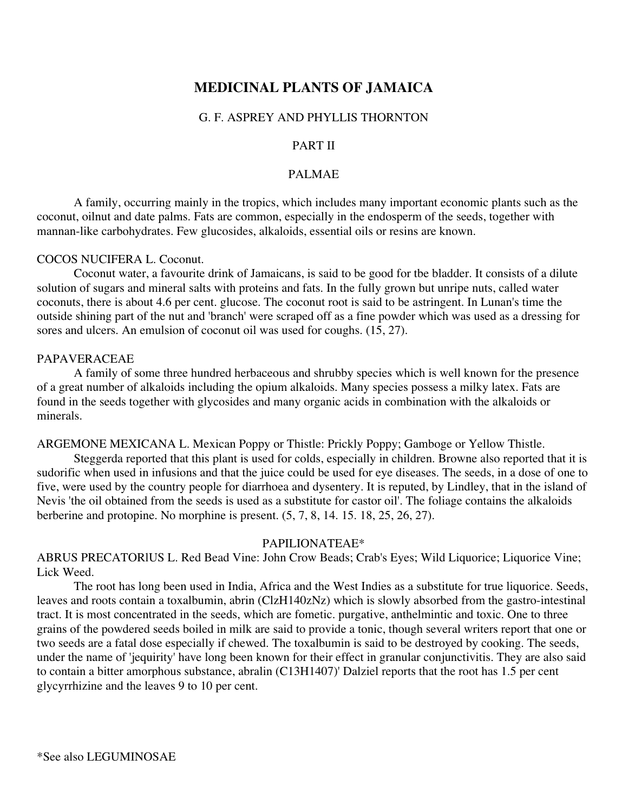# **MEDICINAL PLANTS OF JAMAICA**

### G. F. ASPREY AND PHYLLIS THORNTON

#### PART II

#### PALMAE

A family, occurring mainly in the tropics, which includes many important economic plants such as the coconut, oilnut and date palms. Fats are common, especially in the endosperm of the seeds, together with mannan-like carbohydrates. Few glucosides, alkaloids, essential oils or resins are known.

### COCOS NUCIFERA L. Coconut.

Coconut water, a favourite drink of Jamaicans, is said to be good for tbe bladder. It consists of a dilute solution of sugars and mineral salts with proteins and fats. In the fully grown but unripe nuts, called water coconuts, there is about 4.6 per cent. glucose. The coconut root is said to be astringent. In Lunan's time the outside shining part of the nut and 'branch' were scraped off as a fine powder which was used as a dressing for sores and ulcers. An emulsion of coconut oil was used for coughs. (15, 27).

#### PAPAVERACEAE

A family of some three hundred herbaceous and shrubby species which is well known for the presence of a great number of alkaloids including the opium alkaloids. Many species possess a milky latex. Fats are found in the seeds together with glycosides and many organic acids in combination with the alkaloids or minerals.

ARGEMONE MEXICANA L. Mexican Poppy or Thistle: Prickly Poppy; Gamboge or Yellow Thistle.

Steggerda reported that this plant is used for colds, especially in children. Browne also reported that it is sudorific when used in infusions and that the juice could be used for eye diseases. The seeds, in a dose of one to five, were used by the country people for diarrhoea and dysentery. It is reputed, by Lindley, that in the island of Nevis 'the oil obtained from the seeds is used as a substitute for castor oil'. The foliage contains the alkaloids berberine and protopine. No morphine is present. (5, 7, 8, 14. 15. 18, 25, 26, 27).

#### PAPILIONATEAE\*

ABRUS PRECATORlUS L. Red Bead Vine: John Crow Beads; Crab's Eyes; Wild Liquorice; Liquorice Vine; Lick Weed.

The root has long been used in India, Africa and the West Indies as a substitute for true liquorice. Seeds, leaves and roots contain a toxalbumin, abrin (ClzH140zNz) which is slowly absorbed from the gastro-intestinal tract. It is most concentrated in the seeds, which are fometic. purgative, anthelmintic and toxic. One to three grains of the powdered seeds boiled in milk are said to provide a tonic, though several writers report that one or two seeds are a fatal dose especially if chewed. The toxalbumin is said to be destroyed by cooking. The seeds, under the name of 'jequirity' have long been known for their effect in granular conjunctivitis. They are also said to contain a bitter amorphous substance, abralin (C13H1407)' Dalziel reports that the root has 1.5 per cent glycyrrhizine and the leaves 9 to 10 per cent.

\*See also LEGUMINOSAE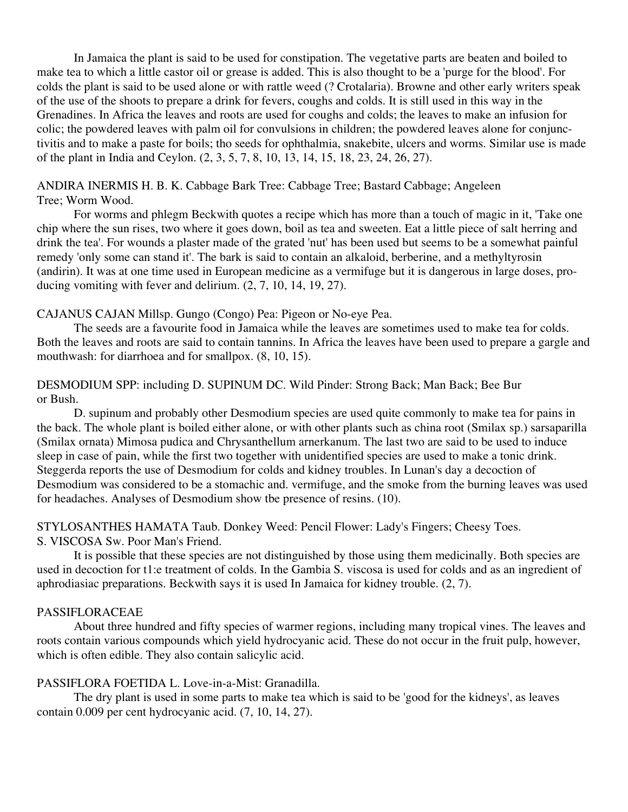In Jamaica the plant is said to be used for constipation. The vegetative parts are beaten and boiled to make tea to which a little castor oil or grease is added. This is also thought to be a 'purge for the blood'. For colds the plant is said to be used alone or with rattle weed (? Crotalaria). Browne and other early writers speak of the use of the shoots to prepare a drink for fevers, coughs and colds. It is still used in this way in the Grenadines. In Africa the leaves and roots are used for coughs and colds; the leaves to make an infusion for colic; the powdered leaves with palm oil for convulsions in children; the powdered leaves alone for conjunctivitis and to make a paste for boils; tho seeds for ophthalmia, snakebite, ulcers and worms. Similar use is made of the plant in India and Ceylon. (2, 3, 5, 7, 8, 10, 13, 14, 15, 18, 23, 24, 26, 27).

### ANDIRA INERMIS H. B. K. Cabbage Bark Tree: Cabbage Tree; Bastard Cabbage; Angeleen Tree; Worm Wood.

For worms and phlegm Beckwith quotes a recipe which has more than a touch of magic in it, 'Take one chip where the sun rises, two where it goes down, boil as tea and sweeten. Eat a little piece of salt herring and drink the tea'. For wounds a plaster made of the grated 'nut' has been used but seems to be a somewhat painful remedy 'only some can stand it'. The bark is said to contain an alkaloid, berberine, and a methyltyrosin (andirin). It was at one time used in European medicine as a vermifuge but it is dangerous in large doses, producing vomiting with fever and delirium. (2, 7, 10, 14, 19, 27).

## CAJANUS CAJAN Millsp. Gungo (Congo) Pea: Pigeon or No-eye Pea.

The seeds are a favourite food in Jamaica while the leaves are sometimes used to make tea for colds. Both the leaves and roots are said to contain tannins. In Africa the leaves have been used to prepare a gargle and mouthwash: for diarrhoea and for smallpox. (8, 10, 15).

## DESMODIUM SPP: including D. SUPINUM DC. Wild Pinder: Strong Back; Man Back; Bee Bur or Bush.

D. supinum and probably other Desmodium species are used quite commonly to make tea for pains in the back. The whole plant is boiled either alone, or with other plants such as china root (Smilax sp.) sarsaparilla (Smilax ornata) Mimosa pudica and Chrysanthellum arnerkanum. The last two are said to be used to induce sleep in case of pain, while the first two together with unidentified species are used to make a tonic drink. Steggerda reports the use of Desmodium for colds and kidney troubles. In Lunan's day a decoction of Desmodium was considered to be a stomachic and. vermifuge, and the smoke from the burning leaves was used for headaches. Analyses of Desmodium show tbe presence of resins. (10).

## STYLOSANTHES HAMATA Taub. Donkey Weed: Pencil Flower: Lady's Fingers; Cheesy Toes. S. VISCOSA Sw. Poor Man's Friend.

It is possible that these species are not distinguished by those using them medicinally. Both species are used in decoction for t1:e treatment of colds. In the Gambia S. viscosa is used for colds and as an ingredient of aphrodiasiac preparations. Beckwith says it is used In Jamaica for kidney trouble. (2, 7).

## PASSIFLORACEAE

About three hundred and fifty species of warmer regions, including many tropical vines. The leaves and roots contain various compounds which yield hydrocyanic acid. These do not occur in the fruit pulp, however, which is often edible. They also contain salicylic acid.

## PASSIFLORA FOETIDA L. Love-in-a-Mist: Granadilla.

The dry plant is used in some parts to make tea which is said to be 'good for the kidneys', as leaves contain 0.009 per cent hydrocyanic acid. (7, 10, 14, 27).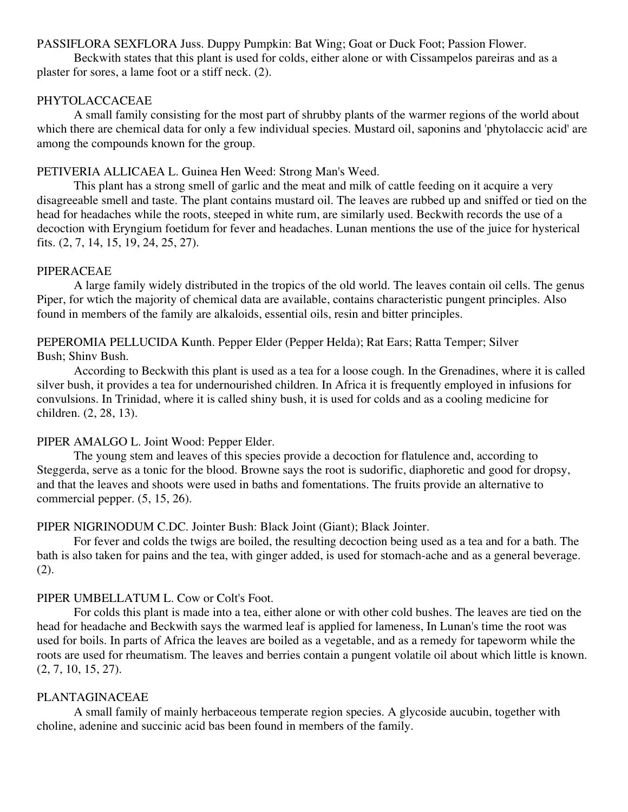## PASSIFLORA SEXFLORA Juss. Duppy Pumpkin: Bat Wing; Goat or Duck Foot; Passion Flower.

Beckwith states that this plant is used for colds, either alone or with Cissampelos pareiras and as a plaster for sores, a lame foot or a stiff neck. (2).

## PHYTOLACCACEAE

A small family consisting for the most part of shrubby plants of the warmer regions of the world about which there are chemical data for only a few individual species. Mustard oil, saponins and 'phytolaccic acid' are among the compounds known for the group.

## PETIVERIA ALLICAEA L. Guinea Hen Weed: Strong Man's Weed.

This plant has a strong smell of garlic and the meat and milk of cattle feeding on it acquire a very disagreeable smell and taste. The plant contains mustard oil. The leaves are rubbed up and sniffed or tied on the head for headaches while the roots, steeped in white rum, are similarly used. Beckwith records the use of a decoction with Eryngium foetidum for fever and headaches. Lunan mentions the use of the juice for hysterical fits. (2, 7, 14, 15, 19, 24, 25, 27).

#### PIPERACEAE

A large family widely distributed in the tropics of the old world. The leaves contain oil cells. The genus Piper, for wtich the majority of chemical data are available, contains characteristic pungent principles. Also found in members of the family are alkaloids, essential oils, resin and bitter principles.

PEPEROMIA PELLUCIDA Kunth. Pepper Elder (Pepper Helda); Rat Ears; Ratta Temper; Silver Bush; Shinv Bush.

According to Beckwith this plant is used as a tea for a loose cough. In the Grenadines, where it is called silver bush, it provides a tea for undernourished children. In Africa it is frequently employed in infusions for convulsions. In Trinidad, where it is called shiny bush, it is used for colds and as a cooling medicine for children. (2, 28, 13).

## PIPER AMALGO L. Joint Wood: Pepper Elder.

The young stem and leaves of this species provide a decoction for flatulence and, according to Steggerda, serve as a tonic for the blood. Browne says the root is sudorific, diaphoretic and good for dropsy, and that the leaves and shoots were used in baths and fomentations. The fruits provide an alternative to commercial pepper. (5, 15, 26).

## PIPER NIGRINODUM C.DC. Jointer Bush: Black Joint (Giant); Black Jointer.

For fever and colds the twigs are boiled, the resulting decoction being used as a tea and for a bath. The bath is also taken for pains and the tea, with ginger added, is used for stomach-ache and as a general beverage. (2).

## PIPER UMBELLATUM L. Cow or Colt's Foot.

For colds this plant is made into a tea, either alone or with other cold bushes. The leaves are tied on the head for headache and Beckwith says the warmed leaf is applied for lameness, In Lunan's time the root was used for boils. In parts of Africa the leaves are boiled as a vegetable, and as a remedy for tapeworm while the roots are used for rheumatism. The leaves and berries contain a pungent volatile oil about which little is known. (2, 7, 10, 15, 27).

## PLANTAGINACEAE

A small family of mainly herbaceous temperate region species. A glycoside aucubin, together with choline, adenine and succinic acid bas been found in members of the family.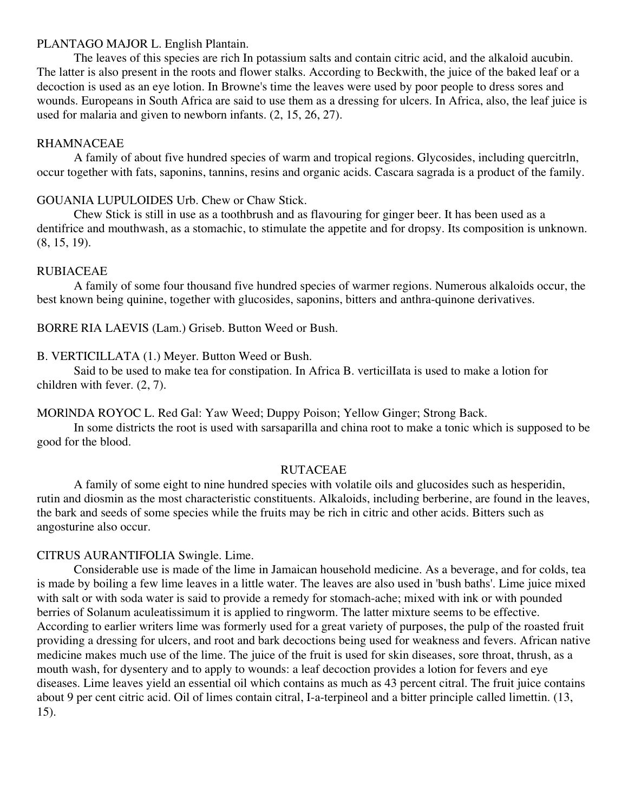### PLANTAGO MAJOR L. English Plantain.

The leaves of this species are rich In potassium salts and contain citric acid, and the alkaloid aucubin. The latter is also present in the roots and flower stalks. According to Beckwith, the juice of the baked leaf or a decoction is used as an eye lotion. In Browne's time the leaves were used by poor people to dress sores and wounds. Europeans in South Africa are said to use them as a dressing for ulcers. In Africa, also, the leaf juice is used for malaria and given to newborn infants. (2, 15, 26, 27).

## RHAMNACEAE

A family of about five hundred species of warm and tropical regions. Glycosides, including quercitrln, occur together with fats, saponins, tannins, resins and organic acids. Cascara sagrada is a product of the family.

## GOUANIA LUPULOIDES Urb. Chew or Chaw Stick.

Chew Stick is still in use as a toothbrush and as flavouring for ginger beer. It has been used as a dentifrice and mouthwash, as a stomachic, to stimulate the appetite and for dropsy. Its composition is unknown. (8, 15, 19).

## RUBIACEAE

A family of some four thousand five hundred species of warmer regions. Numerous alkaloids occur, the best known being quinine, together with glucosides, saponins, bitters and anthra-quinone derivatives.

## BORRE RIA LAEVIS (Lam.) Griseb. Button Weed or Bush.

B. VERTICILLATA (1.) Meyer. Button Weed or Bush.

Said to be used to make tea for constipation. In Africa B. verticilIata is used to make a lotion for children with fever. (2, 7).

MORlNDA ROYOC L. Red Gal: Yaw Weed; Duppy Poison; Yellow Ginger; Strong Back.

In some districts the root is used with sarsaparilla and china root to make a tonic which is supposed to be good for the blood.

## RUTACEAE

A family of some eight to nine hundred species with volatile oils and glucosides such as hesperidin, rutin and diosmin as the most characteristic constituents. Alkaloids, including berberine, are found in the leaves, the bark and seeds of some species while the fruits may be rich in citric and other acids. Bitters such as angosturine also occur.

## CITRUS AURANTIFOLIA Swingle. Lime.

Considerable use is made of the lime in Jamaican household medicine. As a beverage, and for colds, tea is made by boiling a few lime leaves in a little water. The leaves are also used in 'bush baths'. Lime juice mixed with salt or with soda water is said to provide a remedy for stomach-ache; mixed with ink or with pounded berries of Solanum aculeatissimum it is applied to ringworm. The latter mixture seems to be effective. According to earlier writers lime was formerly used for a great variety of purposes, the pulp of the roasted fruit providing a dressing for ulcers, and root and bark decoctions being used for weakness and fevers. African native medicine makes much use of the lime. The juice of the fruit is used for skin diseases, sore throat, thrush, as a mouth wash, for dysentery and to apply to wounds: a leaf decoction provides a lotion for fevers and eye diseases. Lime leaves yield an essential oil which contains as much as 43 percent citral. The fruit juice contains about 9 per cent citric acid. Oil of limes contain citral, I-a-terpineol and a bitter principle called limettin. (13, 15).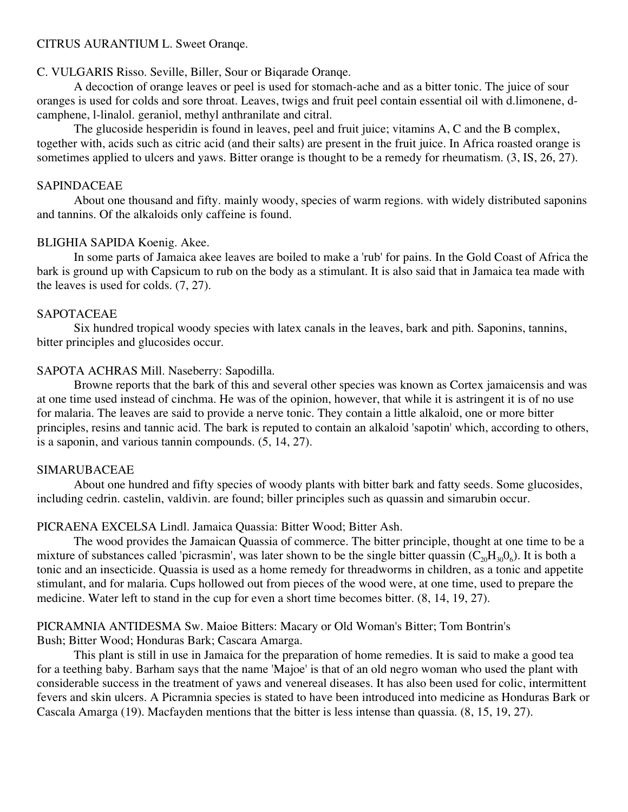## CITRUS AURANTIUM L. Sweet Oranqe.

## C. VULGARIS Risso. Seville, Biller, Sour or Biqarade Oranqe.

A decoction of orange leaves or peel is used for stomach-ache and as a bitter tonic. The juice of sour oranges is used for colds and sore throat. Leaves, twigs and fruit peel contain essential oil with d.limonene, dcamphene, l-linalol. geraniol, methyl anthranilate and citral.

The glucoside hesperidin is found in leaves, peel and fruit juice; vitamins A, C and the B complex, together with, acids such as citric acid (and their salts) are present in the fruit juice. In Africa roasted orange is sometimes applied to ulcers and yaws. Bitter orange is thought to be a remedy for rheumatism.  $(3, IS, 26, 27)$ .

## SAPINDACEAE

About one thousand and fifty. mainly woody, species of warm regions. with widely distributed saponins and tannins. Of the alkaloids only caffeine is found.

## BLIGHIA SAPIDA Koenig. Akee.

In some parts of Jamaica akee leaves are boiled to make a 'rub' for pains. In the Gold Coast of Africa the bark is ground up with Capsicum to rub on the body as a stimulant. It is also said that in Jamaica tea made with the leaves is used for colds. (7, 27).

## SAPOTACEAE

Six hundred tropical woody species with latex canals in the leaves, bark and pith. Saponins, tannins, bitter principles and glucosides occur.

## SAPOTA ACHRAS Mill. Naseberry: Sapodilla.

Browne reports that the bark of this and several other species was known as Cortex jamaicensis and was at one time used instead of cinchma. He was of the opinion, however, that while it is astringent it is of no use for malaria. The leaves are said to provide a nerve tonic. They contain a little alkaloid, one or more bitter principles, resins and tannic acid. The bark is reputed to contain an alkaloid 'sapotin' which, according to others, is a saponin, and various tannin compounds. (5, 14, 27).

## SIMARUBACEAE

About one hundred and fifty species of woody plants with bitter bark and fatty seeds. Some glucosides, including cedrin. castelin, valdivin. are found; biller principles such as quassin and simarubin occur.

## PICRAENA EXCELSA Lindl. Jamaica Quassia: Bitter Wood; Bitter Ash.

The wood provides the Jamaican Quassia of commerce. The bitter principle, thought at one time to be a mixture of substances called 'picrasmin', was later shown to be the single bitter quassin  $(C_{20}H_{30}O_6)$ . It is both a tonic and an insecticide. Quassia is used as a home remedy for threadworms in children, as a tonic and appetite stimulant, and for malaria. Cups hollowed out from pieces of the wood were, at one time, used to prepare the medicine. Water left to stand in the cup for even a short time becomes bitter. (8, 14, 19, 27).

## PICRAMNIA ANTIDESMA Sw. Maioe Bitters: Macary or Old Woman's Bitter; Tom Bontrin's Bush; Bitter Wood; Honduras Bark; Cascara Amarga.

This plant is still in use in Jamaica for the preparation of home remedies. It is said to make a good tea for a teething baby. Barham says that the name 'Majoe' is that of an old negro woman who used the plant with considerable success in the treatment of yaws and venereal diseases. It has also been used for colic, intermittent fevers and skin ulcers. A Picramnia species is stated to have been introduced into medicine as Honduras Bark or Cascala Amarga (19). Macfayden mentions that the bitter is less intense than quassia. (8, 15, 19, 27).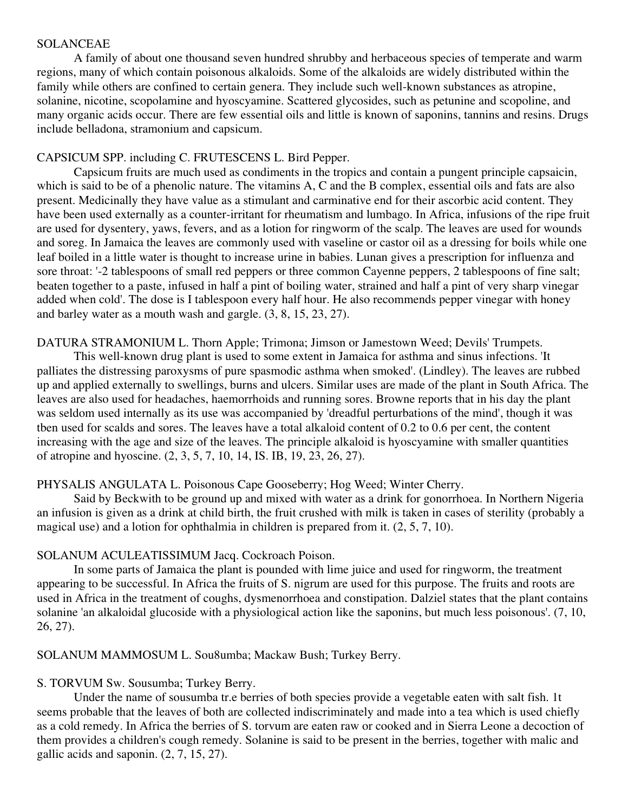#### SOLANCEAE

A family of about one thousand seven hundred shrubby and herbaceous species of temperate and warm regions, many of which contain poisonous alkaloids. Some of the alkaloids are widely distributed within the family while others are confined to certain genera. They include such well-known substances as atropine, solanine, nicotine, scopolamine and hyoscyamine. Scattered glycosides, such as petunine and scopoline, and many organic acids occur. There are few essential oils and little is known of saponins, tannins and resins. Drugs include belladona, stramonium and capsicum.

## CAPSICUM SPP. including C. FRUTESCENS L. Bird Pepper.

Capsicum fruits are much used as condiments in the tropics and contain a pungent principle capsaicin, which is said to be of a phenolic nature. The vitamins A, C and the B complex, essential oils and fats are also present. Medicinally they have value as a stimulant and carminative end for their ascorbic acid content. They have been used externally as a counter-irritant for rheumatism and lumbago. In Africa, infusions of the ripe fruit are used for dysentery, yaws, fevers, and as a lotion for ringworm of the scalp. The leaves are used for wounds and soreg. In Jamaica the leaves are commonly used with vaseline or castor oil as a dressing for boils while one leaf boiled in a little water is thought to increase urine in babies. Lunan gives a prescription for influenza and sore throat: '-2 tablespoons of small red peppers or three common Cayenne peppers, 2 tablespoons of fine salt; beaten together to a paste, infused in half a pint of boiling water, strained and half a pint of very sharp vinegar added when cold'. The dose is I tablespoon every half hour. He also recommends pepper vinegar with honey and barley water as a mouth wash and gargle. (3, 8, 15, 23, 27).

## DATURA STRAMONIUM L. Thorn Apple; Trimona; Jimson or Jamestown Weed; Devils' Trumpets.

This well-known drug plant is used to some extent in Jamaica for asthma and sinus infections. 'It palliates the distressing paroxysms of pure spasmodic asthma when smoked'. (Lindley). The leaves are rubbed up and applied externally to swellings, burns and ulcers. Similar uses are made of the plant in South Africa. The leaves are also used for headaches, haemorrhoids and running sores. Browne reports that in his day the plant was seldom used internally as its use was accompanied by 'dreadful perturbations of the mind', though it was tben used for scalds and sores. The leaves have a total alkaloid content of 0.2 to 0.6 per cent, the content increasing with the age and size of the leaves. The principle alkaloid is hyoscyamine with smaller quantities of atropine and hyoscine. (2, 3, 5, 7, 10, 14, IS. IB, 19, 23, 26, 27).

## PHYSALIS ANGULATA L. Poisonous Cape Gooseberry; Hog Weed; Winter Cherry.

Said by Beckwith to be ground up and mixed with water as a drink for gonorrhoea. In Northern Nigeria an infusion is given as a drink at child birth, the fruit crushed with milk is taken in cases of sterility (probably a magical use) and a lotion for ophthalmia in children is prepared from it. (2, 5, 7, 10).

## SOLANUM ACULEATISSIMUM Jacq. Cockroach Poison.

In some parts of Jamaica the plant is pounded with lime juice and used for ringworm, the treatment appearing to be successful. In Africa the fruits of S. nigrum are used for this purpose. The fruits and roots are used in Africa in the treatment of coughs, dysmenorrhoea and constipation. Dalziel states that the plant contains solanine 'an alkaloidal glucoside with a physiological action like the saponins, but much less poisonous'. (7, 10, 26, 27).

## SOLANUM MAMMOSUM L. Sou8umba; Mackaw Bush; Turkey Berry.

## S. TORVUM Sw. Sousumba; Turkey Berry.

Under the name of sousumba tr.e berries of both species provide a vegetable eaten with salt fish. 1t seems probable that the leaves of both are collected indiscriminately and made into a tea which is used chiefly as a cold remedy. In Africa the berries of S. torvum are eaten raw or cooked and in Sierra Leone a decoction of them provides a children's cough remedy. Solanine is said to be present in the berries, together with malic and gallic acids and saponin. (2, 7, 15, 27).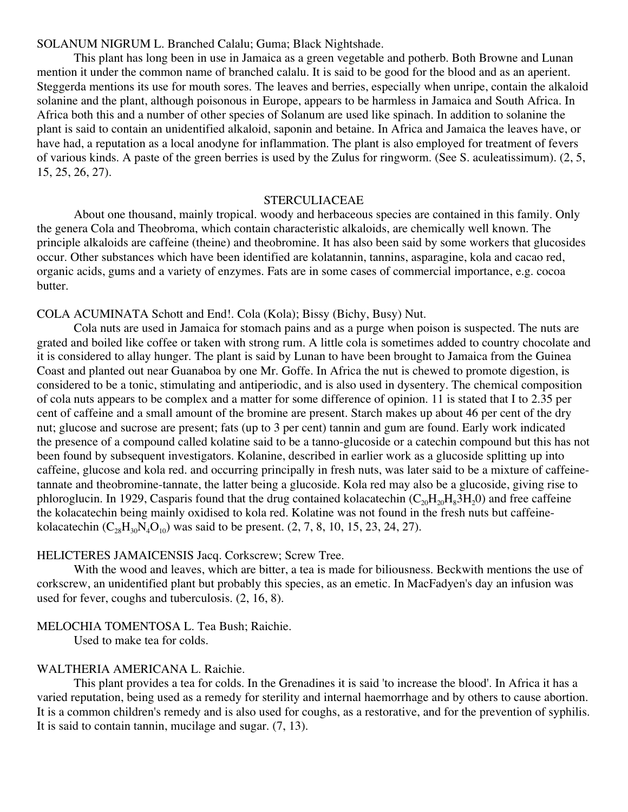SOLANUM NIGRUM L. Branched Calalu; Guma; Black Nightshade.

This plant has long been in use in Jamaica as a green vegetable and potherb. Both Browne and Lunan mention it under the common name of branched calalu. It is said to be good for the blood and as an aperient. Steggerda mentions its use for mouth sores. The leaves and berries, especially when unripe, contain the alkaloid solanine and the plant, although poisonous in Europe, appears to be harmless in Jamaica and South Africa. In Africa both this and a number of other species of Solanum are used like spinach. In addition to solanine the plant is said to contain an unidentified alkaloid, saponin and betaine. In Africa and Jamaica the leaves have, or have had, a reputation as a local anodyne for inflammation. The plant is also employed for treatment of fevers of various kinds. A paste of the green berries is used by the Zulus for ringworm. (See S. aculeatissimum). (2, 5, 15, 25, 26, 27).

#### STERCULIACEAE

About one thousand, mainly tropical. woody and herbaceous species are contained in this family. Only the genera Cola and Theobroma, which contain characteristic alkaloids, are chemically well known. The principle alkaloids are caffeine (theine) and theobromine. It has also been said by some workers that glucosides occur. Other substances which have been identified are kolatannin, tannins, asparagine, kola and cacao red, organic acids, gums and a variety of enzymes. Fats are in some cases of commercial importance, e.g. cocoa butter.

COLA ACUMINATA Schott and End!. Cola (Kola); Bissy (Bichy, Busy) Nut.

Cola nuts are used in Jamaica for stomach pains and as a purge when poison is suspected. The nuts are grated and boiled like coffee or taken with strong rum. A little cola is sometimes added to country chocolate and it is considered to allay hunger. The plant is said by Lunan to have been brought to Jamaica from the Guinea Coast and planted out near Guanaboa by one Mr. Goffe. In Africa the nut is chewed to promote digestion, is considered to be a tonic, stimulating and antiperiodic, and is also used in dysentery. The chemical composition of cola nuts appears to be complex and a matter for some difference of opinion. 11 is stated that I to 2.35 per cent of caffeine and a small amount of the bromine are present. Starch makes up about 46 per cent of the dry nut; glucose and sucrose are present; fats (up to 3 per cent) tannin and gum are found. Early work indicated the presence of a compound called kolatine said to be a tanno-glucoside or a catechin compound but this has not been found by subsequent investigators. Kolanine, described in earlier work as a glucoside splitting up into caffeine, glucose and kola red. and occurring principally in fresh nuts, was later said to be a mixture of caffeinetannate and theobromine-tannate, the latter being a glucoside. Kola red may also be a glucoside, giving rise to phloroglucin. In 1929, Casparis found that the drug contained kolacatechin  $(C_{20}H_{20}H_83H_20)$  and free caffeine the kolacatechin being mainly oxidised to kola red. Kolatine was not found in the fresh nuts but caffeinekolacatechin  $(C_{28}H_{30}N_4O_{10})$  was said to be present.  $(2, 7, 8, 10, 15, 23, 24, 27)$ .

#### HELICTERES JAMAICENSIS Jacq. Corkscrew; Screw Tree.

With the wood and leaves, which are bitter, a tea is made for biliousness. Beckwith mentions the use of corkscrew, an unidentified plant but probably this species, as an emetic. In MacFadyen's day an infusion was used for fever, coughs and tuberculosis. (2, 16, 8).

#### MELOCHIA TOMENTOSA L. Tea Bush; Raichie.

Used to make tea for colds.

#### WALTHERIA AMERICANA L. Raichie.

This plant provides a tea for colds. In the Grenadines it is said 'to increase the blood'. In Africa it has a varied reputation, being used as a remedy for sterility and internal haemorrhage and by others to cause abortion. It is a common children's remedy and is also used for coughs, as a restorative, and for the prevention of syphilis. It is said to contain tannin, mucilage and sugar. (7, 13).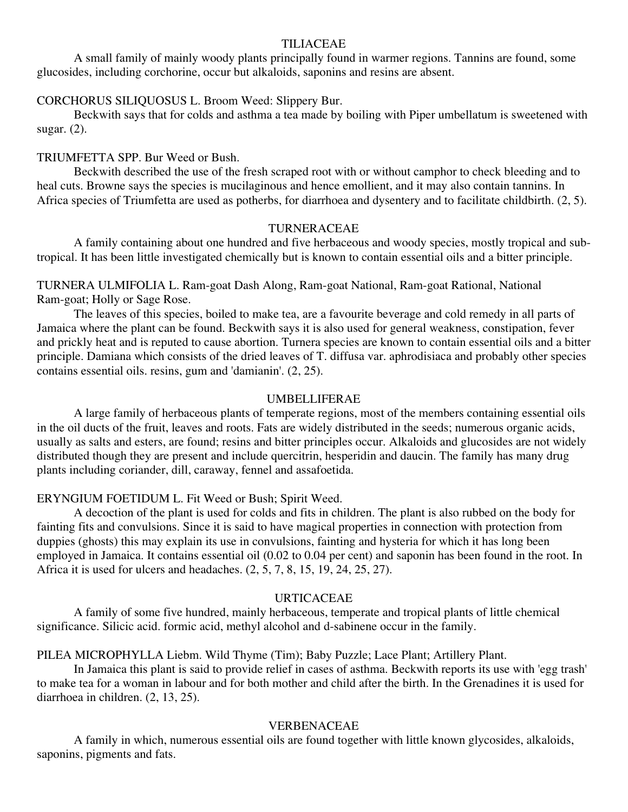#### TILIACEAE

A small family of mainly woody plants principally found in warmer regions. Tannins are found, some glucosides, including corchorine, occur but alkaloids, saponins and resins are absent.

#### CORCHORUS SILIQUOSUS L. Broom Weed: Slippery Bur.

Beckwith says that for colds and asthma a tea made by boiling with Piper umbellatum is sweetened with sugar. (2).

#### TRIUMFETTA SPP. Bur Weed or Bush.

Beckwith described the use of the fresh scraped root with or without camphor to check bleeding and to heal cuts. Browne says the species is mucilaginous and hence emollient, and it may also contain tannins. In Africa species of Triumfetta are used as potherbs, for diarrhoea and dysentery and to facilitate childbirth. (2, 5).

#### TURNERACEAE

A family containing about one hundred and five herbaceous and woody species, mostly tropical and subtropical. It has been little investigated chemically but is known to contain essential oils and a bitter principle.

TURNERA ULMIFOLIA L. Ram-goat Dash Along, Ram-goat National, Ram-goat Rational, National Ram-goat; Holly or Sage Rose.

The leaves of this species, boiled to make tea, are a favourite beverage and cold remedy in all parts of Jamaica where the plant can be found. Beckwith says it is also used for general weakness, constipation, fever and prickly heat and is reputed to cause abortion. Turnera species are known to contain essential oils and a bitter principle. Damiana which consists of the dried leaves of T. diffusa var. aphrodisiaca and probably other species contains essential oils. resins, gum and 'damianin'. (2, 25).

#### UMBELLIFERAE

A large family of herbaceous plants of temperate regions, most of the members containing essential oils in the oil ducts of the fruit, leaves and roots. Fats are widely distributed in the seeds; numerous organic acids, usually as salts and esters, are found; resins and bitter principles occur. Alkaloids and glucosides are not widely distributed though they are present and include quercitrin, hesperidin and daucin. The family has many drug plants including coriander, dill, caraway, fennel and assafoetida.

#### ERYNGIUM FOETIDUM L. Fit Weed or Bush; Spirit Weed.

A decoction of the plant is used for colds and fits in children. The plant is also rubbed on the body for fainting fits and convulsions. Since it is said to have magical properties in connection with protection from duppies (ghosts) this may explain its use in convulsions, fainting and hysteria for which it has long been employed in Jamaica. It contains essential oil (0.02 to 0.04 per cent) and saponin has been found in the root. In Africa it is used for ulcers and headaches. (2, 5, 7, 8, 15, 19, 24, 25, 27).

#### URTICACEAE

A family of some five hundred, mainly herbaceous, temperate and tropical plants of little chemical significance. Silicic acid. formic acid, methyl alcohol and d-sabinene occur in the family.

PILEA MICROPHYLLA Liebm. Wild Thyme (Tim); Baby Puzzle; Lace Plant; Artillery Plant.

In Jamaica this plant is said to provide relief in cases of asthma. Beckwith reports its use with 'egg trash' to make tea for a woman in labour and for both mother and child after the birth. In the Grenadines it is used for diarrhoea in children. (2, 13, 25).

#### VERBENACEAE

A family in which, numerous essential oils are found together with little known glycosides, alkaloids, saponins, pigments and fats.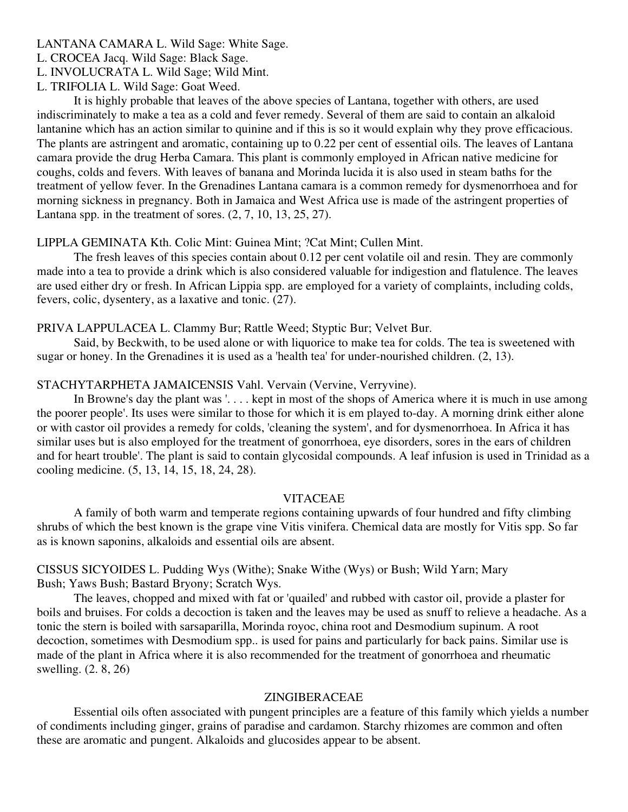LANTANA CAMARA L. Wild Sage: White Sage.

L. CROCEA Jacq. Wild Sage: Black Sage.

L. INVOLUCRATA L. Wild Sage; Wild Mint.

L. TRIFOLIA L. Wild Sage: Goat Weed.

It is highly probable that leaves of the above species of Lantana, together with others, are used indiscriminately to make a tea as a cold and fever remedy. Several of them are said to contain an alkaloid lantanine which has an action similar to quinine and if this is so it would explain why they prove efficacious. The plants are astringent and aromatic, containing up to 0.22 per cent of essential oils. The leaves of Lantana camara provide the drug Herba Camara. This plant is commonly employed in African native medicine for coughs, colds and fevers. With leaves of banana and Morinda lucida it is also used in steam baths for the treatment of yellow fever. In the Grenadines Lantana camara is a common remedy for dysmenorrhoea and for morning sickness in pregnancy. Both in Jamaica and West Africa use is made of the astringent properties of Lantana spp. in the treatment of sores. (2, 7, 10, 13, 25, 27).

## LIPPLA GEMINATA Kth. Colic Mint: Guinea Mint; ?Cat Mint; Cullen Mint.

The fresh leaves of this species contain about 0.12 per cent volatile oil and resin. They are commonly made into a tea to provide a drink which is also considered valuable for indigestion and flatulence. The leaves are used either dry or fresh. In African Lippia spp. are employed for a variety of complaints, including colds, fevers, colic, dysentery, as a laxative and tonic. (27).

## PRIVA LAPPULACEA L. Clammy Bur; Rattle Weed; Styptic Bur; Velvet Bur.

Said, by Beckwith, to be used alone or with liquorice to make tea for colds. The tea is sweetened with sugar or honey. In the Grenadines it is used as a 'health tea' for under-nourished children. (2, 13).

## STACHYTARPHETA JAMAICENSIS Vahl. Vervain (Vervine, Verryvine).

In Browne's day the plant was '. . . . kept in most of the shops of America where it is much in use among the poorer people'. Its uses were similar to those for which it is em played to-day. A morning drink either alone or with castor oil provides a remedy for colds, 'cleaning the system', and for dysmenorrhoea. In Africa it has similar uses but is also employed for the treatment of gonorrhoea, eye disorders, sores in the ears of children and for heart trouble'. The plant is said to contain glycosidal compounds. A leaf infusion is used in Trinidad as a cooling medicine. (5, 13, 14, 15, 18, 24, 28).

## VITACEAE

A family of both warm and temperate regions containing upwards of four hundred and fifty climbing shrubs of which the best known is the grape vine Vitis vinifera. Chemical data are mostly for Vitis spp. So far as is known saponins, alkaloids and essential oils are absent.

## CISSUS SICYOIDES L. Pudding Wys (Withe); Snake Withe (Wys) or Bush; Wild Yarn; Mary Bush; Yaws Bush; Bastard Bryony; Scratch Wys.

The leaves, chopped and mixed with fat or 'quailed' and rubbed with castor oil, provide a plaster for boils and bruises. For colds a decoction is taken and the leaves may be used as snuff to relieve a headache. As a tonic the stern is boiled with sarsaparilla, Morinda royoc, china root and Desmodium supinum. A root decoction, sometimes with Desmodium spp.. is used for pains and particularly for back pains. Similar use is made of the plant in Africa where it is also recommended for the treatment of gonorrhoea and rheumatic swelling. (2. 8, 26)

#### ZINGIBERACEAE

Essential oils often associated with pungent principles are a feature of this family which yields a number of condiments including ginger, grains of paradise and cardamon. Starchy rhizomes are common and often these are aromatic and pungent. Alkaloids and glucosides appear to be absent.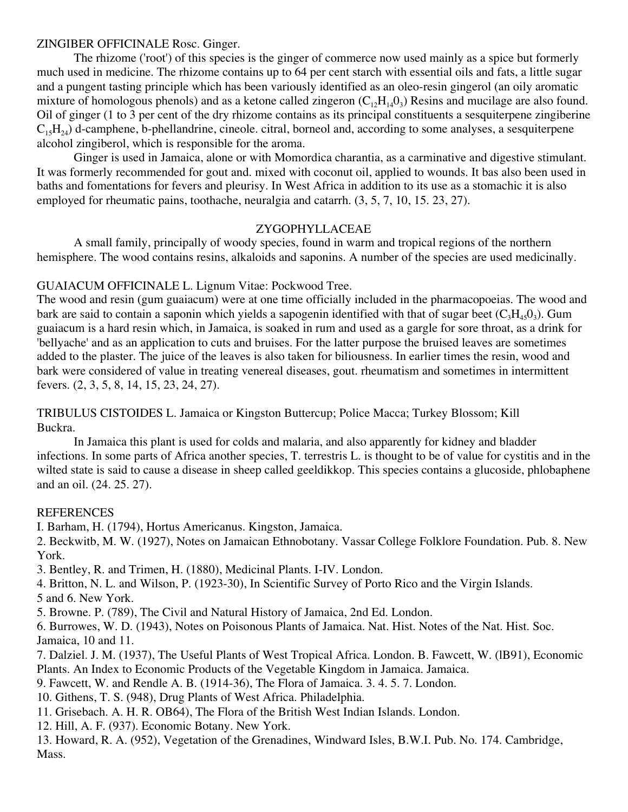## ZINGIBER OFFICINALE Rosc. Ginger.

The rhizome ('root') of this species is the ginger of commerce now used mainly as a spice but formerly much used in medicine. The rhizome contains up to 64 per cent starch with essential oils and fats, a little sugar and a pungent tasting principle which has been variously identified as an oleo-resin gingerol (an oily aromatic mixture of homologous phenols) and as a ketone called zingeron  $(C_1,H_{14}0_3)$  Resins and mucilage are also found. Oil of ginger (1 to 3 per cent of the dry rhizome contains as its principal constituents a sesquiterpene zingiberine  $C_{15}H_{24}$ ) d-camphene, b-phellandrine, cineole. citral, borneol and, according to some analyses, a sesquiterpene alcohol zingiberol, which is responsible for the aroma.

Ginger is used in Jamaica, alone or with Momordica charantia, as a carminative and digestive stimulant. It was formerly recommended for gout and. mixed with coconut oil, applied to wounds. It bas also been used in baths and fomentations for fevers and pleurisy. In West Africa in addition to its use as a stomachic it is also employed for rheumatic pains, toothache, neuralgia and catarrh. (3, 5, 7, 10, 15. 23, 27).

## ZYGOPHYLLACEAE

A small family, principally of woody species, found in warm and tropical regions of the northern hemisphere. The wood contains resins, alkaloids and saponins. A number of the species are used medicinally.

## GUAIACUM OFFICINALE L. Lignum Vitae: Pockwood Tree.

The wood and resin (gum guaiacum) were at one time officially included in the pharmacopoeias. The wood and bark are said to contain a saponin which yields a sapogenin identified with that of sugar beet  $(C_3H_4, 0_3)$ . Gum guaiacum is a hard resin which, in Jamaica, is soaked in rum and used as a gargle for sore throat, as a drink for 'bellyache' and as an application to cuts and bruises. For the latter purpose the bruised leaves are sometimes added to the plaster. The juice of the leaves is also taken for biliousness. In earlier times the resin, wood and bark were considered of value in treating venereal diseases, gout. rheumatism and sometimes in intermittent fevers. (2, 3, 5, 8, 14, 15, 23, 24, 27).

## TRIBULUS CISTOIDES L. Jamaica or Kingston Buttercup; Police Macca; Turkey Blossom; Kill Buckra.

In Jamaica this plant is used for colds and malaria, and also apparently for kidney and bladder infections. In some parts of Africa another species, T. terrestris L. is thought to be of value for cystitis and in the wilted state is said to cause a disease in sheep called geeldikkop. This species contains a glucoside, phlobaphene and an oil. (24. 25. 27).

## **REFERENCES**

I. Barham, H. (1794), Hortus Americanus. Kingston, Jamaica.

2. Beckwitb, M. W. (1927), Notes on Jamaican Ethnobotany. Vassar College Folklore Foundation. Pub. 8. New York.

3. Bentley, R. and Trimen, H. (1880), Medicinal Plants. I-IV. London.

4. Britton, N. L. and Wilson, P. (1923-30), In Scientific Survey of Porto Rico and the Virgin Islands.

5 and 6. New York.

5. Browne. P. (789), The Civil and Natural History of Jamaica, 2nd Ed. London.

6. Burrowes, W. D. (1943), Notes on Poisonous Plants of Jamaica. Nat. Hist. Notes of the Nat. Hist. Soc. Jamaica, 10 and 11.

7. Dalziel. J. M. (1937), The Useful Plants of West Tropical Africa. London. B. Fawcett, W. (lB91), Economic Plants. An Index to Economic Products of the Vegetable Kingdom in Jamaica. Jamaica.

- 9. Fawcett, W. and Rendle A. B. (1914-36), The Flora of Jamaica. 3. 4. 5. 7. London.
- 10. Githens, T. S. (948), Drug Plants of West Africa. Philadelphia.
- 11. Grisebach. A. H. R. OB64), The Flora of the British West Indian Islands. London.
- 12. Hill, A. F. (937). Economic Botany. New York.

13. Howard, R. A. (952), Vegetation of the Grenadines, Windward Isles, B.W.I. Pub. No. 174. Cambridge, Mass.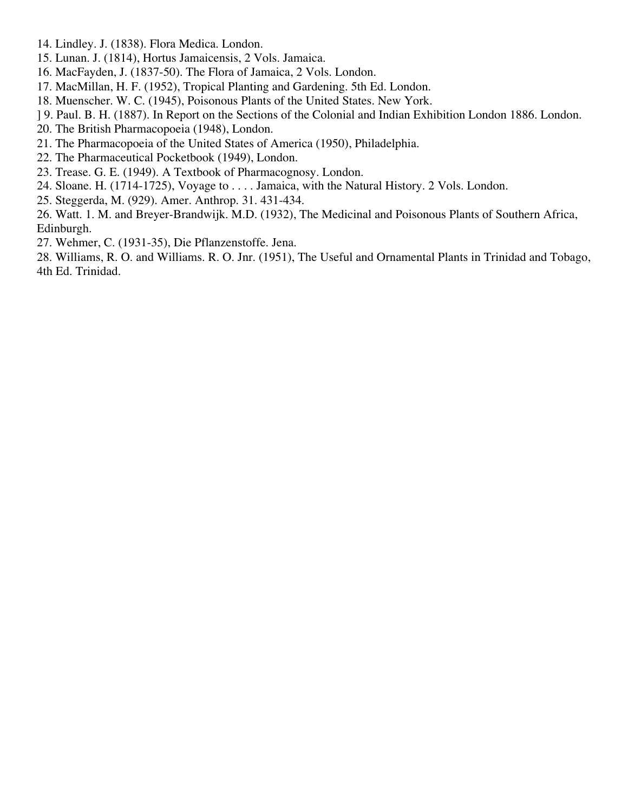- 14. Lindley. J. (1838). Flora Medica. London.
- 15. Lunan. J. (1814), Hortus Jamaicensis, 2 Vols. Jamaica.
- 16. MacFayden, J. (1837-50). The Flora of Jamaica, 2 Vols. London.
- 17. MacMillan, H. F. (1952), Tropical Planting and Gardening. 5th Ed. London.
- 18. Muenscher. W. C. (1945), Poisonous Plants of the United States. New York.
- ] 9. Paul. B. H. (1887). In Report on the Sections of the Colonial and Indian Exhibition London 1886. London.
- 20. The British Pharmacopoeia (1948), London.
- 21. The Pharmacopoeia of the United States of America (1950), Philadelphia.
- 22. The Pharmaceutical Pocketbook (1949), London.
- 23. Trease. G. E. (1949). A Textbook of Pharmacognosy. London.
- 24. Sloane. H. (1714-1725), Voyage to . . . . Jamaica, with the Natural History. 2 Vols. London.
- 25. Steggerda, M. (929). Amer. Anthrop. 31. 431-434.

26. Watt. 1. M. and Breyer-Brandwijk. M.D. (1932), The Medicinal and Poisonous Plants of Southern Africa, Edinburgh.

27. Wehmer, C. (1931-35), Die Pflanzenstoffe. Jena.

28. Williams, R. O. and Williams. R. O. Jnr. (1951), The Useful and Ornamental Plants in Trinidad and Tobago, 4th Ed. Trinidad.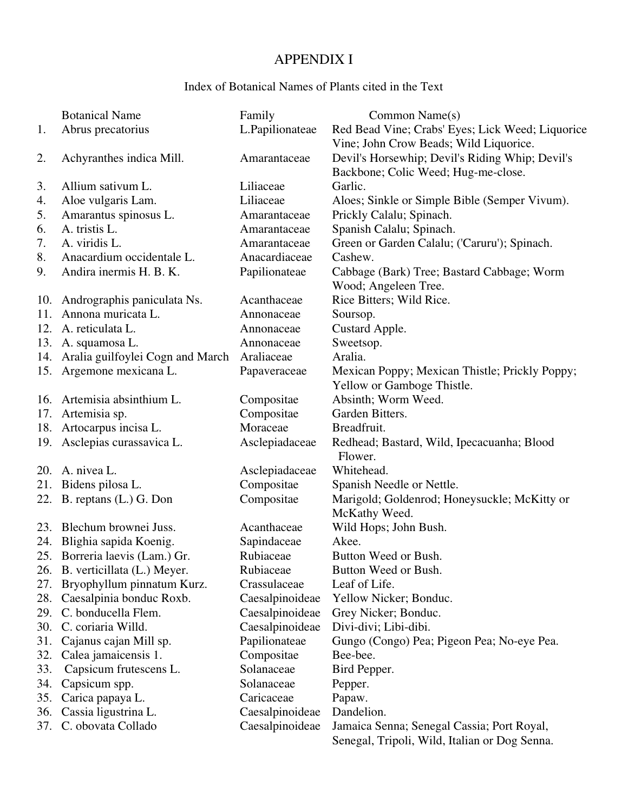# APPENDIX I

# Index of Botanical Names of Plants cited in the Text

|     | <b>Botanical Name</b>                | Family          | Common Name(s)                                   |
|-----|--------------------------------------|-----------------|--------------------------------------------------|
| 1.  | Abrus precatorius                    | L.Papilionateae | Red Bead Vine; Crabs' Eyes; Lick Weed; Liquorice |
|     |                                      |                 | Vine; John Crow Beads; Wild Liquorice.           |
| 2.  | Achyranthes indica Mill.             | Amarantaceae    | Devil's Horsewhip; Devil's Riding Whip; Devil's  |
|     |                                      |                 | Backbone; Colic Weed; Hug-me-close.              |
| 3.  | Allium sativum L.                    | Liliaceae       | Garlic.                                          |
| 4.  | Aloe vulgaris Lam.                   | Liliaceae       | Aloes; Sinkle or Simple Bible (Semper Vivum).    |
| 5.  | Amarantus spinosus L.                | Amarantaceae    | Prickly Calalu; Spinach.                         |
| 6.  | A. tristis L.                        | Amarantaceae    | Spanish Calalu; Spinach.                         |
| 7.  | A. viridis L.                        | Amarantaceae    | Green or Garden Calalu; ('Caruru'); Spinach.     |
| 8.  | Anacardium occidentale L.            | Anacardiaceae   | Cashew.                                          |
| 9.  | Andira inermis H. B. K.              | Papilionateae   | Cabbage (Bark) Tree; Bastard Cabbage; Worm       |
|     |                                      |                 | Wood; Angeleen Tree.                             |
|     | 10. Andrographis paniculata Ns.      | Acanthaceae     | Rice Bitters; Wild Rice.                         |
| 11. | Annona muricata L.                   | Annonaceae      | Soursop.                                         |
| 12. | A. reticulata L.                     | Annonaceae      | Custard Apple.                                   |
|     | 13. A. squamosa L.                   | Annonaceae      | Sweetsop.                                        |
|     | 14. Aralia guilfoylei Cogn and March | Araliaceae      | Aralia.                                          |
|     | 15. Argemone mexicana L.             | Papaveraceae    | Mexican Poppy; Mexican Thistle; Prickly Poppy;   |
|     |                                      |                 | Yellow or Gamboge Thistle.                       |
| 16. | Artemisia absinthium L.              | Compositae      | Absinth; Worm Weed.                              |
| 17. | Artemisia sp.                        | Compositae      | Garden Bitters.                                  |
|     | 18. Artocarpus incisa L.             | Moraceae        | Breadfruit.                                      |
|     | 19. Asclepias curassavica L.         | Asclepiadaceae  | Redhead; Bastard, Wild, Ipecacuanha; Blood       |
|     |                                      |                 | Flower.                                          |
| 20. | A. nivea L.                          | Asclepiadaceae  | Whitehead.                                       |
|     | 21. Bidens pilosa L.                 | Compositae      | Spanish Needle or Nettle.                        |
|     | 22. B. reptans (L.) G. Don           | Compositae      | Marigold; Goldenrod; Honeysuckle; McKitty or     |
|     |                                      |                 | McKathy Weed.                                    |
| 23. | Blechum brownei Juss.                | Acanthaceae     | Wild Hops; John Bush.                            |
| 24. | Blighia sapida Koenig.               | Sapindaceae     | Akee.                                            |
|     | 25. Borreria laevis (Lam.) Gr.       | Rubiaceae       | Button Weed or Bush.                             |
|     | 26. B. verticillata (L.) Meyer.      | Rubiaceae       | Button Weed or Bush.                             |
| 27. | Bryophyllum pinnatum Kurz.           | Crassulaceae    | Leaf of Life.                                    |
| 28. | Caesalpinia bonduc Roxb.             | Caesalpinoideae | Yellow Nicker; Bonduc.                           |
| 29. | C. bonducella Flem.                  | Caesalpinoideae | Grey Nicker; Bonduc.                             |
| 30. | C. coriaria Willd.                   | Caesalpinoideae | Divi-divi; Libi-dibi.                            |
| 31. | Cajanus cajan Mill sp.               | Papilionateae   | Gungo (Congo) Pea; Pigeon Pea; No-eye Pea.       |
| 32. | Calea jamaicensis 1.                 | Compositae      | Bee-bee.                                         |
| 33. | Capsicum frutescens L.               | Solanaceae      | Bird Pepper.                                     |
| 34. | Capsicum spp.                        | Solanaceae      | Pepper.                                          |
| 35. | Carica papaya L.                     | Caricaceae      | Papaw.                                           |
| 36. | Cassia ligustrina L.                 | Caesalpinoideae | Dandelion.                                       |
| 37. | C. obovata Collado                   | Caesalpinoideae | Jamaica Senna; Senegal Cassia; Port Royal,       |
|     |                                      |                 | Senegal, Tripoli, Wild, Italian or Dog Senna.    |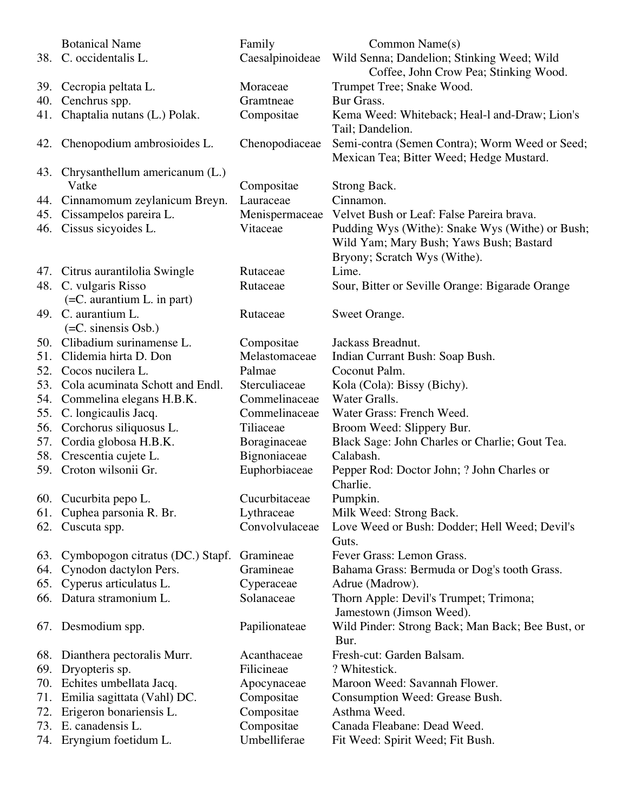|     | <b>Botanical Name</b>                        | Family          | Common Name(s)                                                                                                             |
|-----|----------------------------------------------|-----------------|----------------------------------------------------------------------------------------------------------------------------|
|     | 38. C. occidentalis L.                       | Caesalpinoideae | Wild Senna; Dandelion; Stinking Weed; Wild<br>Coffee, John Crow Pea; Stinking Wood.                                        |
|     | 39. Cecropia peltata L.                      | Moraceae        | Trumpet Tree; Snake Wood.                                                                                                  |
|     | 40. Cenchrus spp.                            | Gramtneae       | Bur Grass.                                                                                                                 |
|     | 41. Chaptalia nutans (L.) Polak.             | Compositae      | Kema Weed: Whiteback; Heal-1 and-Draw; Lion's<br>Tail; Dandelion.                                                          |
|     | 42. Chenopodium ambrosioides L.              | Chenopodiaceae  | Semi-contra (Semen Contra); Worm Weed or Seed;<br>Mexican Tea; Bitter Weed; Hedge Mustard.                                 |
|     | 43. Chrysanthellum americanum (L.)<br>Vatke  | Compositae      | Strong Back.                                                                                                               |
|     | 44. Cinnamomum zeylanicum Breyn.             | Lauraceae       | Cinnamon.                                                                                                                  |
|     | 45. Cissampelos pareira L.                   | Menispermaceae  | Velvet Bush or Leaf: False Pareira brava.                                                                                  |
|     | 46. Cissus sicyoides L.                      | Vitaceae        | Pudding Wys (Withe): Snake Wys (Withe) or Bush;<br>Wild Yam; Mary Bush; Yaws Bush; Bastard<br>Bryony; Scratch Wys (Withe). |
|     | 47. Citrus aurantilolia Swingle              | Rutaceae        | Lime.                                                                                                                      |
|     | 48. C. vulgaris Risso                        | Rutaceae        | Sour, Bitter or Seville Orange: Bigarade Orange                                                                            |
|     | $(=C.$ aurantium L. in part)                 |                 |                                                                                                                            |
|     | 49. C. aurantium L.<br>$(=C.$ sinensis Osb.) | Rutaceae        | Sweet Orange.                                                                                                              |
| 50. | Clibadium surinamense L.                     | Compositae      | Jackass Breadnut.                                                                                                          |
| 51. | Clidemia hirta D. Don                        | Melastomaceae   | Indian Currant Bush: Soap Bush.                                                                                            |
| 52. | Cocos nucilera L.                            | Palmae          | Coconut Palm.                                                                                                              |
| 53. | Cola acuminata Schott and Endl.              | Sterculiaceae   | Kola (Cola): Bissy (Bichy).                                                                                                |
| 54. | Commelina elegans H.B.K.                     | Commelinaceae   | Water Gralls.                                                                                                              |
| 55. | C. longicaulis Jacq.                         | Commelinaceae   | Water Grass: French Weed.                                                                                                  |
| 56. | Corchorus siliquosus L.                      | Tiliaceae       | Broom Weed: Slippery Bur.                                                                                                  |
| 57. | Cordia globosa H.B.K.                        | Boraginaceae    | Black Sage: John Charles or Charlie; Gout Tea.                                                                             |
| 58. | Crescentia cujete L.                         | Bignoniaceae    | Calabash.                                                                                                                  |
|     | 59. Croton wilsonii Gr.                      | Euphorbiaceae   | Pepper Rod: Doctor John; ? John Charles or<br>Charlie.                                                                     |
|     | 60. Cucurbita pepo L.                        | Cucurbitaceae   | Pumpkin.                                                                                                                   |
|     | 61. Cuphea parsonia R. Br.                   | Lythraceae      | Milk Weed: Strong Back.                                                                                                    |
|     | 62. Cuscuta spp.                             | Convolvulaceae  | Love Weed or Bush: Dodder; Hell Weed; Devil's<br>Guts.                                                                     |
|     | 63. Cymbopogon citratus (DC.) Stapf.         | Gramineae       | Fever Grass: Lemon Grass.                                                                                                  |
|     | 64. Cynodon dactylon Pers.                   | Gramineae       | Bahama Grass: Bermuda or Dog's tooth Grass.                                                                                |
|     | 65. Cyperus articulatus L.                   | Cyperaceae      | Adrue (Madrow).                                                                                                            |
|     | 66. Datura stramonium L.                     | Solanaceae      | Thorn Apple: Devil's Trumpet; Trimona;<br>Jamestown (Jimson Weed).                                                         |
|     | 67. Desmodium spp.                           | Papilionateae   | Wild Pinder: Strong Back; Man Back; Bee Bust, or<br>Bur.                                                                   |
|     | 68. Dianthera pectoralis Murr.               | Acanthaceae     | Fresh-cut: Garden Balsam.                                                                                                  |
| 69. | Dryopteris sp.                               | Filicineae      | ? Whitestick.                                                                                                              |
|     | 70. Echites umbellata Jacq.                  | Apocynaceae     | Maroon Weed: Savannah Flower.                                                                                              |
|     | 71. Emilia sagittata (Vahl) DC.              | Compositae      | Consumption Weed: Grease Bush.                                                                                             |
| 72. | Erigeron bonariensis L.                      | Compositae      | Asthma Weed.                                                                                                               |
| 73. | E. canadensis L.                             | Compositae      | Canada Fleabane: Dead Weed.                                                                                                |
|     | 74. Eryngium foetidum L.                     | Umbelliferae    | Fit Weed: Spirit Weed; Fit Bush.                                                                                           |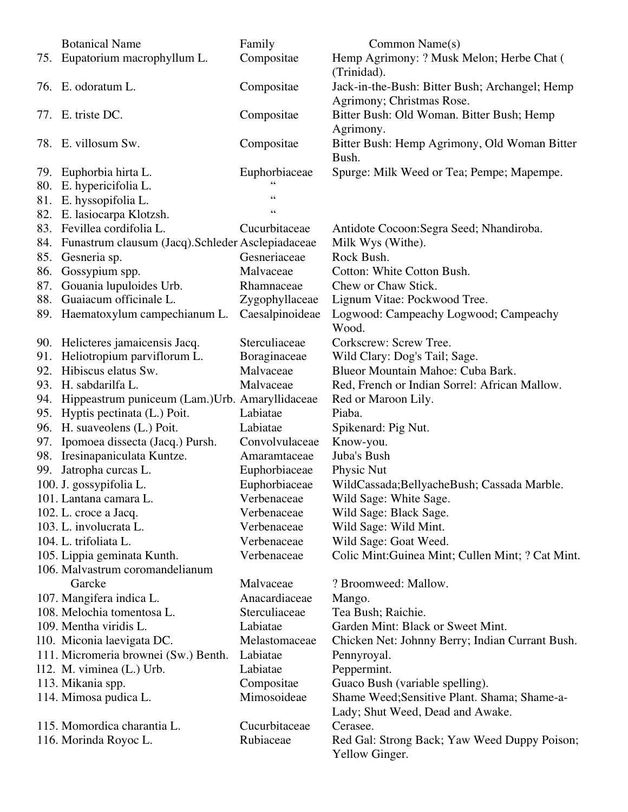|     | <b>Botanical Name</b>                                          | Family          | Common Name(s)                                                              |
|-----|----------------------------------------------------------------|-----------------|-----------------------------------------------------------------------------|
| 75. | Eupatorium macrophyllum L.                                     | Compositae      | Hemp Agrimony: ? Musk Melon; Herbe Chat (<br>(Trinidad).                    |
|     | 76. E. odoratum L.                                             | Compositae      | Jack-in-the-Bush: Bitter Bush; Archangel; Hemp<br>Agrimony; Christmas Rose. |
|     | 77. E. triste DC.                                              | Compositae      | Bitter Bush: Old Woman. Bitter Bush; Hemp<br>Agrimony.                      |
|     | 78. E. villosum Sw.                                            | Compositae      | Bitter Bush: Hemp Agrimony, Old Woman Bitter<br>Bush.                       |
|     | 79. Euphorbia hirta L.                                         | Euphorbiaceae   | Spurge: Milk Weed or Tea; Pempe; Mapempe.                                   |
| 80. | E. hypericifolia L.                                            |                 |                                                                             |
|     | 81. E. hyssopifolia L.                                         | 66              |                                                                             |
|     | 82. E. lasiocarpa Klotzsh.                                     | $\epsilon$      |                                                                             |
|     | 83. Fevillea cordifolia L.                                     | Cucurbitaceae   | Antidote Cocoon: Segra Seed; Nhandiroba.                                    |
|     | 84. Funastrum clausum (Jacq). Schleder Asclepiadaceae          |                 | Milk Wys (Withe).                                                           |
|     | 85. Gesneria sp.                                               | Gesneriaceae    | Rock Bush.                                                                  |
| 86. | Gossypium spp.                                                 | Malvaceae       | Cotton: White Cotton Bush.                                                  |
| 87. | Gouania lupuloides Urb.                                        | Rhamnaceae      | Chew or Chaw Stick.                                                         |
|     | 88. Guaiacum officinale L.                                     | Zygophyllaceae  | Lignum Vitae: Pockwood Tree.                                                |
|     | 89. Haematoxylum campechianum L.                               | Caesalpinoideae | Logwood: Campeachy Logwood; Campeachy<br>Wood.                              |
|     | 90. Helicteres jamaicensis Jacq.                               | Sterculiaceae   | Corkscrew: Screw Tree.                                                      |
|     | 91. Heliotropium parviflorum L.                                | Boraginaceae    | Wild Clary: Dog's Tail; Sage.                                               |
| 92. | Hibiscus elatus Sw.                                            | Malvaceae       | Blueor Mountain Mahoe: Cuba Bark.                                           |
|     | 93. H. sabdarilfa L.                                           | Malvaceae       | Red, French or Indian Sorrel: African Mallow.                               |
|     | 94. Hippeastrum puniceum (Lam.) Urb. Amaryllidaceae            |                 | Red or Maroon Lily.                                                         |
|     | 95. Hyptis pectinata (L.) Poit.                                | Labiatae        | Piaba.                                                                      |
|     | 96. H. suaveolens (L.) Poit.                                   | Labiatae        | Spikenard: Pig Nut.                                                         |
|     | 97. Ipomoea dissecta (Jacq.) Pursh.                            | Convolvulaceae  | Know-you.                                                                   |
|     | 98. Iresinapaniculata Kuntze.                                  | Amaramtaceae    | Juba's Bush                                                                 |
|     | 99. Jatropha curcas L.                                         | Euphorbiaceae   | Physic Nut                                                                  |
|     | 100. J. gossypifolia L.                                        | Euphorbiaceae   | WildCassada; Bellyache Bush; Cassada Marble.                                |
|     | 101. Lantana camara L.                                         | Verbenaceae     | Wild Sage: White Sage.                                                      |
|     | 102. L. croce a Jacq.                                          | Verbenaceae     | Wild Sage: Black Sage.                                                      |
|     | 103. L. involucrata L.                                         | Verbenaceae     | Wild Sage: Wild Mint.                                                       |
|     | 104. L. trifoliata L.                                          | Verbenaceae     | Wild Sage: Goat Weed.                                                       |
|     | 105. Lippia geminata Kunth.<br>106. Malvastrum coromandelianum | Verbenaceae     | Colic Mint: Guinea Mint; Cullen Mint; ? Cat Mint.                           |
|     | Garcke                                                         | Malvaceae       | ? Broomweed: Mallow.                                                        |
|     | 107. Mangifera indica L.                                       | Anacardiaceae   | Mango.                                                                      |
|     | 108. Melochia tomentosa L.                                     | Sterculiaceae   | Tea Bush; Raichie.                                                          |
|     | 109. Mentha viridis L.                                         | Labiatae        | Garden Mint: Black or Sweet Mint.                                           |
|     | 110. Miconia laevigata DC.                                     | Melastomaceae   | Chicken Net: Johnny Berry; Indian Currant Bush.                             |
|     | 111. Micromeria brownei (Sw.) Benth.                           | Labiatae        | Pennyroyal.                                                                 |
|     | 112. M. viminea (L.) Urb.                                      | Labiatae        | Peppermint.                                                                 |
|     | 113. Mikania spp.                                              | Compositae      | Guaco Bush (variable spelling).                                             |
|     | 114. Mimosa pudica L.                                          | Mimosoideae     | Shame Weed; Sensitive Plant. Shama; Shame-a-                                |
|     |                                                                |                 | Lady; Shut Weed, Dead and Awake.                                            |
|     | 115. Momordica charantia L.                                    | Cucurbitaceae   | Cerasee.                                                                    |
|     | 116. Morinda Royoc L.                                          | Rubiaceae       | Red Gal: Strong Back; Yaw Weed Duppy Poison;<br>Yellow Ginger.              |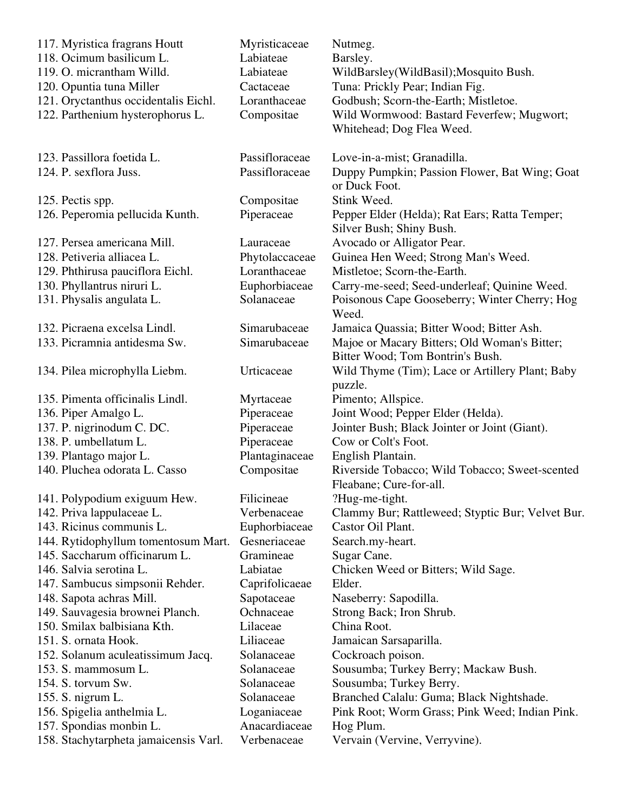| 117. Myristica fragrans Houtt         | Myristicaceae  | Nutmeg.                                                                   |
|---------------------------------------|----------------|---------------------------------------------------------------------------|
| 118. Ocimum basilicum L.              | Labiateae      | Barsley.                                                                  |
| 119. O. micrantham Willd.             | Labiateae      | WildBarsley(WildBasil); Mosquito Bush.                                    |
| 120. Opuntia tuna Miller              | Cactaceae      | Tuna: Prickly Pear; Indian Fig.                                           |
| 121. Oryctanthus occidentalis Eichl.  | Loranthaceae   | Godbush; Scorn-the-Earth; Mistletoe.                                      |
| 122. Parthenium hysterophorus L.      | Compositae     | Wild Wormwood: Bastard Feverfew; Mugwort;                                 |
|                                       |                | Whitehead; Dog Flea Weed.                                                 |
| 123. Passillora foetida L.            | Passifloraceae | Love-in-a-mist; Granadilla.                                               |
| 124. P. sexflora Juss.                | Passifloraceae | Duppy Pumpkin; Passion Flower, Bat Wing; Goat<br>or Duck Foot.            |
| 125. Pectis spp.                      | Compositae     | Stink Weed.                                                               |
| 126. Peperomia pellucida Kunth.       | Piperaceae     | Pepper Elder (Helda); Rat Ears; Ratta Temper;<br>Silver Bush; Shiny Bush. |
| 127. Persea americana Mill.           | Lauraceae      | Avocado or Alligator Pear.                                                |
| 128. Petiveria alliacea L.            | Phytolaccaceae | Guinea Hen Weed; Strong Man's Weed.                                       |
| 129. Phthirusa pauciflora Eichl.      | Loranthaceae   | Mistletoe; Scorn-the-Earth.                                               |
| 130. Phyllantrus niruri L.            | Euphorbiaceae  | Carry-me-seed; Seed-underleaf; Quinine Weed.                              |
| 131. Physalis angulata L.             | Solanaceae     | Poisonous Cape Gooseberry; Winter Cherry; Hog<br>Weed.                    |
| 132. Picraena excelsa Lindl.          | Simarubaceae   | Jamaica Quassia; Bitter Wood; Bitter Ash.                                 |
| 133. Picramnia antidesma Sw.          | Simarubaceae   | Majoe or Macary Bitters; Old Woman's Bitter;                              |
|                                       |                | Bitter Wood; Tom Bontrin's Bush.                                          |
| 134. Pilea microphylla Liebm.         | Urticaceae     | Wild Thyme (Tim); Lace or Artillery Plant; Baby<br>puzzle.                |
| 135. Pimenta officinalis Lindl.       | Myrtaceae      | Pimento; Allspice.                                                        |
| 136. Piper Amalgo L.                  | Piperaceae     | Joint Wood; Pepper Elder (Helda).                                         |
| 137. P. nigrinodum C. DC.             | Piperaceae     | Jointer Bush; Black Jointer or Joint (Giant).                             |
| 138. P. umbellatum L.                 | Piperaceae     | Cow or Colt's Foot.                                                       |
| 139. Plantago major L.                | Plantaginaceae | English Plantain.                                                         |
| 140. Pluchea odorata L. Casso         | Compositae     | Riverside Tobacco; Wild Tobacco; Sweet-scented<br>Fleabane; Cure-for-all. |
| 141. Polypodium exiguum Hew.          | Filicineae     | ?Hug-me-tight.                                                            |
| 142. Priva lappulaceae L.             | Verbenaceae    | Clammy Bur; Rattleweed; Styptic Bur; Velvet Bur.                          |
| 143. Ricinus communis L.              | Euphorbiaceae  | Castor Oil Plant.                                                         |
| 144. Rytidophyllum tomentosum Mart.   | Gesneriaceae   | Search.my-heart.                                                          |
| 145. Saccharum officinarum L.         | Gramineae      | Sugar Cane.                                                               |
| 146. Salvia serotina L.               | Labiatae       | Chicken Weed or Bitters; Wild Sage.                                       |
| 147. Sambucus simpsonii Rehder.       | Caprifolicaeae | Elder.                                                                    |
| 148. Sapota achras Mill.              | Sapotaceae     | Naseberry: Sapodilla.                                                     |
| 149. Sauvagesia brownei Planch.       | Ochnaceae      | Strong Back; Iron Shrub.                                                  |
| 150. Smilax balbisiana Kth.           | Lilaceae       | China Root.                                                               |
| 151. S. ornata Hook.                  | Liliaceae      | Jamaican Sarsaparilla.                                                    |
| 152. Solanum aculeatissimum Jacq.     | Solanaceae     | Cockroach poison.                                                         |
| 153. S. mammosum L.                   | Solanaceae     | Sousumba; Turkey Berry; Mackaw Bush.                                      |
| 154. S. torvum Sw.                    | Solanaceae     | Sousumba; Turkey Berry.                                                   |
| 155. S. nigrum L.                     | Solanaceae     | Branched Calalu: Guma; Black Nightshade.                                  |
| 156. Spigelia anthelmia L.            | Loganiaceae    | Pink Root; Worm Grass; Pink Weed; Indian Pink.                            |
| 157. Spondias monbin L.               | Anacardiaceae  | Hog Plum.                                                                 |
| 158. Stachytarpheta jamaicensis Varl. | Verbenaceae    | Vervain (Vervine, Verryvine).                                             |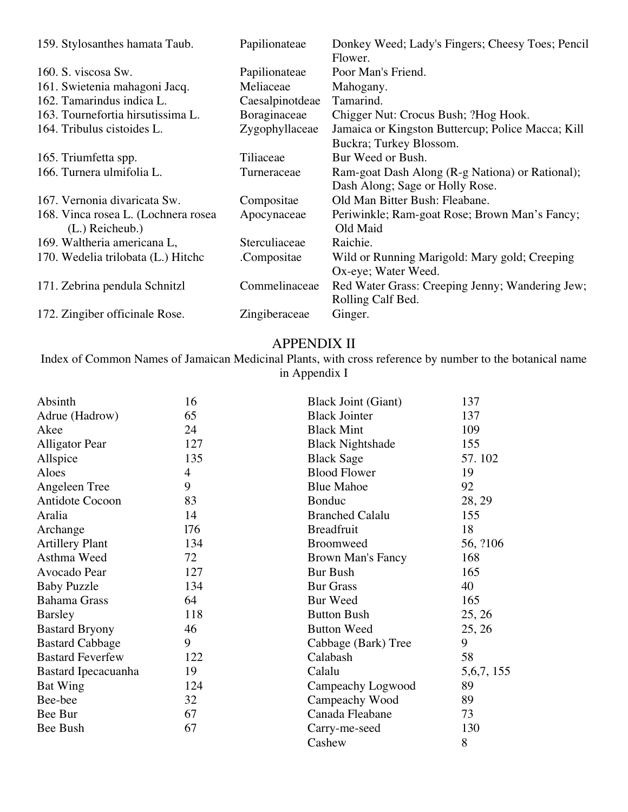| 159. Stylosanthes hamata Taub.      | Papilionateae   | Donkey Weed; Lady's Fingers; Cheesy Toes; Pencil<br>Flower. |
|-------------------------------------|-----------------|-------------------------------------------------------------|
| 160. S. viscosa Sw.                 | Papilionateae   | Poor Man's Friend.                                          |
| 161. Swietenia mahagoni Jacq.       | Meliaceae       | Mahogany.                                                   |
| 162. Tamarindus indica L.           | Caesalpinotdeae | Tamarind.                                                   |
| 163. Tournefortia hirsutissima L.   | Boraginaceae    | Chigger Nut: Crocus Bush; ?Hog Hook.                        |
| 164. Tribulus cistoides L.          | Zygophyllaceae  | Jamaica or Kingston Buttercup; Police Macca; Kill           |
|                                     |                 | Buckra; Turkey Blossom.                                     |
| 165. Triumfetta spp.                | Tiliaceae       | Bur Weed or Bush.                                           |
| 166. Turnera ulmifolia L.           | Turneraceae     | Ram-goat Dash Along (R-g Nationa) or Rational);             |
|                                     |                 | Dash Along; Sage or Holly Rose.                             |
| 167. Vernonia divaricata Sw.        | Compositae      | Old Man Bitter Bush: Fleabane.                              |
| 168. Vinca rosea L. (Lochnera rosea | Apocynaceae     | Periwinkle; Ram-goat Rose; Brown Man's Fancy;               |
| $(L.)$ Reicheub.)                   |                 | Old Maid                                                    |
| 169. Waltheria americana L,         | Sterculiaceae   | Raichie.                                                    |
| 170. Wedelia trilobata (L.) Hitchc  | Compositae.     | Wild or Running Marigold: Mary gold; Creeping               |
|                                     |                 | Ox-eye; Water Weed.                                         |
| 171. Zebrina pendula Schnitzl       | Commelinaceae   | Red Water Grass: Creeping Jenny; Wandering Jew;             |
|                                     |                 | Rolling Calf Bed.                                           |
| 172. Zingiber officinale Rose.      | Zingiberaceae   | Ginger.                                                     |

# APPENDIX II

Index of Common Names of Jamaican Medicinal Plants, with cross reference by number to the botanical name in Appendix I

| Absinth                 | 16             | <b>Black Joint (Giant)</b> | 137          |
|-------------------------|----------------|----------------------------|--------------|
| Adrue (Hadrow)          | 65             | <b>Black Jointer</b>       | 137          |
| Akee                    | 24             | <b>Black Mint</b>          | 109          |
| <b>Alligator Pear</b>   | 127            | <b>Black Nightshade</b>    | 155          |
| Allspice                | 135            | <b>Black Sage</b>          | 57.102       |
| Aloes                   | $\overline{4}$ | <b>Blood Flower</b>        | 19           |
| Angeleen Tree           | 9              | <b>Blue Mahoe</b>          | 92           |
| Antidote Cocoon         | 83             | <b>Bonduc</b>              | 28, 29       |
| Aralia                  | 14             | <b>Branched Calalu</b>     | 155          |
| Archange                | 176            | <b>Breadfruit</b>          | 18           |
| <b>Artillery Plant</b>  | 134            | <b>Broomweed</b>           | 56, ?106     |
| Asthma Weed             | 72             | <b>Brown Man's Fancy</b>   | 168          |
| Avocado Pear            | 127            | <b>Bur Bush</b>            | 165          |
| <b>Baby Puzzle</b>      | 134            | <b>Bur Grass</b>           | 40           |
| <b>Bahama Grass</b>     | 64             | <b>Bur Weed</b>            | 165          |
| <b>Barsley</b>          | 118            | <b>Button Bush</b>         | 25, 26       |
| <b>Bastard Bryony</b>   | 46             | <b>Button Weed</b>         | 25, 26       |
| <b>Bastard Cabbage</b>  | 9              | Cabbage (Bark) Tree        | 9            |
| <b>Bastard Feverfew</b> | 122            | Calabash                   | 58           |
| Bastard Ipecacuanha     | 19             | Calalu                     | 5, 6, 7, 155 |
| <b>Bat Wing</b>         | 124            | Campeachy Logwood          | 89           |
| Bee-bee                 | 32             | Campeachy Wood             | 89           |
| Bee Bur                 | 67             | Canada Fleabane            | 73           |
| Bee Bush                | 67             | Carry-me-seed              | 130          |
|                         |                | Cashew                     | 8            |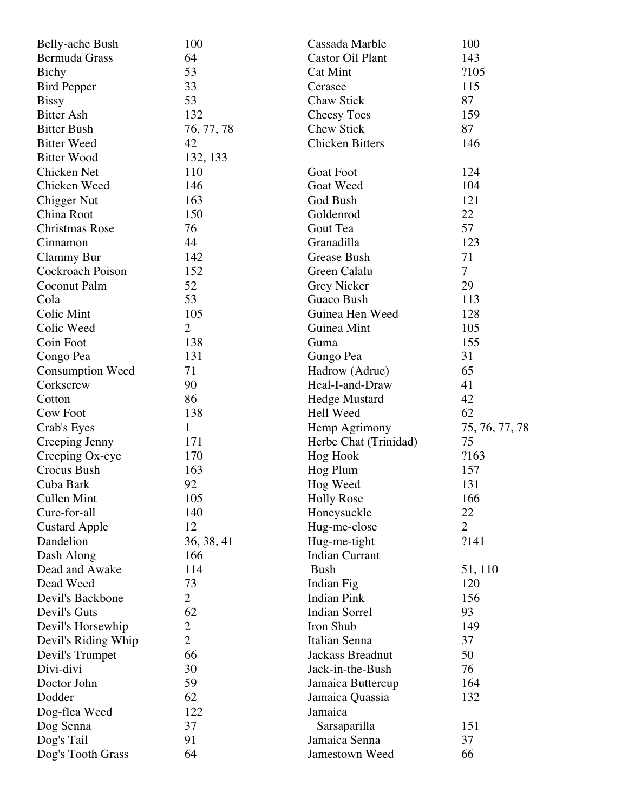| <b>Belly-ache Bush</b>  | 100            | Cassada Marble          | 100            |
|-------------------------|----------------|-------------------------|----------------|
| Bermuda Grass           | 64             | <b>Castor Oil Plant</b> | 143            |
| <b>Bichy</b>            | 53             | Cat Mint                | ?105           |
| <b>Bird Pepper</b>      | 33             | Cerasee                 | 115            |
| <b>Bissy</b>            | 53             | Chaw Stick              | 87             |
| <b>Bitter Ash</b>       | 132            | <b>Cheesy Toes</b>      | 159            |
| <b>Bitter Bush</b>      | 76, 77, 78     | <b>Chew Stick</b>       | 87             |
| <b>Bitter Weed</b>      | 42             | <b>Chicken Bitters</b>  | 146            |
| <b>Bitter Wood</b>      | 132, 133       |                         |                |
| Chicken Net             | 110            | <b>Goat Foot</b>        | 124            |
| Chicken Weed            | 146            | Goat Weed               | 104            |
| <b>Chigger Nut</b>      | 163            | God Bush                | 121            |
| China Root              | 150            | Goldenrod               | 22             |
| Christmas Rose          | 76             | Gout Tea                | 57             |
| Cinnamon                | 44             | Granadilla              | 123            |
| <b>Clammy Bur</b>       | 142            | Grease Bush             | 71             |
| Cockroach Poison        | 152            | Green Calalu            | $\tau$         |
| Coconut Palm            | 52             | Grey Nicker             | 29             |
| Cola                    | 53             | <b>Guaco Bush</b>       | 113            |
| Colic Mint              | 105            | Guinea Hen Weed         | 128            |
| Colic Weed              | $\overline{2}$ | Guinea Mint             | 105            |
| Coin Foot               | 138            | Guma                    | 155            |
| Congo Pea               | 131            | Gungo Pea               | 31             |
| <b>Consumption Weed</b> | 71             | Hadrow (Adrue)          | 65             |
| Corkscrew               | 90             | Heal-I-and-Draw         | 41             |
| Cotton                  | 86             | <b>Hedge Mustard</b>    | 42             |
| <b>Cow Foot</b>         | 138            | Hell Weed               | 62             |
| Crab's Eyes             | 1              | Hemp Agrimony           | 75, 76, 77, 78 |
| Creeping Jenny          | 171            | Herbe Chat (Trinidad)   | 75             |
| Creeping Ox-eye         | 170            | <b>Hog Hook</b>         | ?163           |
| Crocus Bush             | 163            | Hog Plum                | 157            |
| Cuba Bark               | 92             | Hog Weed                | 131            |
| <b>Cullen Mint</b>      | 105            | <b>Holly Rose</b>       | 166            |
| Cure-for-all            | 140            | Honeysuckle             | 22             |
| <b>Custard Apple</b>    | 12             | Hug-me-close            | $\overline{2}$ |
| Dandelion               | 36, 38, 41     | Hug-me-tight            | ?141           |
| Dash Along              | 166            | <b>Indian Currant</b>   |                |
| Dead and Awake          | 114            | <b>Bush</b>             | 51, 110        |
| Dead Weed               | 73             | Indian Fig              | 120            |
| Devil's Backbone        | $\overline{2}$ | <b>Indian Pink</b>      | 156            |
| Devil's Guts            | 62             | <b>Indian Sorrel</b>    | 93             |
| Devil's Horsewhip       | $\overline{2}$ | Iron Shub               | 149            |
| Devil's Riding Whip     | $\overline{2}$ | Italian Senna           | 37             |
| Devil's Trumpet         | 66             | Jackass Breadnut        | 50             |
| Divi-divi               | 30             | Jack-in-the-Bush        | 76             |
| Doctor John             | 59             | Jamaica Buttercup       | 164            |
| Dodder                  | 62             | Jamaica Quassia         | 132            |
| Dog-flea Weed           | 122            | Jamaica                 |                |
| Dog Senna               | 37             | Sarsaparilla            | 151            |
| Dog's Tail              | 91             | Jamaica Senna           | 37             |
| Dog's Tooth Grass       | 64             | Jamestown Weed          | 66             |
|                         |                |                         |                |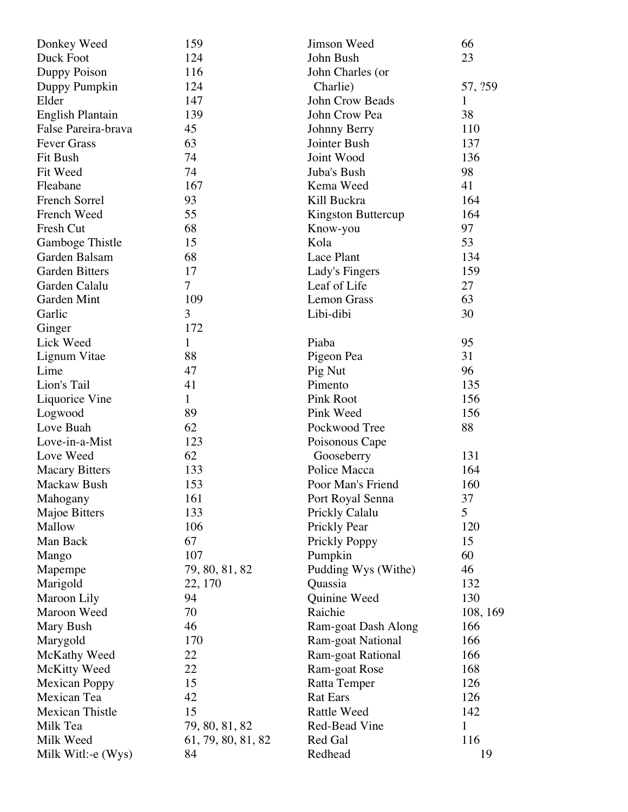| Donkey Weed             | 159                | Jimson Weed         | 66           |
|-------------------------|--------------------|---------------------|--------------|
| Duck Foot               | 124                | John Bush           | 23           |
| Duppy Poison            | 116                | John Charles (or    |              |
| Duppy Pumpkin           | 124                | Charlie)            | 57, ?59      |
| Elder                   | 147                | John Crow Beads     | 1            |
| <b>English Plantain</b> | 139                | John Crow Pea       | 38           |
| False Pareira-brava     | 45                 | Johnny Berry        | 110          |
| <b>Fever Grass</b>      | 63                 | Jointer Bush        | 137          |
| Fit Bush                | 74                 | Joint Wood          | 136          |
| Fit Weed                | 74                 | Juba's Bush         | 98           |
| Fleabane                | 167                | Kema Weed           | 41           |
| French Sorrel           | 93                 | Kill Buckra         | 164          |
| French Weed             | 55                 | Kingston Buttercup  | 164          |
| Fresh Cut               | 68                 | Know-you            | 97           |
| Gamboge Thistle         | 15                 | Kola                | 53           |
| Garden Balsam           | 68                 | Lace Plant          | 134          |
| <b>Garden Bitters</b>   | 17                 | Lady's Fingers      | 159          |
| Garden Calalu           | $\tau$             | Leaf of Life        | 27           |
| Garden Mint             | 109                | <b>Lemon Grass</b>  | 63           |
| Garlic                  | 3                  | Libi-dibi           | 30           |
| Ginger                  | 172                |                     |              |
| Lick Weed               | $\mathbf{1}$       | Piaba               | 95           |
| Lignum Vitae            | 88                 | Pigeon Pea          | 31           |
| Lime                    | 47                 | Pig Nut             | 96           |
| Lion's Tail             | 41                 | Pimento             | 135          |
| Liquorice Vine          | $\mathbf{1}$       | <b>Pink Root</b>    | 156          |
| Logwood                 | 89                 | Pink Weed           | 156          |
| Love Buah               | 62                 | Pockwood Tree       | 88           |
| Love-in-a-Mist          | 123                | Poisonous Cape      |              |
| Love Weed               | 62                 | Gooseberry          | 131          |
| <b>Macary Bitters</b>   | 133                | Police Macca        | 164          |
| Mackaw Bush             | 153                | Poor Man's Friend   | 160          |
| Mahogany                | 161                | Port Royal Senna    | 37           |
| Majoe Bitters           | 133                | Prickly Calalu      | 5            |
| Mallow                  | 106                | Prickly Pear        | 120          |
| Man Back                | 67                 | Prickly Poppy       | 15           |
| Mango                   | 107                | Pumpkin             | 60           |
| Mapempe                 | 79, 80, 81, 82     | Pudding Wys (Withe) | 46           |
| Marigold                | 22, 170            | Quassia             | 132          |
| Maroon Lily             | 94                 | Quinine Weed        | 130          |
| Maroon Weed             | 70                 | Raichie             | 108, 169     |
| Mary Bush               | 46                 | Ram-goat Dash Along | 166          |
| Marygold                | 170                | Ram-goat National   | 166          |
| McKathy Weed            | 22                 | Ram-goat Rational   | 166          |
| McKitty Weed            | 22                 | Ram-goat Rose       | 168          |
| <b>Mexican Poppy</b>    | 15                 | Ratta Temper        | 126          |
| Mexican Tea             | 42                 | <b>Rat Ears</b>     | 126          |
| <b>Mexican Thistle</b>  | 15                 | <b>Rattle Weed</b>  | 142          |
| Milk Tea                | 79, 80, 81, 82     | Red-Bead Vine       | $\mathbf{1}$ |
| Milk Weed               | 61, 79, 80, 81, 82 | Red Gal             | 116          |
| Milk Witl:-e (Wys)      | 84                 | Redhead             | 19           |
|                         |                    |                     |              |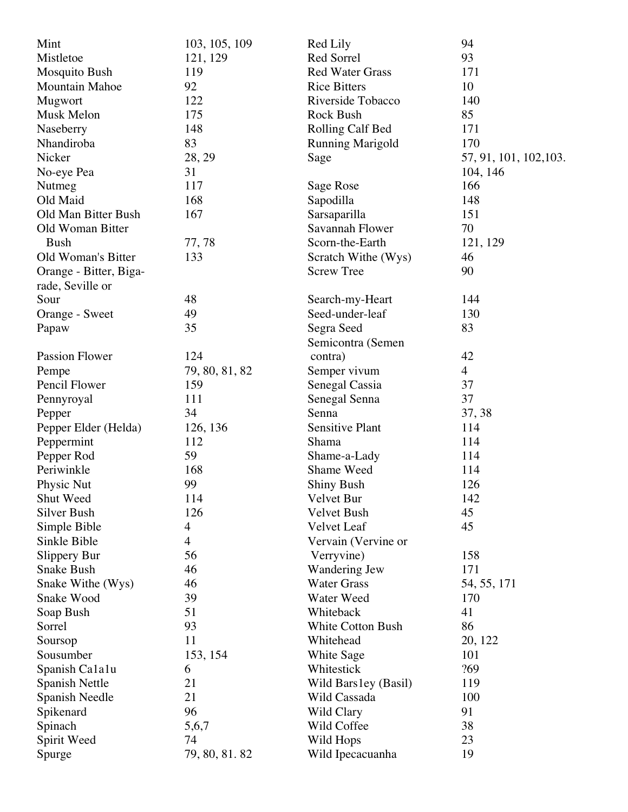| Mint                   | 103, 105, 109  | Red Lily                 | 94                     |
|------------------------|----------------|--------------------------|------------------------|
| Mistletoe              | 121, 129       | Red Sorrel               | 93                     |
| Mosquito Bush          | 119            | <b>Red Water Grass</b>   | 171                    |
| <b>Mountain Mahoe</b>  | 92             | <b>Rice Bitters</b>      | 10                     |
| Mugwort                | 122            | Riverside Tobacco        | 140                    |
| Musk Melon             | 175            | <b>Rock Bush</b>         | 85                     |
| Naseberry              | 148            | Rolling Calf Bed         | 171                    |
| Nhandiroba             | 83             | <b>Running Marigold</b>  | 170                    |
| Nicker                 | 28, 29         | Sage                     | 57, 91, 101, 102, 103. |
| No-eye Pea             | 31             |                          | 104, 146               |
| Nutmeg                 | 117            | Sage Rose                | 166                    |
| Old Maid               | 168            | Sapodilla                | 148                    |
| Old Man Bitter Bush    | 167            | Sarsaparilla             | 151                    |
| Old Woman Bitter       |                | Savannah Flower          | 70                     |
| <b>Bush</b>            | 77,78          | Scorn-the-Earth          | 121, 129               |
| Old Woman's Bitter     | 133            | Scratch Withe (Wys)      | 46                     |
| Orange - Bitter, Biga- |                | <b>Screw Tree</b>        | 90                     |
| rade, Seville or       |                |                          |                        |
| Sour                   | 48             | Search-my-Heart          | 144                    |
| Orange - Sweet         | 49             | Seed-under-leaf          | 130                    |
| Papaw                  | 35             | Segra Seed               | 83                     |
|                        |                | Semicontra (Semen        |                        |
| Passion Flower         | 124            |                          | 42                     |
|                        |                | contra)                  | $\overline{4}$         |
| Pempe<br>Pencil Flower | 79, 80, 81, 82 | Semper vivum             | 37                     |
|                        | 159<br>111     | Senegal Cassia           | 37                     |
| Pennyroyal             | 34             | Senegal Senna<br>Senna   |                        |
| Pepper                 |                |                          | 37, 38                 |
| Pepper Elder (Helda)   | 126, 136       | <b>Sensitive Plant</b>   | 114                    |
| Peppermint             | 112            | Shama                    | 114                    |
| Pepper Rod             | 59             | Shame-a-Lady             | 114                    |
| Periwinkle             | 168            | Shame Weed               | 114                    |
| Physic Nut             | 99             | <b>Shiny Bush</b>        | 126                    |
| Shut Weed              | 114            | Velvet Bur               | 142                    |
| Silver Bush            | 126            | Velvet Bush              | 45                     |
| Simple Bible           | $\overline{4}$ | Velvet Leaf              | 45                     |
| Sinkle Bible           | $\overline{4}$ | Vervain (Vervine or      |                        |
| Slippery Bur           | 56             | Verryvine)               | 158                    |
| <b>Snake Bush</b>      | 46             | Wandering Jew            | 171                    |
| Snake Withe (Wys)      | 46             | <b>Water Grass</b>       | 54, 55, 171            |
| Snake Wood             | 39             | Water Weed               | 170                    |
| Soap Bush              | 51             | Whiteback                | 41                     |
| Sorrel                 | 93             | <b>White Cotton Bush</b> | 86                     |
| Soursop                | 11             | Whitehead                | 20, 122                |
| Sousumber              | 153, 154       | White Sage               | 101                    |
| Spanish Calalu         | 6              | Whitestick               | ?69                    |
| <b>Spanish Nettle</b>  | 21             | Wild Bars1ey (Basil)     | 119                    |
| Spanish Needle         | 21             | Wild Cassada             | 100                    |
| Spikenard              | 96             | Wild Clary               | 91                     |
| Spinach                | 5,6,7          | Wild Coffee              | 38                     |
| Spirit Weed            | 74             | Wild Hops                | 23                     |
| Spurge                 | 79, 80, 81. 82 | Wild Ipecacuanha         | 19                     |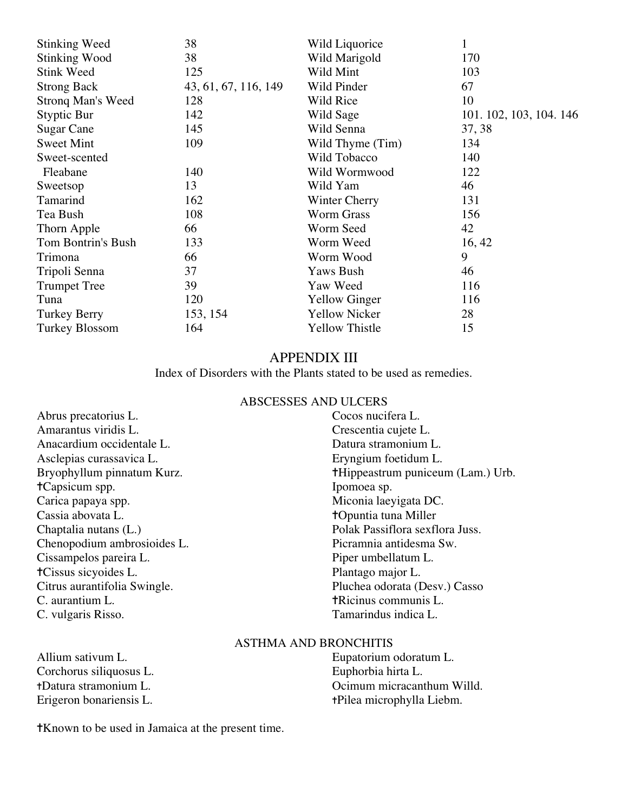| <b>Stinking Weed</b>     | 38                   | Wild Liquorice        | 1                       |
|--------------------------|----------------------|-----------------------|-------------------------|
| Stinking Wood            | 38                   | Wild Marigold         | 170                     |
| <b>Stink Weed</b>        | 125                  | Wild Mint             | 103                     |
| <b>Strong Back</b>       | 43, 61, 67, 116, 149 | Wild Pinder           | 67                      |
| <b>Strong Man's Weed</b> | 128                  | Wild Rice             | 10                      |
| Styptic Bur              | 142                  | Wild Sage             | 101. 102, 103, 104. 146 |
| <b>Sugar Cane</b>        | 145                  | Wild Senna            | 37, 38                  |
| <b>Sweet Mint</b>        | 109                  | Wild Thyme (Tim)      | 134                     |
| Sweet-scented            |                      | Wild Tobacco          | 140                     |
| Fleabane                 | 140                  | Wild Wormwood         | 122                     |
| Sweetsop                 | 13                   | Wild Yam              | 46                      |
| Tamarind                 | 162                  | Winter Cherry         | 131                     |
| Tea Bush                 | 108                  | <b>Worm Grass</b>     | 156                     |
| Thorn Apple              | 66                   | Worm Seed             | 42                      |
| Tom Bontrin's Bush       | 133                  | Worm Weed             | 16, 42                  |
| Trimona                  | 66                   | Worm Wood             | 9                       |
| Tripoli Senna            | 37                   | <b>Yaws Bush</b>      | 46                      |
| <b>Trumpet Tree</b>      | 39                   | Yaw Weed              | 116                     |
| Tuna                     | 120                  | <b>Yellow Ginger</b>  | 116                     |
| Turkey Berry             | 153, 154             | <b>Yellow Nicker</b>  | 28                      |
| Turkey Blossom           | 164                  | <b>Yellow Thistle</b> | 15                      |

# APPENDIX III

Index of Disorders with the Plants stated to be used as remedies.

# ABSCESSES AND ULCERS

| Cocos nucifera L.                        |  |
|------------------------------------------|--|
| Crescentia cujete L.                     |  |
| Datura stramonium L.                     |  |
| Eryngium foetidum L.                     |  |
| <b>†Hippeastrum puniceum (Lam.)</b> Urb. |  |
| Ipomoea sp.                              |  |
| Miconia laeyigata DC.                    |  |
| <b>+Opuntia tuna Miller</b>              |  |
| Polak Passiflora sexflora Juss.          |  |
| Picramnia antidesma Sw.                  |  |
| Piper umbellatum L.                      |  |
| Plantago major L.                        |  |
| Pluchea odorata (Desv.) Casso            |  |
| <b>TRicinus communis L.</b>              |  |
| Tamarindus indica L.                     |  |
|                                          |  |

# ASTHMA AND BRONCHITIS

Corchorus siliquosus L.<br>+Datura stramonium L.

Allium sativum L.<br>
Corchorus siliquosus L.<br>
Euphorbia hirta L.<br>
Euphorbia hirta L. tDatura stramonium L.<br>
Erigeron bonariensis L.<br> **Existence** Communication in the Communication of the Communication of the Communication of the Communication of the Communication of the Communication of the Communication +Pilea microphylla Liebm.

✝Known to be used in Jamaica at the present time.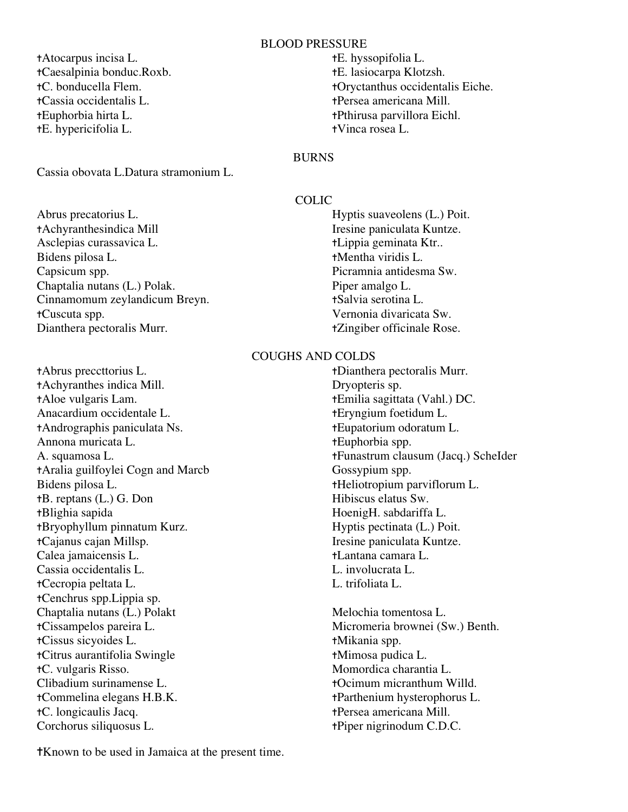#### BLOOD PRESSURE

✝Atocarpus incisa L. ✝E. hyssopifolia L. ✝Caesalpinia bonduc.Roxb. ✝E. lasiocarpa Klotzsh. ✝Cassia occidentalis L. ✝Persea americana Mill. ✝Euphorbia hirta L. ✝Pthirusa parvillora Eichl. ✝E. hypericifolia L. ✝Vinca rosea L.

Cassia obovata L.Datura stramonium L.

Abrus precatorius L. Hyptis suaveolens (L.) Poit. ✝Achyranthesindica Mill Iresine paniculata Kuntze. Asclepias curassavica L. ✝Lippia geminata Ktr.. Bidens pilosa L. **the that is the the set of the the three terms** of the terms of the terms of the terms of the terms of the terms of the terms of the terms of the terms of the terms of the terms of the terms of the terms Capsicum spp. Picramnia antidesma Sw. Chaptalia nutans (L.) Polak. Piper amalgo L. Cinnamomum zeylandicum Breyn. ✝Salvia serotina L. ✝Cuscuta spp. Vernonia divaricata Sw. Dianthera pectoralis Murr. ✝Zingiber officinale Rose.

✝Abrus preccttorius L. ✝Dianthera pectoralis Murr. ✝Achyranthes indica Mill. Dryopteris sp. ✝Aloe vulgaris Lam. ✝Emilia sagittata (Vahl.) DC. Anacardium occidentale L. ✝Eryngium foetidum L. ✝Andrographis paniculata Ns. ✝Eupatorium odoratum L. Annona muricata L. **the transfer of the transfer of the transfer of the transfer of the transfer of the transfer of the transfer of the transfer of the transfer of the transfer of the transfer of the transfer of the transf** ✝Aralia guilfoylei Cogn and Marcb Gossypium spp. Bidens pilosa L. ✝Heliotropium parviflorum L. tB. reptans (L.) G. Don Hibiscus elatus Sw. ✝Blighia sapida HoenigH. sabdariffa L. ✝Bryophyllum pinnatum Kurz. Hyptis pectinata (L.) Poit. ✝Cajanus cajan Millsp. Iresine paniculata Kuntze. Calea jamaicensis L. ✝Lantana camara L. Cassia occidentalis L.  $\qquad \qquad$  L. involucrata L. ✝Cecropia peltata L. L. trifoliata L. ✝Cenchrus spp.Lippia sp. Chaptalia nutans (L.) Polakt Melochia tomentosa L. ✝Cissampelos pareira L. Micromeria brownei (Sw.) Benth. ✝Cissus sicyoides L. ✝Mikania spp. ✝Citrus aurantifolia Swingle ✝Mimosa pudica L. ✝C. vulgaris Risso. Momordica charantia L. Clibadium surinamense L. ✝Ocimum micranthum Willd. ✝Commelina elegans H.B.K. ✝Parthenium hysterophorus L. ✝C. longicaulis Jacq. ✝Persea americana Mill. Corchorus siliquosus L. ✝Piper nigrinodum C.D.C.

✝Known to be used in Jamaica at the present time.

✝C. bonducella Flem. ✝Oryctanthus occidentalis Eiche.

# BURNS

# COLIC

# COUGHS AND COLDS

A. squamosa L. ✝Funastrum clausum (Jacq.) ScheIder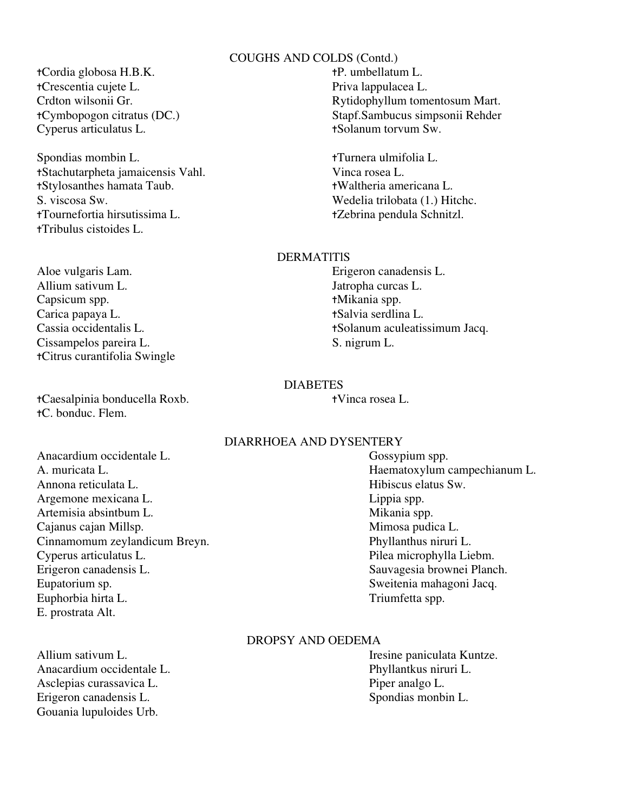# COUGHS AND COLDS (Contd.)

✝Cordia globosa H.B.K. ✝P. umbellatum L. ✝Crescentia cujete L. Priva lappulacea L. Cyperus articulatus L. **the example of the Cyperus** articulatus L. the theorem Sw.

Spondias mombin L. **the set of the set of the set of the set of the set of the set of the set of the set of the set of the set of the set of the set of the set of the set of the set of the set of the set of the set of the** ✝Stachutarpheta jamaicensis Vahl. Vinca rosea L. ✝Stylosanthes hamata Taub. ✝Waltheria americana L. S. viscosa Sw. Wedelia trilobata (1.) Hitchc. ✝Tournefortia hirsutissima L. ✝Zebrina pendula Schnitzl. ✝Tribulus cistoides L.

Aloe vulgaris Lam. Erigeron canadensis L. Allium sativum L. Jatropha curcas L. Capsicum spp. ✝Mikania spp. Carica papaya L. **the server of the Carica server of the Carica server of the Carica server of the Carica server of the Carica server of the Carica server of the Carica server of the Carica server of the Carica server of t** Cissampelos pareira L. S. nigrum L. ✝Citrus curantifolia Swingle

✝Caesalpinia bonducella Roxb. ✝Vinca rosea L. ✝C. bonduc. Flem.

Anacardium occidentale L. Gossypium spp. A. muricata L. Haematoxylum campechianum L. Annona reticulata L. Hibiscus elatus Sw. Argemone mexicana L. Contract to the Lippia spp. Artemisia absintbum L. Mikania spp. Cajanus cajan Millsp.<br>
Cinnamomum zeylandicum Breyn.<br>
Phyllanthus niruri L. Cinnamomum zeylandicum Breyn. Cyperus articulatus L. Pilea microphylla Liebm. Erigeron canadensis L. Sauvagesia brownei Planch. Eupatorium sp. Sweitenia mahagoni Jacq. Euphorbia hirta L. Triumfetta spp. E. prostrata Alt.

Anacardium occidentale L. Phyllantkus niruri L. Asclepias curassavica L.<br>
Erigeron canadensis L.<br>
Spondias monbin L.<br>
Spondias monbin L. Erigeron canadensis L. Gouania lupuloides Urb.

# Crdton wilsonii Gr. Rytidophyllum tomentosum Mart. ✝Cymbopogon citratus (DC.) Stapf.Sambucus simpsonii Rehder

#### **DERMATITIS**

Cassia occidentalis L. **the example of the example of the example of the example of the example of the example of the example of the example of the example of the example of the example of the example of the example of the** 

#### DIABETES

# DIARRHOEA AND DYSENTERY

# DROPSY AND OEDEMA

Allium sativum L. **Italy 1986** Iresine paniculata Kuntze.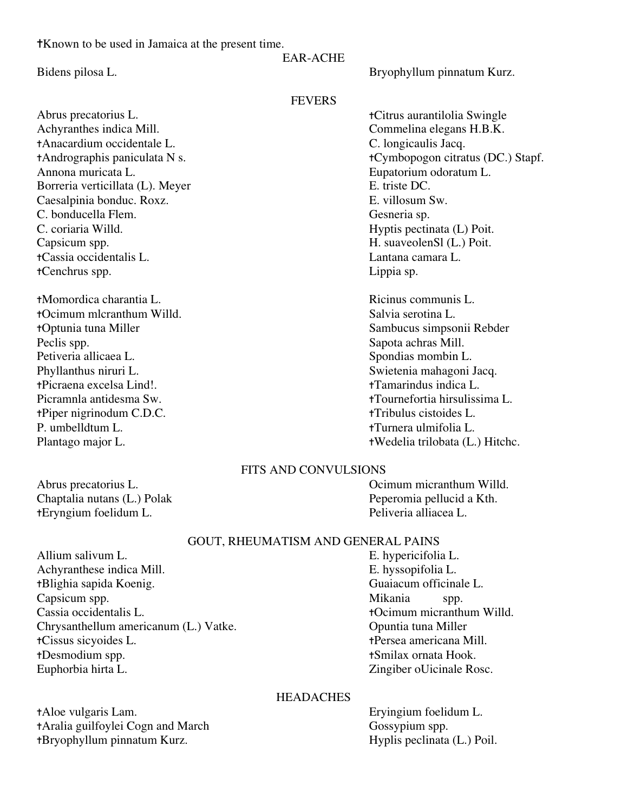✝Known to be used in Jamaica at the present time.

# EAR-ACHE

Abrus precatorius L. ✝Citrus aurantilolia Swingle Achyranthes indica Mill. Commelina elegans H.B.K. ✝Anacardium occidentale L. C. longicaulis Jacq. Annona muricata L. Eupatorium odoratum L. Borreria verticillata (L). Meyer E. triste DC. Caesalpinia bonduc. Roxz. E. villosum Sw. C. bonducella Flem. Gesneria sp. C. coriaria Willd. Hyptis pectinata (L) Poit. Capsicum spp. **H. suaveolenSl (L.)** Poit. ✝Cassia occidentalis L. Lantana camara L. ✝Cenchrus spp. Lippia sp.

✝Momordica charantia L. Ricinus communis L. †Ocimum mlcranthum Willd. Salvia serotina L. ✝Optunia tuna Miller Sambucus simpsonii Rebder Peclis spp. Sapota achras Mill. Petiveria allicaea L. Spondias mombin L. Phyllanthus niruri L.<br>
Flicraena excelsa Lind!.<br>
Tamarindus indica L.<br>
Tamarindus indica L. tPicraena excelsa Lind!. ✝Piper nigrinodum C.D.C. ✝Tribulus cistoides L. P. umbelldtum L. ✝Turnera ulmifolia L.

**FEVERS** 

✝Andrographis paniculata N s. ✝Cymbopogon citratus (DC.) Stapf.

Picramnla antidesma Sw. ✝Tournefortia hirsulissima L. Plantago major L. ✝Wedelia trilobata (L.) Hitchc.

# FITS AND CONVULSIONS

Abrus precatorius L. Ocimum micranthum Willd. Chaptalia nutans (L.) Polak Peperomia pellucid a Kth. ✝Eryngium foelidum L. Peliveria alliacea L.

# GOUT, RHEUMATISM AND GENERAL PAINS

Allium salivum L. Salis et al. Section 1. Section 1. Section 1. Section 1. Section 1. Section 1. Section 1. Section 1. Section 1. Section 1. Section 1. Section 1. Section 1. Section 1. Section 1. Section 1. Section 1. Sect Achyranthese indica Mill. E. hyssopifolia L. ✝Blighia sapida Koenig. Guaiacum officinale L. Capsicum spp.  $\blacksquare$  Mikania spp. Cassia occidentalis L. ✝Ocimum micranthum Willd. Chrysanthellum americanum (L.) Vatke. Opuntia tuna Miller ✝Cissus sicyoides L. ✝Persea americana Mill. Euphorbia hirta L. Zingiber oUicinale Rosc.

✝Desmodium spp. ✝Smilax ornata Hook.

# **HEADACHES**

✝Aloe vulgaris Lam. Eryingium foelidum L. tAralia guilfoylei Cogn and March Gossypium spp. †Bryophyllum pinnatum Kurz. → Hyplis peclinata (L.) Poil.

Bidens pilosa L. Bryophyllum pinnatum Kurz.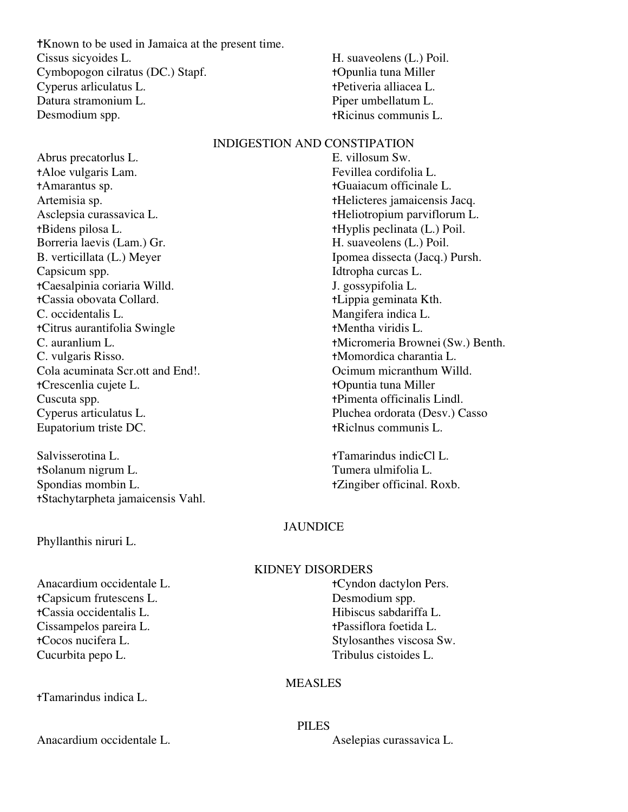✝Known to be used in Jamaica at the present time. Cissus sicyoides L. H. suaveolens (L.) Poil. Cymbopogon cilratus (DC.) Stapf. ✝Opunlia tuna Miller Cyperus arliculatus L. ✝Petiveria alliacea L. Datura stramonium L. Solution Company Piper umbellatum L. Desmodium spp.  $\qquad \qquad \text{+Ricinus communis L.}$ 

# INDIGESTION AND CONSTIPATION

Abrus precatorlus L. E. villosum Sw. ✝Aloe vulgaris Lam. Fevillea cordifolia L. ✝Amarantus sp. ✝Guaiacum officinale L. Artemisia sp. the intervalse of the theorem of the theorem is a the the term of the term is a the term of the term of the term is a term of the term of the term of the term is a term of the term of the term of the term is Asclepsia curassavica L. ✝Heliotropium parviflorum L. ✝Bidens pilosa L. ✝Hyplis peclinata (L.) Poil. Borreria laevis (Lam.) Gr. (Equation 1: 1) H. suaveolens (L.) Poil. B. verticillata (L.) Meyer Ipomea dissecta (Jacq.) Pursh. Capsicum spp. Idtropha curcas L. ✝Caesalpinia coriaria Willd. J. gossypifolia L. ✝Cassia obovata Collard. ✝Lippia geminata Kth. C. occidentalis L. Mangifera indica L. ✝Citrus aurantifolia Swingle ✝Mentha viridis L. C. vulgaris Risso. ✝Momordica charantia L. Cola acuminata Scr.ott and End!. Ocimum micranthum Willd. ✝Crescenlia cujete L. ✝Opuntia tuna Miller Cuscuta spp. ✝Pimenta officinalis Lindl. Cyperus articulatus L. Pluchea ordorata (Desv.) Casso Eupatorium triste DC. <br>  $\bullet$  +Riclnus communis L.

Salvisserotina L. ✝Tamarindus indicCl L. ✝Solanum nigrum L. Tumera ulmifolia L. Spondias mombin L. **takes** the state of the spondial control of the state of the state of the state of the state of the state of the state of the state of the state of the state of the state of the state of the state of th ✝Stachytarpheta jamaicensis Vahl.

Phyllanthis niruri L.

Anacardium occidentale L. **the example of the example of the example of the example of the example of the example of the example of the example of the example of the example of the example of the example of the example of** ✝Capsicum frutescens L. Desmodium spp. ✝Cassia occidentalis L. Hibiscus sabdariffa L. Cissampelos pareira L. **the existence** the transition of the transition of the transition of the transition of the transition of the transition of the transition of the transition of the transition of the transition of the ✝Cocos nucifera L. Stylosanthes viscosa Sw. Cucurbita pepo L. Tribulus cistoides L.

✝Tamarindus indica L.

Anacardium occidentale L. Aselepias curassavica L.

C. auranlium L. **the authorization** of the theorem is a the three terms of the terms of the terms of the terms of the terms of the terms of the terms of the terms of the terms of the terms of the terms of the terms of the

# JAUNDICE

# KIDNEY DISORDERS

# **MEASLES**

PILES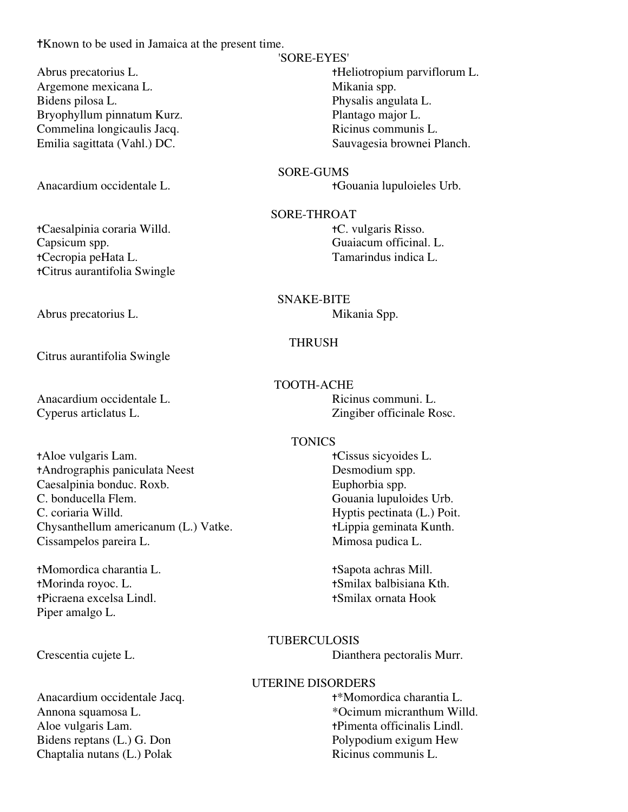✝Known to be used in Jamaica at the present time.

Argemone mexicana L. Mikania spp. Bidens pilosa L. Physalis angulata L. Bryophyllum pinnatum Kurz. Plantago major L. Commelina longicaulis Jacq. Ricinus communis L.

Anacardium occidentale L. ✝Gouania lupuloieles Urb.

✝Caesalpinia coraria Willd. ✝C. vulgaris Risso. Capsicum spp. Guaiacum officinal. L. ✝Cecropia peHata L. Tamarindus indica L. ✝Citrus aurantifolia Swingle

Citrus aurantifolia Swingle

Anacardium occidentale L. **Ricinus communi.** L. Cyperus articlatus L. Zingiber officinale Rosc.

✝Aloe vulgaris Lam. ✝Cissus sicyoides L. ✝Andrographis paniculata Neest Desmodium spp. Caesalpinia bonduc. Roxb. Euphorbia spp. C. bonducella Flem. Gouania lupuloides Urb. C. coriaria Willd. Hyptis pectinata (L.) Poit. Chysanthellum americanum (L.) Vatke. <br> **tLippia geminata Kunth.**<br>
Cissampelos pareira L. Mimosa pudica L. Cissampelos pareira L.

✝Momordica charantia L. ✝Sapota achras Mill. ✝Morinda royoc. L. ✝Smilax balbisiana Kth. ✝Picraena excelsa Lindl. ✝Smilax ornata Hook Piper amalgo L.

Anacardium occidentale Jacq.  $+*$ Momordica charantia L. Aloe vulgaris Lam.  $\qquad \qquad \text{+Pimenta officialis Lindl.}$ Bidens reptans (L.) G. Don Polypodium exigum Hew<br>
Chaptalia nutans (L.) Polak Ricinus communis L. Chaptalia nutans (L.) Polak

# 'SORE-EYES'

Abrus precatorius L. ✝Heliotropium parviflorum L. Emilia sagittata (Vahl.) DC. Sauvagesia brownei Planch.

# SORE-GUMS

# SORE-THROAT

# SNAKE-BITE Abrus precatorius L. Mikania Spp.

# THRUSH

# TOOTH-ACHE

# **TONICS**

# TUBERCULOSIS

Crescentia cujete L. Dianthera pectoralis Murr.

# UTERINE DISORDERS

Annona squamosa L.  $\bullet$  \*Ocimum micranthum Willd.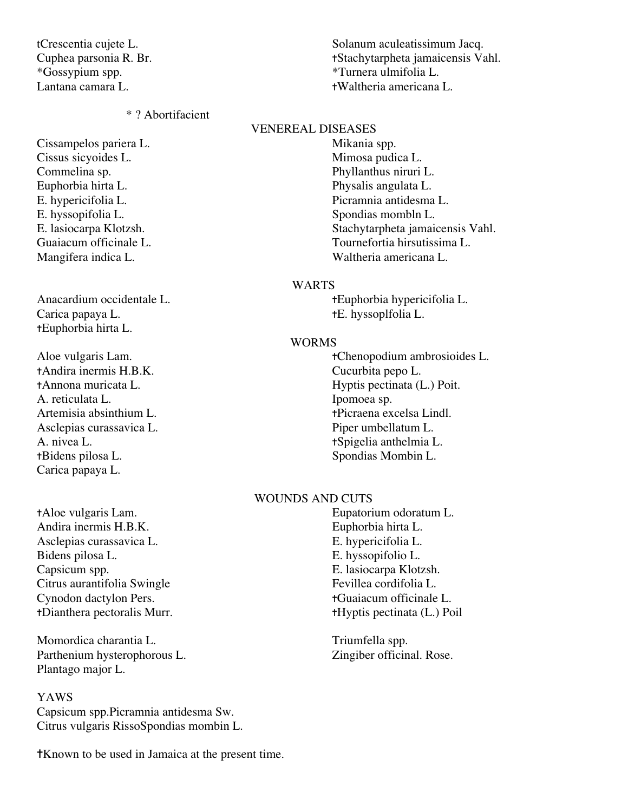\*Gossypium spp. \*Turnera ulmifolia L.

#### \* ? Abortifacient

Cissampelos pariera L. Mikania spp. Cissus sicyoides L. Mimosa pudica L. Commelina sp. Phyllanthus niruri L. Euphorbia hirta L. Physalis angulata L. E. hyssopifolia L. Spondias mombln L.

Carica papaya L.  $\qquad \qquad \text{tE. }$  hyssoplfolia L. ✝Euphorbia hirta L.

†Andira inermis H.B.K. Cucurbita pepo L.<br>←Annona muricata L. Kura Hyptis pectinata (I A. reticulata L. Ipomoea sp. Asclepias curassavica L. Piper umbellatum L. A. nivea L. **the set of the set of the set of the set of the set of the set of the set of the set of the set of the set of the set of the set of the set of the set of the set of the set of the set of the set of the set of** ✝Bidens pilosa L. Spondias Mombin L. Carica papaya L.

✝Aloe vulgaris Lam. Eupatorium odoratum L. Andira inermis H.B.K. Euphorbia hirta L. Asclepias curassavica L. E. hypericifolia L. Bidens pilosa L. E. hyssopifolio L. Capsicum spp. E. lasiocarpa Klotzsh. Citrus aurantifolia Swingle Fevillea cordifolia L. Cynodon dactylon Pers. ✝Guaiacum officinale L. ✝Dianthera pectoralis Murr. ✝Hyptis pectinata (L.) Poil

Momordica charantia L. Triumfella spp. Parthenium hysterophorous L. Zingiber officinal. Rose. Plantago major L.

# YAWS

Capsicum spp.Picramnia antidesma Sw. Citrus vulgaris RissoSpondias mombin L.

✝Known to be used in Jamaica at the present time.

tCrescentia cujete L. Solanum aculeatissimum Jacq. Cuphea parsonia R. Br. ✝Stachytarpheta jamaicensis Vahl. Lantana camara L. ✝Waltheria americana L.

#### VENEREAL DISEASES

E. hypericifolia L. Picramnia antidesma L. E. lasiocarpa Klotzsh. Stachytarpheta jamaicensis Vahl. Guaiacum officinale L. Tournefortia hirsutissima L. Mangifera indica L. Waltheria americana L.

#### WARTS

Anacardium occidentale L. *tEuphorbia hypericifolia* L.

#### WORMS

Aloe vulgaris Lam.  $\bullet$  +Chenopodium ambrosioides L. Hyptis pectinata (L.) Poit. Artemisia absinthium L. ✝Picraena excelsa Lindl.

# WOUNDS AND CUTS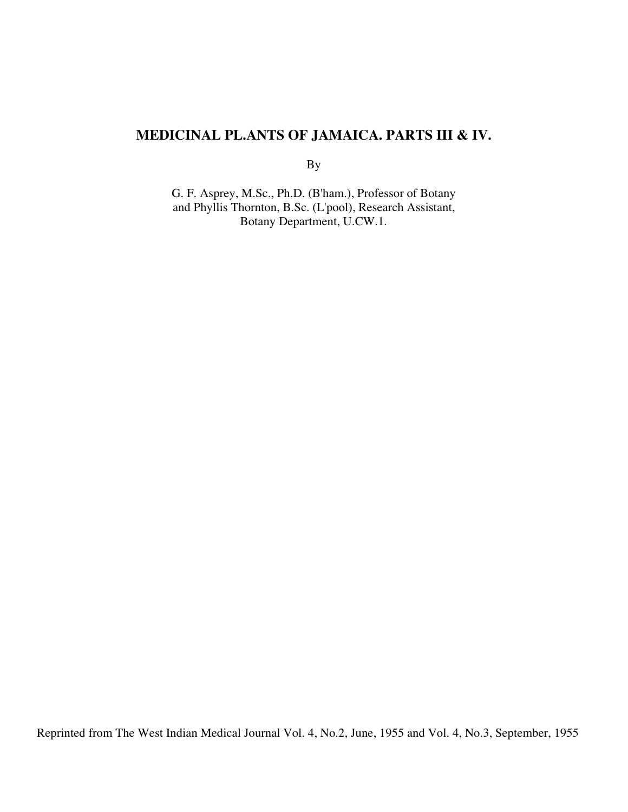# **MEDICINAL PL.ANTS OF JAMAICA. PARTS III & IV.**

By

G. F. Asprey, M.Sc., Ph.D. (B'ham.), Professor of Botany and Phyllis Thornton, B.Sc. (L'pool), Research Assistant, Botany Department, U.CW.1.

Reprinted from The West Indian Medical Journal Vol. 4, No.2, June, 1955 and Vol. 4, No.3, September, 1955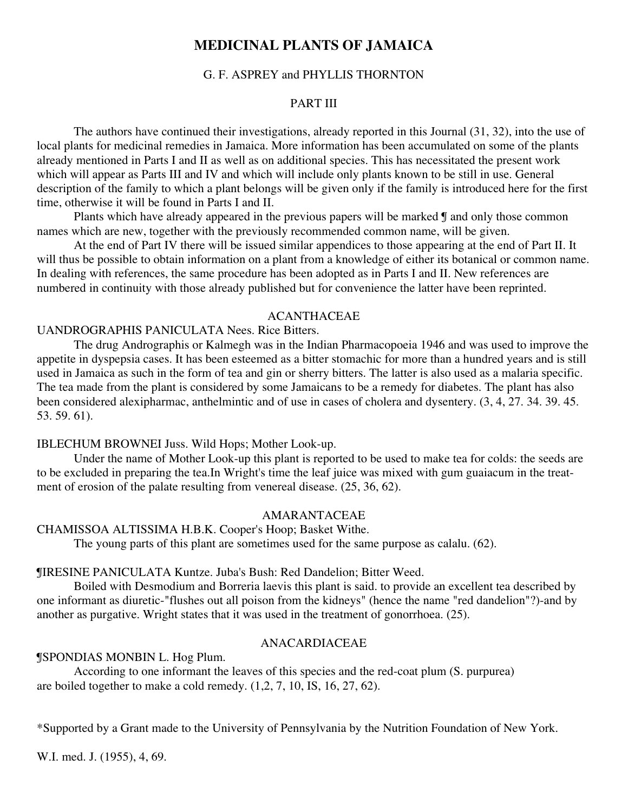# **MEDICINAL PLANTS OF JAMAICA**

# G. F. ASPREY and PHYLLIS THORNTON

# PART III

The authors have continued their investigations, already reported in this Journal (31, 32), into the use of local plants for medicinal remedies in Jamaica. More information has been accumulated on some of the plants already mentioned in Parts I and II as well as on additional species. This has necessitated the present work which will appear as Parts III and IV and which will include only plants known to be still in use. General description of the family to which a plant belongs will be given only if the family is introduced here for the first time, otherwise it will be found in Parts I and II.

Plants which have already appeared in the previous papers will be marked  $\mathcal I$  and only those common names which are new, together with the previously recommended common name, will be given.

At the end of Part IV there will be issued similar appendices to those appearing at the end of Part II. It will thus be possible to obtain information on a plant from a knowledge of either its botanical or common name. In dealing with references, the same procedure has been adopted as in Parts I and II. New references are numbered in continuity with those already published but for convenience the latter have been reprinted.

# ACANTHACEAE

# UANDROGRAPHIS PANICULATA Nees. Rice Bitters.

The drug Andrographis or Kalmegh was in the Indian Pharmacopoeia 1946 and was used to improve the appetite in dyspepsia cases. It has been esteemed as a bitter stomachic for more than a hundred years and is still used in Jamaica as such in the form of tea and gin or sherry bitters. The latter is also used as a malaria specific. The tea made from the plant is considered by some Jamaicans to be a remedy for diabetes. The plant has also been considered alexipharmac, anthelmintic and of use in cases of cholera and dysentery. (3, 4, 27. 34. 39. 45. 53. 59. 61).

#### IBLECHUM BROWNEI Juss. Wild Hops; Mother Look-up.

Under the name of Mother Look-up this plant is reported to be used to make tea for colds: the seeds are to be excluded in preparing the tea.In Wright's time the leaf juice was mixed with gum guaiacum in the treatment of erosion of the palate resulting from venereal disease. (25, 36, 62).

# AMARANTACEAE

#### CHAMISSOA ALTISSIMA H.B.K. Cooper's Hoop; Basket Withe.

The young parts of this plant are sometimes used for the same purpose as calalu. (62).

#### ¶IRESINE PANICULATA Kuntze. Juba's Bush: Red Dandelion; Bitter Weed.

Boiled with Desmodium and Borreria laevis this plant is said. to provide an excellent tea described by one informant as diuretic-"flushes out all poison from the kidneys" (hence the name "red dandelion"?)-and by another as purgative. Wright states that it was used in the treatment of gonorrhoea. (25).

# ANACARDIACEAE

¶SPONDIAS MONBIN L. Hog Plum.

According to one informant the leaves of this species and the red-coat plum (S. purpurea) are boiled together to make a cold remedy. (1,2, 7, 10, IS, 16, 27, 62).

\*Supported by a Grant made to the University of Pennsylvania by the Nutrition Foundation of New York.

W.I. med. J. (1955), 4, 69.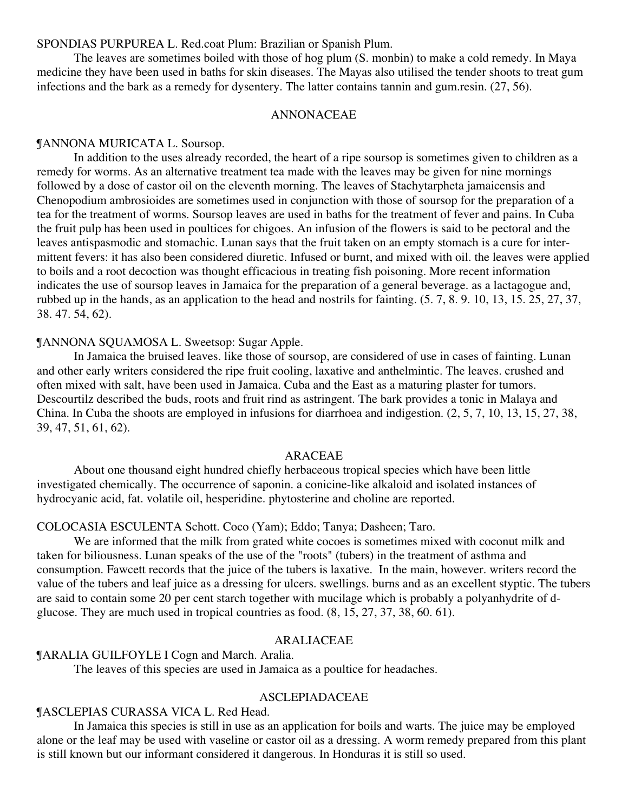SPONDIAS PURPUREA L. Red.coat Plum: Brazilian or Spanish Plum.

The leaves are sometimes boiled with those of hog plum (S. monbin) to make a cold remedy. In Maya medicine they have been used in baths for skin diseases. The Mayas also utilised the tender shoots to treat gum infections and the bark as a remedy for dysentery. The latter contains tannin and gum.resin. (27, 56).

# ANNONACEAE

#### ¶ANNONA MURICATA L. Soursop.

In addition to the uses already recorded, the heart of a ripe soursop is sometimes given to children as a remedy for worms. As an alternative treatment tea made with the leaves may be given for nine mornings followed by a dose of castor oil on the eleventh morning. The leaves of Stachytarpheta jamaicensis and Chenopodium ambrosioides are sometimes used in conjunction with those of soursop for the preparation of a tea for the treatment of worms. Soursop leaves are used in baths for the treatment of fever and pains. In Cuba the fruit pulp has been used in poultices for chigoes. An infusion of the flowers is said to be pectoral and the leaves antispasmodic and stomachic. Lunan says that the fruit taken on an empty stomach is a cure for intermittent fevers: it has also been considered diuretic. Infused or burnt, and mixed with oil. the leaves were applied to boils and a root decoction was thought efficacious in treating fish poisoning. More recent information indicates the use of soursop leaves in Jamaica for the preparation of a general beverage. as a lactagogue and, rubbed up in the hands, as an application to the head and nostrils for fainting. (5. 7, 8. 9. 10, 13, 15. 25, 27, 37, 38. 47. 54, 62).

#### ¶ANNONA SQUAMOSA L. Sweetsop: Sugar Apple.

In Jamaica the bruised leaves. like those of soursop, are considered of use in cases of fainting. Lunan and other early writers considered the ripe fruit cooling, laxative and anthelmintic. The leaves. crushed and often mixed with salt, have been used in Jamaica. Cuba and the East as a maturing plaster for tumors. Descourtilz described the buds, roots and fruit rind as astringent. The bark provides a tonic in Malaya and China. In Cuba the shoots are employed in infusions for diarrhoea and indigestion. (2, 5, 7, 10, 13, 15, 27, 38, 39, 47, 51, 61, 62).

#### ARACEAE

About one thousand eight hundred chiefly herbaceous tropical species which have been little investigated chemically. The occurrence of saponin. a conicine-like alkaloid and isolated instances of hydrocyanic acid, fat. volatile oil, hesperidine. phytosterine and choline are reported.

# COLOCASIA ESCULENTA Schott. Coco (Yam); Eddo; Tanya; Dasheen; Taro.

We are informed that the milk from grated white cocoes is sometimes mixed with coconut milk and taken for biliousness. Lunan speaks of the use of the "roots" (tubers) in the treatment of asthma and consumption. Fawcett records that the juice of the tubers is laxative. In the main, however. writers record the value of the tubers and leaf juice as a dressing for ulcers. swellings. burns and as an excellent styptic. The tubers are said to contain some 20 per cent starch together with mucilage which is probably a polyanhydrite of dglucose. They are much used in tropical countries as food. (8, 15, 27, 37, 38, 60. 61).

#### ARALIACEAE

¶ARALIA GUILFOYLE I Cogn and March. Aralia.

The leaves of this species are used in Jamaica as a poultice for headaches.

#### ASCLEPIADACEAE

#### ¶ASCLEPIAS CURASSA VICA L. Red Head.

In Jamaica this species is still in use as an application for boils and warts. The juice may be employed alone or the leaf may be used with vaseline or castor oil as a dressing. A worm remedy prepared from this plant is still known but our informant considered it dangerous. In Honduras it is still so used.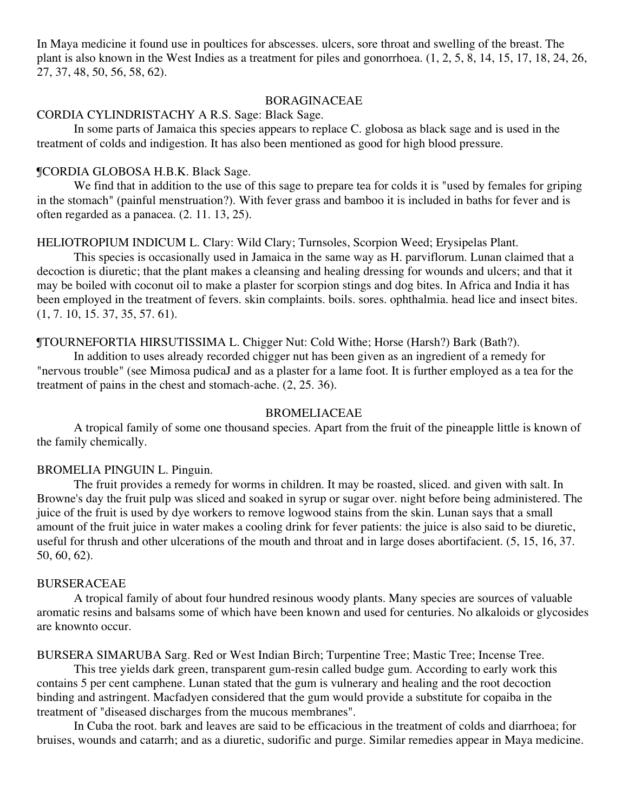In Maya medicine it found use in poultices for abscesses. ulcers, sore throat and swelling of the breast. The plant is also known in the West Indies as a treatment for piles and gonorrhoea. (1, 2, 5, 8, 14, 15, 17, 18, 24, 26, 27, 37, 48, 50, 56, 58, 62).

# BORAGINACEAE

# CORDIA CYLINDRISTACHY A R.S. Sage: Black Sage.

In some parts of Jamaica this species appears to replace C. globosa as black sage and is used in the treatment of colds and indigestion. It has also been mentioned as good for high blood pressure.

# ¶CORDIA GLOBOSA H.B.K. Black Sage.

We find that in addition to the use of this sage to prepare tea for colds it is "used by females for griping in the stomach" (painful menstruation?). With fever grass and bamboo it is included in baths for fever and is often regarded as a panacea. (2. 11. 13, 25).

# HELIOTROPIUM INDICUM L. Clary: Wild Clary; Turnsoles, Scorpion Weed; Erysipelas Plant.

This species is occasionally used in Jamaica in the same way as H. parviflorum. Lunan claimed that a decoction is diuretic; that the plant makes a cleansing and healing dressing for wounds and ulcers; and that it may be boiled with coconut oil to make a plaster for scorpion stings and dog bites. In Africa and India it has been employed in the treatment of fevers. skin complaints. boils. sores. ophthalmia. head lice and insect bites. (1, 7. 10, 15. 37, 35, 57. 61).

# ¶TOURNEFORTIA HIRSUTISSIMA L. Chigger Nut: Cold Withe; Horse (Harsh?) Bark (Bath?).

In addition to uses already recorded chigger nut has been given as an ingredient of a remedy for "nervous trouble" (see Mimosa pudicaJ and as a plaster for a lame foot. It is further employed as a tea for the treatment of pains in the chest and stomach-ache. (2, 25. 36).

#### BROMELIACEAE

A tropical family of some one thousand species. Apart from the fruit of the pineapple little is known of the family chemically.

#### BROMELIA PINGUIN L. Pinguin.

The fruit provides a remedy for worms in children. It may be roasted, sliced. and given with salt. In Browne's day the fruit pulp was sliced and soaked in syrup or sugar over. night before being administered. The juice of the fruit is used by dye workers to remove logwood stains from the skin. Lunan says that a small amount of the fruit juice in water makes a cooling drink for fever patients: the juice is also said to be diuretic, useful for thrush and other ulcerations of the mouth and throat and in large doses abortifacient. (5, 15, 16, 37. 50, 60, 62).

#### BURSERACEAE

A tropical family of about four hundred resinous woody plants. Many species are sources of valuable aromatic resins and balsams some of which have been known and used for centuries. No alkaloids or glycosides are knownto occur.

BURSERA SIMARUBA Sarg. Red or West Indian Birch; Turpentine Tree; Mastic Tree; Incense Tree.

This tree yields dark green, transparent gum-resin called budge gum. According to early work this contains 5 per cent camphene. Lunan stated that the gum is vulnerary and healing and the root decoction binding and astringent. Macfadyen considered that the gum would provide a substitute for copaiba in the treatment of "diseased discharges from the mucous membranes".

In Cuba the root. bark and leaves are said to be efficacious in the treatment of colds and diarrhoea; for bruises, wounds and catarrh; and as a diuretic, sudorific and purge. Similar remedies appear in Maya medicine.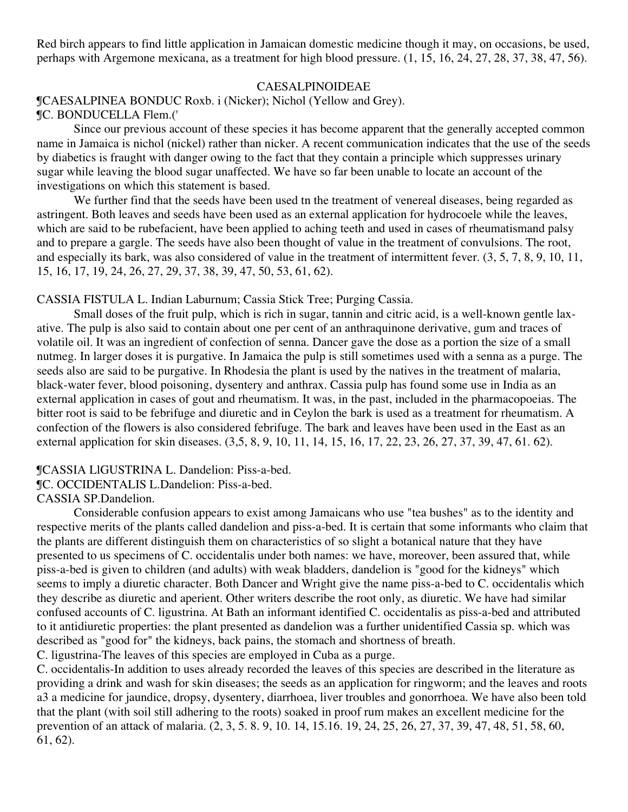Red birch appears to find little application in Jamaican domestic medicine though it may, on occasions, be used, perhaps with Argemone mexicana, as a treatment for high blood pressure. (1, 15, 16, 24, 27, 28, 37, 38, 47, 56).

#### CAESALPINOIDEAE

¶CAESALPINEA BONDUC Roxb. i (Nicker); Nichol (Yellow and Grey).

# ¶C. BONDUCELLA Flem.('

Since our previous account of these species it has become apparent that the generally accepted common name in Jamaica is nichol (nickel) rather than nicker. A recent communication indicates that the use of the seeds by diabetics is fraught with danger owing to the fact that they contain a principle which suppresses urinary sugar while leaving the blood sugar unaffected. We have so far been unable to locate an account of the investigations on which this statement is based.

We further find that the seeds have been used tn the treatment of venereal diseases, being regarded as astringent. Both leaves and seeds have been used as an external application for hydrocoele while the leaves, which are said to be rubefacient, have been applied to aching teeth and used in cases of rheumatismand palsy and to prepare a gargle. The seeds have also been thought of value in the treatment of convulsions. The root, and especially its bark, was also considered of value in the treatment of intermittent fever. (3, 5, 7, 8, 9, 10, 11, 15, 16, 17, 19, 24, 26, 27, 29, 37, 38, 39, 47, 50, 53, 61, 62).

CASSIA FISTULA L. Indian Laburnum; Cassia Stick Tree; Purging Cassia.

Small doses of the fruit pulp, which is rich in sugar, tannin and citric acid, is a well-known gentle laxative. The pulp is also said to contain about one per cent of an anthraquinone derivative, gum and traces of volatile oil. It was an ingredient of confection of senna. Dancer gave the dose as a portion the size of a small nutmeg. In larger doses it is purgative. In Jamaica the pulp is still sometimes used with a senna as a purge. The seeds also are said to be purgative. In Rhodesia the plant is used by the natives in the treatment of malaria, black-water fever, blood poisoning, dysentery and anthrax. Cassia pulp has found some use in India as an external application in cases of gout and rheumatism. It was, in the past, included in the pharmacopoeias. The bitter root is said to be febrifuge and diuretic and in Ceylon the bark is used as a treatment for rheumatism. A confection of the flowers is also considered febrifuge. The bark and leaves have been used in the East as an external application for skin diseases. (3,5, 8, 9, 10, 11, 14, 15, 16, 17, 22, 23, 26, 27, 37, 39, 47, 61. 62).

¶CASSIA LlGUSTRINA L. Dandelion: Piss-a-bed.

¶C. OCCIDENTALIS L.Dandelion: Piss-a-bed.

CASSIA SP.Dandelion.

Considerable confusion appears to exist among Jamaicans who use "tea bushes" as to the identity and respective merits of the plants called dandelion and piss-a-bed. It is certain that some informants who claim that the plants are different distinguish them on characteristics of so slight a botanical nature that they have presented to us specimens of C. occidentalis under both names: we have, moreover, been assured that, while piss-a-bed is given to children (and adults) with weak bladders, dandelion is "good for the kidneys" which seems to imply a diuretic character. Both Dancer and Wright give the name piss-a-bed to C. occidentalis which they describe as diuretic and aperient. Other writers describe the root only, as diuretic. We have had similar confused accounts of C. ligustrina. At Bath an informant identified C. occidentalis as piss-a-bed and attributed to it antidiuretic properties: the plant presented as dandelion was a further unidentified Cassia sp. which was described as "good for" the kidneys, back pains, the stomach and shortness of breath. C. ligustrina-The leaves of this species are employed in Cuba as a purge.

C. occidentalis-In addition to uses already recorded the leaves of this species are described in the literature as providing a drink and wash for skin diseases; the seeds as an application for ringworm; and the leaves and roots a3 a medicine for jaundice, dropsy, dysentery, diarrhoea, liver troubles and gonorrhoea. We have also been told that the plant (with soil still adhering to the roots) soaked in proof rum makes an excellent medicine for the prevention of an attack of malaria. (2, 3, 5. 8. 9, 10. 14, 15.16. 19, 24, 25, 26, 27, 37, 39, 47, 48, 51, 58, 60, 61, 62).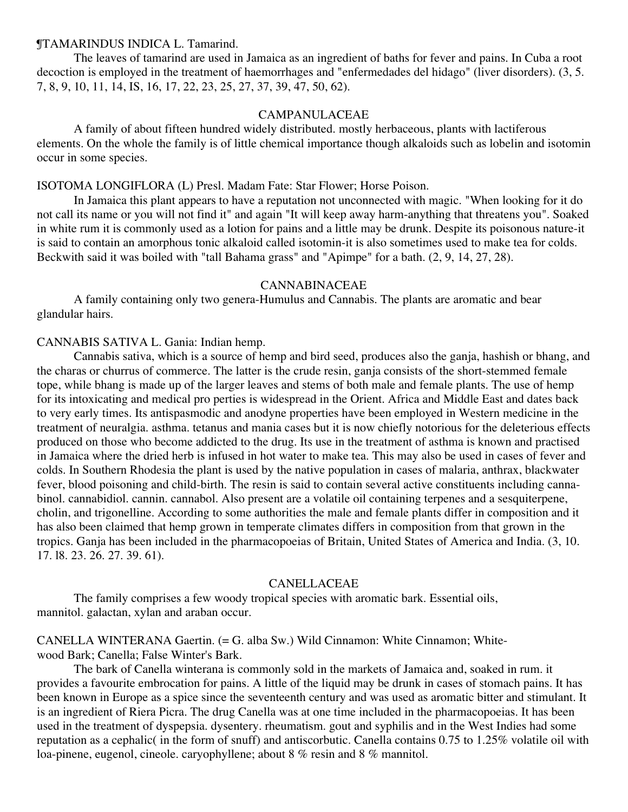#### ¶TAMARINDUS INDICA L. Tamarind.

The leaves of tamarind are used in Jamaica as an ingredient of baths for fever and pains. In Cuba a root decoction is employed in the treatment of haemorrhages and "enfermedades del hidago" (liver disorders). (3, 5. 7, 8, 9, 10, 11, 14, IS, 16, 17, 22, 23, 25, 27, 37, 39, 47, 50, 62).

# CAMPANULACEAE

A family of about fifteen hundred widely distributed. mostly herbaceous, plants with lactiferous elements. On the whole the family is of little chemical importance though alkaloids such as lobelin and isotomin occur in some species.

# ISOTOMA LONGIFLORA (L) Presl. Madam Fate: Star Flower; Horse Poison.

In Jamaica this plant appears to have a reputation not unconnected with magic. "When looking for it do not call its name or you will not find it" and again "It will keep away harm-anything that threatens you". Soaked in white rum it is commonly used as a lotion for pains and a little may be drunk. Despite its poisonous nature-it is said to contain an amorphous tonic alkaloid called isotomin-it is also sometimes used to make tea for colds. Beckwith said it was boiled with "tall Bahama grass" and "Apimpe" for a bath. (2, 9, 14, 27, 28).

#### CANNABINACEAE

A family containing only two genera-Humulus and Cannabis. The plants are aromatic and bear glandular hairs.

#### CANNABIS SATIVA L. Gania: Indian hemp.

Cannabis sativa, which is a source of hemp and bird seed, produces also the ganja, hashish or bhang, and the charas or churrus of commerce. The latter is the crude resin, ganja consists of the short-stemmed female tope, while bhang is made up of the larger leaves and stems of both male and female plants. The use of hemp for its intoxicating and medical pro perties is widespread in the Orient. Africa and Middle East and dates back to very early times. Its antispasmodic and anodyne properties have been employed in Western medicine in the treatment of neuralgia. asthma. tetanus and mania cases but it is now chiefly notorious for the deleterious effects produced on those who become addicted to the drug. Its use in the treatment of asthma is known and practised in Jamaica where the dried herb is infused in hot water to make tea. This may also be used in cases of fever and colds. In Southern Rhodesia the plant is used by the native population in cases of malaria, anthrax, blackwater fever, blood poisoning and child-birth. The resin is said to contain several active constituents including cannabinol. cannabidiol. cannin. cannabol. Also present are a volatile oil containing terpenes and a sesquiterpene, cholin, and trigonelline. According to some authorities the male and female plants differ in composition and it has also been claimed that hemp grown in temperate climates differs in composition from that grown in the tropics. Ganja has been included in the pharmacopoeias of Britain, United States of America and India. (3, 10. 17. l8. 23. 26. 27. 39. 61).

#### CANELLACEAE

The family comprises a few woody tropical species with aromatic bark. Essential oils, mannitol. galactan, xylan and araban occur.

CANELLA WINTERANA Gaertin. (= G. alba Sw.) Wild Cinnamon: White Cinnamon; Whitewood Bark; Canella; False Winter's Bark.

The bark of Canella winterana is commonly sold in the markets of Jamaica and, soaked in rum. it provides a favourite embrocation for pains. A little of the liquid may be drunk in cases of stomach pains. It has been known in Europe as a spice since the seventeenth century and was used as aromatic bitter and stimulant. It is an ingredient of Riera Picra. The drug Canella was at one time included in the pharmacopoeias. It has been used in the treatment of dyspepsia. dysentery. rheumatism. gout and syphilis and in the West Indies had some reputation as a cephalic( in the form of snuff) and antiscorbutic. Canella contains 0.75 to 1.25% volatile oil with loa-pinene, eugenol, cineole. caryophyllene; about 8 % resin and 8 % mannitol.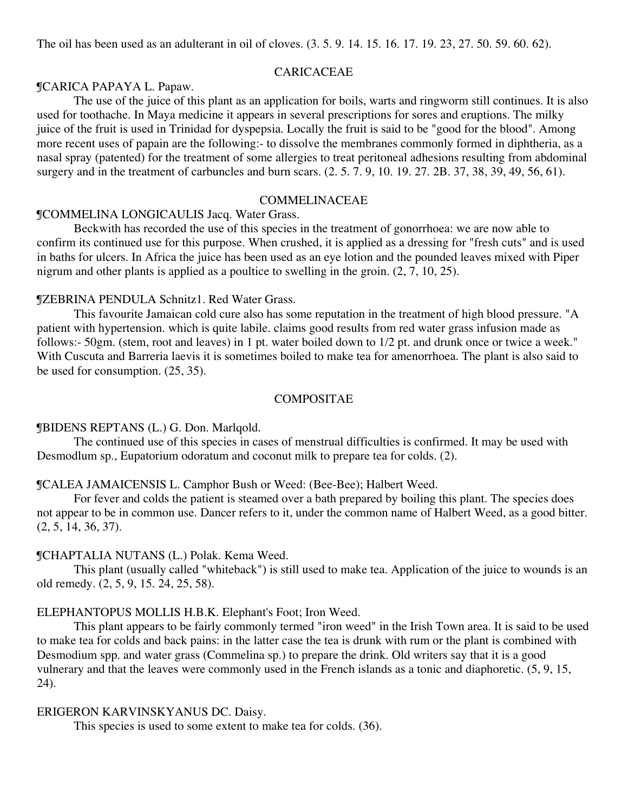#### CARICACEAE

#### ¶CARICA PAPAYA L. Papaw.

The use of the juice of this plant as an application for boils, warts and ringworm still continues. It is also used for toothache. In Maya medicine it appears in several prescriptions for sores and eruptions. The milky juice of the fruit is used in Trinidad for dyspepsia. Locally the fruit is said to be "good for the blood". Among more recent uses of papain are the following:- to dissolve the membranes commonly formed in diphtheria, as a nasal spray (patented) for the treatment of some allergies to treat peritoneal adhesions resulting from abdominal surgery and in the treatment of carbuncles and burn scars. (2. 5. 7. 9, 10. 19. 27. 2B. 37, 38, 39, 49, 56, 61).

#### COMMELINACEAE

#### ¶COMMELINA LONGICAULIS Jacq. Water Grass.

Beckwith has recorded the use of this species in the treatment of gonorrhoea: we are now able to confirm its continued use for this purpose. When crushed, it is applied as a dressing for "fresh cuts" and is used in baths for ulcers. In Africa the juice has been used as an eye lotion and the pounded leaves mixed with Piper nigrum and other plants is applied as a poultice to swelling in the groin. (2, 7, 10, 25).

# ¶ZEBRINA PENDULA Schnitz1. Red Water Grass.

This favourite Jamaican cold cure also has some reputation in the treatment of high blood pressure. "A patient with hypertension. which is quite labile. claims good results from red water grass infusion made as follows:- 50gm. (stem, root and leaves) in 1 pt. water boiled down to 1/2 pt. and drunk once or twice a week." With Cuscuta and Barreria laevis it is sometimes boiled to make tea for amenorrhoea. The plant is also said to be used for consumption. (25, 35).

#### COMPOSITAE

#### ¶BIDENS REPTANS (L.) G. Don. Marlqold.

The continued use of this species in cases of menstrual difficulties is confirmed. It may be used with Desmodlum sp., Eupatorium odoratum and coconut milk to prepare tea for colds. (2).

### ¶CALEA JAMAICENSIS L. Camphor Bush or Weed: (Bee-Bee); Halbert Weed.

For fever and colds the patient is steamed over a bath prepared by boiling this plant. The species does not appear to be in common use. Dancer refers to it, under the common name of Halbert Weed, as a good bitter. (2, 5, 14, 36, 37).

#### ¶CHAPTALIA NUTANS (L.) Polak. Kema Weed.

This plant (usually called "whiteback") is still used to make tea. Application of the juice to wounds is an old remedy. (2, 5, 9, 15. 24, 25, 58).

#### ELEPHANTOPUS MOLLIS H.B.K. Elephant's Foot; Iron Weed.

This plant appears to be fairly commonly termed "iron weed" in the Irish Town area. It is said to be used to make tea for colds and back pains: in the latter case the tea is drunk with rum or the plant is combined with Desmodium spp. and water grass (Commelina sp.) to prepare the drink. Old writers say that it is a good vulnerary and that the leaves were commonly used in the French islands as a tonic and diaphoretic. (5, 9, 15, 24).

#### ERIGERON KARVINSKYANUS DC. Daisy.

This species is used to some extent to make tea for colds. (36).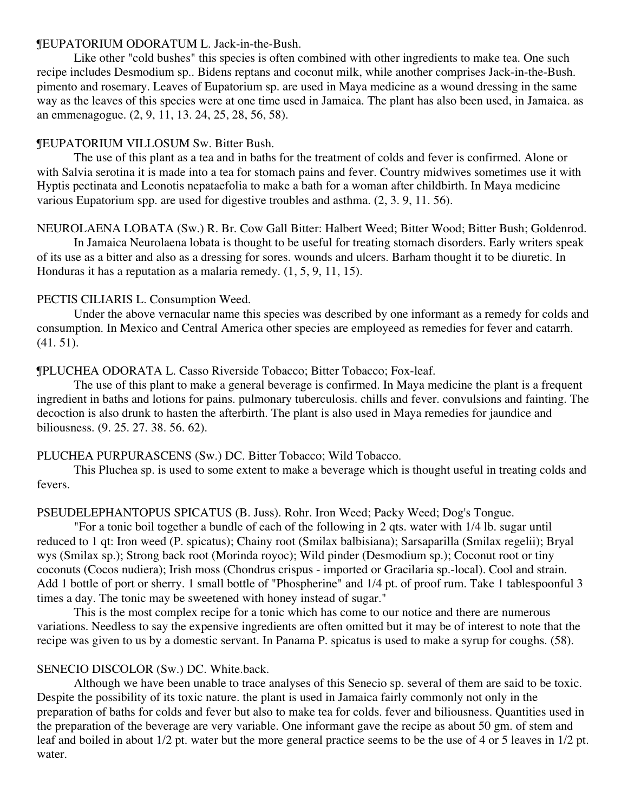# ¶EUPATORIUM ODORATUM L. Jack-in-the-Bush.

Like other "cold bushes" this species is often combined with other ingredients to make tea. One such recipe includes Desmodium sp.. Bidens reptans and coconut milk, while another comprises Jack-in-the-Bush. pimento and rosemary. Leaves of Eupatorium sp. are used in Maya medicine as a wound dressing in the same way as the leaves of this species were at one time used in Jamaica. The plant has also been used, in Jamaica. as an emmenagogue. (2, 9, 11, 13. 24, 25, 28, 56, 58).

# ¶EUPATORIUM VILLOSUM Sw. Bitter Bush.

The use of this plant as a tea and in baths for the treatment of colds and fever is confirmed. Alone or with Salvia serotina it is made into a tea for stomach pains and fever. Country midwives sometimes use it with Hyptis pectinata and Leonotis nepataefolia to make a bath for a woman after childbirth. In Maya medicine various Eupatorium spp. are used for digestive troubles and asthma. (2, 3. 9, 11. 56).

# NEUROLAENA LOBATA (Sw.) R. Br. Cow Gall Bitter: Halbert Weed; Bitter Wood; Bitter Bush; Goldenrod.

In Jamaica Neurolaena lobata is thought to be useful for treating stomach disorders. Early writers speak of its use as a bitter and also as a dressing for sores. wounds and ulcers. Barham thought it to be diuretic. In Honduras it has a reputation as a malaria remedy. (1, 5, 9, 11, 15).

# PECTIS CILIARIS L. Consumption Weed.

Under the above vernacular name this species was described by one informant as a remedy for colds and consumption. In Mexico and Central America other species are employeed as remedies for fever and catarrh. (41. 51).

# ¶PLUCHEA ODORATA L. Casso Riverside Tobacco; Bitter Tobacco; Fox-leaf.

The use of this plant to make a general beverage is confirmed. In Maya medicine the plant is a frequent ingredient in baths and lotions for pains. pulmonary tuberculosis. chills and fever. convulsions and fainting. The decoction is also drunk to hasten the afterbirth. The plant is also used in Maya remedies for jaundice and biliousness. (9. 25. 27. 38. 56. 62).

# PLUCHEA PURPURASCENS (Sw.) DC. Bitter Tobacco; Wild Tobacco.

This Pluchea sp. is used to some extent to make a beverage which is thought useful in treating colds and fevers.

# PSEUDELEPHANTOPUS SPICATUS (B. Juss). Rohr. Iron Weed; Packy Weed; Dog's Tongue.

"For a tonic boil together a bundle of each of the following in 2 qts. water with 1/4 lb. sugar until reduced to 1 qt: Iron weed (P. spicatus); Chainy root (Smilax balbisiana); Sarsaparilla (Smilax regelii); Bryal wys (Smilax sp.); Strong back root (Morinda royoc); Wild pinder (Desmodium sp.); Coconut root or tiny coconuts (Cocos nudiera); Irish moss (Chondrus crispus - imported or Gracilaria sp.-local). Cool and strain. Add 1 bottle of port or sherry. 1 small bottle of "Phospherine" and 1/4 pt. of proof rum. Take 1 tablespoonful 3 times a day. The tonic may be sweetened with honey instead of sugar."

This is the most complex recipe for a tonic which has come to our notice and there are numerous variations. Needless to say the expensive ingredients are often omitted but it may be of interest to note that the recipe was given to us by a domestic servant. In Panama P. spicatus is used to make a syrup for coughs. (58).

# SENECIO DISCOLOR (Sw.) DC. White.back.

Although we have been unable to trace analyses of this Senecio sp. several of them are said to be toxic. Despite the possibility of its toxic nature. the plant is used in Jamaica fairly commonly not only in the preparation of baths for colds and fever but also to make tea for colds. fever and biliousness. Quantities used in the preparation of the beverage are very variable. One informant gave the recipe as about 50 gm. of stem and leaf and boiled in about 1/2 pt. water but the more general practice seems to be the use of 4 or 5 leaves in 1/2 pt. water.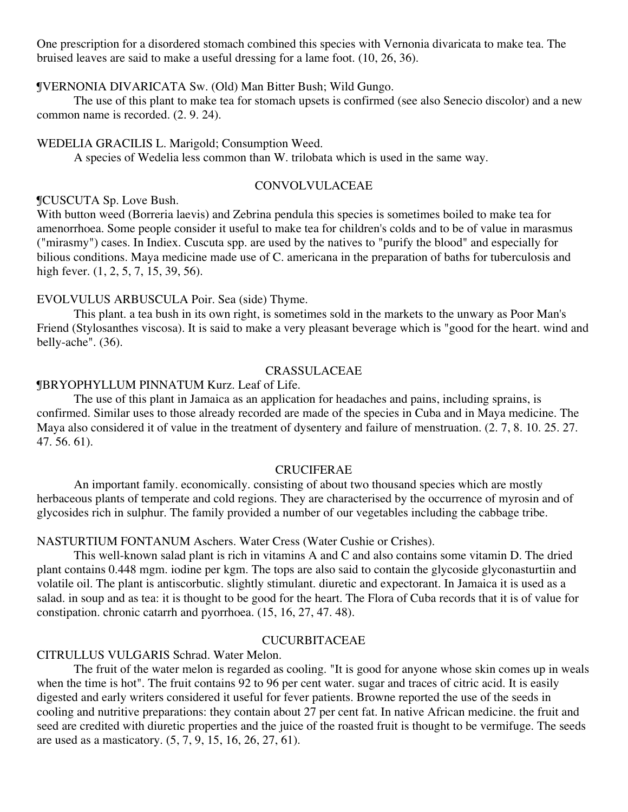One prescription for a disordered stomach combined this species with Vernonia divaricata to make tea. The bruised leaves are said to make a useful dressing for a lame foot. (10, 26, 36).

# ¶VERNONIA DIVARICATA Sw. (Old) Man Bitter Bush; Wild Gungo.

The use of this plant to make tea for stomach upsets is confirmed (see also Senecio discolor) and a new common name is recorded. (2. 9. 24).

#### WEDELIA GRACILIS L. Marigold; Consumption Weed.

A species of Wedelia less common than W. trilobata which is used in the same way.

# CONVOLVULACEAE

# ¶CUSCUTA Sp. Love Bush.

With button weed (Borreria laevis) and Zebrina pendula this species is sometimes boiled to make tea for amenorrhoea. Some people consider it useful to make tea for children's colds and to be of value in marasmus ("mirasmy") cases. In Indiex. Cuscuta spp. are used by the natives to "purify the blood" and especially for bilious conditions. Maya medicine made use of C. americana in the preparation of baths for tuberculosis and high fever. (1, 2, 5, 7, 15, 39, 56).

# EVOLVULUS ARBUSCULA Poir. Sea (side) Thyme.

This plant. a tea bush in its own right, is sometimes sold in the markets to the unwary as Poor Man's Friend (Stylosanthes viscosa). It is said to make a very pleasant beverage which is "good for the heart. wind and belly-ache". (36).

#### CRASSULACEAE

# ¶BRYOPHYLLUM PINNATUM Kurz. Leaf of Life.

The use of this plant in Jamaica as an application for headaches and pains, including sprains, is confirmed. Similar uses to those already recorded are made of the species in Cuba and in Maya medicine. The Maya also considered it of value in the treatment of dysentery and failure of menstruation. (2. 7, 8. 10. 25. 27. 47. 56. 61).

# **CRUCIFERAE**

An important family. economically. consisting of about two thousand species which are mostly herbaceous plants of temperate and cold regions. They are characterised by the occurrence of myrosin and of glycosides rich in sulphur. The family provided a number of our vegetables including the cabbage tribe.

# NASTURTIUM FONTANUM Aschers. Water Cress (Water Cushie or Crishes).

This well-known salad plant is rich in vitamins A and C and also contains some vitamin D. The dried plant contains 0.448 mgm. iodine per kgm. The tops are also said to contain the glycoside glyconasturtiin and volatile oil. The plant is antiscorbutic. slightly stimulant. diuretic and expectorant. In Jamaica it is used as a salad. in soup and as tea: it is thought to be good for the heart. The Flora of Cuba records that it is of value for constipation. chronic catarrh and pyorrhoea. (15, 16, 27, 47. 48).

# CUCURBITACEAE

# CITRULLUS VULGARIS Schrad. Water Melon.

The fruit of the water melon is regarded as cooling. "It is good for anyone whose skin comes up in weals when the time is hot". The fruit contains 92 to 96 per cent water. sugar and traces of citric acid. It is easily digested and early writers considered it useful for fever patients. Browne reported the use of the seeds in cooling and nutritive preparations: they contain about 27 per cent fat. In native African medicine. the fruit and seed are credited with diuretic properties and the juice of the roasted fruit is thought to be vermifuge. The seeds are used as a masticatory. (5, 7, 9, 15, 16, 26, 27, 61).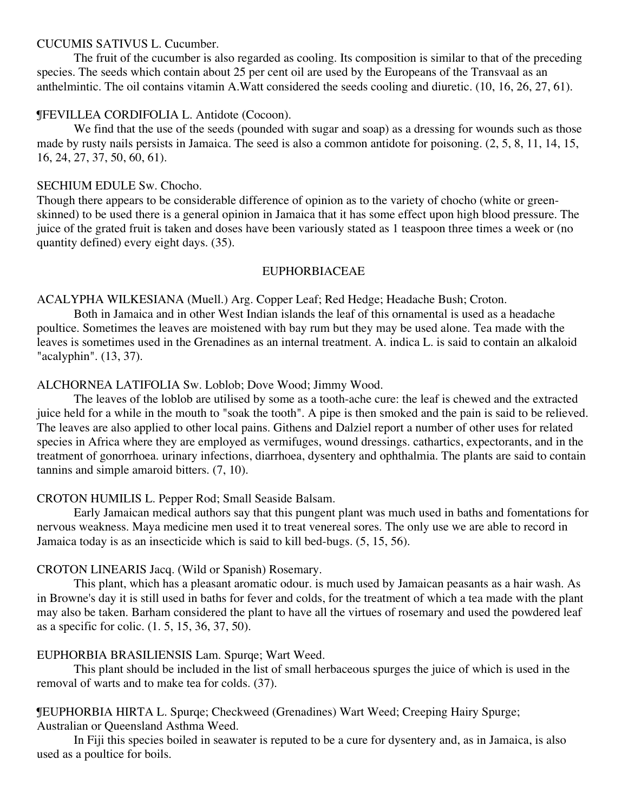#### CUCUMIS SATIVUS L. Cucumber.

The fruit of the cucumber is also regarded as cooling. Its composition is similar to that of the preceding species. The seeds which contain about 25 per cent oil are used by the Europeans of the Transvaal as an anthelmintic. The oil contains vitamin A.Watt considered the seeds cooling and diuretic. (10, 16, 26, 27, 61).

# ¶FEVILLEA CORDIFOLIA L. Antidote (Cocoon).

We find that the use of the seeds (pounded with sugar and soap) as a dressing for wounds such as those made by rusty nails persists in Jamaica. The seed is also a common antidote for poisoning. (2, 5, 8, 11, 14, 15, 16, 24, 27, 37, 50, 60, 61).

# SECHIUM EDULE Sw. Chocho.

Though there appears to be considerable difference of opinion as to the variety of chocho (white or greenskinned) to be used there is a general opinion in Jamaica that it has some effect upon high blood pressure. The juice of the grated fruit is taken and doses have been variously stated as 1 teaspoon three times a week or (no quantity defined) every eight days. (35).

# EUPHORBIACEAE

# ACALYPHA WILKESIANA (Muell.) Arg. Copper Leaf; Red Hedge; Headache Bush; Croton.

Both in Jamaica and in other West Indian islands the leaf of this ornamental is used as a headache poultice. Sometimes the leaves are moistened with bay rum but they may be used alone. Tea made with the leaves is sometimes used in the Grenadines as an internal treatment. A. indica L. is said to contain an alkaloid "acalyphin". (13, 37).

# ALCHORNEA LATIFOLIA Sw. Loblob; Dove Wood; Jimmy Wood.

The leaves of the loblob are utilised by some as a tooth-ache cure: the leaf is chewed and the extracted juice held for a while in the mouth to "soak the tooth". A pipe is then smoked and the pain is said to be relieved. The leaves are also applied to other local pains. Githens and Dalziel report a number of other uses for related species in Africa where they are employed as vermifuges, wound dressings. cathartics, expectorants, and in the treatment of gonorrhoea. urinary infections, diarrhoea, dysentery and ophthalmia. The plants are said to contain tannins and simple amaroid bitters. (7, 10).

# CROTON HUMILIS L. Pepper Rod; Small Seaside Balsam.

Early Jamaican medical authors say that this pungent plant was much used in baths and fomentations for nervous weakness. Maya medicine men used it to treat venereal sores. The only use we are able to record in Jamaica today is as an insecticide which is said to kill bed-bugs. (5, 15, 56).

# CROTON LINEARIS Jacq. (Wild or Spanish) Rosemary.

This plant, which has a pleasant aromatic odour. is much used by Jamaican peasants as a hair wash. As in Browne's day it is still used in baths for fever and colds, for the treatment of which a tea made with the plant may also be taken. Barham considered the plant to have all the virtues of rosemary and used the powdered leaf as a specific for colic. (1. 5, 15, 36, 37, 50).

# EUPHORBIA BRASILIENSIS Lam. Spurqe; Wart Weed.

This plant should be included in the list of small herbaceous spurges the juice of which is used in the removal of warts and to make tea for colds. (37).

# ¶EUPHORBIA HIRTA L. Spurqe; Checkweed (Grenadines) Wart Weed; Creeping Hairy Spurge; Australian or Queensland Asthma Weed.

In Fiji this species boiled in seawater is reputed to be a cure for dysentery and, as in Jamaica, is also used as a poultice for boils.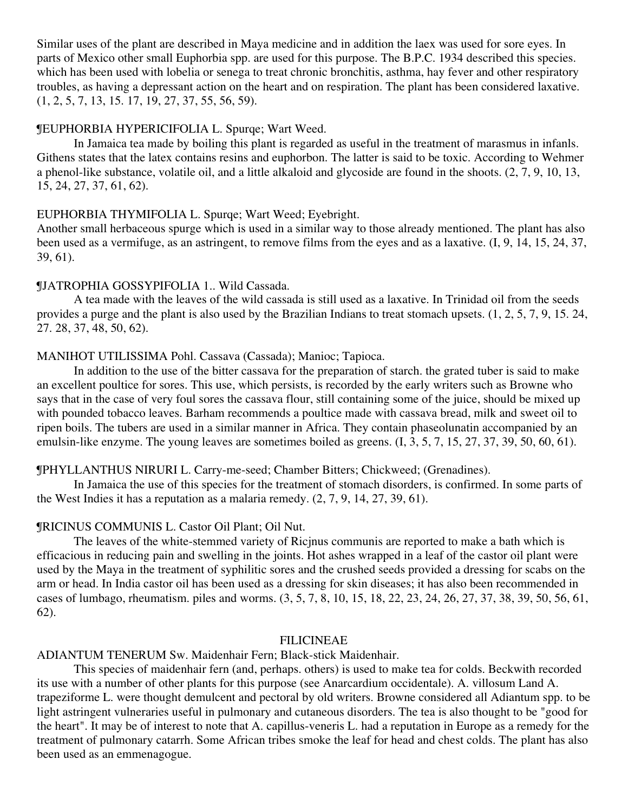Similar uses of the plant are described in Maya medicine and in addition the laex was used for sore eyes. In parts of Mexico other small Euphorbia spp. are used for this purpose. The B.P.C. 1934 described this species. which has been used with lobelia or senega to treat chronic bronchitis, asthma, hay fever and other respiratory troubles, as having a depressant action on the heart and on respiration. The plant has been considered laxative. (1, 2, 5, 7, 13, 15. 17, 19, 27, 37, 55, 56, 59).

# ¶EUPHORBIA HYPERICIFOLIA L. Spurqe; Wart Weed.

In Jamaica tea made by boiling this plant is regarded as useful in the treatment of marasmus in infanls. Githens states that the latex contains resins and euphorbon. The latter is said to be toxic. According to Wehmer a phenol-like substance, volatile oil, and a little alkaloid and glycoside are found in the shoots. (2, 7, 9, 10, 13, 15, 24, 27, 37, 61, 62).

# EUPHORBIA THYMIFOLIA L. Spurqe; Wart Weed; Eyebright.

Another small herbaceous spurge which is used in a similar way to those already mentioned. The plant has also been used as a vermifuge, as an astringent, to remove films from the eyes and as a laxative. (I, 9, 14, 15, 24, 37, 39, 61).

# ¶JATROPHIA GOSSYPIFOLIA 1.. Wild Cassada.

A tea made with the leaves of the wild cassada is still used as a laxative. In Trinidad oil from the seeds provides a purge and the plant is also used by the Brazilian Indians to treat stomach upsets. (1, 2, 5, 7, 9, 15. 24, 27. 28, 37, 48, 50, 62).

# MANIHOT UTILISSIMA Pohl. Cassava (Cassada); Manioc; Tapioca.

In addition to the use of the bitter cassava for the preparation of starch. the grated tuber is said to make an excellent poultice for sores. This use, which persists, is recorded by the early writers such as Browne who says that in the case of very foul sores the cassava flour, still containing some of the juice, should be mixed up with pounded tobacco leaves. Barham recommends a poultice made with cassava bread, milk and sweet oil to ripen boils. The tubers are used in a similar manner in Africa. They contain phaseolunatin accompanied by an emulsin-like enzyme. The young leaves are sometimes boiled as greens. (I, 3, 5, 7, 15, 27, 37, 39, 50, 60, 61).

# ¶PHYLLANTHUS NIRURI L. Carry-me-seed; Chamber Bitters; Chickweed; (Grenadines).

In Jamaica the use of this species for the treatment of stomach disorders, is confirmed. In some parts of the West Indies it has a reputation as a malaria remedy.  $(2, 7, 9, 14, 27, 39, 61)$ .

# ¶RICINUS COMMUNIS L. Castor Oil Plant; Oil Nut.

The leaves of the white-stemmed variety of Ricjnus communis are reported to make a bath which is efficacious in reducing pain and swelling in the joints. Hot ashes wrapped in a leaf of the castor oil plant were used by the Maya in the treatment of syphilitic sores and the crushed seeds provided a dressing for scabs on the arm or head. In India castor oil has been used as a dressing for skin diseases; it has also been recommended in cases of lumbago, rheumatism. piles and worms. (3, 5, 7, 8, 10, 15, 18, 22, 23, 24, 26, 27, 37, 38, 39, 50, 56, 61, 62).

#### FILICINEAE

# ADIANTUM TENERUM Sw. Maidenhair Fern; Black-stick Maidenhair.

This species of maidenhair fern (and, perhaps. others) is used to make tea for colds. Beckwith recorded its use with a number of other plants for this purpose (see Anarcardium occidentale). A. villosum Land A. trapeziforme L. were thought demulcent and pectoral by old writers. Browne considered all Adiantum spp. to be light astringent vulneraries useful in pulmonary and cutaneous disorders. The tea is also thought to be "good for the heart". It may be of interest to note that A. capillus-veneris L. had a reputation in Europe as a remedy for the treatment of pulmonary catarrh. Some African tribes smoke the leaf for head and chest colds. The plant has also been used as an emmenagogue.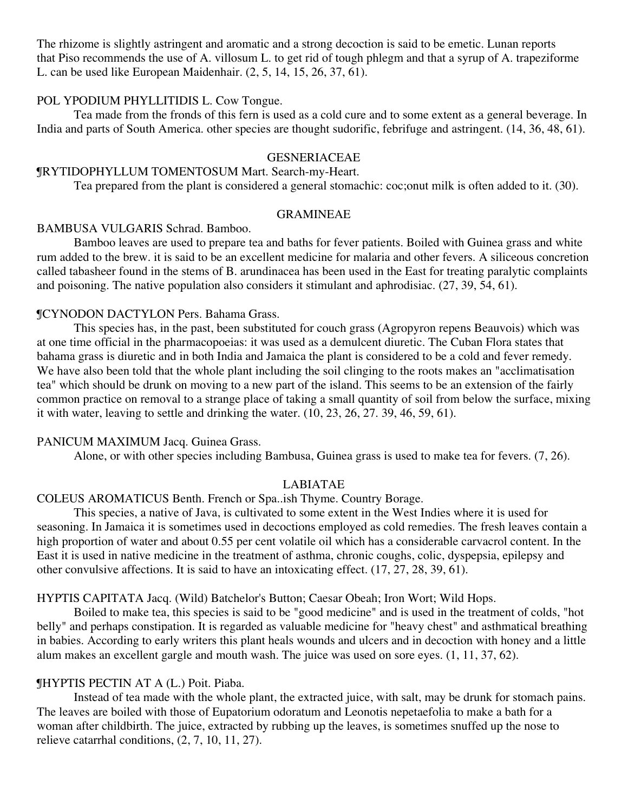The rhizome is slightly astringent and aromatic and a strong decoction is said to be emetic. Lunan reports that Piso recommends the use of A. villosum L. to get rid of tough phlegm and that a syrup of A. trapeziforme L. can be used like European Maidenhair. (2, 5, 14, 15, 26, 37, 61).

#### POL YPODIUM PHYLLITIDIS L. Cow Tongue.

Tea made from the fronds of this fern is used as a cold cure and to some extent as a general beverage. In India and parts of South America. other species are thought sudorific, febrifuge and astringent. (14, 36, 48, 61).

#### GESNERIACEAE

# ¶RYTIDOPHYLLUM TOMENTOSUM Mart. Search-my-Heart.

Tea prepared from the plant is considered a general stomachic: coc;onut milk is often added to it. (30).

# GRAMINEAE

#### BAMBUSA VULGARIS Schrad. Bamboo.

Bamboo leaves are used to prepare tea and baths for fever patients. Boiled with Guinea grass and white rum added to the brew. it is said to be an excellent medicine for malaria and other fevers. A siliceous concretion called tabasheer found in the stems of B. arundinacea has been used in the East for treating paralytic complaints and poisoning. The native population also considers it stimulant and aphrodisiac. (27, 39, 54, 61).

### ¶CYNODON DACTYLON Pers. Bahama Grass.

This species has, in the past, been substituted for couch grass (Agropyron repens Beauvois) which was at one time official in the pharmacopoeias: it was used as a demulcent diuretic. The Cuban Flora states that bahama grass is diuretic and in both India and Jamaica the plant is considered to be a cold and fever remedy. We have also been told that the whole plant including the soil clinging to the roots makes an "acclimatisation" tea" which should be drunk on moving to a new part of the island. This seems to be an extension of the fairly common practice on removal to a strange place of taking a small quantity of soil from below the surface, mixing it with water, leaving to settle and drinking the water. (10, 23, 26, 27. 39, 46, 59, 61).

#### PANICUM MAXIMUM Jacq. Guinea Grass.

Alone, or with other species including Bambusa, Guinea grass is used to make tea for fevers. (7, 26).

### LABIATAE

# COLEUS AROMATICUS Benth. French or Spa..ish Thyme. Country Borage.

This species, a native of Java, is cultivated to some extent in the West Indies where it is used for seasoning. In Jamaica it is sometimes used in decoctions employed as cold remedies. The fresh leaves contain a high proportion of water and about 0.55 per cent volatile oil which has a considerable carvacrol content. In the East it is used in native medicine in the treatment of asthma, chronic coughs, colic, dyspepsia, epilepsy and other convulsive affections. It is said to have an intoxicating effect. (17, 27, 28, 39, 61).

#### HYPTIS CAPITATA Jacq. (Wild) Batchelor's Button; Caesar Obeah; Iron Wort; Wild Hops.

Boiled to make tea, this species is said to be "good medicine" and is used in the treatment of colds, "hot belly" and perhaps constipation. It is regarded as valuable medicine for "heavy chest" and asthmatical breathing in babies. According to early writers this plant heals wounds and ulcers and in decoction with honey and a little alum makes an excellent gargle and mouth wash. The juice was used on sore eyes. (1, 11, 37, 62).

# ¶HYPTIS PECTIN AT A (L.) Poit. Piaba.

Instead of tea made with the whole plant, the extracted juice, with salt, may be drunk for stomach pains. The leaves are boiled with those of Eupatorium odoratum and Leonotis nepetaefolia to make a bath for a woman after childbirth. The juice, extracted by rubbing up the leaves, is sometimes snuffed up the nose to relieve catarrhal conditions, (2, 7, 10, 11, 27).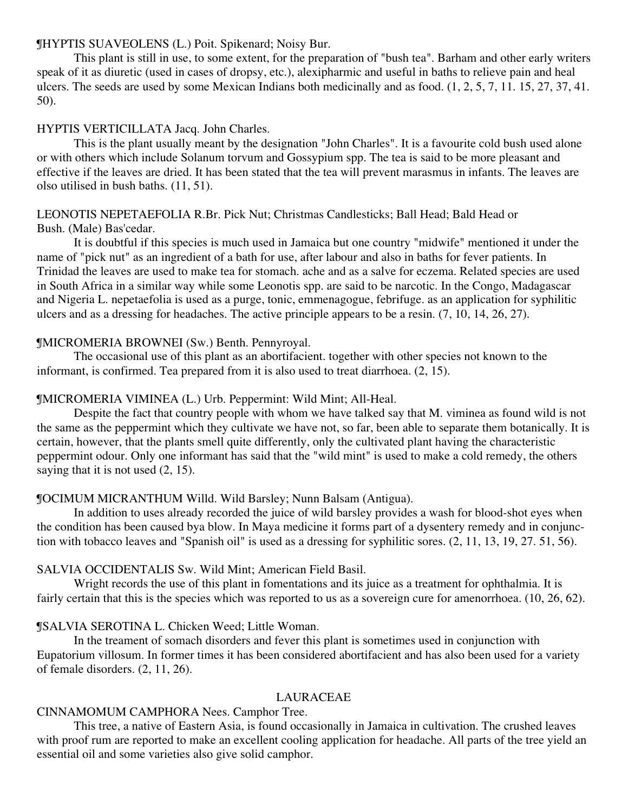# ¶HYPTIS SUAVEOLENS (L.) Poit. Spikenard; Noisy Bur.

This plant is still in use, to some extent, for the preparation of "bush tea". Barham and other early writers speak of it as diuretic (used in cases of dropsy, etc.), alexipharmic and useful in baths to relieve pain and heal ulcers. The seeds are used by some Mexican Indians both medicinally and as food. (1, 2, 5, 7, 11. 15, 27, 37, 41. 50).

# HYPTIS VERTICILLATA Jacq. John Charles.

This is the plant usually meant by the designation "John Charles". It is a favourite cold bush used alone or with others which include Solanum torvum and Gossypium spp. The tea is said to be more pleasant and effective if the leaves are dried. It has been stated that the tea will prevent marasmus in infants. The leaves are olso utilised in bush baths. (11, 51).

# LEONOTIS NEPETAEFOLIA R.Br. Pick Nut; Christmas Candlesticks; Ball Head; Bald Head or Bush. (Male) Bas'cedar.

It is doubtful if this species is much used in Jamaica but one country "midwife" mentioned it under the name of "pick nut" as an ingredient of a bath for use, after labour and also in baths for fever patients. In Trinidad the leaves are used to make tea for stomach. ache and as a salve for eczema. Related species are used in South Africa in a similar way while some Leonotis spp. are said to be narcotic. In the Congo, Madagascar and Nigeria L. nepetaefolia is used as a purge, tonic, emmenagogue, febrifuge. as an application for syphilitic ulcers and as a dressing for headaches. The active principle appears to be a resin. (7, 10, 14, 26, 27).

# ¶MICROMERIA BROWNEI (Sw.) Benth. Pennyroyal.

The occasional use of this plant as an abortifacient. together with other species not known to the informant, is confirmed. Tea prepared from it is also used to treat diarrhoea. (2, 15).

# ¶MICROMERIA VIMINEA (L.) Urb. Peppermint: Wild Mint; All-Heal.

Despite the fact that country people with whom we have talked say that M. viminea as found wild is not the same as the peppermint which they cultivate we have not, so far, been able to separate them botanically. It is certain, however, that the plants smell quite differently, only the cultivated plant having the characteristic peppermint odour. Only one informant has said that the "wild mint" is used to make a cold remedy, the others saying that it is not used  $(2, 15)$ .

# ¶OCIMUM MICRANTHUM Willd. Wild Barsley; Nunn Balsam (Antigua).

In addition to uses already recorded the juice of wild barsley provides a wash for blood-shot eyes when the condition has been caused bya blow. In Maya medicine it forms part of a dysentery remedy and in conjunction with tobacco leaves and "Spanish oil" is used as a dressing for syphilitic sores. (2, 11, 13, 19, 27. 51, 56).

# SALVIA OCCIDENTALIS Sw. Wild Mint; American Field Basil.

Wright records the use of this plant in fomentations and its juice as a treatment for ophthalmia. It is fairly certain that this is the species which was reported to us as a sovereign cure for amenorrhoea. (10, 26, 62).

# ¶SALVIA SEROTINA L. Chicken Weed; Little Woman.

In the treament of somach disorders and fever this plant is sometimes used in conjunction with Eupatorium villosum. In former times it has been considered abortifacient and has also been used for a variety of female disorders. (2, 11, 26).

# LAURACEAE

#### CINNAMOMUM CAMPHORA Nees. Camphor Tree.

This tree, a native of Eastern Asia, is found occasionally in Jamaica in cultivation. The crushed leaves with proof rum are reported to make an excellent cooling application for headache. All parts of the tree yield an essential oil and some varieties also give solid camphor.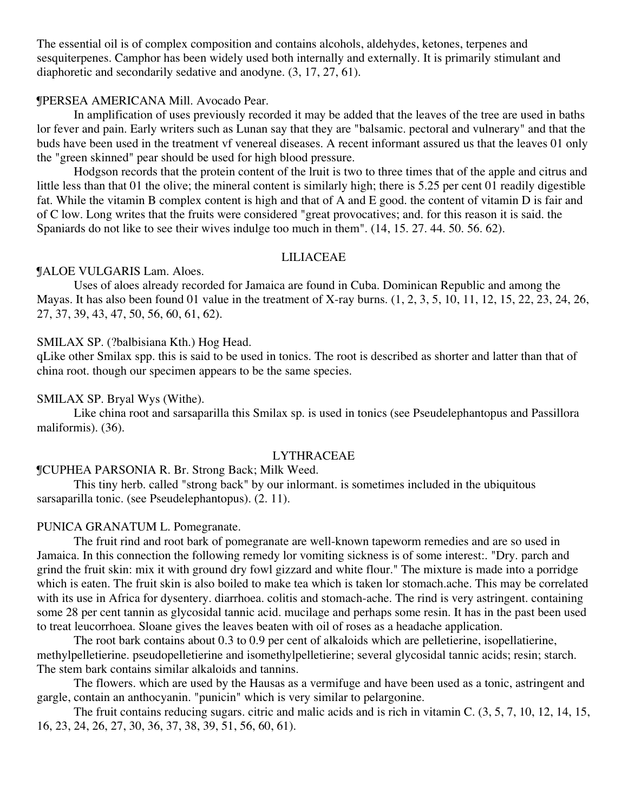The essential oil is of complex composition and contains alcohols, aldehydes, ketones, terpenes and sesquiterpenes. Camphor has been widely used both internally and externally. It is primarily stimulant and diaphoretic and secondarily sedative and anodyne. (3, 17, 27, 61).

# ¶PERSEA AMERICANA Mill. Avocado Pear.

In amplification of uses previously recorded it may be added that the leaves of the tree are used in baths lor fever and pain. Early writers such as Lunan say that they are "balsamic. pectoral and vulnerary" and that the buds have been used in the treatment vf venereal diseases. A recent informant assured us that the leaves 01 only the "green skinned" pear should be used for high blood pressure.

Hodgson records that the protein content of the lruit is two to three times that of the apple and citrus and little less than that 01 the olive; the mineral content is similarly high; there is 5.25 per cent 01 readily digestible fat. While the vitamin B complex content is high and that of A and E good. the content of vitamin D is fair and of C low. Long writes that the fruits were considered "great provocatives; and. for this reason it is said. the Spaniards do not like to see their wives indulge too much in them". (14, 15. 27. 44. 50. 56. 62).

#### LILIACEAE

#### ¶ALOE VULGARIS Lam. Aloes.

Uses of aloes already recorded for Jamaica are found in Cuba. Dominican Republic and among the Mayas. It has also been found 01 value in the treatment of X-ray burns. (1, 2, 3, 5, 10, 11, 12, 15, 22, 23, 24, 26, 27, 37, 39, 43, 47, 50, 56, 60, 61, 62).

#### SMILAX SP. (?balbisiana Kth.) Hog Head.

qLike other Smilax spp. this is said to be used in tonics. The root is described as shorter and latter than that of china root. though our specimen appears to be the same species.

#### SMILAX SP. Bryal Wys (Withe).

Like china root and sarsaparilla this Smilax sp. is used in tonics (see Pseudelephantopus and Passillora maliformis). (36).

# LYTHRACEAE

# ¶CUPHEA PARSONIA R. Br. Strong Back; Milk Weed.

This tiny herb. called "strong back" by our inlormant. is sometimes included in the ubiquitous sarsaparilla tonic. (see Pseudelephantopus). (2. 11).

#### PUNICA GRANATUM L. Pomegranate.

The fruit rind and root bark of pomegranate are well-known tapeworm remedies and are so used in Jamaica. In this connection the following remedy lor vomiting sickness is of some interest:. "Dry. parch and grind the fruit skin: mix it with ground dry fowl gizzard and white flour." The mixture is made into a porridge which is eaten. The fruit skin is also boiled to make tea which is taken lor stomach.ache. This may be correlated with its use in Africa for dysentery. diarrhoea. colitis and stomach-ache. The rind is very astringent. containing some 28 per cent tannin as glycosidal tannic acid. mucilage and perhaps some resin. It has in the past been used to treat leucorrhoea. Sloane gives the leaves beaten with oil of roses as a headache application.

The root bark contains about 0.3 to 0.9 per cent of alkaloids which are pelletierine, isopellatierine, methylpelletierine. pseudopelletierine and isomethylpelletierine; several glycosidal tannic acids; resin; starch. The stem bark contains similar alkaloids and tannins.

The flowers. which are used by the Hausas as a vermifuge and have been used as a tonic, astringent and gargle, contain an anthocyanin. "punicin" which is very similar to pelargonine.

The fruit contains reducing sugars. citric and malic acids and is rich in vitamin C. (3, 5, 7, 10, 12, 14, 15, 16, 23, 24, 26, 27, 30, 36, 37, 38, 39, 51, 56, 60, 61).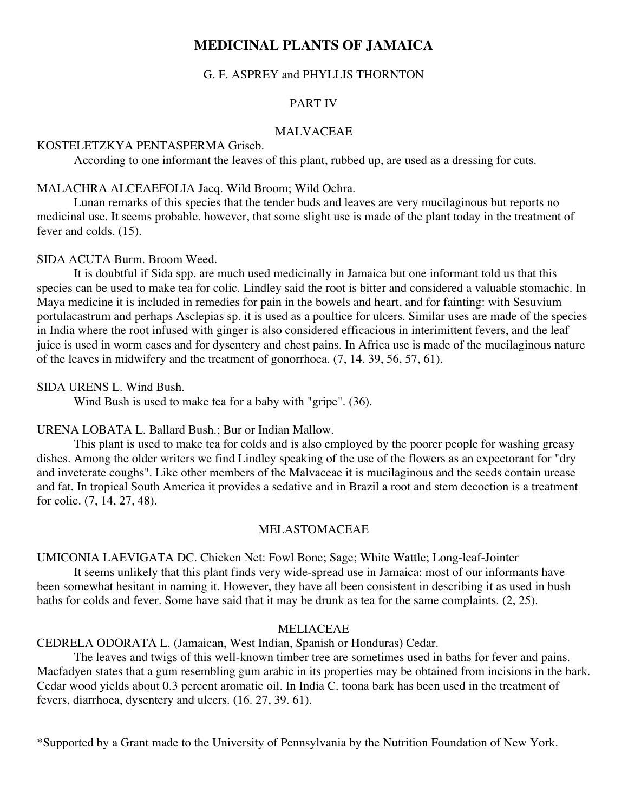# **MEDICINAL PLANTS OF JAMAICA**

# G. F. ASPREY and PHYLLIS THORNTON

# PART IV

# MALVACEAE

#### KOSTELETZKYA PENTASPERMA Griseb.

According to one informant the leaves of this plant, rubbed up, are used as a dressing for cuts.

#### MALACHRA ALCEAEFOLIA Jacq. Wild Broom; Wild Ochra.

Lunan remarks of this species that the tender buds and leaves are very mucilaginous but reports no medicinal use. It seems probable. however, that some slight use is made of the plant today in the treatment of fever and colds. (15).

# SIDA ACUTA Burm. Broom Weed.

It is doubtful if Sida spp. are much used medicinally in Jamaica but one informant told us that this species can be used to make tea for colic. Lindley said the root is bitter and considered a valuable stomachic. In Maya medicine it is included in remedies for pain in the bowels and heart, and for fainting: with Sesuvium portulacastrum and perhaps Asclepias sp. it is used as a poultice for ulcers. Similar uses are made of the species in India where the root infused with ginger is also considered efficacious in interimittent fevers, and the leaf juice is used in worm cases and for dysentery and chest pains. In Africa use is made of the mucilaginous nature of the leaves in midwifery and the treatment of gonorrhoea. (7, 14. 39, 56, 57, 61).

#### SIDA URENS L. Wind Bush.

Wind Bush is used to make tea for a baby with "gripe". (36).

# URENA LOBATA L. Ballard Bush.; Bur or Indian Mallow.

This plant is used to make tea for colds and is also employed by the poorer people for washing greasy dishes. Among the older writers we find Lindley speaking of the use of the flowers as an expectorant for "dry and inveterate coughs". Like other members of the Malvaceae it is mucilaginous and the seeds contain urease and fat. In tropical South America it provides a sedative and in Brazil a root and stem decoction is a treatment for colic. (7, 14, 27, 48).

#### MELASTOMACEAE

UMICONIA LAEVIGATA DC. Chicken Net: Fowl Bone; Sage; White Wattle; Long-leaf-Jointer

It seems unlikely that this plant finds very wide-spread use in Jamaica: most of our informants have been somewhat hesitant in naming it. However, they have all been consistent in describing it as used in bush baths for colds and fever. Some have said that it may be drunk as tea for the same complaints. (2, 25).

#### **MELIACEAE**

CEDRELA ODORATA L. (Jamaican, West Indian, Spanish or Honduras) Cedar.

The leaves and twigs of this well-known timber tree are sometimes used in baths for fever and pains. Macfadyen states that a gum resembling gum arabic in its properties may be obtained from incisions in the bark. Cedar wood yields about 0.3 percent aromatic oil. In India C. toona bark has been used in the treatment of fevers, diarrhoea, dysentery and ulcers. (16. 27, 39. 61).

\*Supported by a Grant made to the University of Pennsylvania by the Nutrition Foundation of New York.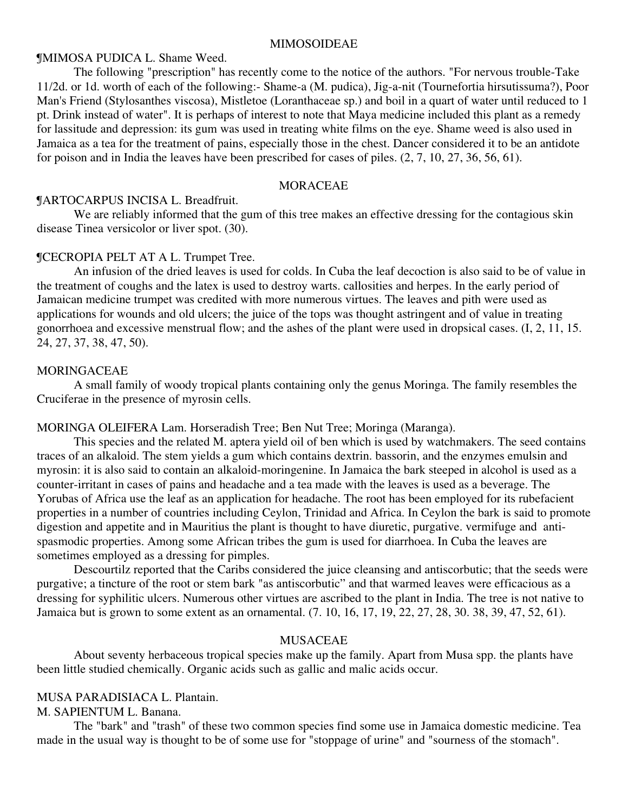#### MIMOSOIDEAE

# ¶MIMOSA PUDICA L. Shame Weed.

The following "prescription" has recently come to the notice of the authors. "For nervous trouble-Take 11/2d. or 1d. worth of each of the following:- Shame-a (M. pudica), Jig-a-nit (Tournefortia hirsutissuma?), Poor Man's Friend (Stylosanthes viscosa), Mistletoe (Loranthaceae sp.) and boil in a quart of water until reduced to 1 pt. Drink instead of water". It is perhaps of interest to note that Maya medicine included this plant as a remedy for lassitude and depression: its gum was used in treating white films on the eye. Shame weed is also used in Jamaica as a tea for the treatment of pains, especially those in the chest. Dancer considered it to be an antidote for poison and in India the leaves have been prescribed for cases of piles. (2, 7, 10, 27, 36, 56, 61).

# **MORACEAE**

# ¶ARTOCARPUS INCISA L. Breadfruit.

We are reliably informed that the gum of this tree makes an effective dressing for the contagious skin disease Tinea versicolor or liver spot. (30).

#### ¶CECROPIA PELT AT A L. Trumpet Tree.

An infusion of the dried leaves is used for colds. In Cuba the leaf decoction is also said to be of value in the treatment of coughs and the latex is used to destroy warts. callosities and herpes. In the early period of Jamaican medicine trumpet was credited with more numerous virtues. The leaves and pith were used as applications for wounds and old ulcers; the juice of the tops was thought astringent and of value in treating gonorrhoea and excessive menstrual flow; and the ashes of the plant were used in dropsical cases. (I, 2, 11, 15. 24, 27, 37, 38, 47, 50).

#### MORINGACEAE

A small family of woody tropical plants containing only the genus Moringa. The family resembles the Cruciferae in the presence of myrosin cells.

#### MORINGA OLEIFERA Lam. Horseradish Tree; Ben Nut Tree; Moringa (Maranga).

This species and the related M. aptera yield oil of ben which is used by watchmakers. The seed contains traces of an alkaloid. The stem yields a gum which contains dextrin. bassorin, and the enzymes emulsin and myrosin: it is also said to contain an alkaloid-moringenine. In Jamaica the bark steeped in alcohol is used as a counter-irritant in cases of pains and headache and a tea made with the leaves is used as a beverage. The Yorubas of Africa use the leaf as an application for headache. The root has been employed for its rubefacient properties in a number of countries including Ceylon, Trinidad and Africa. In Ceylon the bark is said to promote digestion and appetite and in Mauritius the plant is thought to have diuretic, purgative. vermifuge and antispasmodic properties. Among some African tribes the gum is used for diarrhoea. In Cuba the leaves are sometimes employed as a dressing for pimples.

Descourtilz reported that the Caribs considered the juice cleansing and antiscorbutic; that the seeds were purgative; a tincture of the root or stem bark "as antiscorbutic" and that warmed leaves were efficacious as a dressing for syphilitic ulcers. Numerous other virtues are ascribed to the plant in India. The tree is not native to Jamaica but is grown to some extent as an ornamental. (7. 10, 16, 17, 19, 22, 27, 28, 30. 38, 39, 47, 52, 61).

#### MUSACEAE

About seventy herbaceous tropical species make up the family. Apart from Musa spp. the plants have been little studied chemically. Organic acids such as gallic and malic acids occur.

#### MUSA PARADISIACA L. Plantain.

M. SAPIENTUM L. Banana.

The "bark" and "trash" of these two common species find some use in Jamaica domestic medicine. Tea made in the usual way is thought to be of some use for "stoppage of urine" and "sourness of the stomach".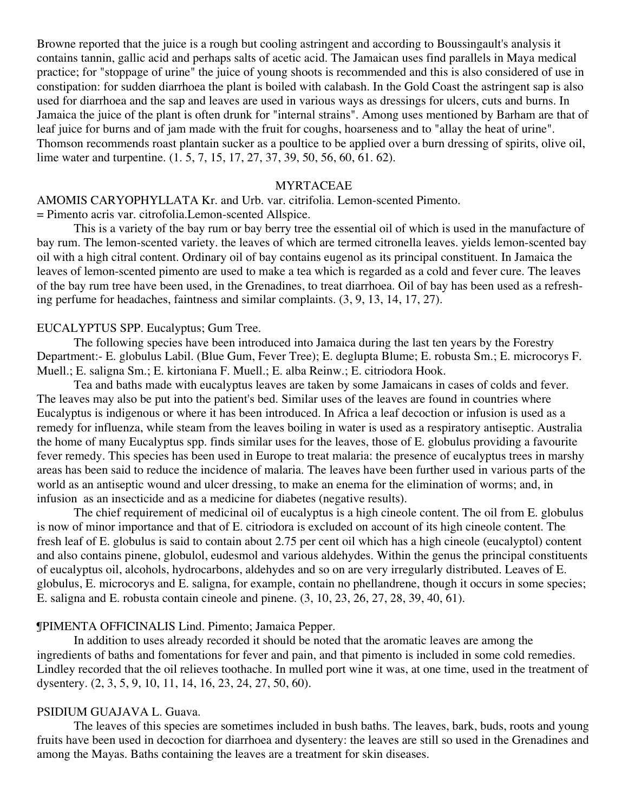Browne reported that the juice is a rough but cooling astringent and according to Boussingault's analysis it contains tannin, gallic acid and perhaps salts of acetic acid. The Jamaican uses find parallels in Maya medical practice; for "stoppage of urine" the juice of young shoots is recommended and this is also considered of use in constipation: for sudden diarrhoea the plant is boiled with calabash. In the Gold Coast the astringent sap is also used for diarrhoea and the sap and leaves are used in various ways as dressings for ulcers, cuts and burns. In Jamaica the juice of the plant is often drunk for "internal strains". Among uses mentioned by Barham are that of leaf juice for burns and of jam made with the fruit for coughs, hoarseness and to "allay the heat of urine". Thomson recommends roast plantain sucker as a poultice to be applied over a burn dressing of spirits, olive oil, lime water and turpentine. (1. 5, 7, 15, 17, 27, 37, 39, 50, 56, 60, 61. 62).

# MYRTACEAE

AMOMIS CARYOPHYLLATA Kr. and Urb. var. citrifolia. Lemon-scented Pimento.

= Pimento acris var. citrofolia.Lemon-scented Allspice.

This is a variety of the bay rum or bay berry tree the essential oil of which is used in the manufacture of bay rum. The lemon-scented variety. the leaves of which are termed citronella leaves. yields lemon-scented bay oil with a high citral content. Ordinary oil of bay contains eugenol as its principal constituent. In Jamaica the leaves of lemon-scented pimento are used to make a tea which is regarded as a cold and fever cure. The leaves of the bay rum tree have been used, in the Grenadines, to treat diarrhoea. Oil of bay has been used as a refreshing perfume for headaches, faintness and similar complaints. (3, 9, 13, 14, 17, 27).

#### EUCALYPTUS SPP. Eucalyptus; Gum Tree.

The following species have been introduced into Jamaica during the last ten years by the Forestry Department:- E. globulus Labil. (Blue Gum, Fever Tree); E. deglupta Blume; E. robusta Sm.; E. microcorys F. Muell.; E. saligna Sm.; E. kirtoniana F. Muell.; E. alba Reinw.; E. citriodora Hook.

Tea and baths made with eucalyptus leaves are taken by some Jamaicans in cases of colds and fever. The leaves may also be put into the patient's bed. Similar uses of the leaves are found in countries where Eucalyptus is indigenous or where it has been introduced. In Africa a leaf decoction or infusion is used as a remedy for influenza, while steam from the leaves boiling in water is used as a respiratory antiseptic. Australia the home of many Eucalyptus spp. finds similar uses for the leaves, those of E. globulus providing a favourite fever remedy. This species has been used in Europe to treat malaria: the presence of eucalyptus trees in marshy areas has been said to reduce the incidence of malaria. The leaves have been further used in various parts of the world as an antiseptic wound and ulcer dressing, to make an enema for the elimination of worms; and, in infusion as an insecticide and as a medicine for diabetes (negative results).

The chief requirement of medicinal oil of eucalyptus is a high cineole content. The oil from E. globulus is now of minor importance and that of E. citriodora is excluded on account of its high cineole content. The fresh leaf of E. globulus is said to contain about 2.75 per cent oil which has a high cineole (eucalyptol) content and also contains pinene, globulol, eudesmol and various aldehydes. Within the genus the principal constituents of eucalyptus oil, alcohols, hydrocarbons, aldehydes and so on are very irregularly distributed. Leaves of E. globulus, E. microcorys and E. saligna, for example, contain no phellandrene, though it occurs in some species; E. saligna and E. robusta contain cineole and pinene. (3, 10, 23, 26, 27, 28, 39, 40, 61).

#### ¶PIMENTA OFFICINALIS Lind. Pimento; Jamaica Pepper.

In addition to uses already recorded it should be noted that the aromatic leaves are among the ingredients of baths and fomentations for fever and pain, and that pimento is included in some cold remedies. Lindley recorded that the oil relieves toothache. In mulled port wine it was, at one time, used in the treatment of dysentery. (2, 3, 5, 9, 10, 11, 14, 16, 23, 24, 27, 50, 60).

# PSIDIUM GUAJAVA L. Guava.

The leaves of this species are sometimes included in bush baths. The leaves, bark, buds, roots and young fruits have been used in decoction for diarrhoea and dysentery: the leaves are still so used in the Grenadines and among the Mayas. Baths containing the leaves are a treatment for skin diseases.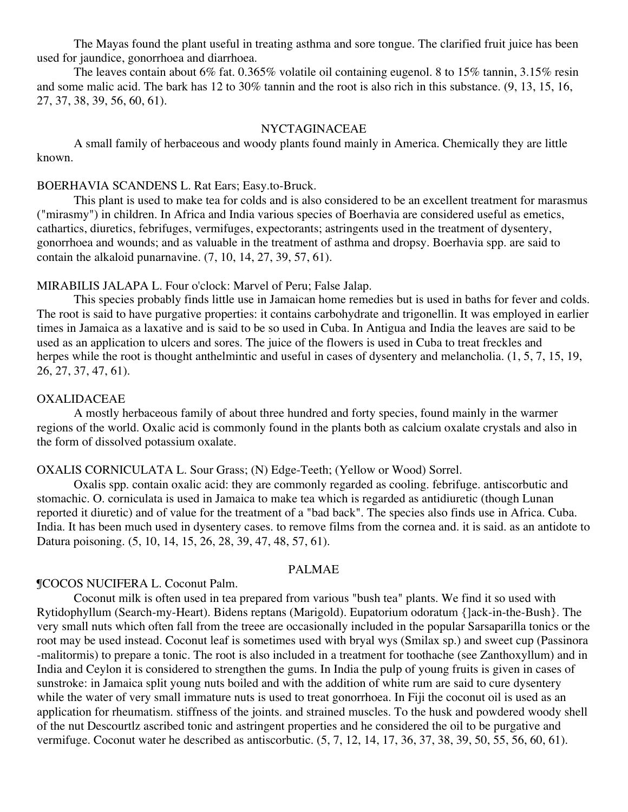The Mayas found the plant useful in treating asthma and sore tongue. The clarified fruit juice has been used for jaundice, gonorrhoea and diarrhoea.

The leaves contain about 6% fat. 0.365% volatile oil containing eugenol. 8 to 15% tannin, 3.15% resin and some malic acid. The bark has 12 to 30% tannin and the root is also rich in this substance. (9, 13, 15, 16, 27, 37, 38, 39, 56, 60, 61).

#### NYCTAGINACEAE

A small family of herbaceous and woody plants found mainly in America. Chemically they are little known.

# BOERHAVIA SCANDENS L. Rat Ears; Easy.to-Bruck.

This plant is used to make tea for colds and is also considered to be an excellent treatment for marasmus ("mirasmy") in children. In Africa and India various species of Boerhavia are considered useful as emetics, cathartics, diuretics, febrifuges, vermifuges, expectorants; astringents used in the treatment of dysentery, gonorrhoea and wounds; and as valuable in the treatment of asthma and dropsy. Boerhavia spp. are said to contain the alkaloid punarnavine. (7, 10, 14, 27, 39, 57, 61).

#### MIRABILIS JALAPA L. Four o'clock: Marvel of Peru; False Jalap.

This species probably finds little use in Jamaican home remedies but is used in baths for fever and colds. The root is said to have purgative properties: it contains carbohydrate and trigonellin. It was employed in earlier times in Jamaica as a laxative and is said to be so used in Cuba. In Antigua and India the leaves are said to be used as an application to ulcers and sores. The juice of the flowers is used in Cuba to treat freckles and herpes while the root is thought anthelmintic and useful in cases of dysentery and melancholia.  $(1, 5, 7, 15, 19, 19)$ 26, 27, 37, 47, 61).

#### OXALIDACEAE

A mostly herbaceous family of about three hundred and forty species, found mainly in the warmer regions of the world. Oxalic acid is commonly found in the plants both as calcium oxalate crystals and also in the form of dissolved potassium oxalate.

#### OXALIS CORNICULATA L. Sour Grass; (N) Edge-Teeth; (Yellow or Wood) Sorrel.

Oxalis spp. contain oxalic acid: they are commonly regarded as cooling. febrifuge. antiscorbutic and stomachic. O. corniculata is used in Jamaica to make tea which is regarded as antidiuretic (though Lunan reported it diuretic) and of value for the treatment of a "bad back". The species also finds use in Africa. Cuba. India. It has been much used in dysentery cases. to remove films from the cornea and. it is said. as an antidote to Datura poisoning. (5, 10, 14, 15, 26, 28, 39, 47, 48, 57, 61).

# PALMAE

#### ¶COCOS NUCIFERA L. Coconut Palm.

Coconut milk is often used in tea prepared from various "bush tea" plants. We find it so used with Rytidophyllum (Search-my-Heart). Bidens reptans (Marigold). Eupatorium odoratum {]ack-in-the-Bush}. The very small nuts which often fall from the treee are occasionally included in the popular Sarsaparilla tonics or the root may be used instead. Coconut leaf is sometimes used with bryal wys (Smilax sp.) and sweet cup (Passinora -malitormis) to prepare a tonic. The root is also included in a treatment for toothache (see Zanthoxyllum) and in India and Ceylon it is considered to strengthen the gums. In India the pulp of young fruits is given in cases of sunstroke: in Jamaica split young nuts boiled and with the addition of white rum are said to cure dysentery while the water of very small immature nuts is used to treat gonorrhoea. In Fiji the coconut oil is used as an application for rheumatism. stiffness of the joints. and strained muscles. To the husk and powdered woody shell of the nut Descourtlz ascribed tonic and astringent properties and he considered the oil to be purgative and vermifuge. Coconut water he described as antiscorbutic. (5, 7, 12, 14, 17, 36, 37, 38, 39, 50, 55, 56, 60, 61).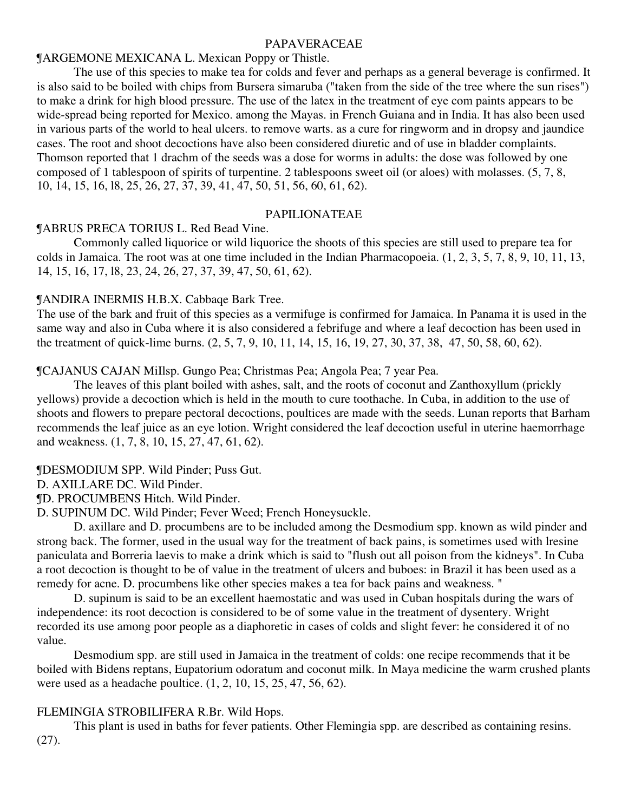# PAPAVERACEAE

# ¶ARGEMONE MEXICANA L. Mexican Poppy or Thistle.

The use of this species to make tea for colds and fever and perhaps as a general beverage is confirmed. It is also said to be boiled with chips from Bursera simaruba ("taken from the side of the tree where the sun rises") to make a drink for high blood pressure. The use of the latex in the treatment of eye com paints appears to be wide-spread being reported for Mexico. among the Mayas. in French Guiana and in India. It has also been used in various parts of the world to heal ulcers. to remove warts. as a cure for ringworm and in dropsy and jaundice cases. The root and shoot decoctions have also been considered diuretic and of use in bladder complaints. Thomson reported that 1 drachm of the seeds was a dose for worms in adults: the dose was followed by one composed of 1 tablespoon of spirits of turpentine. 2 tablespoons sweet oil (or aloes) with molasses. (5, 7, 8, 10, 14, 15, 16, l8, 25, 26, 27, 37, 39, 41, 47, 50, 51, 56, 60, 61, 62).

# PAPILIONATEAE

# ¶ABRUS PRECA TORIUS L. Red Bead Vine.

Commonly called liquorice or wild liquorice the shoots of this species are still used to prepare tea for colds in Jamaica. The root was at one time included in the Indian Pharmacopoeia. (1, 2, 3, 5, 7, 8, 9, 10, 11, 13, 14, 15, 16, 17, l8, 23, 24, 26, 27, 37, 39, 47, 50, 61, 62).

# ¶ANDIRA INERMIS H.B.X. Cabbaqe Bark Tree.

The use of the bark and fruit of this species as a vermifuge is confirmed for Jamaica. In Panama it is used in the same way and also in Cuba where it is also considered a febrifuge and where a leaf decoction has been used in the treatment of quick-lime burns. (2, 5, 7, 9, 10, 11, 14, 15, 16, 19, 27, 30, 37, 38, 47, 50, 58, 60, 62).

¶CAJANUS CAJAN MiIlsp. Gungo Pea; Christmas Pea; Angola Pea; 7 year Pea.

The leaves of this plant boiled with ashes, salt, and the roots of coconut and Zanthoxyllum (prickly yellows) provide a decoction which is held in the mouth to cure toothache. In Cuba, in addition to the use of shoots and flowers to prepare pectoral decoctions, poultices are made with the seeds. Lunan reports that Barham recommends the leaf juice as an eye lotion. Wright considered the leaf decoction useful in uterine haemorrhage and weakness. (1, 7, 8, 10, 15, 27, 47, 61, 62).

¶DESMODIUM SPP. Wild Pinder; Puss Gut.

D. AXILLARE DC. Wild Pinder.

¶D. PROCUMBENS Hitch. Wild Pinder.

D. SUPINUM DC. Wild Pinder; Fever Weed; French Honeysuckle.

D. axillare and D. procumbens are to be included among the Desmodium spp. known as wild pinder and strong back. The former, used in the usual way for the treatment of back pains, is sometimes used with lresine paniculata and Borreria laevis to make a drink which is said to "flush out all poison from the kidneys". In Cuba a root decoction is thought to be of value in the treatment of ulcers and buboes: in Brazil it has been used as a remedy for acne. D. procumbens like other species makes a tea for back pains and weakness. "

D. supinum is said to be an excellent haemostatic and was used in Cuban hospitals during the wars of independence: its root decoction is considered to be of some value in the treatment of dysentery. Wright recorded its use among poor people as a diaphoretic in cases of colds and slight fever: he considered it of no value.

Desmodium spp. are still used in Jamaica in the treatment of colds: one recipe recommends that it be boiled with Bidens reptans, Eupatorium odoratum and coconut milk. In Maya medicine the warm crushed plants were used as a headache poultice. (1, 2, 10, 15, 25, 47, 56, 62).

# FLEMINGIA STROBILIFERA R.Br. Wild Hops.

This plant is used in baths for fever patients. Other Flemingia spp. are described as containing resins. (27).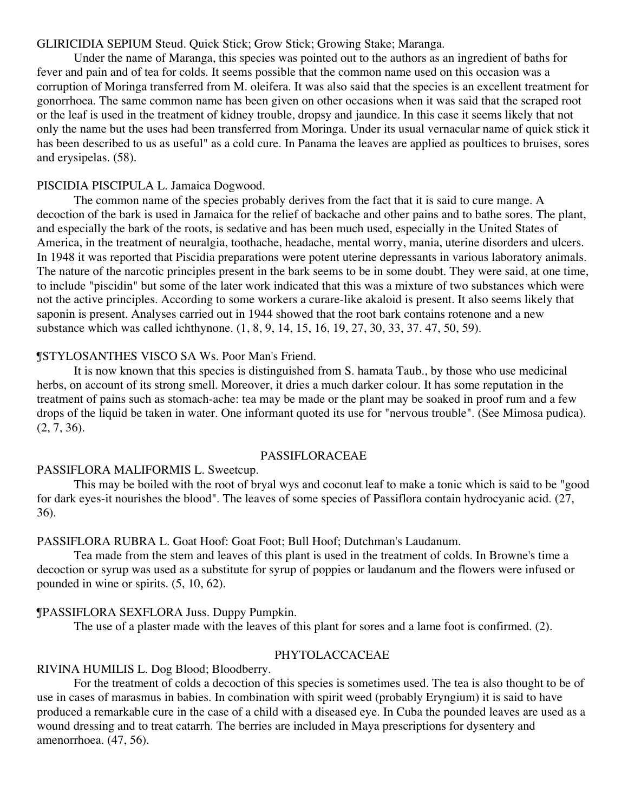# GLIRICIDIA SEPIUM Steud. Quick Stick; Grow Stick; Growing Stake; Maranga.

Under the name of Maranga, this species was pointed out to the authors as an ingredient of baths for fever and pain and of tea for colds. It seems possible that the common name used on this occasion was a corruption of Moringa transferred from M. oleifera. It was also said that the species is an excellent treatment for gonorrhoea. The same common name has been given on other occasions when it was said that the scraped root or the leaf is used in the treatment of kidney trouble, dropsy and jaundice. In this case it seems likely that not only the name but the uses had been transferred from Moringa. Under its usual vernacular name of quick stick it has been described to us as useful" as a cold cure. In Panama the leaves are applied as poultices to bruises, sores and erysipelas. (58).

# PISCIDIA PISCIPULA L. Jamaica Dogwood.

The common name of the species probably derives from the fact that it is said to cure mange. A decoction of the bark is used in Jamaica for the relief of backache and other pains and to bathe sores. The plant, and especially the bark of the roots, is sedative and has been much used, especially in the United States of America, in the treatment of neuralgia, toothache, headache, mental worry, mania, uterine disorders and ulcers. In 1948 it was reported that Piscidia preparations were potent uterine depressants in various laboratory animals. The nature of the narcotic principles present in the bark seems to be in some doubt. They were said, at one time, to include "piscidin" but some of the later work indicated that this was a mixture of two substances which were not the active principles. According to some workers a curare-like akaloid is present. It also seems likely that saponin is present. Analyses carried out in 1944 showed that the root bark contains rotenone and a new substance which was called ichthynone. (1, 8, 9, 14, 15, 16, 19, 27, 30, 33, 37. 47, 50, 59).

# ¶STYLOSANTHES VISCO SA Ws. Poor Man's Friend.

It is now known that this species is distinguished from S. hamata Taub., by those who use medicinal herbs, on account of its strong smell. Moreover, it dries a much darker colour. It has some reputation in the treatment of pains such as stomach-ache: tea may be made or the plant may be soaked in proof rum and a few drops of the liquid be taken in water. One informant quoted its use for "nervous trouble". (See Mimosa pudica). (2, 7, 36).

#### PASSIFLORACEAE

# PASSIFLORA MALIFORMIS L. Sweetcup.

This may be boiled with the root of bryal wys and coconut leaf to make a tonic which is said to be "good for dark eyes-it nourishes the blood". The leaves of some species of Passiflora contain hydrocyanic acid. (27, 36).

# PASSIFLORA RUBRA L. Goat Hoof: Goat Foot; Bull Hoof; Dutchman's Laudanum.

Tea made from the stem and leaves of this plant is used in the treatment of colds. In Browne's time a decoction or syrup was used as a substitute for syrup of poppies or laudanum and the flowers were infused or pounded in wine or spirits. (5, 10, 62).

# ¶PASSIFLORA SEXFLORA Juss. Duppy Pumpkin.

The use of a plaster made with the leaves of this plant for sores and a lame foot is confirmed. (2).

#### PHYTOLACCACEAE

# RIVINA HUMILIS L. Dog Blood; Bloodberry.

For the treatment of colds a decoction of this species is sometimes used. The tea is also thought to be of use in cases of marasmus in babies. In combination with spirit weed (probably Eryngium) it is said to have produced a remarkable cure in the case of a child with a diseased eye. In Cuba the pounded leaves are used as a wound dressing and to treat catarrh. The berries are included in Maya prescriptions for dysentery and amenorrhoea. (47, 56).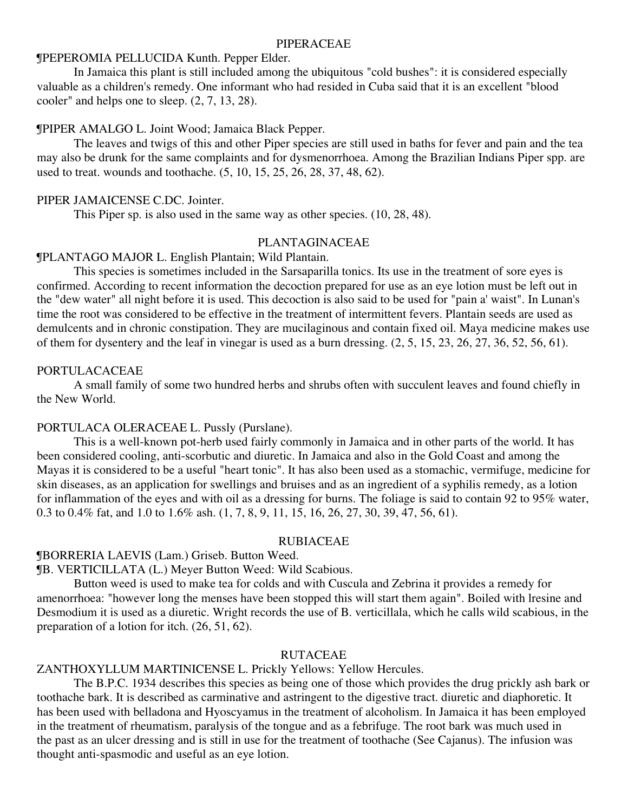#### PIPERACEAE

# ¶PEPEROMIA PELLUCIDA Kunth. Pepper Elder.

In Jamaica this plant is still included among the ubiquitous "cold bushes": it is considered especially valuable as a children's remedy. One informant who had resided in Cuba said that it is an excellent "blood cooler" and helps one to sleep. (2, 7, 13, 28).

#### ¶PIPER AMALGO L. Joint Wood; Jamaica Black Pepper.

The leaves and twigs of this and other Piper species are still used in baths for fever and pain and the tea may also be drunk for the same complaints and for dysmenorrhoea. Among the Brazilian Indians Piper spp. are used to treat. wounds and toothache. (5, 10, 15, 25, 26, 28, 37, 48, 62).

# PIPER JAMAICENSE C.DC. Jointer.

This Piper sp. is also used in the same way as other species. (10, 28, 48).

# PLANTAGINACEAE

#### ¶PLANTAGO MAJOR L. English Plantain; Wild Plantain.

This species is sometimes included in the Sarsaparilla tonics. Its use in the treatment of sore eyes is confirmed. According to recent information the decoction prepared for use as an eye lotion must be left out in the "dew water" all night before it is used. This decoction is also said to be used for "pain a' waist". In Lunan's time the root was considered to be effective in the treatment of intermittent fevers. Plantain seeds are used as demulcents and in chronic constipation. They are mucilaginous and contain fixed oil. Maya medicine makes use of them for dysentery and the leaf in vinegar is used as a burn dressing.  $(2, 5, 15, 23, 26, 27, 36, 52, 56, 61)$ .

#### PORTULACACEAE

A small family of some two hundred herbs and shrubs often with succulent leaves and found chiefly in the New World.

#### PORTULACA OLERACEAE L. Pussly (Purslane).

This is a well-known pot-herb used fairly commonly in Jamaica and in other parts of the world. It has been considered cooling, anti-scorbutic and diuretic. In Jamaica and also in the Gold Coast and among the Mayas it is considered to be a useful "heart tonic". It has also been used as a stomachic, vermifuge, medicine for skin diseases, as an application for swellings and bruises and as an ingredient of a syphilis remedy, as a lotion for inflammation of the eyes and with oil as a dressing for burns. The foliage is said to contain 92 to 95% water, 0.3 to 0.4% fat, and 1.0 to 1.6% ash. (1, 7, 8, 9, 11, 15, 16, 26, 27, 30, 39, 47, 56, 61).

#### RUBIACEAE

#### ¶BORRERIA LAEVIS (Lam.) Griseb. Button Weed.

¶B. VERTICILLATA (L.) Meyer Button Weed: Wild Scabious.

Button weed is used to make tea for colds and with Cuscula and Zebrina it provides a remedy for amenorrhoea: "however long the menses have been stopped this will start them again". Boiled with lresine and Desmodium it is used as a diuretic. Wright records the use of B. verticillala, which he calls wild scabious, in the preparation of a lotion for itch. (26, 51, 62).

#### RUTACEAE

#### ZANTHOXYLLUM MARTINICENSE L. Prickly Yellows: Yellow Hercules.

The B.P.C. 1934 describes this species as being one of those which provides the drug prickly ash bark or toothache bark. It is described as carminative and astringent to the digestive tract. diuretic and diaphoretic. It has been used with belladona and Hyoscyamus in the treatment of alcoholism. In Jamaica it has been employed in the treatment of rheumatism, paralysis of the tongue and as a febrifuge. The root bark was much used in the past as an ulcer dressing and is still in use for the treatment of toothache (See Cajanus). The infusion was thought anti-spasmodic and useful as an eye lotion.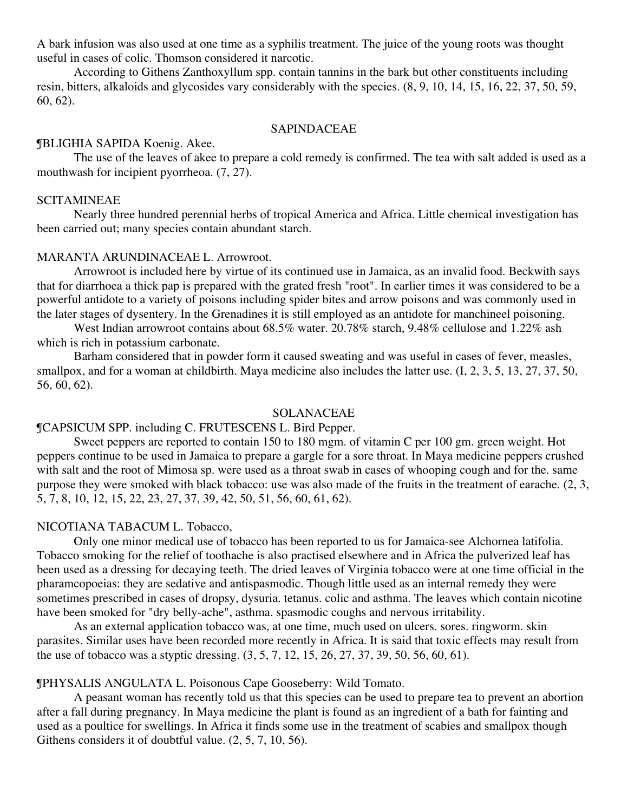A bark infusion was also used at one time as a syphilis treatment. The juice of the young roots was thought useful in cases of colic. Thomson considered it narcotic.

According to Githens Zanthoxyllum spp. contain tannins in the bark but other constituents including resin, bitters, alkaloids and glycosides vary considerably with the species. (8, 9, 10, 14, 15, 16, 22, 37, 50, 59, 60, 62).

#### SAPINDACEAE

#### ¶BLIGHIA SAPIDA Koenig. Akee.

The use of the leaves of akee to prepare a cold remedy is confirmed. The tea with salt added is used as a mouthwash for incipient pyorrheoa. (7, 27).

#### SCITAMINEAE

Nearly three hundred perennial herbs of tropical America and Africa. Little chemical investigation has been carried out; many species contain abundant starch.

#### MARANTA ARUNDINACEAE L. Arrowroot.

Arrowroot is included here by virtue of its continued use in Jamaica, as an invalid food. Beckwith says that for diarrhoea a thick pap is prepared with the grated fresh "root". In earlier times it was considered to be a powerful antidote to a variety of poisons including spider bites and arrow poisons and was commonly used in the later stages of dysentery. In the Grenadines it is still employed as an antidote for manchineel poisoning.

West Indian arrowroot contains about 68.5% water. 20.78% starch, 9.48% cellulose and 1.22% ash which is rich in potassium carbonate.

Barham considered that in powder form it caused sweating and was useful in cases of fever, measles, smallpox, and for a woman at childbirth. Maya medicine also includes the latter use. (I, 2, 3, 5, 13, 27, 37, 50, 56, 60, 62).

#### SOLANACEAE

#### ¶CAPSICUM SPP. including C. FRUTESCENS L. Bird Pepper.

Sweet peppers are reported to contain 150 to 180 mgm. of vitamin C per 100 gm. green weight. Hot peppers continue to be used in Jamaica to prepare a gargle for a sore throat. In Maya medicine peppers crushed with salt and the root of Mimosa sp. were used as a throat swab in cases of whooping cough and for the. same purpose they were smoked with black tobacco: use was also made of the fruits in the treatment of earache. (2, 3, 5, 7, 8, 10, 12, 15, 22, 23, 27, 37, 39, 42, 50, 51, 56, 60, 61, 62).

# NICOTIANA TABACUM L. Tobacco,

Only one minor medical use of tobacco has been reported to us for Jamaica-see Alchornea latifolia. Tobacco smoking for the relief of toothache is also practised elsewhere and in Africa the pulverized leaf has been used as a dressing for decaying teeth. The dried leaves of Virginia tobacco were at one time official in the pharamcopoeias: they are sedative and antispasmodic. Though little used as an internal remedy they were sometimes prescribed in cases of dropsy, dysuria. tetanus. colic and asthma. The leaves which contain nicotine have been smoked for "dry belly-ache", asthma. spasmodic coughs and nervous irritability.

As an external application tobacco was, at one time, much used on ulcers. sores. ringworm. skin parasites. Similar uses have been recorded more recently in Africa. It is said that toxic effects may result from the use of tobacco was a styptic dressing. (3, 5, 7, 12, 15, 26, 27, 37, 39, 50, 56, 60, 61).

# ¶PHYSALIS ANGULATA L. Poisonous Cape Gooseberry: Wild Tomato.

A peasant woman has recently told us that this species can be used to prepare tea to prevent an abortion after a fall during pregnancy. In Maya medicine the plant is found as an ingredient of a bath for fainting and used as a poultice for swellings. In Africa it finds some use in the treatment of scabies and smallpox though Githens considers it of doubtful value. (2, 5, 7, 10, 56).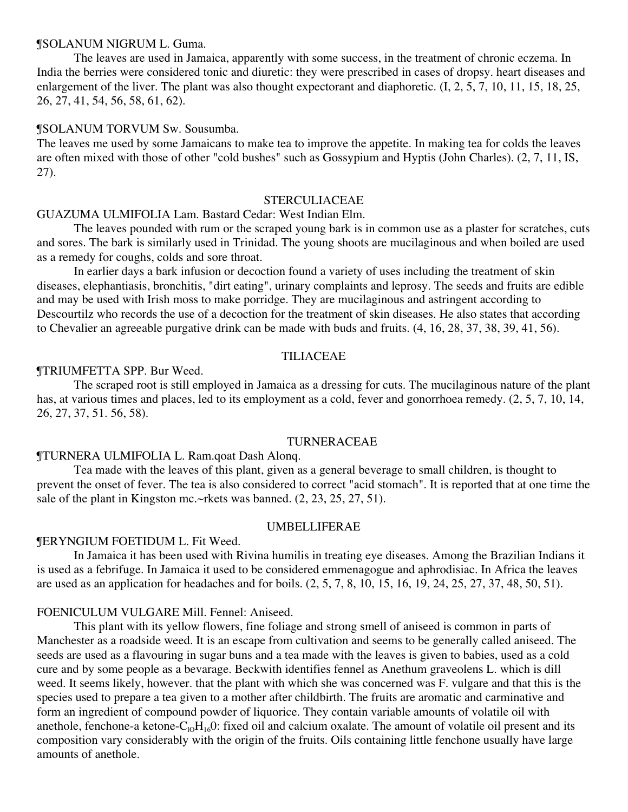#### ¶SOLANUM NIGRUM L. Guma.

The leaves are used in Jamaica, apparently with some success, in the treatment of chronic eczema. In India the berries were considered tonic and diuretic: they were prescribed in cases of dropsy. heart diseases and enlargement of the liver. The plant was also thought expectorant and diaphoretic. (I, 2, 5, 7, 10, 11, 15, 18, 25, 26, 27, 41, 54, 56, 58, 61, 62).

#### ¶SOLANUM TORVUM Sw. Sousumba.

The leaves me used by some Jamaicans to make tea to improve the appetite. In making tea for colds the leaves are often mixed with those of other "cold bushes" such as Gossypium and Hyptis (John Charles). (2, 7, 11, IS, 27).

#### STERCULIACEAE

# GUAZUMA ULMIFOLIA Lam. Bastard Cedar: West Indian Elm.

The leaves pounded with rum or the scraped young bark is in common use as a plaster for scratches, cuts and sores. The bark is similarly used in Trinidad. The young shoots are mucilaginous and when boiled are used as a remedy for coughs, colds and sore throat.

In earlier days a bark infusion or decoction found a variety of uses including the treatment of skin diseases, elephantiasis, bronchitis, "dirt eating", urinary complaints and leprosy. The seeds and fruits are edible and may be used with Irish moss to make porridge. They are mucilaginous and astringent according to Descourtilz who records the use of a decoction for the treatment of skin diseases. He also states that according to Chevalier an agreeable purgative drink can be made with buds and fruits. (4, 16, 28, 37, 38, 39, 41, 56).

# TILIACEAE

#### ¶TRIUMFETTA SPP. Bur Weed.

The scraped root is still employed in Jamaica as a dressing for cuts. The mucilaginous nature of the plant has, at various times and places, led to its employment as a cold, fever and gonorrhoea remedy.  $(2, 5, 7, 10, 14, 14)$ 26, 27, 37, 51. 56, 58).

# TURNERACEAE

#### ¶TURNERA ULMIFOLIA L. Ram.qoat Dash Alonq.

Tea made with the leaves of this plant, given as a general beverage to small children, is thought to prevent the onset of fever. The tea is also considered to correct "acid stomach". It is reported that at one time the sale of the plant in Kingston mc.~rkets was banned.  $(2, 23, 25, 27, 51)$ .

#### UMBELLIFERAE

# ¶ERYNGIUM FOETIDUM L. Fit Weed.

In Jamaica it has been used with Rivina humilis in treating eye diseases. Among the Brazilian Indians it is used as a febrifuge. In Jamaica it used to be considered emmenagogue and aphrodisiac. In Africa the leaves are used as an application for headaches and for boils. (2, 5, 7, 8, 10, 15, 16, 19, 24, 25, 27, 37, 48, 50, 51).

#### FOENICULUM VULGARE Mill. Fennel: Aniseed.

This plant with its yellow flowers, fine foliage and strong smell of aniseed is common in parts of Manchester as a roadside weed. It is an escape from cultivation and seems to be generally called aniseed. The seeds are used as a flavouring in sugar buns and a tea made with the leaves is given to babies, used as a cold cure and by some people as a bevarage. Beckwith identifies fennel as Anethum graveolens L. which is dill weed. It seems likely, however. that the plant with which she was concerned was F. vulgare and that this is the species used to prepare a tea given to a mother after childbirth. The fruits are aromatic and carminative and form an ingredient of compound powder of liquorice. They contain variable amounts of volatile oil with anethole, fenchone-a ketone- $C_0H_{16}0$ : fixed oil and calcium oxalate. The amount of volatile oil present and its composition vary considerably with the origin of the fruits. Oils containing little fenchone usually have large amounts of anethole.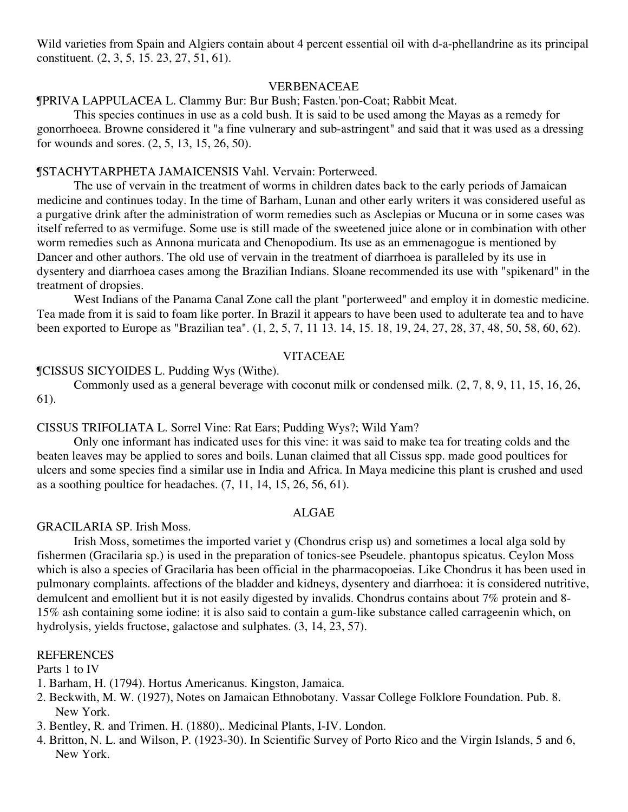Wild varieties from Spain and Algiers contain about 4 percent essential oil with d-a-phellandrine as its principal constituent. (2, 3, 5, 15. 23, 27, 51, 61).

# VERBENACEAE

¶PRIVA LAPPULACEA L. Clammy Bur: Bur Bush; Fasten.'pon-Coat; Rabbit Meat.

This species continues in use as a cold bush. It is said to be used among the Mayas as a remedy for gonorrhoeea. Browne considered it "a fine vulnerary and sub-astringent" and said that it was used as a dressing for wounds and sores. (2, 5, 13, 15, 26, 50).

# ¶STACHYTARPHETA JAMAICENSIS Vahl. Vervain: Porterweed.

The use of vervain in the treatment of worms in children dates back to the early periods of Jamaican medicine and continues today. In the time of Barham, Lunan and other early writers it was considered useful as a purgative drink after the administration of worm remedies such as Asclepias or Mucuna or in some cases was itself referred to as vermifuge. Some use is still made of the sweetened juice alone or in combination with other worm remedies such as Annona muricata and Chenopodium. Its use as an emmenagogue is mentioned by Dancer and other authors. The old use of vervain in the treatment of diarrhoea is paralleled by its use in dysentery and diarrhoea cases among the Brazilian Indians. Sloane recommended its use with "spikenard" in the treatment of dropsies.

West Indians of the Panama Canal Zone call the plant "porterweed" and employ it in domestic medicine. Tea made from it is said to foam like porter. In Brazil it appears to have been used to adulterate tea and to have been exported to Europe as "Brazilian tea". (1, 2, 5, 7, 11 13. 14, 15. 18, 19, 24, 27, 28, 37, 48, 50, 58, 60, 62).

# VITACEAE

# ¶CISSUS SICYOIDES L. Pudding Wys (Withe).

Commonly used as a general beverage with coconut milk or condensed milk. (2, 7, 8, 9, 11, 15, 16, 26, 61).

# CISSUS TRIFOLIATA L. Sorrel Vine: Rat Ears; Pudding Wys?; Wild Yam?

Only one informant has indicated uses for this vine: it was said to make tea for treating colds and the beaten leaves may be applied to sores and boils. Lunan claimed that all Cissus spp. made good poultices for ulcers and some species find a similar use in India and Africa. In Maya medicine this plant is crushed and used as a soothing poultice for headaches. (7, 11, 14, 15, 26, 56, 61).

# ALGAE

#### GRACILARIA SP. Irish Moss.

Irish Moss, sometimes the imported variet y (Chondrus crisp us) and sometimes a local alga sold by fishermen (Gracilaria sp.) is used in the preparation of tonics-see Pseudele. phantopus spicatus. Ceylon Moss which is also a species of Gracilaria has been official in the pharmacopoeias. Like Chondrus it has been used in pulmonary complaints. affections of the bladder and kidneys, dysentery and diarrhoea: it is considered nutritive, demulcent and emollient but it is not easily digested by invalids. Chondrus contains about 7% protein and 8- 15% ash containing some iodine: it is also said to contain a gum-like substance called carrageenin which, on hydrolysis, yields fructose, galactose and sulphates. (3, 14, 23, 57).

#### **REFERENCES**

Parts 1 to IV

- 1. Barham, H. (1794). Hortus Americanus. Kingston, Jamaica.
- 2. Beckwith, M. W. (1927), Notes on Jamaican Ethnobotany. Vassar College Folklore Foundation. Pub. 8. New York.
- 3. Bentley, R. and Trimen. H. (1880),. Medicinal Plants, I-IV. London.
- 4. Britton, N. L. and Wilson, P. (1923-30). In Scientific Survey of Porto Rico and the Virgin Islands, 5 and 6, New York.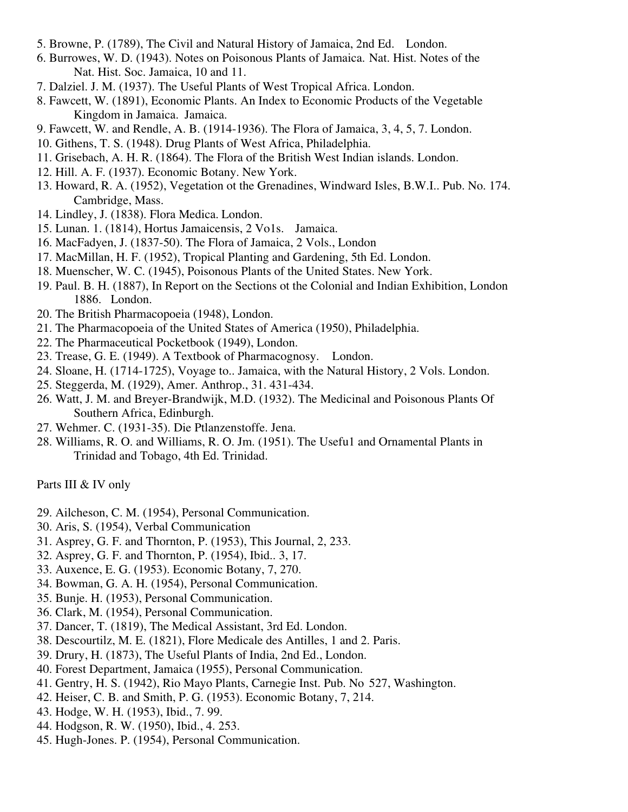- 5. Browne, P. (1789), The Civil and Natural History of Jamaica, 2nd Ed. London.
- 6. Burrowes, W. D. (1943). Notes on Poisonous Plants of Jamaica. Nat. Hist. Notes of the Nat. Hist. Soc. Jamaica, 10 and 11.
- 7. Dalziel. J. M. (1937). The Useful Plants of West Tropical Africa. London.
- 8. Fawcett, W. (1891), Economic Plants. An Index to Economic Products of the Vegetable Kingdom in Jamaica. Jamaica.
- 9. Fawcett, W. and Rendle, A. B. (1914-1936). The Flora of Jamaica, 3, 4, 5, 7. London.
- 10. Githens, T. S. (1948). Drug Plants of West Africa, Philadelphia.
- 11. Grisebach, A. H. R. (1864). The Flora of the British West Indian islands. London.
- 12. Hill. A. F. (1937). Economic Botany. New York.
- 13. Howard, R. A. (1952), Vegetation ot the Grenadines, Windward Isles, B.W.I.. Pub. No. 174. Cambridge, Mass.
- 14. Lindley, J. (1838). Flora Medica. London.
- 15. Lunan. 1. (1814), Hortus Jamaicensis, 2 Vo1s. Jamaica.
- 16. MacFadyen, J. (1837-50). The Flora of Jamaica, 2 Vols., London
- 17. MacMillan, H. F. (1952), Tropical Planting and Gardening, 5th Ed. London.
- 18. Muenscher, W. C. (1945), Poisonous Plants of the United States. New York.
- 19. Paul. B. H. (1887), In Report on the Sections ot the Colonial and Indian Exhibition, London 1886. London.
- 20. The British Pharmacopoeia (1948), London.
- 21. The Pharmacopoeia of the United States of America (1950), Philadelphia.
- 22. The Pharmaceutical Pocketbook (1949), London.
- 23. Trease, G. E. (1949). A Textbook of Pharmacognosy. London.
- 24. Sloane, H. (1714-1725), Voyage to.. Jamaica, with the Natural History, 2 Vols. London.
- 25. Steggerda, M. (1929), Amer. Anthrop., 31. 431-434.
- 26. Watt, J. M. and Breyer-Brandwijk, M.D. (1932). The Medicinal and Poisonous Plants Of Southern Africa, Edinburgh.
- 27. Wehmer. C. (1931-35). Die Ptlanzenstoffe. Jena.
- 28. Williams, R. O. and Williams, R. O. Jm. (1951). The Usefu1 and Ornamental Plants in Trinidad and Tobago, 4th Ed. Trinidad.

Parts III & IV only

- 29. Ailcheson, C. M. (1954), Personal Communication.
- 30. Aris, S. (1954), Verbal Communication
- 31. Asprey, G. F. and Thornton, P. (1953), This Journal, 2, 233.
- 32. Asprey, G. F. and Thornton, P. (1954), Ibid.. 3, 17.
- 33. Auxence, E. G. (1953). Economic Botany, 7, 270.
- 34. Bowman, G. A. H. (1954), Personal Communication.
- 35. Bunje. H. (1953), Personal Communication.
- 36. Clark, M. (1954), Personal Communication.
- 37. Dancer, T. (1819), The Medical Assistant, 3rd Ed. London.
- 38. Descourtilz, M. E. (1821), Flore Medicale des Antilles, 1 and 2. Paris.
- 39. Drury, H. (1873), The Useful Plants of India, 2nd Ed., London.
- 40. Forest Department, Jamaica (1955), Personal Communication.
- 41. Gentry, H. S. (1942), Rio Mayo Plants, Carnegie Inst. Pub. No 527, Washington.
- 42. Heiser, C. B. and Smith, P. G. (1953). Economic Botany, 7, 214.
- 43. Hodge, W. H. (1953), Ibid., 7. 99.
- 44. Hodgson, R. W. (1950), Ibid., 4. 253.
- 45. Hugh-Jones. P. (1954), Personal Communication.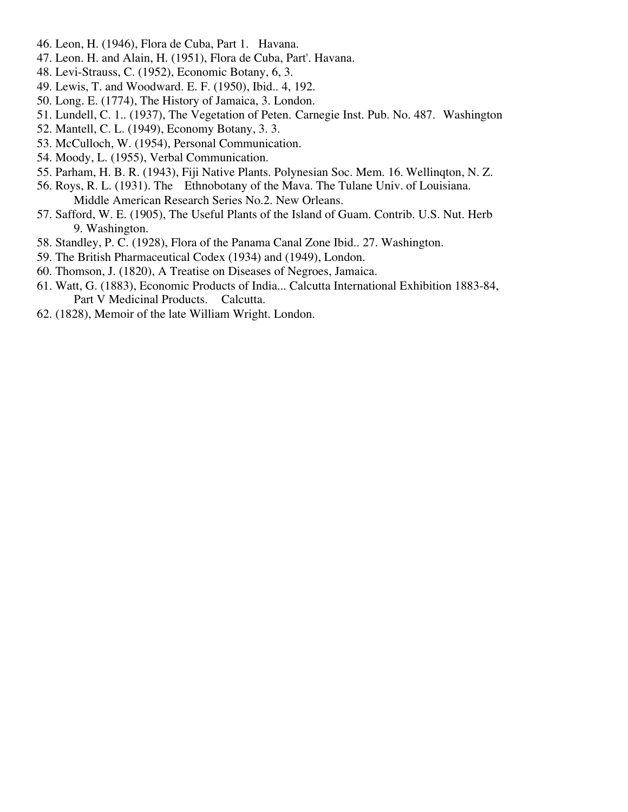- 46. Leon, H. (1946), Flora de Cuba, Part 1. Havana.
- 47. Leon. H. and Alain, H. (1951), Flora de Cuba, Part'. Havana.
- 48. Levi-Strauss, C. (1952), Economic Botany, 6, 3.
- 49. Lewis, T. and Woodward. E. F. (1950), Ibid.. 4, 192.
- 50. Long. E. (1774), The History of Jamaica, 3. London.
- 51. Lundell, C. 1.. (1937), The Vegetation of Peten. Carnegie Inst. Pub. No. 487. Washington
- 52. Mantell, C. L. (1949), Economy Botany, 3. 3.
- 53. McCulloch, W. (1954), Personal Communication.
- 54. Moody, L. (1955), Verbal Communication.
- 55. Parham, H. B. R. (1943), Fiji Native Plants. Polynesian Soc. Mem. 16. Wellinqton, N. Z.
- 56. Roys, R. L. (1931). The Ethnobotany of the Mava. The Tulane Univ. of Louisiana. Middle American Research Series No.2. New Orleans.
- 57. Safford, W. E. (1905), The Useful Plants of the Island of Guam. Contrib. U.S. Nut. Herb 9. Washington.
- 58. Standley, P. C. (1928), Flora of the Panama Canal Zone Ibid.. 27. Washington.
- 59. The British Pharmaceutical Codex (1934) and (1949), London.
- 60. Thomson, J. (1820), A Treatise on Diseases of Negroes, Jamaica.
- 61. Watt, G. (1883), Economic Products of India... Calcutta International Exhibition 1883-84, Part V Medicinal Products. Calcutta.
- 62. (1828), Memoir of the late William Wright. London.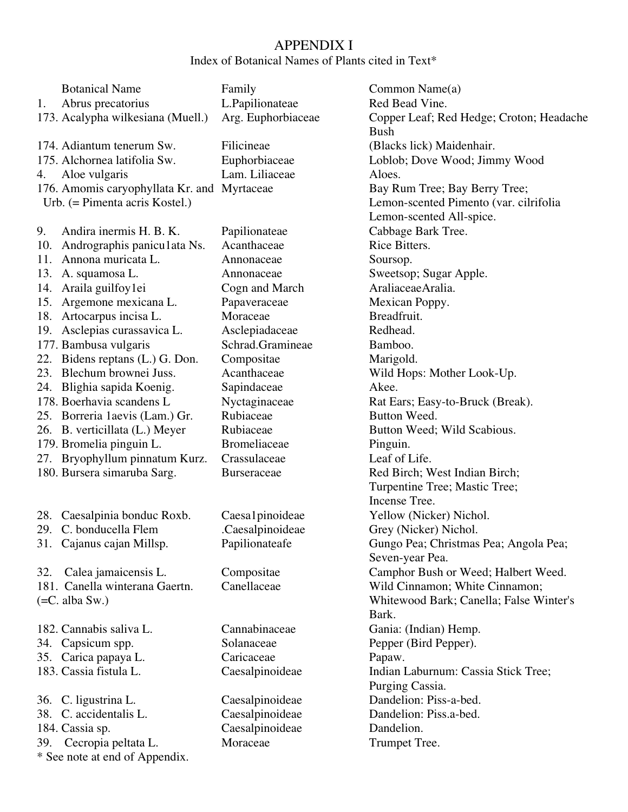# APPENDIX I

Index of Botanical Names of Plants cited in Text\*

| L.Papilionateae<br>Red Bead Vine.<br>Abrus precatorius<br>1.<br>173. Acalypha wilkesiana (Muell.)<br>Arg. Euphorbiaceae<br>Copper Leaf; Red Hedge; Croton; Headache<br><b>Bush</b><br>174. Adiantum tenerum Sw.<br>Filicineae<br>(Blacks lick) Maidenhair.<br>175. Alchornea latifolia Sw.<br>Euphorbiaceae<br>Loblob; Dove Wood; Jimmy Wood<br>Lam. Liliaceae<br>Aloe vulgaris<br>Aloes.<br>4.<br>176. Amomis caryophyllata Kr. and Myrtaceae<br>Bay Rum Tree; Bay Berry Tree;<br>Lemon-scented Pimento (var. cilrifolia<br>Urb. $(=$ Pimenta acris Kostel. $)$<br>Lemon-scented All-spice.<br>Cabbage Bark Tree.<br>9.<br>Andira inermis H. B. K.<br>Papilionateae<br>Andrographis paniculata Ns.<br>Acanthaceae<br>Rice Bitters.<br>10.<br>Annona muricata L.<br>11.<br>Annonaceae<br>Soursop.<br>Sweetsop; Sugar Apple.<br>13.<br>A. squamosa L.<br>Annonaceae<br>AraliaceaeAralia.<br>Araila guilfoy1ei<br>Cogn and March<br>14.<br>Argemone mexicana L.<br>15.<br>Papaveraceae<br>Mexican Poppy.<br>Moraceae<br>Breadfruit.<br>18.<br>Artocarpus incisa L.<br>Asclepias curassavica L.<br>Redhead.<br>Asclepiadaceae<br>19.<br>177. Bambusa vulgaris<br>Schrad.Gramineae<br>Bamboo.<br>22. Bidens reptans (L.) G. Don.<br>Compositae<br>Marigold.<br>23. Blechum brownei Juss.<br>Acanthaceae<br>Wild Hops: Mother Look-Up.<br>24. Blighia sapida Koenig.<br>Sapindaceae<br>Akee.<br>178. Boerhavia scandens L<br>Nyctaginaceae<br>Rat Ears; Easy-to-Bruck (Break).<br>Rubiaceae<br>25. Borreria 1 aevis (Lam.) Gr.<br>Button Weed.<br>26. B. verticillata (L.) Meyer<br>Rubiaceae<br>Button Weed; Wild Scabious.<br><b>Bromeliaceae</b><br>179. Bromelia pinguin L.<br>Pinguin.<br>27. Bryophyllum pinnatum Kurz.<br>Leaf of Life.<br>Crassulaceae<br>180. Bursera simaruba Sarg.<br>Red Birch; West Indian Birch;<br><b>Burseraceae</b><br>Turpentine Tree; Mastic Tree;<br>Incense Tree.<br>Caesalpinia bonduc Roxb.<br>Caesa1pinoideae<br>Yellow (Nicker) Nichol.<br>28.<br>29. C. bonducella Flem<br>Caesalpinoideae.<br>Grey (Nicker) Nichol.<br>Papilionateafe<br>31. Cajanus cajan Millsp.<br>Gungo Pea; Christmas Pea; Angola Pea;<br>Seven-year Pea.<br>Camphor Bush or Weed; Halbert Weed.<br>Calea jamaicensis L.<br>Compositae<br>32.<br>181. Canella winterana Gaertn.<br>Canellaceae<br>Wild Cinnamon; White Cinnamon;<br>Whitewood Bark; Canella; False Winter's<br>$(=C.$ alba Sw.)<br>Bark.<br>Cannabinaceae<br>182. Cannabis saliva L.<br>Gania: (Indian) Hemp.<br>34. Capsicum spp.<br>Solanaceae<br>Pepper (Bird Pepper).<br>35. Carica papaya L.<br>Caricaceae<br>Papaw.<br>183. Cassia fistula L.<br>Caesalpinoideae<br>Indian Laburnum: Cassia Stick Tree;<br>Purging Cassia.<br>Dandelion: Piss-a-bed.<br>36. C. ligustrina L.<br>Caesalpinoideae<br>38. C. accidentalis L.<br>Caesalpinoideae<br>Dandelion: Piss.a-bed.<br>Caesalpinoideae<br>Dandelion.<br>184. Cassia sp.<br>Moraceae<br>39. Cecropia peltata L.<br>Trumpet Tree.<br>* See note at end of Appendix. | <b>Botanical Name</b> | Family | Common Name(a) |
|-------------------------------------------------------------------------------------------------------------------------------------------------------------------------------------------------------------------------------------------------------------------------------------------------------------------------------------------------------------------------------------------------------------------------------------------------------------------------------------------------------------------------------------------------------------------------------------------------------------------------------------------------------------------------------------------------------------------------------------------------------------------------------------------------------------------------------------------------------------------------------------------------------------------------------------------------------------------------------------------------------------------------------------------------------------------------------------------------------------------------------------------------------------------------------------------------------------------------------------------------------------------------------------------------------------------------------------------------------------------------------------------------------------------------------------------------------------------------------------------------------------------------------------------------------------------------------------------------------------------------------------------------------------------------------------------------------------------------------------------------------------------------------------------------------------------------------------------------------------------------------------------------------------------------------------------------------------------------------------------------------------------------------------------------------------------------------------------------------------------------------------------------------------------------------------------------------------------------------------------------------------------------------------------------------------------------------------------------------------------------------------------------------------------------------------------------------------------------------------------------------------------------------------------------------------------------------------------------------------------------------------------------------------------------------------------------------------------------------------------------------------------------------------------------------------------------------------------------------------------------------------------------------------------------------------------------------------------------------------------------------|-----------------------|--------|----------------|
|                                                                                                                                                                                                                                                                                                                                                                                                                                                                                                                                                                                                                                                                                                                                                                                                                                                                                                                                                                                                                                                                                                                                                                                                                                                                                                                                                                                                                                                                                                                                                                                                                                                                                                                                                                                                                                                                                                                                                                                                                                                                                                                                                                                                                                                                                                                                                                                                                                                                                                                                                                                                                                                                                                                                                                                                                                                                                                                                                                                                       |                       |        |                |
|                                                                                                                                                                                                                                                                                                                                                                                                                                                                                                                                                                                                                                                                                                                                                                                                                                                                                                                                                                                                                                                                                                                                                                                                                                                                                                                                                                                                                                                                                                                                                                                                                                                                                                                                                                                                                                                                                                                                                                                                                                                                                                                                                                                                                                                                                                                                                                                                                                                                                                                                                                                                                                                                                                                                                                                                                                                                                                                                                                                                       |                       |        |                |
|                                                                                                                                                                                                                                                                                                                                                                                                                                                                                                                                                                                                                                                                                                                                                                                                                                                                                                                                                                                                                                                                                                                                                                                                                                                                                                                                                                                                                                                                                                                                                                                                                                                                                                                                                                                                                                                                                                                                                                                                                                                                                                                                                                                                                                                                                                                                                                                                                                                                                                                                                                                                                                                                                                                                                                                                                                                                                                                                                                                                       |                       |        |                |
|                                                                                                                                                                                                                                                                                                                                                                                                                                                                                                                                                                                                                                                                                                                                                                                                                                                                                                                                                                                                                                                                                                                                                                                                                                                                                                                                                                                                                                                                                                                                                                                                                                                                                                                                                                                                                                                                                                                                                                                                                                                                                                                                                                                                                                                                                                                                                                                                                                                                                                                                                                                                                                                                                                                                                                                                                                                                                                                                                                                                       |                       |        |                |
|                                                                                                                                                                                                                                                                                                                                                                                                                                                                                                                                                                                                                                                                                                                                                                                                                                                                                                                                                                                                                                                                                                                                                                                                                                                                                                                                                                                                                                                                                                                                                                                                                                                                                                                                                                                                                                                                                                                                                                                                                                                                                                                                                                                                                                                                                                                                                                                                                                                                                                                                                                                                                                                                                                                                                                                                                                                                                                                                                                                                       |                       |        |                |
|                                                                                                                                                                                                                                                                                                                                                                                                                                                                                                                                                                                                                                                                                                                                                                                                                                                                                                                                                                                                                                                                                                                                                                                                                                                                                                                                                                                                                                                                                                                                                                                                                                                                                                                                                                                                                                                                                                                                                                                                                                                                                                                                                                                                                                                                                                                                                                                                                                                                                                                                                                                                                                                                                                                                                                                                                                                                                                                                                                                                       |                       |        |                |
|                                                                                                                                                                                                                                                                                                                                                                                                                                                                                                                                                                                                                                                                                                                                                                                                                                                                                                                                                                                                                                                                                                                                                                                                                                                                                                                                                                                                                                                                                                                                                                                                                                                                                                                                                                                                                                                                                                                                                                                                                                                                                                                                                                                                                                                                                                                                                                                                                                                                                                                                                                                                                                                                                                                                                                                                                                                                                                                                                                                                       |                       |        |                |
|                                                                                                                                                                                                                                                                                                                                                                                                                                                                                                                                                                                                                                                                                                                                                                                                                                                                                                                                                                                                                                                                                                                                                                                                                                                                                                                                                                                                                                                                                                                                                                                                                                                                                                                                                                                                                                                                                                                                                                                                                                                                                                                                                                                                                                                                                                                                                                                                                                                                                                                                                                                                                                                                                                                                                                                                                                                                                                                                                                                                       |                       |        |                |
|                                                                                                                                                                                                                                                                                                                                                                                                                                                                                                                                                                                                                                                                                                                                                                                                                                                                                                                                                                                                                                                                                                                                                                                                                                                                                                                                                                                                                                                                                                                                                                                                                                                                                                                                                                                                                                                                                                                                                                                                                                                                                                                                                                                                                                                                                                                                                                                                                                                                                                                                                                                                                                                                                                                                                                                                                                                                                                                                                                                                       |                       |        |                |
|                                                                                                                                                                                                                                                                                                                                                                                                                                                                                                                                                                                                                                                                                                                                                                                                                                                                                                                                                                                                                                                                                                                                                                                                                                                                                                                                                                                                                                                                                                                                                                                                                                                                                                                                                                                                                                                                                                                                                                                                                                                                                                                                                                                                                                                                                                                                                                                                                                                                                                                                                                                                                                                                                                                                                                                                                                                                                                                                                                                                       |                       |        |                |
|                                                                                                                                                                                                                                                                                                                                                                                                                                                                                                                                                                                                                                                                                                                                                                                                                                                                                                                                                                                                                                                                                                                                                                                                                                                                                                                                                                                                                                                                                                                                                                                                                                                                                                                                                                                                                                                                                                                                                                                                                                                                                                                                                                                                                                                                                                                                                                                                                                                                                                                                                                                                                                                                                                                                                                                                                                                                                                                                                                                                       |                       |        |                |
|                                                                                                                                                                                                                                                                                                                                                                                                                                                                                                                                                                                                                                                                                                                                                                                                                                                                                                                                                                                                                                                                                                                                                                                                                                                                                                                                                                                                                                                                                                                                                                                                                                                                                                                                                                                                                                                                                                                                                                                                                                                                                                                                                                                                                                                                                                                                                                                                                                                                                                                                                                                                                                                                                                                                                                                                                                                                                                                                                                                                       |                       |        |                |
|                                                                                                                                                                                                                                                                                                                                                                                                                                                                                                                                                                                                                                                                                                                                                                                                                                                                                                                                                                                                                                                                                                                                                                                                                                                                                                                                                                                                                                                                                                                                                                                                                                                                                                                                                                                                                                                                                                                                                                                                                                                                                                                                                                                                                                                                                                                                                                                                                                                                                                                                                                                                                                                                                                                                                                                                                                                                                                                                                                                                       |                       |        |                |
|                                                                                                                                                                                                                                                                                                                                                                                                                                                                                                                                                                                                                                                                                                                                                                                                                                                                                                                                                                                                                                                                                                                                                                                                                                                                                                                                                                                                                                                                                                                                                                                                                                                                                                                                                                                                                                                                                                                                                                                                                                                                                                                                                                                                                                                                                                                                                                                                                                                                                                                                                                                                                                                                                                                                                                                                                                                                                                                                                                                                       |                       |        |                |
|                                                                                                                                                                                                                                                                                                                                                                                                                                                                                                                                                                                                                                                                                                                                                                                                                                                                                                                                                                                                                                                                                                                                                                                                                                                                                                                                                                                                                                                                                                                                                                                                                                                                                                                                                                                                                                                                                                                                                                                                                                                                                                                                                                                                                                                                                                                                                                                                                                                                                                                                                                                                                                                                                                                                                                                                                                                                                                                                                                                                       |                       |        |                |
|                                                                                                                                                                                                                                                                                                                                                                                                                                                                                                                                                                                                                                                                                                                                                                                                                                                                                                                                                                                                                                                                                                                                                                                                                                                                                                                                                                                                                                                                                                                                                                                                                                                                                                                                                                                                                                                                                                                                                                                                                                                                                                                                                                                                                                                                                                                                                                                                                                                                                                                                                                                                                                                                                                                                                                                                                                                                                                                                                                                                       |                       |        |                |
|                                                                                                                                                                                                                                                                                                                                                                                                                                                                                                                                                                                                                                                                                                                                                                                                                                                                                                                                                                                                                                                                                                                                                                                                                                                                                                                                                                                                                                                                                                                                                                                                                                                                                                                                                                                                                                                                                                                                                                                                                                                                                                                                                                                                                                                                                                                                                                                                                                                                                                                                                                                                                                                                                                                                                                                                                                                                                                                                                                                                       |                       |        |                |
|                                                                                                                                                                                                                                                                                                                                                                                                                                                                                                                                                                                                                                                                                                                                                                                                                                                                                                                                                                                                                                                                                                                                                                                                                                                                                                                                                                                                                                                                                                                                                                                                                                                                                                                                                                                                                                                                                                                                                                                                                                                                                                                                                                                                                                                                                                                                                                                                                                                                                                                                                                                                                                                                                                                                                                                                                                                                                                                                                                                                       |                       |        |                |
|                                                                                                                                                                                                                                                                                                                                                                                                                                                                                                                                                                                                                                                                                                                                                                                                                                                                                                                                                                                                                                                                                                                                                                                                                                                                                                                                                                                                                                                                                                                                                                                                                                                                                                                                                                                                                                                                                                                                                                                                                                                                                                                                                                                                                                                                                                                                                                                                                                                                                                                                                                                                                                                                                                                                                                                                                                                                                                                                                                                                       |                       |        |                |
|                                                                                                                                                                                                                                                                                                                                                                                                                                                                                                                                                                                                                                                                                                                                                                                                                                                                                                                                                                                                                                                                                                                                                                                                                                                                                                                                                                                                                                                                                                                                                                                                                                                                                                                                                                                                                                                                                                                                                                                                                                                                                                                                                                                                                                                                                                                                                                                                                                                                                                                                                                                                                                                                                                                                                                                                                                                                                                                                                                                                       |                       |        |                |
|                                                                                                                                                                                                                                                                                                                                                                                                                                                                                                                                                                                                                                                                                                                                                                                                                                                                                                                                                                                                                                                                                                                                                                                                                                                                                                                                                                                                                                                                                                                                                                                                                                                                                                                                                                                                                                                                                                                                                                                                                                                                                                                                                                                                                                                                                                                                                                                                                                                                                                                                                                                                                                                                                                                                                                                                                                                                                                                                                                                                       |                       |        |                |
|                                                                                                                                                                                                                                                                                                                                                                                                                                                                                                                                                                                                                                                                                                                                                                                                                                                                                                                                                                                                                                                                                                                                                                                                                                                                                                                                                                                                                                                                                                                                                                                                                                                                                                                                                                                                                                                                                                                                                                                                                                                                                                                                                                                                                                                                                                                                                                                                                                                                                                                                                                                                                                                                                                                                                                                                                                                                                                                                                                                                       |                       |        |                |
|                                                                                                                                                                                                                                                                                                                                                                                                                                                                                                                                                                                                                                                                                                                                                                                                                                                                                                                                                                                                                                                                                                                                                                                                                                                                                                                                                                                                                                                                                                                                                                                                                                                                                                                                                                                                                                                                                                                                                                                                                                                                                                                                                                                                                                                                                                                                                                                                                                                                                                                                                                                                                                                                                                                                                                                                                                                                                                                                                                                                       |                       |        |                |
|                                                                                                                                                                                                                                                                                                                                                                                                                                                                                                                                                                                                                                                                                                                                                                                                                                                                                                                                                                                                                                                                                                                                                                                                                                                                                                                                                                                                                                                                                                                                                                                                                                                                                                                                                                                                                                                                                                                                                                                                                                                                                                                                                                                                                                                                                                                                                                                                                                                                                                                                                                                                                                                                                                                                                                                                                                                                                                                                                                                                       |                       |        |                |
|                                                                                                                                                                                                                                                                                                                                                                                                                                                                                                                                                                                                                                                                                                                                                                                                                                                                                                                                                                                                                                                                                                                                                                                                                                                                                                                                                                                                                                                                                                                                                                                                                                                                                                                                                                                                                                                                                                                                                                                                                                                                                                                                                                                                                                                                                                                                                                                                                                                                                                                                                                                                                                                                                                                                                                                                                                                                                                                                                                                                       |                       |        |                |
|                                                                                                                                                                                                                                                                                                                                                                                                                                                                                                                                                                                                                                                                                                                                                                                                                                                                                                                                                                                                                                                                                                                                                                                                                                                                                                                                                                                                                                                                                                                                                                                                                                                                                                                                                                                                                                                                                                                                                                                                                                                                                                                                                                                                                                                                                                                                                                                                                                                                                                                                                                                                                                                                                                                                                                                                                                                                                                                                                                                                       |                       |        |                |
|                                                                                                                                                                                                                                                                                                                                                                                                                                                                                                                                                                                                                                                                                                                                                                                                                                                                                                                                                                                                                                                                                                                                                                                                                                                                                                                                                                                                                                                                                                                                                                                                                                                                                                                                                                                                                                                                                                                                                                                                                                                                                                                                                                                                                                                                                                                                                                                                                                                                                                                                                                                                                                                                                                                                                                                                                                                                                                                                                                                                       |                       |        |                |
|                                                                                                                                                                                                                                                                                                                                                                                                                                                                                                                                                                                                                                                                                                                                                                                                                                                                                                                                                                                                                                                                                                                                                                                                                                                                                                                                                                                                                                                                                                                                                                                                                                                                                                                                                                                                                                                                                                                                                                                                                                                                                                                                                                                                                                                                                                                                                                                                                                                                                                                                                                                                                                                                                                                                                                                                                                                                                                                                                                                                       |                       |        |                |
|                                                                                                                                                                                                                                                                                                                                                                                                                                                                                                                                                                                                                                                                                                                                                                                                                                                                                                                                                                                                                                                                                                                                                                                                                                                                                                                                                                                                                                                                                                                                                                                                                                                                                                                                                                                                                                                                                                                                                                                                                                                                                                                                                                                                                                                                                                                                                                                                                                                                                                                                                                                                                                                                                                                                                                                                                                                                                                                                                                                                       |                       |        |                |
|                                                                                                                                                                                                                                                                                                                                                                                                                                                                                                                                                                                                                                                                                                                                                                                                                                                                                                                                                                                                                                                                                                                                                                                                                                                                                                                                                                                                                                                                                                                                                                                                                                                                                                                                                                                                                                                                                                                                                                                                                                                                                                                                                                                                                                                                                                                                                                                                                                                                                                                                                                                                                                                                                                                                                                                                                                                                                                                                                                                                       |                       |        |                |
|                                                                                                                                                                                                                                                                                                                                                                                                                                                                                                                                                                                                                                                                                                                                                                                                                                                                                                                                                                                                                                                                                                                                                                                                                                                                                                                                                                                                                                                                                                                                                                                                                                                                                                                                                                                                                                                                                                                                                                                                                                                                                                                                                                                                                                                                                                                                                                                                                                                                                                                                                                                                                                                                                                                                                                                                                                                                                                                                                                                                       |                       |        |                |
|                                                                                                                                                                                                                                                                                                                                                                                                                                                                                                                                                                                                                                                                                                                                                                                                                                                                                                                                                                                                                                                                                                                                                                                                                                                                                                                                                                                                                                                                                                                                                                                                                                                                                                                                                                                                                                                                                                                                                                                                                                                                                                                                                                                                                                                                                                                                                                                                                                                                                                                                                                                                                                                                                                                                                                                                                                                                                                                                                                                                       |                       |        |                |
|                                                                                                                                                                                                                                                                                                                                                                                                                                                                                                                                                                                                                                                                                                                                                                                                                                                                                                                                                                                                                                                                                                                                                                                                                                                                                                                                                                                                                                                                                                                                                                                                                                                                                                                                                                                                                                                                                                                                                                                                                                                                                                                                                                                                                                                                                                                                                                                                                                                                                                                                                                                                                                                                                                                                                                                                                                                                                                                                                                                                       |                       |        |                |
|                                                                                                                                                                                                                                                                                                                                                                                                                                                                                                                                                                                                                                                                                                                                                                                                                                                                                                                                                                                                                                                                                                                                                                                                                                                                                                                                                                                                                                                                                                                                                                                                                                                                                                                                                                                                                                                                                                                                                                                                                                                                                                                                                                                                                                                                                                                                                                                                                                                                                                                                                                                                                                                                                                                                                                                                                                                                                                                                                                                                       |                       |        |                |
|                                                                                                                                                                                                                                                                                                                                                                                                                                                                                                                                                                                                                                                                                                                                                                                                                                                                                                                                                                                                                                                                                                                                                                                                                                                                                                                                                                                                                                                                                                                                                                                                                                                                                                                                                                                                                                                                                                                                                                                                                                                                                                                                                                                                                                                                                                                                                                                                                                                                                                                                                                                                                                                                                                                                                                                                                                                                                                                                                                                                       |                       |        |                |
|                                                                                                                                                                                                                                                                                                                                                                                                                                                                                                                                                                                                                                                                                                                                                                                                                                                                                                                                                                                                                                                                                                                                                                                                                                                                                                                                                                                                                                                                                                                                                                                                                                                                                                                                                                                                                                                                                                                                                                                                                                                                                                                                                                                                                                                                                                                                                                                                                                                                                                                                                                                                                                                                                                                                                                                                                                                                                                                                                                                                       |                       |        |                |
|                                                                                                                                                                                                                                                                                                                                                                                                                                                                                                                                                                                                                                                                                                                                                                                                                                                                                                                                                                                                                                                                                                                                                                                                                                                                                                                                                                                                                                                                                                                                                                                                                                                                                                                                                                                                                                                                                                                                                                                                                                                                                                                                                                                                                                                                                                                                                                                                                                                                                                                                                                                                                                                                                                                                                                                                                                                                                                                                                                                                       |                       |        |                |
|                                                                                                                                                                                                                                                                                                                                                                                                                                                                                                                                                                                                                                                                                                                                                                                                                                                                                                                                                                                                                                                                                                                                                                                                                                                                                                                                                                                                                                                                                                                                                                                                                                                                                                                                                                                                                                                                                                                                                                                                                                                                                                                                                                                                                                                                                                                                                                                                                                                                                                                                                                                                                                                                                                                                                                                                                                                                                                                                                                                                       |                       |        |                |
|                                                                                                                                                                                                                                                                                                                                                                                                                                                                                                                                                                                                                                                                                                                                                                                                                                                                                                                                                                                                                                                                                                                                                                                                                                                                                                                                                                                                                                                                                                                                                                                                                                                                                                                                                                                                                                                                                                                                                                                                                                                                                                                                                                                                                                                                                                                                                                                                                                                                                                                                                                                                                                                                                                                                                                                                                                                                                                                                                                                                       |                       |        |                |
|                                                                                                                                                                                                                                                                                                                                                                                                                                                                                                                                                                                                                                                                                                                                                                                                                                                                                                                                                                                                                                                                                                                                                                                                                                                                                                                                                                                                                                                                                                                                                                                                                                                                                                                                                                                                                                                                                                                                                                                                                                                                                                                                                                                                                                                                                                                                                                                                                                                                                                                                                                                                                                                                                                                                                                                                                                                                                                                                                                                                       |                       |        |                |
|                                                                                                                                                                                                                                                                                                                                                                                                                                                                                                                                                                                                                                                                                                                                                                                                                                                                                                                                                                                                                                                                                                                                                                                                                                                                                                                                                                                                                                                                                                                                                                                                                                                                                                                                                                                                                                                                                                                                                                                                                                                                                                                                                                                                                                                                                                                                                                                                                                                                                                                                                                                                                                                                                                                                                                                                                                                                                                                                                                                                       |                       |        |                |
|                                                                                                                                                                                                                                                                                                                                                                                                                                                                                                                                                                                                                                                                                                                                                                                                                                                                                                                                                                                                                                                                                                                                                                                                                                                                                                                                                                                                                                                                                                                                                                                                                                                                                                                                                                                                                                                                                                                                                                                                                                                                                                                                                                                                                                                                                                                                                                                                                                                                                                                                                                                                                                                                                                                                                                                                                                                                                                                                                                                                       |                       |        |                |
|                                                                                                                                                                                                                                                                                                                                                                                                                                                                                                                                                                                                                                                                                                                                                                                                                                                                                                                                                                                                                                                                                                                                                                                                                                                                                                                                                                                                                                                                                                                                                                                                                                                                                                                                                                                                                                                                                                                                                                                                                                                                                                                                                                                                                                                                                                                                                                                                                                                                                                                                                                                                                                                                                                                                                                                                                                                                                                                                                                                                       |                       |        |                |
|                                                                                                                                                                                                                                                                                                                                                                                                                                                                                                                                                                                                                                                                                                                                                                                                                                                                                                                                                                                                                                                                                                                                                                                                                                                                                                                                                                                                                                                                                                                                                                                                                                                                                                                                                                                                                                                                                                                                                                                                                                                                                                                                                                                                                                                                                                                                                                                                                                                                                                                                                                                                                                                                                                                                                                                                                                                                                                                                                                                                       |                       |        |                |
|                                                                                                                                                                                                                                                                                                                                                                                                                                                                                                                                                                                                                                                                                                                                                                                                                                                                                                                                                                                                                                                                                                                                                                                                                                                                                                                                                                                                                                                                                                                                                                                                                                                                                                                                                                                                                                                                                                                                                                                                                                                                                                                                                                                                                                                                                                                                                                                                                                                                                                                                                                                                                                                                                                                                                                                                                                                                                                                                                                                                       |                       |        |                |
|                                                                                                                                                                                                                                                                                                                                                                                                                                                                                                                                                                                                                                                                                                                                                                                                                                                                                                                                                                                                                                                                                                                                                                                                                                                                                                                                                                                                                                                                                                                                                                                                                                                                                                                                                                                                                                                                                                                                                                                                                                                                                                                                                                                                                                                                                                                                                                                                                                                                                                                                                                                                                                                                                                                                                                                                                                                                                                                                                                                                       |                       |        |                |
|                                                                                                                                                                                                                                                                                                                                                                                                                                                                                                                                                                                                                                                                                                                                                                                                                                                                                                                                                                                                                                                                                                                                                                                                                                                                                                                                                                                                                                                                                                                                                                                                                                                                                                                                                                                                                                                                                                                                                                                                                                                                                                                                                                                                                                                                                                                                                                                                                                                                                                                                                                                                                                                                                                                                                                                                                                                                                                                                                                                                       |                       |        |                |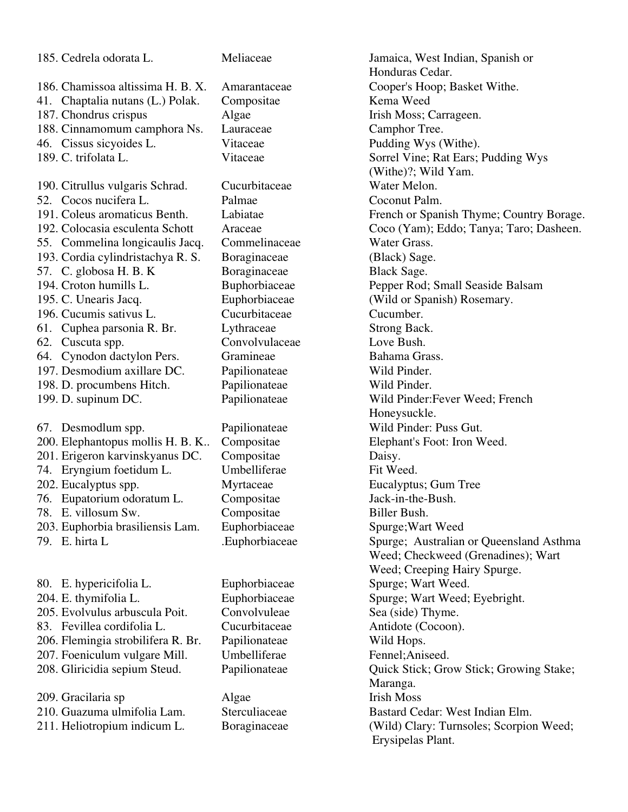| 185. Cedrela odorata L.            | Meliaceae      | Jamaica, West Indian, Spanish or         |
|------------------------------------|----------------|------------------------------------------|
|                                    |                | Honduras Cedar.                          |
| 186. Chamissoa altissima H. B. X.  | Amarantaceae   | Cooper's Hoop; Basket Withe.             |
| 41. Chaptalia nutans (L.) Polak.   | Compositae     | Kema Weed                                |
| 187. Chondrus crispus              | Algae          | Irish Moss; Carrageen.                   |
| 188. Cinnamomum camphora Ns.       | Lauraceae      | Camphor Tree.                            |
| 46. Cissus sicyoides L.            | Vitaceae       | Pudding Wys (Withe).                     |
| 189. C. trifolata L.               | Vitaceae       | Sorrel Vine; Rat Ears; Pudding Wys       |
|                                    |                | (Withe)?; Wild Yam.                      |
| 190. Citrullus vulgaris Schrad.    | Cucurbitaceae  | Water Melon.                             |
| 52. Cocos nucifera L.              | Palmae         | Coconut Palm.                            |
| 191. Coleus aromaticus Benth.      | Labiatae       | French or Spanish Thyme; Country Borage. |
| 192. Colocasia esculenta Schott    | Araceae        | Coco (Yam); Eddo; Tanya; Taro; Dasheen.  |
| 55. Commelina longicaulis Jacq.    | Commelinaceae  | Water Grass.                             |
| 193. Cordia cylindristachya R. S.  | Boraginaceae   | (Black) Sage.                            |
| 57. C. globosa H. B. K             | Boraginaceae   | Black Sage.                              |
| 194. Croton humills L.             | Buphorbiaceae  | Pepper Rod; Small Seaside Balsam         |
| 195. C. Unearis Jacq.              | Euphorbiaceae  | (Wild or Spanish) Rosemary.              |
| 196. Cucumis sativus L.            | Cucurbitaceae  | Cucumber.                                |
| 61. Cuphea parsonia R. Br.         | Lythraceae     | Strong Back.                             |
| 62. Cuscuta spp.                   | Convolvulaceae | Love Bush.                               |
| 64. Cynodon dactylon Pers.         | Gramineae      | Bahama Grass.                            |
| 197. Desmodium axillare DC.        | Papilionateae  | Wild Pinder.                             |
| 198. D. procumbens Hitch.          | Papilionateae  | Wild Pinder.                             |
| 199. D. supinum DC.                | Papilionateae  | Wild Pinder: Fever Weed; French          |
|                                    |                | Honeysuckle.                             |
| 67. Desmodlum spp.                 | Papilionateae  | Wild Pinder: Puss Gut.                   |
| 200. Elephantopus mollis H. B. K   | Compositae     | Elephant's Foot: Iron Weed.              |
| 201. Erigeron karvinskyanus DC.    | Compositae     | Daisy.                                   |
| 74. Eryngium foetidum L.           | Umbelliferae   | Fit Weed.                                |
| 202. Eucalyptus spp.               | Myrtaceae      | Eucalyptus; Gum Tree                     |
| 76. Eupatorium odoratum L.         | Compositae     | Jack-in-the-Bush.                        |
| 78. E. villosum Sw.                | Compositae     | Biller Bush.                             |
| 203. Euphorbia brasiliensis Lam.   | Euphorbiaceae  | Spurge; Wart Weed                        |
| 79. E. hirta L                     | .Euphorbiaceae | Spurge; Australian or Queensland Asthma  |
|                                    |                | Weed; Checkweed (Grenadines); Wart       |
|                                    |                | Weed; Creeping Hairy Spurge.             |
| 80. E. hypericifolia L.            | Euphorbiaceae  | Spurge; Wart Weed.                       |
| 204. E. thymifolia L.              | Euphorbiaceae  | Spurge; Wart Weed; Eyebright.            |
| 205. Evolvulus arbuscula Poit.     | Convolvuleae   | Sea (side) Thyme.                        |
| 83. Fevillea cordifolia L.         | Cucurbitaceae  | Antidote (Cocoon).                       |
| 206. Flemingia strobilifera R. Br. | Papilionateae  | Wild Hops.                               |
| 207. Foeniculum vulgare Mill.      | Umbelliferae   | Fennel; Aniseed.                         |
| 208. Gliricidia sepium Steud.      | Papilionateae  | Quick Stick; Grow Stick; Growing Stake;  |
|                                    |                | Maranga.                                 |
| 209. Gracilaria sp                 | Algae          | <b>Irish Moss</b>                        |
| 210. Guazuma ulmifolia Lam.        | Sterculiaceae  | Bastard Cedar: West Indian Elm.          |
| 211. Heliotropium indicum L.       | Boraginaceae   | (Wild) Clary: Turnsoles; Scorpion Weed;  |
|                                    |                | Erysipelas Plant.                        |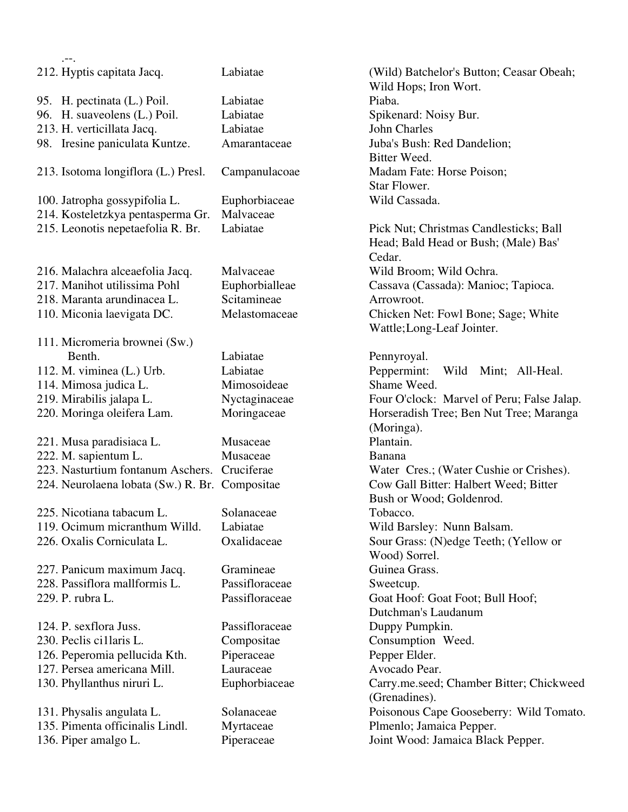| $. - -$                                        |                |                                                                   |
|------------------------------------------------|----------------|-------------------------------------------------------------------|
| 212. Hyptis capitata Jacq.                     | Labiatae       | (Wild) Batchelor's Button; Ceasar Obeah;<br>Wild Hops; Iron Wort. |
| 95. H. pectinata (L.) Poil.                    | Labiatae       | Piaba.                                                            |
| 96. H. suaveolens (L.) Poil.                   | Labiatae       | Spikenard: Noisy Bur.                                             |
| 213. H. verticillata Jacq.                     | Labiatae       | <b>John Charles</b>                                               |
| 98. Iresine paniculata Kuntze.                 | Amarantaceae   | Juba's Bush: Red Dandelion;                                       |
|                                                |                | Bitter Weed.                                                      |
| 213. Isotoma longiflora (L.) Presl.            | Campanulacoae  | Madam Fate: Horse Poison;                                         |
|                                                |                | Star Flower.                                                      |
| 100. Jatropha gossypifolia L.                  | Euphorbiaceae  | Wild Cassada.                                                     |
|                                                | Malvaceae      |                                                                   |
| 214. Kosteletzkya pentasperma Gr.              | Labiatae       |                                                                   |
| 215. Leonotis nepetaefolia R. Br.              |                | Pick Nut; Christmas Candlesticks; Ball                            |
|                                                |                | Head; Bald Head or Bush; (Male) Bas'                              |
|                                                |                | Cedar.                                                            |
| 216. Malachra alceaefolia Jacq.                | Malvaceae      | Wild Broom; Wild Ochra.                                           |
| 217. Manihot utilissima Pohl                   | Euphorbialleae | Cassava (Cassada): Manioc; Tapioca.                               |
| 218. Maranta arundinacea L.                    | Scitamineae    | Arrowroot.                                                        |
| 110. Miconia laevigata DC.                     | Melastomaceae  | Chicken Net: Fowl Bone; Sage; White                               |
|                                                |                | Wattle; Long-Leaf Jointer.                                        |
| 111. Micromeria brownei (Sw.)                  |                |                                                                   |
| Benth.                                         | Labiatae       | Pennyroyal.                                                       |
| 112. M. viminea (L.) Urb.                      | Labiatae       | Peppermint:<br>Wild Mint; All-Heal.                               |
| 114. Mimosa judica L.                          | Mimosoideae    | Shame Weed.                                                       |
| 219. Mirabilis jalapa L.                       | Nyctaginaceae  | Four O'clock: Marvel of Peru; False Jalap.                        |
| 220. Moringa oleifera Lam.                     | Moringaceae    | Horseradish Tree; Ben Nut Tree; Maranga                           |
|                                                |                | (Moringa).                                                        |
| 221. Musa paradisiaca L.                       | Musaceae       | Plantain.                                                         |
| 222. M. sapientum L.                           | Musaceae       | <b>Banana</b>                                                     |
| 223. Nasturtium fontanum Aschers. Cruciferae   |                | Water Cres.; (Water Cushie or Crishes).                           |
| 224. Neurolaena lobata (Sw.) R. Br. Compositae |                | Cow Gall Bitter: Halbert Weed; Bitter                             |
|                                                |                | Bush or Wood; Goldenrod.                                          |
| 225. Nicotiana tabacum L                       | Solanaceae     | Tobacco.                                                          |
| 119. Ocimum micranthum Willd.                  | Labiatae       | Wild Barsley: Nunn Balsam.                                        |
| 226. Oxalis Corniculata L.                     | Oxalidaceae    | Sour Grass: (N)edge Teeth; (Yellow or                             |
|                                                |                | Wood) Sorrel.                                                     |
| 227. Panicum maximum Jacq.                     | Gramineae      | Guinea Grass.                                                     |
| 228. Passiflora mallformis L.                  | Passifloraceae | Sweetcup.                                                         |
| 229. P. rubra L.                               | Passifloraceae | Goat Hoof: Goat Foot; Bull Hoof;                                  |
|                                                |                | Dutchman's Laudanum                                               |
| 124. P. sexflora Juss.                         | Passifloraceae | Duppy Pumpkin.                                                    |
| 230. Peclis cillaris L.                        | Compositae     | Consumption Weed.                                                 |
| 126. Peperomia pellucida Kth.                  | Piperaceae     | Pepper Elder.                                                     |
| 127. Persea americana Mill.                    | Lauraceae      | Avocado Pear.                                                     |
| 130. Phyllanthus niruri L.                     | Euphorbiaceae  | Carry.me.seed; Chamber Bitter; Chickweed                          |
|                                                |                | (Grenadines).                                                     |
| 131. Physalis angulata L.                      | Solanaceae     | Poisonous Cape Gooseberry: Wild Tomato.                           |
| 135. Pimenta officinalis Lindl.                | Myrtaceae      | Plmenlo; Jamaica Pepper.                                          |
| 136. Piper amalgo L.                           | Piperaceae     | Joint Wood: Jamaica Black Pepper.                                 |
|                                                |                |                                                                   |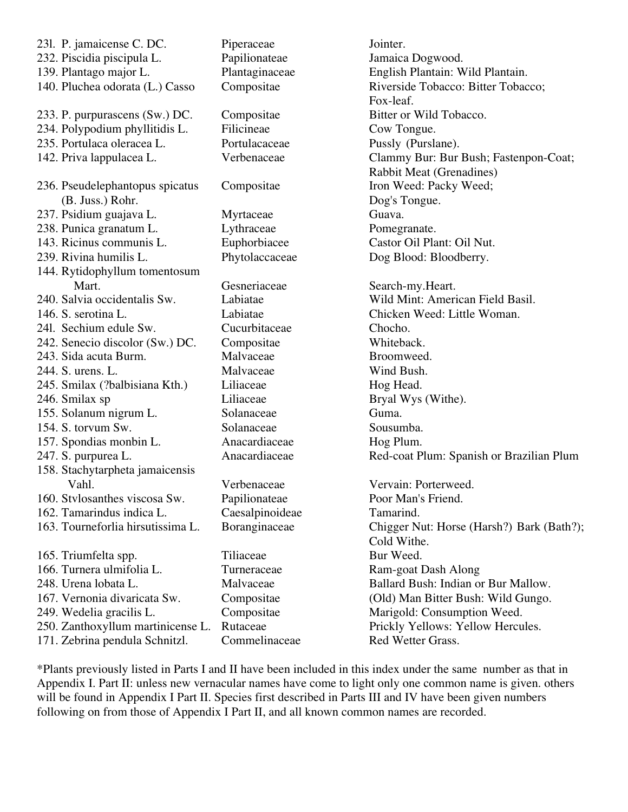| 231. P. jamaicense C. DC.         | Piperaceae      | Jointer.                                  |
|-----------------------------------|-----------------|-------------------------------------------|
| 232. Piscidia piscipula L.        | Papilionateae   | Jamaica Dogwood.                          |
| 139. Plantago major L.            | Plantaginaceae  | English Plantain: Wild Plantain.          |
| 140. Pluchea odorata (L.) Casso   | Compositae      | Riverside Tobacco: Bitter Tobacco;        |
|                                   |                 | Fox-leaf.                                 |
| 233. P. purpurascens (Sw.) DC.    | Compositae      | Bitter or Wild Tobacco.                   |
| 234. Polypodium phyllitidis L.    | Filicineae      | Cow Tongue.                               |
| 235. Portulaca oleracea L.        | Portulacaceae   | Pussly (Purslane).                        |
| 142. Priva lappulacea L.          | Verbenaceae     | Clammy Bur: Bur Bush; Fastenpon-Coat;     |
|                                   |                 | <b>Rabbit Meat (Grenadines)</b>           |
| 236. Pseudelephantopus spicatus   | Compositae      | Iron Weed: Packy Weed;                    |
| (B. Juss.) Rohr.                  |                 | Dog's Tongue.                             |
| 237. Psidium guajava L.           | Myrtaceae       | Guava.                                    |
| 238. Punica granatum L.           | Lythraceae      | Pomegranate.                              |
| 143. Ricinus communis L.          | Euphorbiacee    | Castor Oil Plant: Oil Nut.                |
| 239. Rivina humilis L.            | Phytolaccaceae  | Dog Blood: Bloodberry.                    |
| 144. Rytidophyllum tomentosum     |                 |                                           |
| Mart.                             | Gesneriaceae    | Search-my.Heart.                          |
| 240. Salvia occidentalis Sw.      | Labiatae        | Wild Mint: American Field Basil.          |
| 146. S. serotina L.               | Labiatae        | Chicken Weed: Little Woman.               |
| 241. Sechium edule Sw.            | Cucurbitaceae   | Chocho.                                   |
| 242. Senecio discolor (Sw.) DC.   | Compositae      | Whiteback.                                |
| 243. Sida acuta Burm.             | Malvaceae       | Broomweed.                                |
| 244. S. urens. L.                 | Malvaceae       | Wind Bush.                                |
| 245. Smilax (?balbisiana Kth.)    | Liliaceae       | Hog Head.                                 |
| 246. Smilax sp                    | Liliaceae       | Bryal Wys (Withe).                        |
| 155. Solanum nigrum L.            | Solanaceae      | Guma.                                     |
| 154. S. torvum Sw.                | Solanaceae      | Sousumba.                                 |
| 157. Spondias monbin L.           | Anacardiaceae   | Hog Plum.                                 |
| 247. S. purpurea L.               | Anacardiaceae   | Red-coat Plum: Spanish or Brazilian Plum  |
| 158. Stachytarpheta jamaicensis   |                 |                                           |
| Vahl.                             | Verbenaceae     | Vervain: Porterweed.                      |
| 160. Stylosanthes viscosa Sw.     | Papilionateae   | Poor Man's Friend.                        |
| 162. Tamarindus indica L.         | Caesalpinoideae | Tamarind.                                 |
| 163. Tourneforlia hirsutissima L. | Boranginaceae   | Chigger Nut: Horse (Harsh?) Bark (Bath?); |
|                                   |                 | Cold Withe.                               |
| 165. Triumfelta spp.              | Tiliaceae       | Bur Weed.                                 |
| 166. Turnera ulmifolia L.         | Turneraceae     | Ram-goat Dash Along                       |
| 248. Urena lobata L.              | Malvaceae       | Ballard Bush: Indian or Bur Mallow.       |
| 167. Vernonia divaricata Sw.      | Compositae      | (Old) Man Bitter Bush: Wild Gungo.        |
| 249. Wedelia gracilis L.          | Compositae      | Marigold: Consumption Weed.               |
| 250. Zanthoxyllum martinicense L. | Rutaceae        | Prickly Yellows: Yellow Hercules.         |
| 171. Zebrina pendula Schnitzl.    | Commelinaceae   | Red Wetter Grass.                         |
|                                   |                 |                                           |

\*Plants previously listed in Parts I and II have been included in this index under the same number as that in Appendix I. Part II: unless new vernacular names have come to light only one common name is given. others will be found in Appendix I Part II. Species first described in Parts III and IV have been given numbers following on from those of Appendix I Part II, and all known common names are recorded.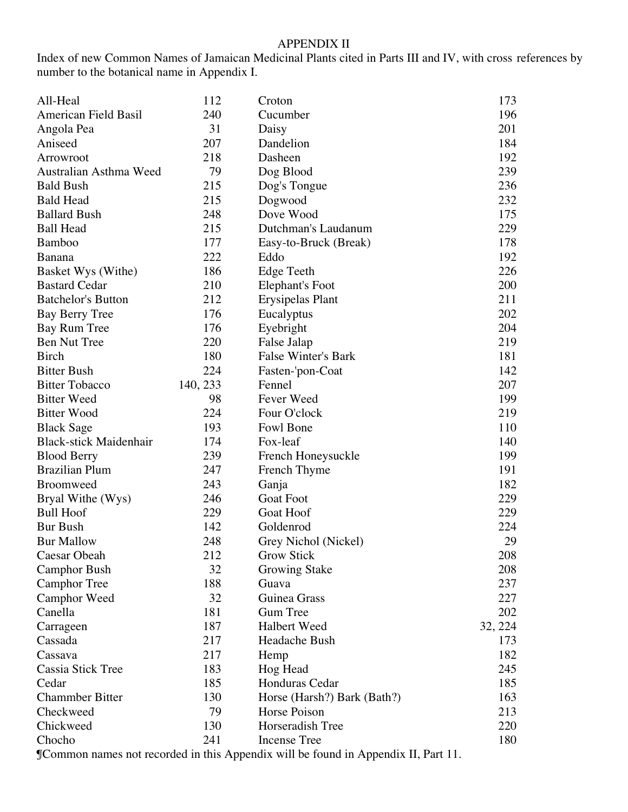### APPENDIX II

Index of new Common Names of Jamaican Medicinal Plants cited in Parts III and IV, with cross references by number to the botanical name in Appendix I.

| All-Heal                      | 112      | Croton                      | 173     |
|-------------------------------|----------|-----------------------------|---------|
| <b>American Field Basil</b>   | 240      | Cucumber                    | 196     |
| Angola Pea                    | 31       | Daisy                       | 201     |
| Aniseed                       | 207      | Dandelion                   | 184     |
| Arrowroot                     | 218      | Dasheen                     | 192     |
| Australian Asthma Weed        | 79       | Dog Blood                   | 239     |
| <b>Bald Bush</b>              | 215      | Dog's Tongue                | 236     |
| <b>Bald Head</b>              | 215      | Dogwood                     | 232     |
| <b>Ballard Bush</b>           | 248      | Dove Wood                   | 175     |
| <b>Ball Head</b>              | 215      | Dutchman's Laudanum         | 229     |
| <b>Bamboo</b>                 | 177      | Easy-to-Bruck (Break)       | 178     |
| Banana                        | 222      | Eddo                        | 192     |
| Basket Wys (Withe)            | 186      | Edge Teeth                  | 226     |
| <b>Bastard Cedar</b>          | 210      | Elephant's Foot             | 200     |
| <b>Batchelor's Button</b>     | 212      | Erysipelas Plant            | 211     |
| Bay Berry Tree                | 176      | Eucalyptus                  | 202     |
| Bay Rum Tree                  | 176      | Eyebright                   | 204     |
| <b>Ben Nut Tree</b>           | 220      | False Jalap                 | 219     |
| <b>Birch</b>                  | 180      | <b>False Winter's Bark</b>  | 181     |
| <b>Bitter Bush</b>            | 224      | Fasten-'pon-Coat            | 142     |
| <b>Bitter Tobacco</b>         | 140, 233 | Fennel                      | 207     |
| <b>Bitter Weed</b>            | 98       | Fever Weed                  | 199     |
| <b>Bitter Wood</b>            | 224      | Four O'clock                | 219     |
| <b>Black Sage</b>             | 193      | Fowl Bone                   | 110     |
| <b>Black-stick Maidenhair</b> | 174      | Fox-leaf                    | 140     |
| <b>Blood Berry</b>            | 239      | French Honeysuckle          | 199     |
| <b>Brazilian Plum</b>         | 247      | French Thyme                | 191     |
| <b>Broomweed</b>              | 243      | Ganja                       | 182     |
| Bryal Withe (Wys)             | 246      | <b>Goat Foot</b>            | 229     |
| <b>Bull Hoof</b>              | 229      | Goat Hoof                   | 229     |
| <b>Bur Bush</b>               | 142      | Goldenrod                   | 224     |
| <b>Bur Mallow</b>             | 248      | Grey Nichol (Nickel)        | 29      |
| Caesar Obeah                  | 212      | <b>Grow Stick</b>           | 208     |
| <b>Camphor Bush</b>           | 32       | <b>Growing Stake</b>        | 208     |
| <b>Camphor Tree</b>           | 188      | Guava                       | 237     |
| Camphor Weed                  | 32       | Guinea Grass                | 227     |
| Canella                       | 181      | <b>Gum Tree</b>             | 202     |
| Carrageen                     | 187      | Halbert Weed                | 32, 224 |
| Cassada                       | 217      | Headache Bush               | 173     |
| Cassava                       | 217      | Hemp                        | 182     |
| <b>Cassia Stick Tree</b>      | 183      | Hog Head                    | 245     |
| Cedar                         | 185      | Honduras Cedar              | 185     |
| <b>Chammber Bitter</b>        | 130      | Horse (Harsh?) Bark (Bath?) | 163     |
| Checkweed                     | 79       | Horse Poison                | 213     |
| Chickweed                     | 130      | Horseradish Tree            | 220     |
| Chocho                        | 241      | Incense Tree                | 180     |
|                               |          |                             |         |

¶Common names not recorded in this Appendix will be found in Appendix II, Part 11.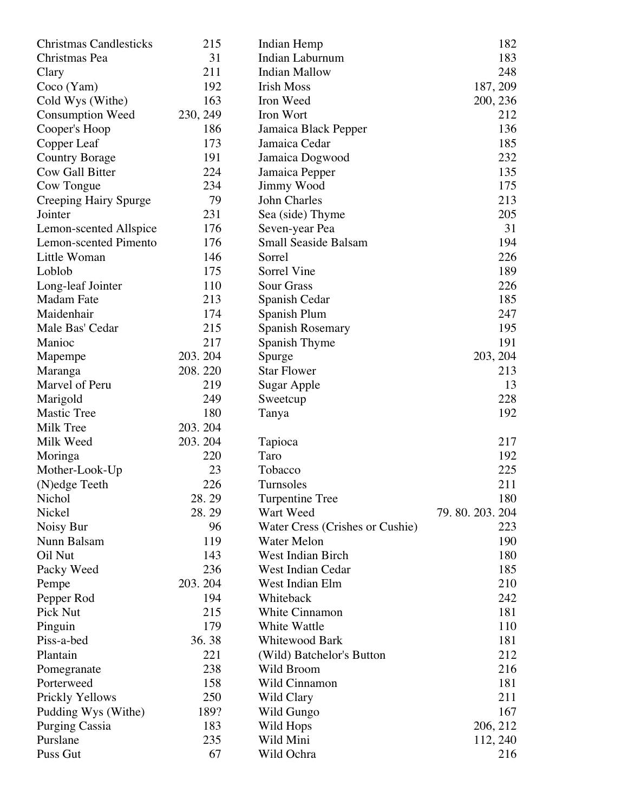| Indian Hemp                                                        | 182           |
|--------------------------------------------------------------------|---------------|
| 31<br>Christmas Pea<br><b>Indian Laburnum</b>                      | 183           |
| 211<br><b>Indian Mallow</b><br>Clary                               | 248           |
| 192<br><b>Irish Moss</b><br>Coco(Yam)                              | 187, 209      |
| 163<br>Iron Weed<br>Cold Wys (Withe)                               | 200, 236      |
| 230, 249<br>Iron Wort<br><b>Consumption Weed</b>                   | 212           |
| 186<br>Cooper's Hoop<br>Jamaica Black Pepper                       | 136           |
| 173<br>Copper Leaf<br>Jamaica Cedar                                | 185           |
| 191<br>Jamaica Dogwood<br><b>Country Borage</b>                    | 232           |
| <b>Cow Gall Bitter</b><br>224<br>Jamaica Pepper                    | 135           |
| 234<br>Cow Tongue<br>Jimmy Wood                                    | 175           |
| 79<br>John Charles<br>Creeping Hairy Spurge                        | 213           |
| 231<br>Jointer<br>Sea (side) Thyme                                 | 205           |
| 176<br>Seven-year Pea<br>Lemon-scented Allspice                    | 31            |
| 176<br><b>Lemon-scented Pimento</b><br><b>Small Seaside Balsam</b> | 194           |
| 146<br>Little Woman<br>Sorrel                                      | 226           |
|                                                                    |               |
| 175<br>Sorrel Vine<br>Loblob                                       | 189           |
| 110<br><b>Sour Grass</b><br>Long-leaf Jointer                      | 226           |
| 213<br><b>Madam Fate</b><br>Spanish Cedar                          | 185           |
| 174<br>Maidenhair<br>Spanish Plum                                  | 247           |
| Male Bas' Cedar<br>215<br>Spanish Rosemary                         | 195           |
| 217<br>Manioc<br>Spanish Thyme                                     | 191           |
| 203.204<br>Mapempe<br>Spurge                                       | 203, 204      |
| 208.220<br><b>Star Flower</b><br>Maranga                           | 213           |
| Marvel of Peru<br>219<br>Sugar Apple                               | 13            |
| 249<br>Marigold<br>Sweetcup                                        | 228           |
| <b>Mastic Tree</b><br>180<br>Tanya                                 | 192           |
| Milk Tree<br>203.204                                               |               |
| Milk Weed<br>203.204<br>Tapioca                                    | 217           |
| 220<br>Taro<br>Moringa                                             | 192           |
| 23<br>Tobacco<br>Mother-Look-Up                                    | 225           |
| 226<br>Turnsoles<br>(N) edge Teeth                                 | 211           |
| 28.29<br>Nichol<br><b>Turpentine Tree</b>                          | 180           |
| Nickel<br>28.29<br>Wart Weed                                       | 79.80.203.204 |
| Noisy Bur<br>96<br>Water Cress (Crishes or Cushie)                 | 223           |
| Nunn Balsam<br>119<br><b>Water Melon</b>                           | 190           |
| Oil Nut<br>143<br><b>West Indian Birch</b>                         | 180           |
| 236<br><b>West Indian Cedar</b><br>Packy Weed                      | 185           |
| 203.204<br>West Indian Elm<br>Pempe                                | 210           |
| 194<br>Pepper Rod<br>Whiteback                                     | 242           |
| 215<br>Pick Nut<br><b>White Cinnamon</b>                           | 181           |
| 179<br>White Wattle<br>Pinguin                                     | 110           |
| Piss-a-bed<br>36.38<br><b>Whitewood Bark</b>                       | 181           |
| Plantain<br>221<br>(Wild) Batchelor's Button                       | 212           |
| 238<br>Wild Broom<br>Pomegranate                                   | 216           |
| 158<br>Wild Cinnamon<br>Porterweed                                 | 181           |
| 250<br>Prickly Yellows<br>Wild Clary                               | 211           |
| 189?<br>Wild Gungo<br>Pudding Wys (Withe)                          | 167           |
| 183<br><b>Purging Cassia</b><br>Wild Hops                          | 206, 212      |
| Purslane<br>235<br>Wild Mini                                       | 112, 240      |
| 67<br>Puss Gut<br>Wild Ochra                                       | 216           |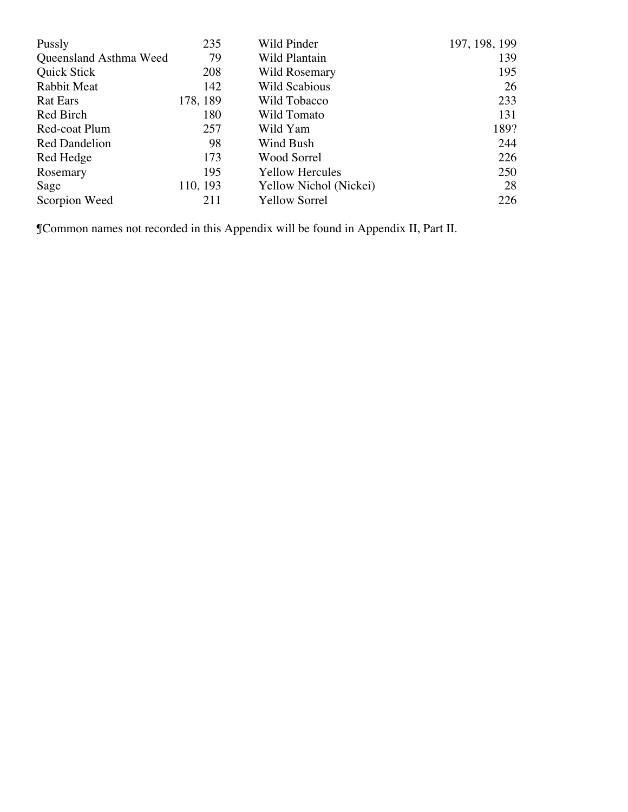| Pussly                 | 235      | Wild Pinder            | 197, 198, 199 |
|------------------------|----------|------------------------|---------------|
| Queensland Asthma Weed | 79       | Wild Plantain          | 139           |
| Quick Stick            | 208      | Wild Rosemary          | 195           |
| Rabbit Meat            | 142      | Wild Scabious          | 26            |
| <b>Rat Ears</b>        | 178, 189 | Wild Tobacco           | 233           |
| Red Birch              | 180      | Wild Tomato            | 131           |
| Red-coat Plum          | 257      | Wild Yam               | 189?          |
| <b>Red Dandelion</b>   | 98       | Wind Bush              | 244           |
| Red Hedge              | 173      | Wood Sorrel            | 226           |
| Rosemary               | 195      | <b>Yellow Hercules</b> | 250           |
| Sage                   | 110, 193 | Yellow Nichol (Nickei) | 28            |
| Scorpion Weed          | 211      | <b>Yellow Sorrel</b>   | 226           |

¶Common names not recorded in this Appendix will be found in Appendix II, Part II.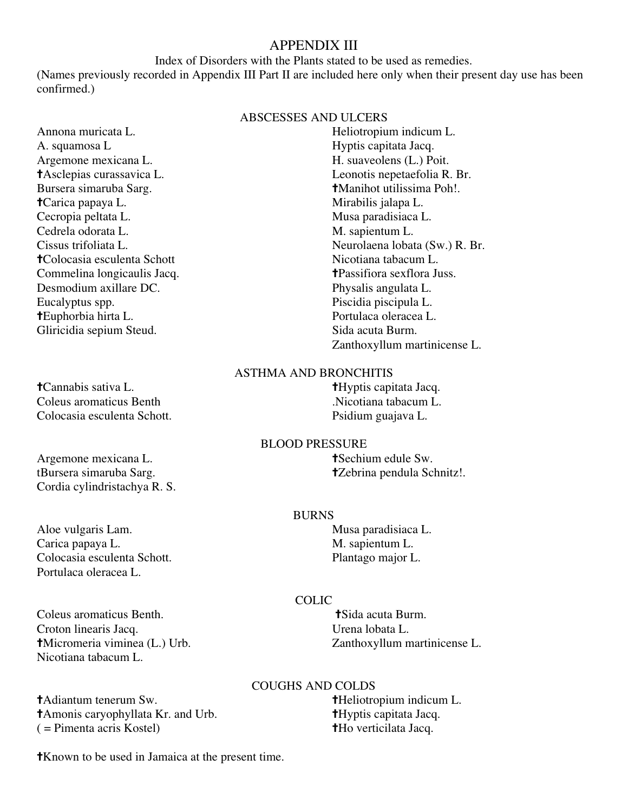# APPENDIX III

#### Index of Disorders with the Plants stated to be used as remedies.

(Names previously recorded in Appendix III Part II are included here only when their present day use has been confirmed.)

#### ABSCESSES AND ULCERS

A. squamosa L<br>Argemone mexicana L.<br>H. suaveolens (L.) Poit. Argemone mexicana L. Bursera simaruba Sarg. **†Manihot utilissima Poh!**. ✝Carica papaya L. Mirabilis jalapa L. Cecropia peltata L. Musa paradisiaca L. Cedrela odorata L. M. sapientum L. **†Colocasia esculenta Schott** Nicotiana tabacum L.<br>
Commelina longicaulis Jacq. **T the Example 1 T the Example 1 the Example 1 the Example 1 the Example 1 the Example 1 the Example 1 the Example 1 the E** Commelina longicaulis Jacq. Desmodium axillare DC. Physalis angulata L. Eucalyptus spp. Piscidia piscipula L. ✝Euphorbia hirta L. Portulaca oleracea L. Gliricidia sepium Steud. Sida acuta Burm.

✝Cannabis sativa L. ✝Hyptis capitata Jacq. Coleus aromaticus Benth .Nicotiana tabacum L. Colocasia esculenta Schott. Psidium guajava L.

Argemone mexicana L. **tSechium edule Sw.** tBursera simaruba Sarg. ✝Zebrina pendula Schnitz!. Cordia cylindristachya R. S.

Aloe vulgaris Lam. Nusa paradisiaca L. Carica papaya L. M. sapientum L. Colocasia esculenta Schott. Plantago major L. Portulaca oleracea L.

Coleus aromaticus Benth. ✝Sida acuta Burm. Croton linearis Jacq. Urena lobata L. Nicotiana tabacum L.

✝Adiantum tenerum Sw. ✝Heliotropium indicum L. ✝Amonis caryophyllata Kr. and Urb. ✝Hyptis capitata Jacq.  $( =$  Pimenta acris Kostel)  $\uparrow$   $\uparrow$   $\uparrow$   $\uparrow$   $\uparrow$   $\uparrow$   $\uparrow$   $\uparrow$   $\uparrow$   $\uparrow$   $\uparrow$   $\uparrow$   $\uparrow$   $\uparrow$   $\uparrow$   $\uparrow$   $\downarrow$   $\downarrow$   $\uparrow$   $\uparrow$   $\downarrow$   $\downarrow$   $\uparrow$   $\uparrow$   $\downarrow$   $\downarrow$   $\uparrow$   $\uparrow$   $\downarrow$   $\downarrow$   $\uparrow$   $\downarrow$   $\$ 

Annona muricata L. Heliotropium indicum L. ✝Asclepias curassavica L. Leonotis nepetaefolia R. Br. Cissus trifoliata L. Neurolaena lobata (Sw.) R. Br. Zanthoxyllum martinicense L.

# ASTHMA AND BRONCHITIS

#### BLOOD PRESSURE

#### BURNS

# COLIC

✝Micromeria viminea (L.) Urb. Zanthoxyllum martinicense L.

### COUGHS AND COLDS

✝Known to be used in Jamaica at the present time.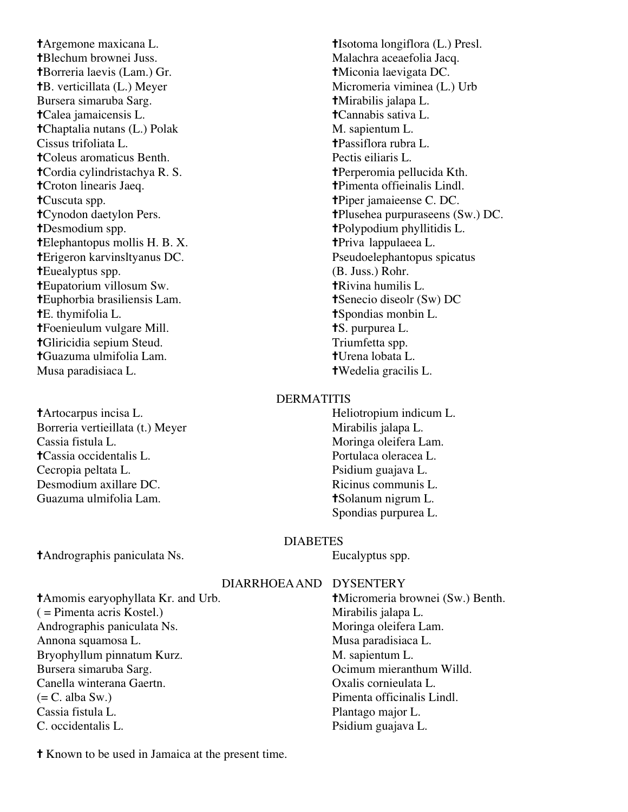✝Argemone maxicana L. ✝Isotoma longiflora (L.) Presl. **†Blechum brownei Juss.** Malachra aceaefolia Jacq. ✝Borreria laevis (Lam.) Gr. ✝Miconia laevigata DC. **†B.** verticillata (L.) Meyer Micromeria viminea (L.) Urb Bursera simaruba Sarg. ✝Mirabilis jalapa L. ✝Calea jamaicensis L. ✝Cannabis sativa L. **†Chaptalia nutans (L.) Polak M. sapientum L.** Cissus trifoliata L. ✝Passiflora rubra L. ✝Coleus aromaticus Benth. Pectis eiliaris L. ✝Cordia cylindristachya R. S. ✝Perperomia pellucida Kth. ✝Croton linearis Jaeq. ✝Pimenta offieinalis Lindl. ✝Cuscuta spp. ✝Piper jamaieense C. DC. ✝Desmodium spp. ✝Polypodium phyllitidis L. **†Elephantopus mollis H. B. X.** ← †Priva lappulaeea L. ✝Erigeron karvinsltyanus DC. Pseudoelephantopus spicatus **†Euealyptus spp.** (B. Juss.) Rohr.<br> **†Eupatorium villosum Sw. †Rivina humilis L. †Eupatorium villosum Sw.** ✝Euphorbia brasiliensis Lam. ✝Senecio diseolr (Sw) DC **†E.** thymifolia L. ← ↓ ↓ the state of the state of the state of the state of the state of the state of the state of the state of the state of the state of the state of the state of the state of the state of the state of **†**Foenieulum vulgare Mill. ★S. purpurea L. ✝Gliricidia sepium Steud. Triumfetta spp. ✝Guazuma ulmifolia Lam. ✝Urena lobata L. Musa paradisiaca L. ✝Wedelia gracilis L.

✝Artocarpus incisa L. Heliotropium indicum L. Borreria vertieillata (t.) Meyer Mirabilis jalapa L. Cassia fistula L. Moringa oleifera Lam. ✝Cassia occidentalis L. Portulaca oleracea L. Cecropia peltata L. Psidium guajava L. Desmodium axillare DC. Ricinus communis L. Guazuma ulmifolia Lam. ✝Solanum nigrum L.

✝Cynodon daetylon Pers. ✝Plusehea purpuraseens (Sw.) DC.

#### DERMATITIS

Spondias purpurea L.

#### DIABETES

✝Andrographis paniculata Ns. Eucalyptus spp.

DIARRHOEAAND DYSENTERY

**†Micromeria brownei (Sw.) Benth.** Mirabilis jalapa L. Moringa oleifera Lam. Musa paradisiaca L. M. sapientum L. Ocimum mieranthum Willd. Oxalis cornieulata L. Pimenta officinalis Lindl. Plantago major L. Psidium guajava L.

✝ Known to be used in Jamaica at the present time.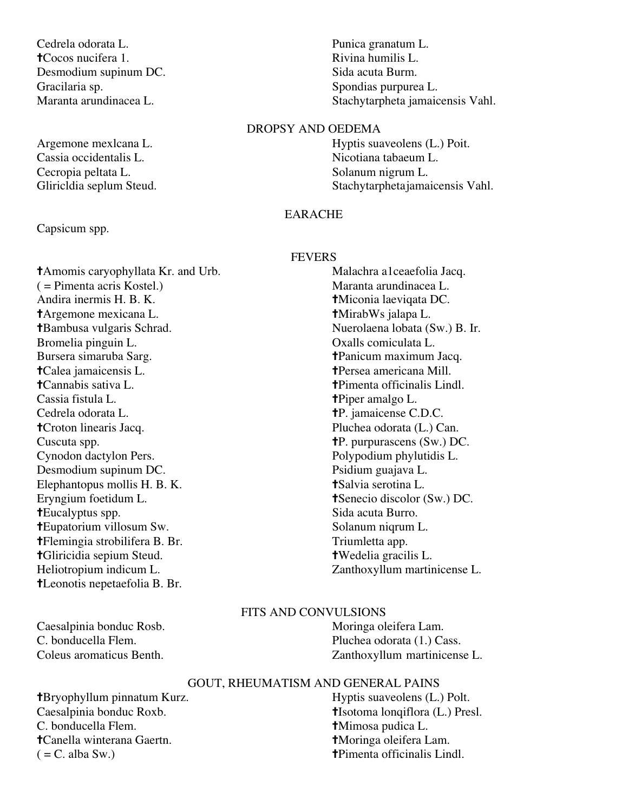Cedrela odorata L. Punica granatum L. **†**Cocos nucifera 1. Rivina humilis L. Desmodium supinum DC. Sida acuta Burm. Gracilaria sp. Spondias purpurea L.

Cassia occidentalis L. Nicotiana tabaeum L. Cecropia peltata L. Solanum nigrum L.

Capsicum spp.

( = Pimenta acris Kostel.) Maranta arundinacea L. Andira inermis H. B. K. **†Miconia laevigata DC.** ✝Argemone mexicana L. ✝MirabWs jalapa L. ✝Bambusa vulgaris Schrad. Nuerolaena lobata (Sw.) B. Ir. Bromelia pinguin L.<br>Bursera simaruba Sarg. (and a base of the comiculata L. Bursera simaruba Sarg. (b) a comiculate the transition ✝Calea jamaicensis L. ✝Persea americana Mill. Cassia fistula L. **the term** of the term of the term of the term of the term of the term of the term of the term of the term of the term of the term of the term of the term of the term of the term of the term of the term o Cedrela odorata L. ✝P. jamaicense C.D.C. ✝Croton linearis Jacq. Pluchea odorata (L.) Can. Cuscuta spp. ✝P. purpurascens (Sw.) DC. Cynodon dactylon Pers. Polypodium phylutidis L. Desmodium supinum DC. Psidium guajava L. Elephantopus mollis H. B. K. **†Salvia serotina L.** ↑ Eryngium foetidum L. **the transfer is the set of the transfer in the transfer is the transfer in the transfer is the transfer in the transfer in the transfer in the transfer in the transfer in the transfer in the transfer** ✝Eucalyptus spp. Sida acuta Burro. **†Eupatorium villosum Sw.** Solanum niqrum L. ✝Flemingia strobilifera B. Br. Triumletta app. ✝Gliricidia sepium Steud. ✝Wedelia gracilis L. Heliotropium indicum L. Zanthoxyllum martinicense L. ✝Leonotis nepetaefolia B. Br.

Maranta arundinacea L. Stachytarpheta jamaicensis Vahl.

# DROPSY AND OEDEMA

Argemone mexlcana L. Hyptis suaveolens (L.) Poit. Gliricldia seplum Steud. Stachytarphetajamaicensis Vahl.

# EARACHE

#### FEVERS

**†Amomis caryophyllata Kr. and Urb.** Malachra a1ceaefolia Jacq. **†Panicum maximum Jacq.**  $\dagger$ Pimenta officinalis Lindl.

#### FITS AND CONVULSIONS

Caesalpinia bonduc Rosb. Moringa oleifera Lam. C. bonducella Flem.<br>
Coleus aromaticus Benth.<br>
2anthoxyllum martinicens Zanthoxyllum martinicense L.

# GOUT, RHEUMATISM AND GENERAL PAINS

✝Bryophyllum pinnatum Kurz. Hyptis suaveolens (L.) Polt. Caesalpinia bonduc Roxb.<br>
C. bonducella Flem.<br> **†Isotoma lonqiflora (L.) Presl.**<br> **†Isotoma lonqiflora (L.) Presl.**<br> **†Isotoma lonqiflora (L.) Presl.** ✝Canella winterana Gaertn. ✝Moringa oleifera Lam.  $( = C. \text{ alba Sw.})$   $\dagger$   $\ddagger$   $\ddagger$   $\ddagger$   $\ddagger$   $\ddagger$   $\ddagger$   $\ddagger$   $\ddagger$   $\ddagger$   $\ddagger$   $\ddagger$   $\ddagger$   $\ddagger$ 

**†Mimosa pudica L.**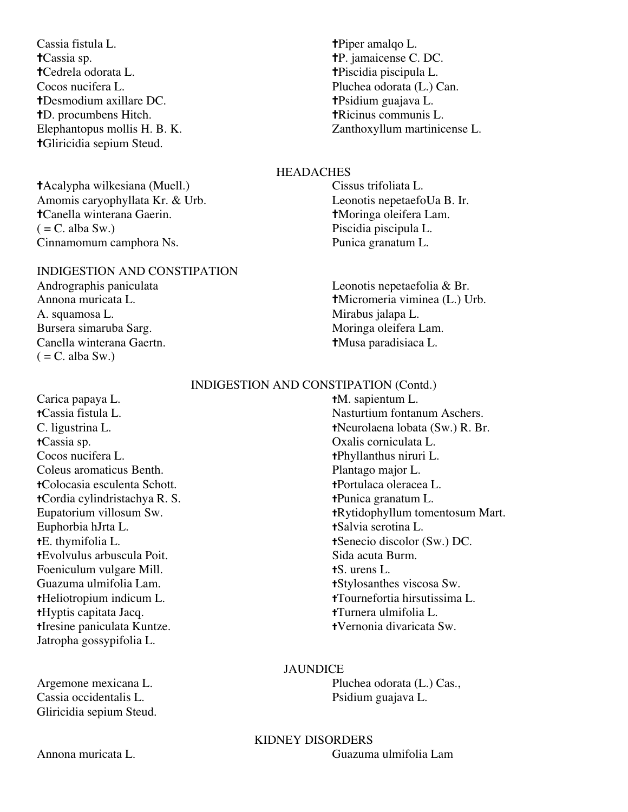- Cassia fistula L. **the term** of the term of the term of the term of the term of the term of the term of the term of the term of the term of the term of the term of the term of the term of the term of the term of the term o ✝Cassia sp. ✝P. jamaicense C. DC. ✝Cedrela odorata L. ✝Piscidia piscipula L. Cocos nucifera L. Pluchea odorata (L.) Can. ✝Desmodium axillare DC. ✝Psidium guajava L. ✝D. procumbens Hitch. ✝Ricinus communis L. ✝Gliricidia sepium Steud.
- ✝Acalypha wilkesiana (Muell.) Cissus trifoliata L. Amomis caryophyllata Kr. & Urb. Leonotis nepetaefoUa B. Ir. ✝Canella winterana Gaerin. ✝Moringa oleifera Lam. ( = C. alba Sw.) Piscidia piscipula L. Cinnamomum camphora Ns. Punica granatum L.

# INDIGESTION AND CONSTIPATION

A. squamosa L. Mirabus jalapa L. Bursera simaruba Sarg. Canella winterana Gaertn. ✝Musa paradisiaca L.  $( = C$ . alba Sw.)

Elephantopus mollis H. B. K. Zanthoxyllum martinicense L.

# **HEADACHES**

Andrographis paniculata Leonotis nepetaefolia & Br. Annona muricata L. **†Micromeria viminea (L.)** Urb.

### INDIGESTION AND CONSTIPATION (Contd.)

Carica papaya L. **the set of the set of the set of the set of the set of the set of the set of the set of the set of the set of the set of the set of the set of the set of the set of the set of the set of the set of the se** ✝Cassia sp. Oxalis corniculata L. Cocos nucifera L. **the transfer a** the transfer that the transfer that the transfer that the transfer that the transfer that the transfer that the transfer that the transfer that the transfer that the transfer that the tra Coleus aromaticus Benth. Plantago major L. ✝Colocasia esculenta Schott. ✝Portulaca oleracea L. ✝Cordia cylindristachya R. S. ✝Punica granatum L. Euphorbia hJrta L. ✝Salvia serotina L. ✝Evolvulus arbuscula Poit. Sida acuta Burm. Foeniculum vulgare Mill. **tS.** urens L. Guazuma ulmifolia Lam.  $\bullet$  **t**Stylosanthes viscosa Sw. ✝Hyptis capitata Jacq. ✝Turnera ulmifolia L. ✝Iresine paniculata Kuntze. ✝Vernonia divaricata Sw. Jatropha gossypifolia L.

Cassia occidentalis L. Psidium guajava L. Gliricidia sepium Steud.

✝Cassia fistula L. Nasturtium fontanum Aschers. C. ligustrina L. (C. ligustrina L. the contract of the contract of the the contract of the contract of the contract of the contract of the contract of the contract of the contract of the contract of the contract of the con Eupatorium villosum Sw. **tracklum** tomentosum Mart. ✝E. thymifolia L. ✝Senecio discolor (Sw.) DC. ✝Heliotropium indicum L. ✝Tournefortia hirsutissima L.

#### JAUNDICE

Argemone mexicana L. Pluchea odorata (L.) Cas.,

KIDNEY DISORDERS Annona muricata L. Guazuma ulmifolia Lam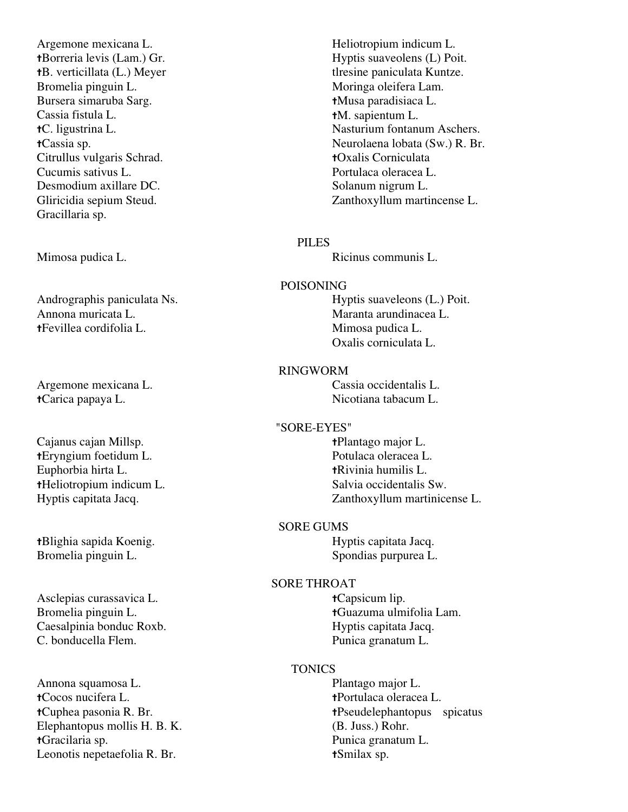Argemone mexicana L. Heliotropium indicum L. Bromelia pinguin L. Moringa oleifera Lam. Bursera simaruba Sarg. ✝Musa paradisiaca L. Cassia fistula L. ✝M. sapientum L. Citrullus vulgaris Schrad. ✝Oxalis Corniculata Cucumis sativus L. Portulaca oleracea L. Desmodium axillare DC. Solanum nigrum L. Gracillaria sp.

Andrographis paniculata Ns. Hyptis suaveleons (L.) Poit. Annona muricata L. (2002) anno 2003. Maranta arundinacea L. ✝Fevillea cordifolia L. Mimosa pudica L.

Argemone mexicana L. Cassia occidentalis L. ✝Carica papaya L. Nicotiana tabacum L.

Cajanus cajan Millsp.  $\bullet$  **+Plantago major L.** ✝Eryngium foetidum L. Potulaca oleracea L. Euphorbia hirta L. ✝Rivinia humilis L. ✝Heliotropium indicum L. Salvia occidentalis Sw.

tBlighia sapida Koenig. **Hyptis capitata Jacq.** Hyptis capitata Jacq. Bromelia pinguin L. Spondias purpurea L.

Asclepias curassavica L. ✝Capsicum lip. Caesalpinia bonduc Roxb. Hyptis capitata Jacq. C. bonducella Flem. Punica granatum L.

Annona squamosa L. Plantago major L. ✝Cocos nucifera L. ✝Portulaca oleracea L. Elephantopus mollis H. B. K. (B. Juss.) Rohr. ✝Gracilaria sp. Punica granatum L. Leonotis nepetaefolia R. Br. **t**Smilax sp.

**tBorreria levis (Lam.) Gr.** Hyptis suaveolens (L) Poit. the the settle verticillata (L.) Meyer the settle settlement of the settlement of the settlement of the settlement of the settlement of the settlement of the settlement of the settlement of the settlement of the settlement ✝C. ligustrina L. Nasturium fontanum Aschers. ✝Cassia sp. Neurolaena lobata (Sw.) R. Br. Gliricidia sepium Steud. Zanthoxyllum martincense L.

# PILES

Mimosa pudica L. **Ricinus** communis L.

#### POISONING

Oxalis corniculata L.

#### RINGWORM

#### "SORE-EYES"

Hyptis capitata Jacq. Zanthoxyllum martinicense L.

#### SORE GUMS

### SORE THROAT

Bromelia pinguin L. **the actual transference the set of the set of the set of the set of the set of the set of the set of the set of the set of the set of the set of the set of the set of the set of the set of the set of** 

### **TONICS**

✝Cuphea pasonia R. Br. ✝Pseudelephantopus spicatus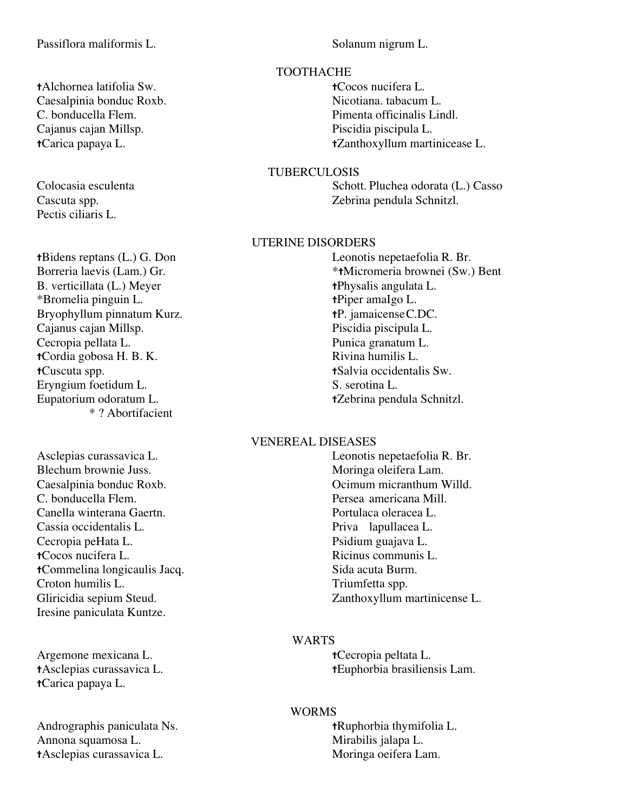# Passiflora maliformis L. Solanum nigrum L.

✝Alchornea latifolia Sw. ✝Cocos nucifera L. Caesalpinia bonduc Roxb. Nicotiana. tabacum L. C. bonducella Flem. Pimenta officinalis Lindl. Cajanus cajan Millsp. Piscidia piscipula L.

Pectis ciliaris L.

**tBidens reptans (L.) G. Don** Leonotis nepetaefolia R. Br.<br>Borreria laevis (Lam.) Gr. \*\*\*Micromeria brownei (Sw.) B. verticillata (L.) Meyer **the term the term the term the term th t h**  $\alpha$  **t h**  $\alpha$  **t h**  $\alpha$  **the term th**  $\alpha$  **h**  $\beta$  **the term th**  $\alpha$  **h**  $\beta$  **h**  $\alpha$  **h**  $\beta$  **h**  $\alpha$  **h**  $\beta$  **h**  $\alpha$  **h** \*Bromelia pinguin L. ✝Piper amaIgo L. Bryophyllum pinnatum Kurz.<br>
Cajanus cajan Millsp.<br>
Cajanus cajan Millsp.<br>
Piscidia piscipula L. Cajanus cajan Millsp. Cecropia pellata L.<br> **Cordia gobosa H. B. K.** Punica granatum L.<br> **Cordia gobosa H. B. K.** Rivina humilis L. tCordia gobosa H. B. K. **†Cuscuta spp.** ★Salvia occidentalis Sw.<br>Ervngium foetidum L. S. serotina L. S. serotina L. Eryngium foetidum L. Eupatorium odoratum L. **tzebrina pendula Schnitzl.** \* ? Abortifacient

Asclepias curassavica L. Leonotis nepetaefolia R. Br. Blechum brownie Juss. Moringa oleifera Lam. Caesalpinia bonduc Roxb. Ocimum micranthum Willd. C. bonducella Flem. Persea americana Mill. Canella winterana Gaertn. Portulaca oleracea L. Cassia occidentalis L. Priva lapullacea L. Cecropia peHata L. Psidium guajava L. ✝Cocos nucifera L. Ricinus communis L. ✝Commelina longicaulis Jacq. Sida acuta Burm. Croton humilis L. Triumfetta spp. Iresine paniculata Kuntze.

Argemone mexicana L. **the example of the example of the example of the example of the example of the example of the example of the example of the example of the example of the example of the example of the example of the e** ✝Carica papaya L.

Andrographis paniculata Ns. **the anti-manufature of the set of the set of the set of the set of the set of the set of the set of the set of the set of the set of the set of the set of the set of the set of the set of the s** Annona squamosa L. Mirabilis jalapa L. ✝Asclepias curassavica L. Moringa oeifera Lam.

#### TOOTHACHE

✝Carica papaya L. ✝Zanthoxyllum martinicease L.

### TUBERCULOSIS

Colocasia esculenta Schott. Pluchea odorata (L.) Casso Cascuta spp. Zebrina pendula Schnitzl.

# UTERINE DISORDERS

\*tMicromeria brownei (Sw.) Bent

# VENEREAL DISEASES

Gliricidia sepium Steud. Zanthoxyllum martinicense L.

# WARTS

✝Asclepias curassavica L. ✝Euphorbia brasiliensis Lam.

# WORMS